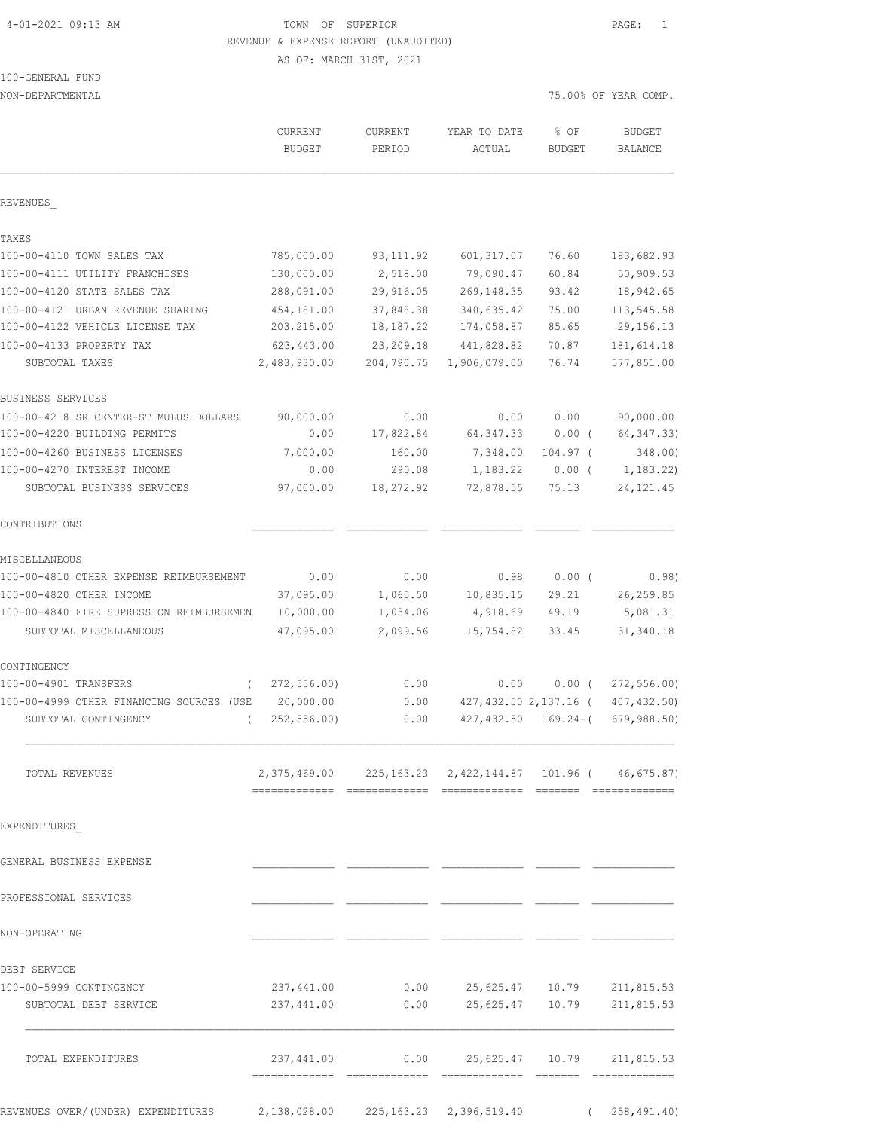#### 4-01-2021 09:13 AM TOWN OF SUPERIOR PAGE: 1 REVENUE & EXPENSE REPORT (UNAUDITED)

AS OF: MARCH 31ST, 2021

| 100-GENERAL FUND |  |
|------------------|--|
|                  |  |

NON-DEPARTMENTAL 75.00% OF YEAR COMP.

|                                          | CURRENT<br><b>BUDGET</b>                                      | <b>CURRENT</b><br>PERIOD | YEAR TO DATE<br>ACTUAL            | % OF<br><b>BUDGET</b> | <b>BUDGET</b><br>BALANCE |
|------------------------------------------|---------------------------------------------------------------|--------------------------|-----------------------------------|-----------------------|--------------------------|
| REVENUES                                 |                                                               |                          |                                   |                       |                          |
| TAXES                                    |                                                               |                          |                                   |                       |                          |
| 100-00-4110 TOWN SALES TAX               | 785,000.00                                                    | 93, 111.92               | 601, 317.07                       | 76.60                 | 183,682.93               |
| 100-00-4111 UTILITY FRANCHISES           | 130,000.00                                                    | 2,518.00                 | 79,090.47                         | 60.84                 | 50,909.53                |
| 100-00-4120 STATE SALES TAX              | 288,091.00                                                    | 29,916.05                | 269, 148.35                       | 93.42                 | 18,942.65                |
| 100-00-4121 URBAN REVENUE SHARING        | 454,181.00                                                    | 37,848.38                | 340,635.42                        | 75.00                 | 113,545.58               |
| 100-00-4122 VEHICLE LICENSE TAX          | 203, 215.00                                                   | 18,187.22                | 174,058.87                        | 85.65                 | 29, 156. 13              |
| 100-00-4133 PROPERTY TAX                 | 623,443.00                                                    | 23, 209.18               | 441,828.82                        | 70.87                 | 181, 614.18              |
| SUBTOTAL TAXES                           | 2,483,930.00                                                  | 204,790.75               | 1,906,079.00                      | 76.74                 | 577,851.00               |
| BUSINESS SERVICES                        |                                                               |                          |                                   |                       |                          |
| 100-00-4218 SR CENTER-STIMULUS DOLLARS   | 90,000.00                                                     | 0.00                     | 0.00                              | 0.00                  | 90,000.00                |
| 100-00-4220 BUILDING PERMITS             | 0.00                                                          | 17,822.84                | 64, 347.33                        | $0.00$ (              | 64, 347.33)              |
| 100-00-4260 BUSINESS LICENSES            | 7,000.00                                                      | 160.00                   | 7,348.00                          | $104.97$ (            | 348.00)                  |
| 100-00-4270 INTEREST INCOME              | 0.00                                                          | 290.08                   | 1,183.22                          | $0.00$ (              | 1, 183.22                |
| SUBTOTAL BUSINESS SERVICES               | 97,000.00                                                     | 18,272.92                | 72,878.55                         | 75.13                 | 24, 121.45               |
| CONTRIBUTIONS                            |                                                               |                          |                                   |                       |                          |
| MISCELLANEOUS                            |                                                               |                          |                                   |                       |                          |
| 100-00-4810 OTHER EXPENSE REIMBURSEMENT  | 0.00                                                          | 0.00                     | 0.98                              | 0.00(                 | 0.98)                    |
| 100-00-4820 OTHER INCOME                 | 37,095.00                                                     | 1,065.50                 | 10,835.15                         | 29.21                 | 26, 259.85               |
| 100-00-4840 FIRE SUPRESSION REIMBURSEMEN | 10,000.00                                                     | 1,034.06                 | 4,918.69                          | 49.19                 | 5,081.31                 |
| SUBTOTAL MISCELLANEOUS                   | 47,095.00                                                     | 2,099.56                 | 15,754.82                         | 33.45                 | 31, 340.18               |
| CONTINGENCY                              |                                                               |                          |                                   |                       |                          |
| 100-00-4901 TRANSFERS<br>$\left($        | 272, 556.00                                                   | 0.00                     | 0.00                              | $0.00$ (              | 272, 556.00              |
| 100-00-4999 OTHER FINANCING SOURCES (USE | 20,000.00                                                     | 0.00                     |                                   | 427,432.50 2,137.16 ( | 407, 432, 50)            |
| SUBTOTAL CONTINGENCY<br>$\left($         | 252,556.00)                                                   | 0.00                     | 427,432.50                        | $169.24 - ($          | 679,988.50               |
| TOTAL REVENUES                           | 2, 375, 469.00 225, 163.23 2, 422, 144.87 101.96 (46, 675.87) |                          |                                   |                       |                          |
| EXPENDITURES                             |                                                               |                          |                                   |                       |                          |
| GENERAL BUSINESS EXPENSE                 |                                                               |                          |                                   |                       |                          |
| PROFESSIONAL SERVICES                    |                                                               |                          |                                   |                       |                          |
| NON-OPERATING                            |                                                               |                          |                                   |                       |                          |
| DEBT SERVICE                             |                                                               |                          |                                   |                       |                          |
| 100-00-5999 CONTINGENCY                  | 237,441.00                                                    |                          | $0.00$ 25,625.47 10.79 211,815.53 |                       |                          |
| SUBTOTAL DEBT SERVICE                    | 237,441.00                                                    | 0.00                     |                                   | 25,625.47 10.79       | 211,815.53               |
| TOTAL EXPENDITURES                       | 237,441.00                                                    | 0.00                     |                                   | 25,625.47 10.79       | 211,815.53               |
|                                          |                                                               |                          |                                   |                       |                          |

REVENUES OVER/(UNDER) EXPENDITURES 2,138,028.00 225,163.23 2,396,519.40 ( 258,491.40)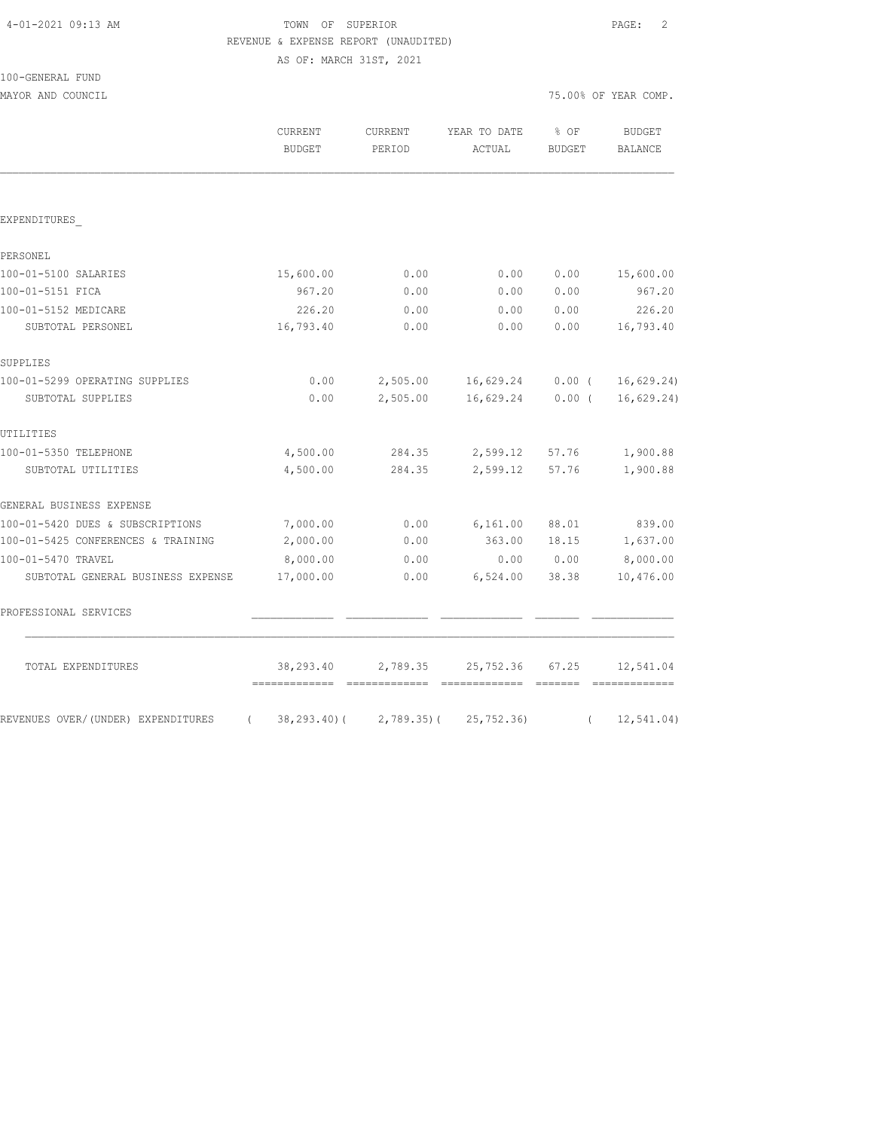# TOWN OF SUPERIOR **PAGE:** 2 REVENUE & EXPENSE REPORT (UNAUDITED)

AS OF: MARCH 31ST, 2021

| 100-GENERAL FUND |  |
|------------------|--|
|                  |  |

MAYOR AND COUNCIL COUNCIL COUNCIL COMP.

|                                    | CURRENT<br><b>BUDGET</b>   | CURRENT<br>PERIOD          | YEAR TO DATE<br>ACTUAL | % OF<br><b>BUDGET</b> | <b>BUDGET</b><br><b>BALANCE</b> |
|------------------------------------|----------------------------|----------------------------|------------------------|-----------------------|---------------------------------|
|                                    |                            |                            |                        |                       |                                 |
| EXPENDITURES                       |                            |                            |                        |                       |                                 |
| PERSONEL                           |                            |                            |                        |                       |                                 |
| 100-01-5100 SALARIES               | 15,600.00                  | 0.00                       | 0.00                   | 0.00                  | 15,600.00                       |
| 100-01-5151 FICA                   | 967.20                     | 0.00                       | 0.00                   | 0.00                  | 967.20                          |
| 100-01-5152 MEDICARE               | 226.20                     | 0.00                       | 0.00                   | 0.00                  | 226.20                          |
| SUBTOTAL PERSONEL                  | 16,793.40                  | 0.00                       | 0.00                   | 0.00                  | 16,793.40                       |
| SUPPLIES                           |                            |                            |                        |                       |                                 |
| 100-01-5299 OPERATING SUPPLIES     | 0.00                       | 2,505.00                   | 16,629.24              | $0.00$ (              | 16,629.24)                      |
| SUBTOTAL SUPPLIES                  | 0.00                       | 2,505.00                   | 16,629.24              | $0.00$ (              | 16,629.24)                      |
| UTILITIES                          |                            |                            |                        |                       |                                 |
| 100-01-5350 TELEPHONE              | 4,500.00                   | 284.35                     | 2,599.12               | 57.76                 | 1,900.88                        |
| SUBTOTAL UTILITIES                 | 4,500.00                   | 284.35                     | 2,599.12               | 57.76                 | 1,900.88                        |
| GENERAL BUSINESS EXPENSE           |                            |                            |                        |                       |                                 |
| 100-01-5420 DUES & SUBSCRIPTIONS   | 7,000.00                   | 0.00                       | 6,161.00               | 88.01                 | 839.00                          |
| 100-01-5425 CONFERENCES & TRAINING | 2,000.00                   | 0.00                       | 363.00                 | 18.15                 | 1,637.00                        |
| 100-01-5470 TRAVEL                 | 8,000.00                   | 0.00                       | 0.00                   | 0.00                  | 8,000.00                        |
| SUBTOTAL GENERAL BUSINESS EXPENSE  | 17,000.00                  | 0.00                       | 6,524.00               | 38.38                 | 10,476.00                       |
| PROFESSIONAL SERVICES              |                            |                            |                        |                       |                                 |
| TOTAL EXPENDITURES                 | 38,293.40<br>------------- | 2,789.35<br>-------------- | 25,752.36              | 67.25<br>- =======    | 12,541.04                       |
| REVENUES OVER/(UNDER) EXPENDITURES | $38, 293.40$ (<br>$\left($ | $2,789.35$ ) (             | 25, 752.36             | $\left($              | 12, 541.04)                     |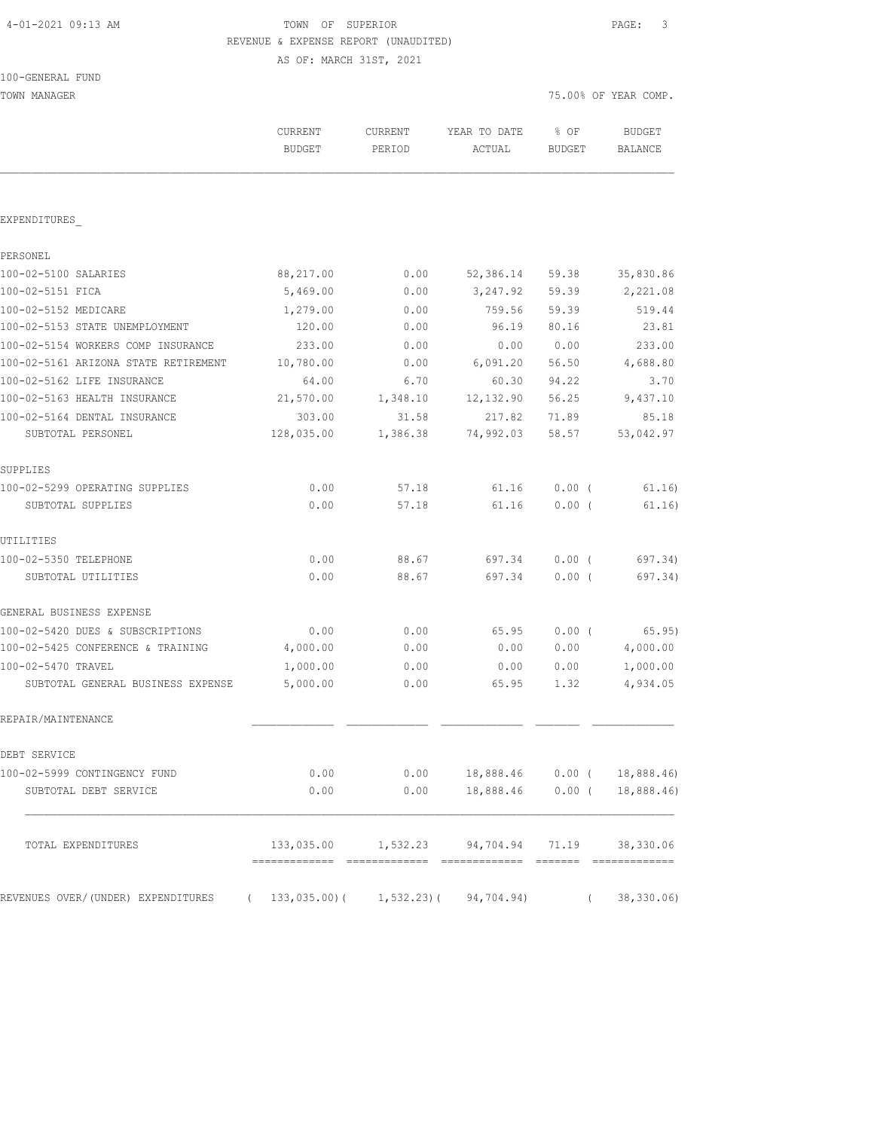# 4-01-2021 09:13 AM TOWN OF SUPERIOR PAGE: 3 REVENUE & EXPENSE REPORT (UNAUDITED)

AS OF: MARCH 31ST, 2021

| 100-GENERAL FUND |
|------------------|
|------------------|

| TOWN MANAGER                                                         |                          |                   |                                                   | 75.00% OF YEAR COMP.  |                          |  |
|----------------------------------------------------------------------|--------------------------|-------------------|---------------------------------------------------|-----------------------|--------------------------|--|
|                                                                      | CURRENT<br><b>BUDGET</b> | CURRENT<br>PERIOD | YEAR TO DATE<br>ACTUAL                            | % OF<br><b>BUDGET</b> | <b>BUDGET</b><br>BALANCE |  |
|                                                                      |                          |                   |                                                   |                       |                          |  |
| EXPENDITURES                                                         |                          |                   |                                                   |                       |                          |  |
| PERSONEL                                                             |                          |                   |                                                   |                       |                          |  |
| 100-02-5100 SALARIES                                                 | 88,217.00                | 0.00              | 52,386.14                                         | 59.38                 | 35,830.86                |  |
| 100-02-5151 FICA                                                     | 5,469.00                 | 0.00              | 3,247.92                                          | 59.39                 | 2,221.08                 |  |
| 100-02-5152 MEDICARE                                                 | 1,279.00                 | 0.00              | 759.56                                            | 59.39                 | 519.44                   |  |
| 100-02-5153 STATE UNEMPLOYMENT                                       | 120.00                   | 0.00              | 96.19                                             | 80.16                 | 23.81                    |  |
| 100-02-5154 WORKERS COMP INSURANCE                                   | 233.00                   | 0.00              | 0.00                                              | 0.00                  | 233.00                   |  |
| 100-02-5161 ARIZONA STATE RETIREMENT                                 | 10,780.00                | 0.00              | 6,091.20                                          | 56.50                 | 4,688.80                 |  |
| 100-02-5162 LIFE INSURANCE                                           | 64.00                    | 6.70              | 60.30                                             | 94.22                 | 3.70                     |  |
| 100-02-5163 HEALTH INSURANCE                                         | 21,570.00                | 1,348.10          | 12, 132.90                                        | 56.25                 | 9,437.10                 |  |
| 100-02-5164 DENTAL INSURANCE                                         | 303.00                   | 31.58             | 217.82                                            | 71.89                 | 85.18                    |  |
| SUBTOTAL PERSONEL                                                    | 128,035.00               | 1,386.38          | 74,992.03                                         | 58.57                 | 53,042.97                |  |
| SUPPLIES                                                             |                          |                   |                                                   |                       |                          |  |
| 100-02-5299 OPERATING SUPPLIES                                       | 0.00                     | 57.18             | 61.16                                             | $0.00$ (              | 61.16)                   |  |
| SUBTOTAL SUPPLIES                                                    | 0.00                     | 57.18             | 61.16                                             | $0.00$ (              | 61.16)                   |  |
| UTILITIES                                                            |                          |                   |                                                   |                       |                          |  |
| 100-02-5350 TELEPHONE                                                | 0.00                     | 88.67             | 697.34                                            | $0.00$ (              | 697.34)                  |  |
| SUBTOTAL UTILITIES                                                   | 0.00                     | 88.67             | 697.34                                            | $0.00$ (              | 697.34)                  |  |
| GENERAL BUSINESS EXPENSE                                             |                          |                   |                                                   |                       |                          |  |
| 100-02-5420 DUES & SUBSCRIPTIONS                                     | 0.00                     | 0.00              | 65.95                                             | $0.00$ (              | 65.95)                   |  |
| 100-02-5425 CONFERENCE & TRAINING                                    | 4,000.00                 | 0.00              | 0.00                                              | 0.00                  | 4,000.00                 |  |
| 100-02-5470 TRAVEL                                                   | 1,000.00                 | 0.00              | 0.00                                              | 0.00                  | 1,000.00                 |  |
| SUBTOTAL GENERAL BUSINESS EXPENSE                                    | 5,000.00                 | 0.00              | 65.95                                             | 1.32                  | 4,934.05                 |  |
| REPAIR/MAINTENANCE                                                   |                          |                   |                                                   |                       |                          |  |
| DEBT SERVICE                                                         |                          |                   |                                                   |                       |                          |  |
| 100-02-5999 CONTINGENCY FUND                                         | 0.00                     |                   | $0.00$ 18,888.46 0.00 ( 18,888.46)                |                       |                          |  |
| SUBTOTAL DEBT SERVICE                                                | 0.00                     |                   | $0.00$ 18,888.46 0.00 ( 18,888.46)                |                       |                          |  |
| TOTAL EXPENDITURES                                                   |                          |                   | 133,035.00  1,532.23  94,704.94  71.19  38,330.06 |                       |                          |  |
| REVENUES OVER/(UNDER) EXPENDITURES (133,035.00)(1,532.23)(94,704.94) |                          |                   |                                                   | $\sqrt{2}$            | 38,330.06                |  |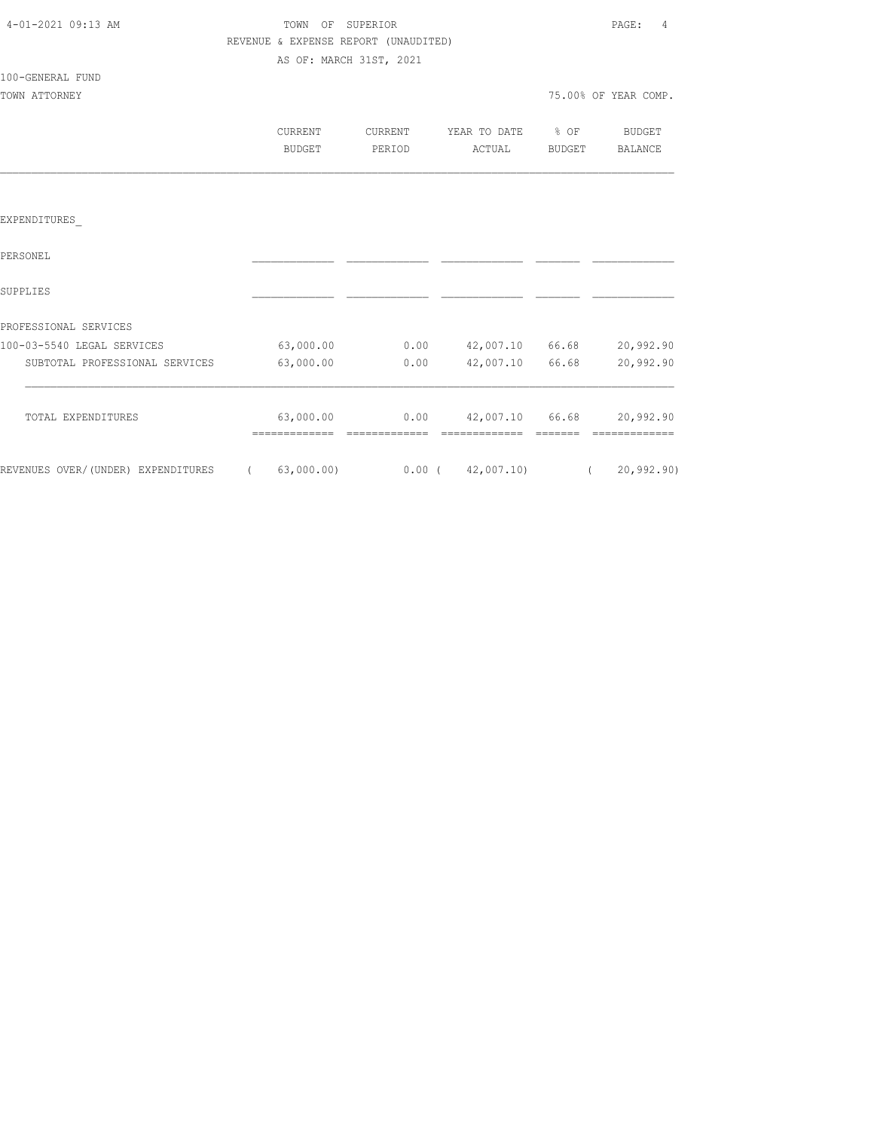| 4-01-2021 09:13 AM |  |  |
|--------------------|--|--|
|                    |  |  |

#### TOWN OF SUPERIOR **PAGE:** 4 REVENUE & EXPENSE REPORT (UNAUDITED) AS OF: MARCH 31ST, 2021

100-GENERAL FUND

| CURRENT       | CURRENT | YEAR TO DATE | $8$ OF | <b>BUDGET</b> |
|---------------|---------|--------------|--------|---------------|
| <b>BUDGET</b> | PERIOD  | ACTUAL       | BUDGET | BALANCE       |
|               |         |              |        |               |

#### EXPENDITURES\_

| PERSONEL                           |            |          |            |       |              |
|------------------------------------|------------|----------|------------|-------|--------------|
| SUPPLIES                           |            |          |            |       |              |
| PROFESSIONAL SERVICES              |            |          |            |       |              |
| 100-03-5540 LEGAL SERVICES         | 63,000.00  | 0.00     | 42,007.10  | 66.68 | 20,992.90    |
| SUBTOTAL PROFESSIONAL SERVICES     | 63,000.00  | 0.00     | 42,007.10  | 66.68 | 20,992.90    |
| TOTAL EXPENDITURES                 | 63,000.00  | 0.00     | 42,007.10  | 66.68 | 20,992.90    |
| REVENUES OVER/(UNDER) EXPENDITURES | 63,000.00) | $0.00$ ( | 42,007.10) |       | 20, 992, 90) |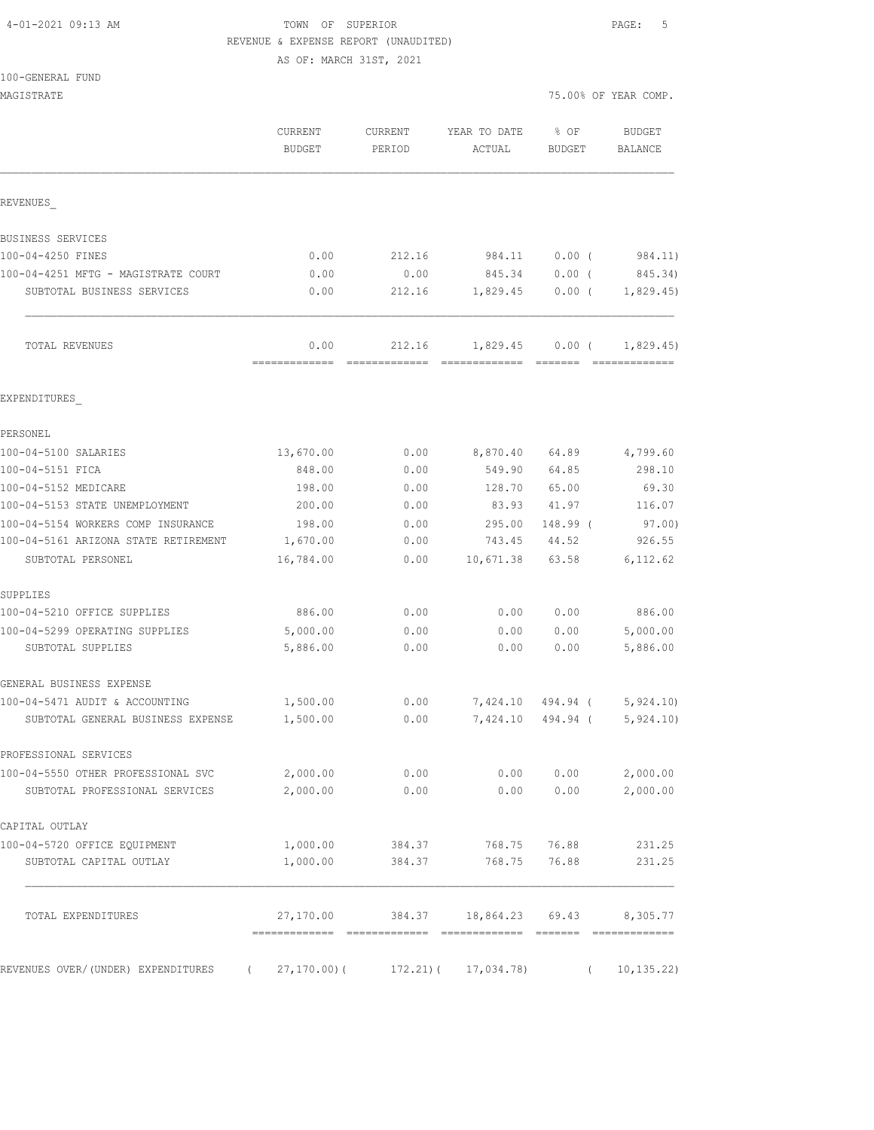## TOWN OF SUPERIOR **PAGE:** 5 REVENUE & EXPENSE REPORT (UNAUDITED)

AS OF: MARCH 31ST, 2021

| MAGISTRATE                           |                       |                   |                          |                       | 75.00% OF YEAR COMP.     |
|--------------------------------------|-----------------------|-------------------|--------------------------|-----------------------|--------------------------|
|                                      | CURRENT<br>BUDGET     | CURRENT<br>PERIOD | YEAR TO DATE<br>ACTUAL   | % OF<br><b>BUDGET</b> | <b>BUDGET</b><br>BALANCE |
| REVENUES                             |                       |                   |                          |                       |                          |
| BUSINESS SERVICES                    |                       |                   |                          |                       |                          |
| 100-04-4250 FINES                    | 0.00                  | 212.16            | 984.11                   | $0.00$ (              | 984.11)                  |
| 100-04-4251 MFTG - MAGISTRATE COURT  | 0.00                  | 0.00              | 845.34                   | $0.00$ (              | 845.34)                  |
| SUBTOTAL BUSINESS SERVICES           | 0.00                  | 212.16            | 1,829.45                 | $0.00$ (              | 1,829.45                 |
| TOTAL REVENUES                       | 0.00<br>============= | 212.16            | $1,829.45$ 0.00 (        |                       | 1,829.45)                |
| EXPENDITURES                         |                       |                   |                          |                       |                          |
| PERSONEL                             |                       |                   |                          |                       |                          |
| 100-04-5100 SALARIES                 | 13,670.00             | 0.00              | 8,870.40                 | 64.89                 | 4,799.60                 |
| 100-04-5151 FICA                     | 848.00                | 0.00              | 549.90                   | 64.85                 | 298.10                   |
| 100-04-5152 MEDICARE                 | 198.00                | 0.00              | 128.70                   | 65.00                 | 69.30                    |
| 100-04-5153 STATE UNEMPLOYMENT       | 200.00                | 0.00              | 83.93                    | 41.97                 | 116.07                   |
| 100-04-5154 WORKERS COMP INSURANCE   | 198.00                | 0.00              | 295.00                   | 148.99 (              | 97.00)                   |
| 100-04-5161 ARIZONA STATE RETIREMENT | 1,670.00              | 0.00              | 743.45                   | 44.52                 | 926.55                   |
| SUBTOTAL PERSONEL                    | 16,784.00             | 0.00              | 10,671.38                | 63.58                 | 6,112.62                 |
| SUPPLIES                             |                       |                   |                          |                       |                          |
| 100-04-5210 OFFICE SUPPLIES          | 886.00                | 0.00              | 0.00                     | 0.00                  | 886.00                   |
| 100-04-5299 OPERATING SUPPLIES       | 5,000.00              | 0.00              | 0.00                     | 0.00                  | 5,000.00                 |
| SUBTOTAL SUPPLIES                    | 5,886.00              | 0.00              | 0.00                     | 0.00                  | 5,886.00                 |
| GENERAL BUSINESS EXPENSE             |                       |                   |                          |                       |                          |
| 100-04-5471 AUDIT & ACCOUNTING       | 1,500.00              | 0.00              | 7,424.10 494.94 (        |                       | 5,924.10                 |
| SUBTOTAL GENERAL BUSINESS EXPENSE    | 1,500.00              | 0.00              | 7,424.10                 | 494.94 (              | 5,924.10                 |
| PROFESSIONAL SERVICES                |                       |                   |                          |                       |                          |
| 100-04-5550 OTHER PROFESSIONAL SVC   | 2,000.00              | 0.00              | 0.00                     | 0.00                  | 2,000.00                 |
| SUBTOTAL PROFESSIONAL SERVICES       | 2,000.00              | 0.00              |                          | 0.0000000             | 2,000.00                 |
| CAPITAL OUTLAY                       |                       |                   |                          |                       |                          |
| 100-04-5720 OFFICE EQUIPMENT         | 1,000.00              | 384.37            | 768.75                   | 76.88                 | 231.25                   |
| SUBTOTAL CAPITAL OUTLAY              | 1,000.00              | 384.37            | 768.75                   | 76.88                 | 231.25                   |
| TOTAL EXPENDITURES                   | 27,170.00             | 384.37            | 18,864.23                | 69.43                 | 8,305.77                 |
| REVENUES OVER/(UNDER) EXPENDITURES   | $27, 170.00$ ) (      |                   | $172.21$ ( $17,034.78$ ) |                       | 10, 135.22)<br>$\left($  |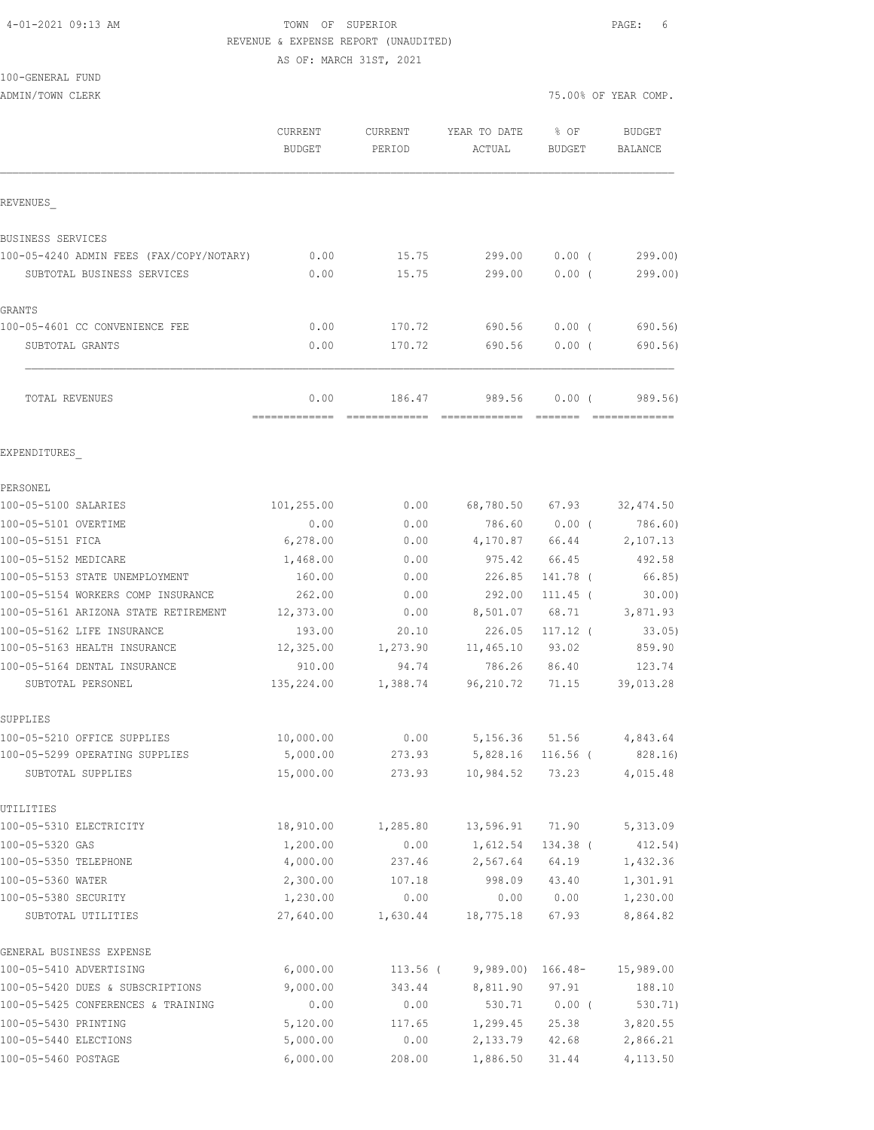# 4-01-2021 09:13 AM TOWN OF SUPERIOR PAGE: 6 REVENUE & EXPENSE REPORT (UNAUDITED)

AS OF: MARCH 31ST, 2021

|  | 100-GENERAL FUND |  |
|--|------------------|--|
|  |                  |  |

ADMIN/TOWN CLERK **ADMINITION CLERK 2008** 

|                                          | <b>CURRENT</b><br>BUDGET | <b>CURRENT</b><br>PERIOD | YEAR TO DATE<br>ACTUAL | % OF<br>BUDGET    | <b>BUDGET</b><br>BALANCE |
|------------------------------------------|--------------------------|--------------------------|------------------------|-------------------|--------------------------|
| REVENUES                                 |                          |                          |                        |                   |                          |
| BUSINESS SERVICES                        |                          |                          |                        |                   |                          |
| 100-05-4240 ADMIN FEES (FAX/COPY/NOTARY) | 0.00                     | 15.75                    | 299.00                 | $0.00$ (          | 299.00                   |
| SUBTOTAL BUSINESS SERVICES               | 0.00                     | 15.75                    | 299.00                 | $0.00$ (          | 299.00)                  |
| GRANTS                                   |                          |                          |                        |                   |                          |
| 100-05-4601 CC CONVENIENCE FEE           | 0.00                     | 170.72                   | 690.56                 | $0.00$ (          | 690.56)                  |
| SUBTOTAL GRANTS                          | 0.00                     | 170.72                   | 690.56                 | 0.00(             | 690.56)                  |
|                                          |                          |                          |                        |                   |                          |
| TOTAL REVENUES                           | 0.00                     | 186.47                   | 989.56                 | 0.00(             | 989.56)                  |
| EXPENDITURES                             |                          |                          |                        |                   |                          |
| PERSONEL                                 |                          |                          |                        |                   |                          |
| 100-05-5100 SALARIES                     | 101,255.00               | 0.00                     | 68,780.50              | 67.93             | 32, 474.50               |
| 100-05-5101 OVERTIME                     | 0.00                     | 0.00                     | 786.60                 | $0.00$ (          | 786.60)                  |
| 100-05-5151 FICA                         | 6,278.00                 | 0.00                     | 4,170.87               | 66.44             | 2,107.13                 |
| 100-05-5152 MEDICARE                     | 1,468.00                 | 0.00                     | 975.42                 | 66.45             | 492.58                   |
| 100-05-5153 STATE UNEMPLOYMENT           | 160.00                   | 0.00                     | 226.85                 | 141.78 (          | 66.85)                   |
| 100-05-5154 WORKERS COMP INSURANCE       | 262.00                   | 0.00                     | 292.00                 | $111.45$ (        | 30.00                    |
| 100-05-5161 ARIZONA STATE RETIREMENT     | 12,373.00                | 0.00                     | 8,501.07               | 68.71             | 3,871.93                 |
| 100-05-5162 LIFE INSURANCE               | 193.00                   | 20.10                    | 226.05                 | $117.12$ (        | 33.05)                   |
| 100-05-5163 HEALTH INSURANCE             | 12,325.00                | 1,273.90                 | 11,465.10              | 93.02             | 859.90                   |
| 100-05-5164 DENTAL INSURANCE             | 910.00                   | 94.74                    | 786.26                 | 86.40             | 123.74                   |
| SUBTOTAL PERSONEL                        | 135,224.00               | 1,388.74                 | 96,210.72              | 71.15             | 39,013.28                |
| SUPPLIES                                 |                          |                          |                        |                   |                          |
| 100-05-5210 OFFICE SUPPLIES              | 10,000.00                | 0.00                     | 5,156.36               | 51.56             | 4,843.64                 |
| 100-05-5299 OPERATING SUPPLIES           | 5,000.00                 | 273.93                   |                        | 5,828.16 116.56 ( | 828.16)                  |
| SUBTOTAL SUPPLIES                        | 15,000.00                | 273.93                   | 10,984.52              | 73.23             | 4,015.48                 |
| UTILITIES                                |                          |                          |                        |                   |                          |
| 100-05-5310 ELECTRICITY                  | 18,910.00                | 1,285.80                 | 13,596.91              | 71.90             | 5,313.09                 |
| 100-05-5320 GAS                          | 1,200.00                 | 0.00                     | 1,612.54               | 134.38 (          | 412.54)                  |
| 100-05-5350 TELEPHONE                    | 4,000.00                 | 237.46                   | 2,567.64               | 64.19             | 1,432.36                 |
| 100-05-5360 WATER                        | 2,300.00                 | 107.18                   | 998.09                 | 43.40             | 1,301.91                 |
| 100-05-5380 SECURITY                     | 1,230.00                 | 0.00                     | 0.00                   | 0.00              | 1,230.00                 |
| SUBTOTAL UTILITIES                       | 27,640.00                | 1,630.44                 | 18,775.18              | 67.93             | 8,864.82                 |
| GENERAL BUSINESS EXPENSE                 |                          |                          |                        |                   |                          |
| 100-05-5410 ADVERTISING                  | 6,000.00                 | $113.56$ (               | $9,989.00)$ 166.48-    |                   | 15,989.00                |
| 100-05-5420 DUES & SUBSCRIPTIONS         | 9,000.00                 | 343.44                   | 8,811.90               | 97.91             | 188.10                   |
| 100-05-5425 CONFERENCES & TRAINING       | 0.00                     | 0.00                     | 530.71                 | $0.00$ (          | 530.71)                  |
| 100-05-5430 PRINTING                     | 5,120.00                 | 117.65                   | 1,299.45               | 25.38             | 3,820.55                 |
| 100-05-5440 ELECTIONS                    | 5,000.00                 | 0.00                     | 2,133.79               | 42.68             | 2,866.21                 |

100-05-5460 POSTAGE 6,000.00 208.00 1,886.50 31.44 4,113.50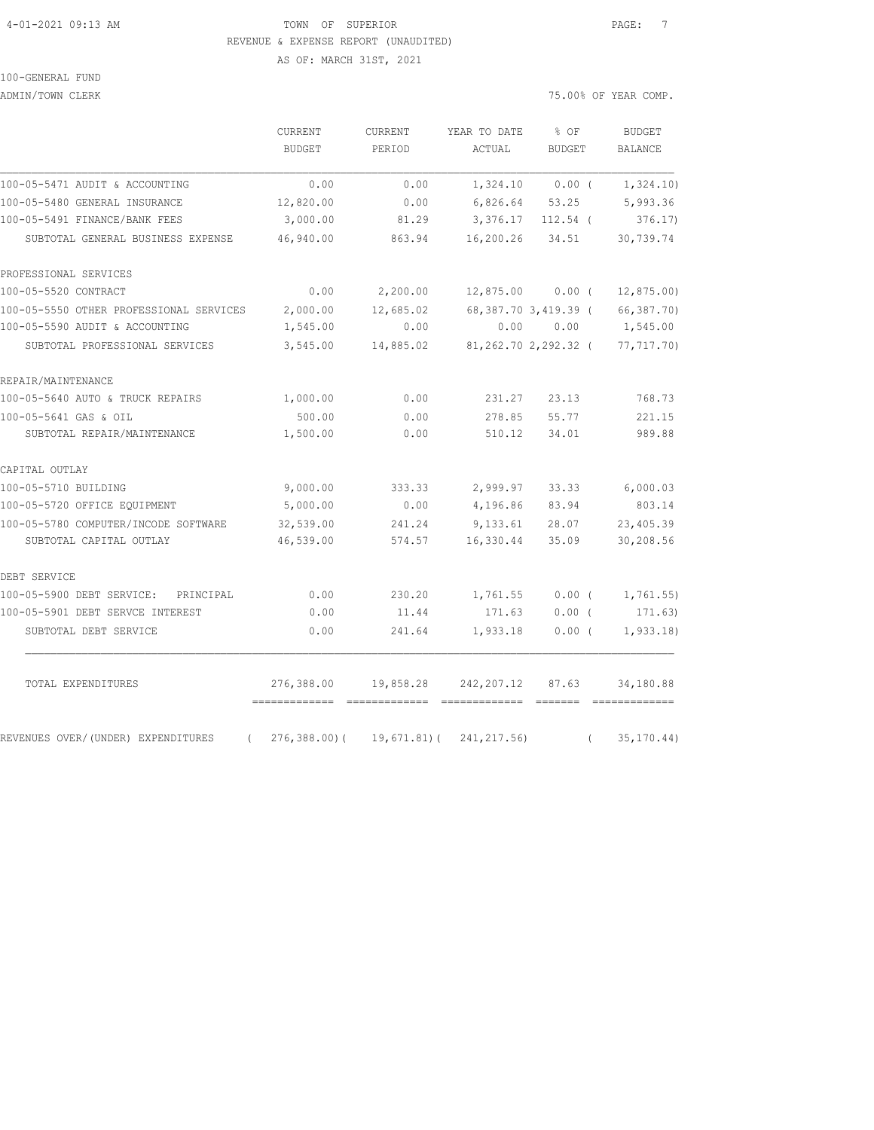#### 4-01-2021 09:13 AM TOWN OF SUPERIOR PAGE: 7 REVENUE & EXPENSE REPORT (UNAUDITED)

AS OF: MARCH 31ST, 2021

100-GENERAL FUND

ADMIN/TOWN CLERK  $75.00\%$  OF YEAR COMP.

|                                                | CURRENT<br><b>BUDGET</b> | CURRENT<br>PERIOD | YEAR TO DATE<br>ACTUAL   | % OF<br><b>BUDGET</b> |          | <b>BUDGET</b><br><b>BALANCE</b> |
|------------------------------------------------|--------------------------|-------------------|--------------------------|-----------------------|----------|---------------------------------|
| 100-05-5471 AUDIT & ACCOUNTING                 | 0.00                     | 0.00              |                          | $1,324.10$ 0.00 (     |          | 1,324.10)                       |
| 100-05-5480 GENERAL INSURANCE                  | 12,820.00                | 0.00              | 6,826.64 53.25           |                       |          | 5,993.36                        |
| 100-05-5491 FINANCE/BANK FEES                  | 3,000.00                 | 81.29             | 3,376.17 112.54 (        |                       |          | 376.17                          |
| SUBTOTAL GENERAL BUSINESS EXPENSE              | 46,940.00                | 863.94            | 16,200.26                | 34.51                 |          | 30,739.74                       |
| PROFESSIONAL SERVICES                          |                          |                   |                          |                       |          |                                 |
| 100-05-5520 CONTRACT                           | 0.00                     | 2,200.00          | $12,875.00$ 0.00 (       |                       |          | 12,875.00                       |
| 100-05-5550 OTHER PROFESSIONAL SERVICES        | 2,000.00                 | 12,685.02         | 68, 387. 70 3, 419. 39 ( |                       |          | 66,387.70)                      |
| 100-05-5590 AUDIT & ACCOUNTING                 | 1,545.00                 | 0.00              | 0.00                     | 0.00                  |          | 1,545.00                        |
| SUBTOTAL PROFESSIONAL SERVICES                 | 3,545.00                 | 14,885.02         | 81,262.70 2,292.32 (     |                       |          | 77,717.70)                      |
| REPAIR/MAINTENANCE                             |                          |                   |                          |                       |          |                                 |
| 100-05-5640 AUTO & TRUCK REPAIRS               | 1,000.00                 | 0.00              | 231.27                   | 23.13                 |          | 768.73                          |
| 100-05-5641 GAS & OIL                          | 500.00                   | 0.00              | 278.85                   | 55.77                 |          | 221.15                          |
| SUBTOTAL REPAIR/MAINTENANCE                    | 1,500.00                 | 0.00              | 510.12                   | 34.01                 |          | 989.88                          |
| CAPITAL OUTLAY                                 |                          |                   |                          |                       |          |                                 |
| 100-05-5710 BUILDING                           | 9,000.00                 | 333.33            | 2,999.97                 | 33.33                 |          | 6,000.03                        |
| 100-05-5720 OFFICE EQUIPMENT                   | 5,000.00                 | 0.00              | 4,196.86                 | 83.94                 |          | 803.14                          |
| 100-05-5780 COMPUTER/INCODE SOFTWARE           | 32,539.00                | 241.24            | 9,133.61                 | 28.07                 |          | 23,405.39                       |
| SUBTOTAL CAPITAL OUTLAY                        | 46,539.00                | 574.57            | 16,330.44                | 35.09                 |          | 30,208.56                       |
| DEBT SERVICE                                   |                          |                   |                          |                       |          |                                 |
| 100-05-5900 DEBT SERVICE:<br>PRINCIPAL         | 0.00                     | 230.20            | 1,761.55                 | $0.00$ (              |          | 1,761.55)                       |
| 100-05-5901 DEBT SERVCE INTEREST               | 0.00                     | 11.44             | 171.63                   | $0.00$ (              |          | 171.63)                         |
| SUBTOTAL DEBT SERVICE                          | 0.00                     | 241.64            | 1,933.18                 | $0.00$ (              |          | 1,933.18                        |
| TOTAL EXPENDITURES                             | 276,388.00               | 19,858.28         | 242, 207.12              | 87.63                 |          | 34,180.88                       |
| REVENUES OVER/(UNDER) EXPENDITURES<br>$\left($ | 276,388.00)(             | 19,671.81)(       | 241, 217.56)             |                       | $\left($ | 35, 170.44)                     |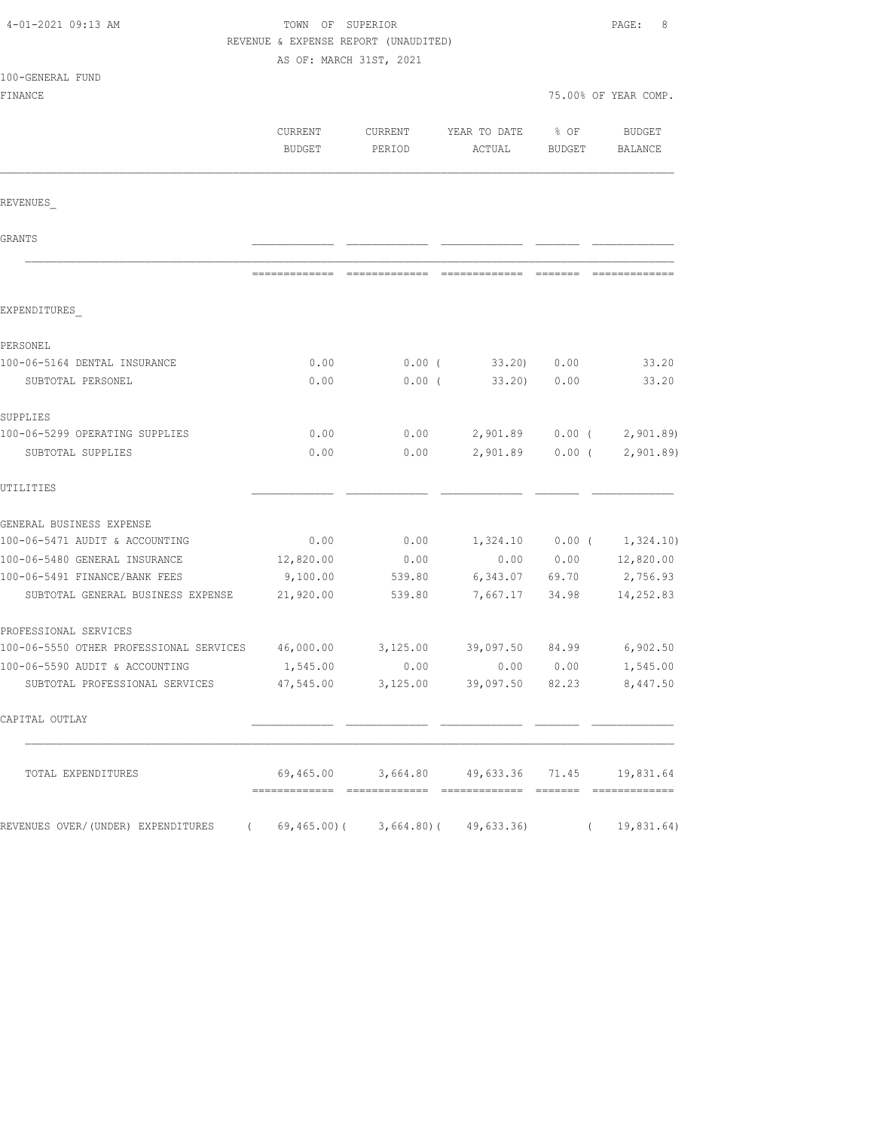| 4-01-2021 09:13 AM                                                  | TOWN OF SUPERIOR<br>REVENUE & EXPENSE REPORT (UNAUDITED) |                                                                                                                                                                                                                                                                                                                                                                                                                                                                                        |                                              |                   | PAGE:<br>8           |  |
|---------------------------------------------------------------------|----------------------------------------------------------|----------------------------------------------------------------------------------------------------------------------------------------------------------------------------------------------------------------------------------------------------------------------------------------------------------------------------------------------------------------------------------------------------------------------------------------------------------------------------------------|----------------------------------------------|-------------------|----------------------|--|
|                                                                     | AS OF: MARCH 31ST, 2021                                  |                                                                                                                                                                                                                                                                                                                                                                                                                                                                                        |                                              |                   |                      |  |
| 100-GENERAL FUND                                                    |                                                          |                                                                                                                                                                                                                                                                                                                                                                                                                                                                                        |                                              |                   |                      |  |
| FINANCE                                                             |                                                          |                                                                                                                                                                                                                                                                                                                                                                                                                                                                                        |                                              |                   | 75.00% OF YEAR COMP. |  |
|                                                                     | CURRENT<br>BUDGET                                        | CURRENT<br>PERIOD                                                                                                                                                                                                                                                                                                                                                                                                                                                                      | YEAR TO DATE<br>ACTUAL                       | % OF<br>BUDGET    | BUDGET<br>BALANCE    |  |
| REVENUES                                                            |                                                          |                                                                                                                                                                                                                                                                                                                                                                                                                                                                                        |                                              |                   |                      |  |
| GRANTS                                                              |                                                          |                                                                                                                                                                                                                                                                                                                                                                                                                                                                                        |                                              |                   |                      |  |
|                                                                     |                                                          | $\begin{array}{cccccccccccccc} \multicolumn{2}{c}{} & \multicolumn{2}{c}{} & \multicolumn{2}{c}{} & \multicolumn{2}{c}{} & \multicolumn{2}{c}{} & \multicolumn{2}{c}{} & \multicolumn{2}{c}{} & \multicolumn{2}{c}{} & \multicolumn{2}{c}{} & \multicolumn{2}{c}{} & \multicolumn{2}{c}{} & \multicolumn{2}{c}{} & \multicolumn{2}{c}{} & \multicolumn{2}{c}{} & \multicolumn{2}{c}{} & \multicolumn{2}{c}{} & \multicolumn{2}{c}{} & \multicolumn{2}{c}{} & \multicolumn{2}{c}{} & \$ | =============                                |                   |                      |  |
| EXPENDITURES                                                        |                                                          |                                                                                                                                                                                                                                                                                                                                                                                                                                                                                        |                                              |                   |                      |  |
| PERSONEL                                                            |                                                          |                                                                                                                                                                                                                                                                                                                                                                                                                                                                                        |                                              |                   |                      |  |
| 100-06-5164 DENTAL INSURANCE                                        | 0.00                                                     |                                                                                                                                                                                                                                                                                                                                                                                                                                                                                        | $0.00$ ( 33.20) $0.00$                       |                   | 33.20                |  |
| SUBTOTAL PERSONEL                                                   | 0.00                                                     | $0.00$ (                                                                                                                                                                                                                                                                                                                                                                                                                                                                               | 33.20                                        | 0.00              | 33.20                |  |
| SUPPLIES                                                            |                                                          |                                                                                                                                                                                                                                                                                                                                                                                                                                                                                        |                                              |                   |                      |  |
| 100-06-5299 OPERATING SUPPLIES                                      | 0.00                                                     | 0.00                                                                                                                                                                                                                                                                                                                                                                                                                                                                                   | 2,901.89 0.00 (                              |                   | 2,901.89             |  |
| SUBTOTAL SUPPLIES                                                   | 0.00                                                     | 0.00                                                                                                                                                                                                                                                                                                                                                                                                                                                                                   |                                              | 2,901.89 0.00 (   | 2,901.89             |  |
| UTILITIES                                                           |                                                          |                                                                                                                                                                                                                                                                                                                                                                                                                                                                                        |                                              |                   |                      |  |
| GENERAL BUSINESS EXPENSE                                            |                                                          |                                                                                                                                                                                                                                                                                                                                                                                                                                                                                        |                                              |                   |                      |  |
| 100-06-5471 AUDIT & ACCOUNTING                                      | 0.00                                                     | 0.00                                                                                                                                                                                                                                                                                                                                                                                                                                                                                   |                                              | $1,324.10$ 0.00 ( | 1,324.10)            |  |
| 100-06-5480 GENERAL INSURANCE                                       | 12,820.00                                                | 0.00                                                                                                                                                                                                                                                                                                                                                                                                                                                                                   | 0.00                                         | 0.00              | 12,820.00            |  |
| 100-06-5491 FINANCE/BANK FEES                                       | 9,100.00                                                 | 539.80                                                                                                                                                                                                                                                                                                                                                                                                                                                                                 | 6,343.07 69.70                               |                   | 2,756.93             |  |
| SUBTOTAL GENERAL BUSINESS EXPENSE                                   | 21,920.00                                                | 539.80                                                                                                                                                                                                                                                                                                                                                                                                                                                                                 |                                              | 7,667.17 34.98    | 14,252.83            |  |
| PROFESSIONAL SERVICES                                               |                                                          |                                                                                                                                                                                                                                                                                                                                                                                                                                                                                        |                                              |                   |                      |  |
| 100-06-5550 OTHER PROFESSIONAL SERVICES                             | 46,000.00                                                | 3,125.00                                                                                                                                                                                                                                                                                                                                                                                                                                                                               | 39,097.50 84.99 6,902.50                     |                   |                      |  |
| 100-06-5590 AUDIT & ACCOUNTING                                      | 1,545.00                                                 |                                                                                                                                                                                                                                                                                                                                                                                                                                                                                        | 0.00                                         | 0.00 0.00         | 1,545.00             |  |
| SUBTOTAL PROFESSIONAL SERVICES                                      |                                                          |                                                                                                                                                                                                                                                                                                                                                                                                                                                                                        | 47,545.00 3,125.00 39,097.50 82.23           |                   | 8,447.50             |  |
| CAPITAL OUTLAY                                                      |                                                          |                                                                                                                                                                                                                                                                                                                                                                                                                                                                                        |                                              |                   |                      |  |
| TOTAL EXPENDITURES                                                  |                                                          |                                                                                                                                                                                                                                                                                                                                                                                                                                                                                        | 69,465.00 3,664.80 49,633.36 71.45 19,831.64 |                   |                      |  |
| REVENUES OVER/(UNDER) EXPENDITURES (69,465.00)(3,664.80)(49,633.36) |                                                          |                                                                                                                                                                                                                                                                                                                                                                                                                                                                                        |                                              |                   | (19, 831.64)         |  |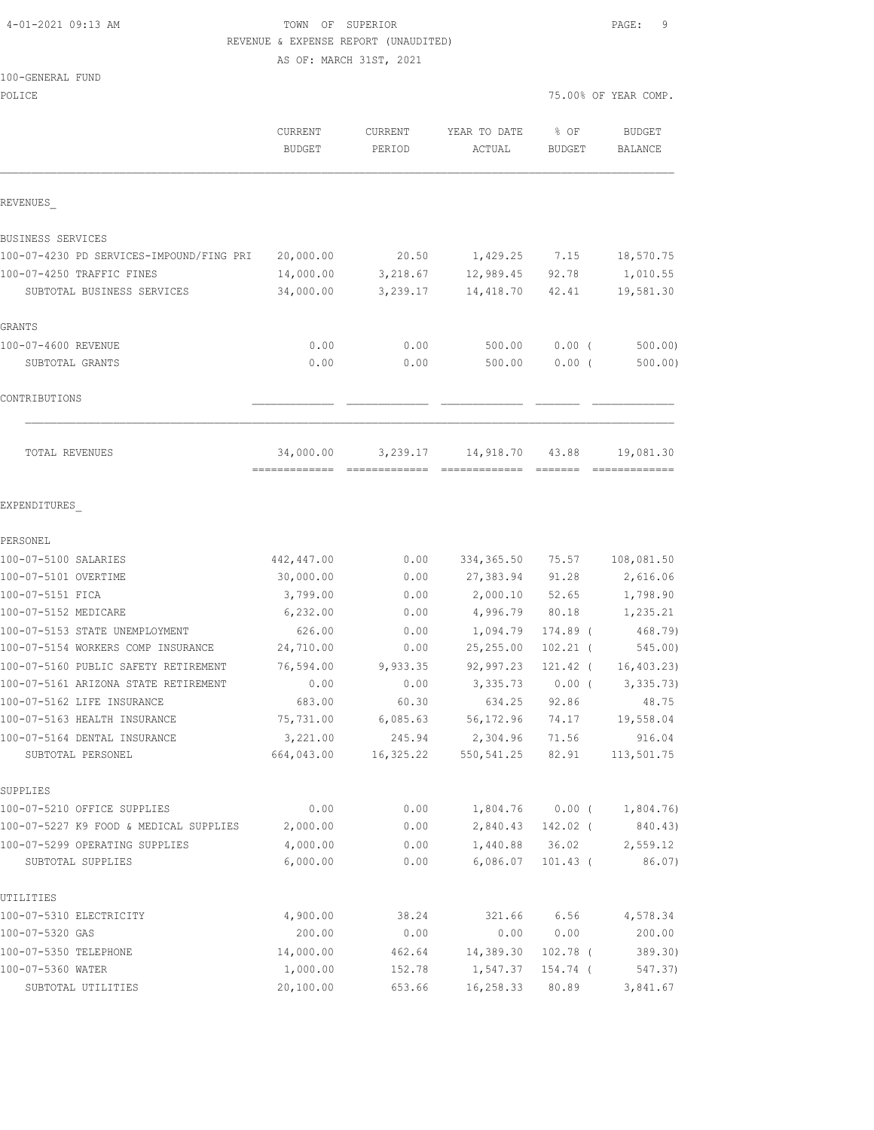## 4-01-2021 09:13 AM TOWN OF SUPERIOR PAGE: 9 REVENUE & EXPENSE REPORT (UNAUDITED)

AS OF: MARCH 31ST, 2021

## 100-GENERAL FUND

| POLICE                                   |                                 |                   |                                 |                   | 75.00% OF YEAR COMP. |
|------------------------------------------|---------------------------------|-------------------|---------------------------------|-------------------|----------------------|
|                                          | <b>CURRENT</b><br><b>BUDGET</b> | CURRENT<br>PERIOD | YEAR TO DATE<br>ACTUAL          | % OF<br>BUDGET    | BUDGET<br>BALANCE    |
| REVENUES                                 |                                 |                   |                                 |                   |                      |
| BUSINESS SERVICES                        |                                 |                   |                                 |                   |                      |
| 100-07-4230 PD SERVICES-IMPOUND/FING PRI | 20,000.00                       | 20.50             | 1,429.25                        | 7.15              | 18,570.75            |
| 100-07-4250 TRAFFIC FINES                | 14,000.00                       | 3,218.67          | 12,989.45                       | 92.78             | 1,010.55             |
| SUBTOTAL BUSINESS SERVICES               | 34,000.00                       | 3,239.17          | 14,418.70                       | 42.41             | 19,581.30            |
| GRANTS                                   |                                 |                   |                                 |                   |                      |
| 100-07-4600 REVENUE                      | 0.00                            | 0.00              | 500.00                          | 0.00(             | 500.00               |
| SUBTOTAL GRANTS                          | 0.00                            | 0.00              | 500.00                          | $0.00$ (          | 500.00)              |
| CONTRIBUTIONS                            |                                 |                   |                                 |                   |                      |
| TOTAL REVENUES                           | 34,000.00<br>=============      | 3,239.17          | 14,918.70                       | 43.88             | 19,081.30            |
| EXPENDITURES                             |                                 |                   |                                 |                   |                      |
| PERSONEL                                 |                                 |                   |                                 |                   |                      |
| 100-07-5100 SALARIES                     | 442,447.00                      | 0.00              | 334, 365.50                     | 75.57             | 108,081.50           |
| 100-07-5101 OVERTIME                     | 30,000.00                       | 0.00              | 27,383.94                       | 91.28             | 2,616.06             |
| 100-07-5151 FICA                         | 3,799.00                        | 0.00              | 2,000.10                        | 52.65             | 1,798.90             |
| 100-07-5152 MEDICARE                     | 6,232.00                        | 0.00              | 4,996.79                        | 80.18             | 1,235.21             |
| 100-07-5153 STATE UNEMPLOYMENT           | 626.00                          | 0.00              | 1,094.79                        | 174.89 (          | 468.79)              |
| 100-07-5154 WORKERS COMP INSURANCE       | 24,710.00                       | 0.00              | 25, 255.00                      | $102.21$ (        | 545.00)              |
| 100-07-5160 PUBLIC SAFETY RETIREMENT     | 76,594.00                       | 9,933.35          | 92,997.23                       | $121.42$ (        | 16, 403.23           |
| 100-07-5161 ARIZONA STATE RETIREMENT     | 0.00                            | 0.00              | 3,335.73                        | $0.00$ (          | 3,335.73)            |
| 100-07-5162 LIFE INSURANCE               | 683.00                          | 60.30             | 634.25                          | 92.86             | 48.75                |
| 100-07-5163 HEALTH INSURANCE             | 75,731.00                       | 6,085.63          | 56,172.96                       | 74.17             | 19,558.04            |
| 100-07-5164 DENTAL INSURANCE             | 3,221.00                        | 245.94            | 2,304.96 71.56                  |                   | 916.04               |
| SUBTOTAL PERSONEL                        |                                 |                   | 664,043.00 16,325.22 550,541.25 | 82.91             | 113,501.75           |
| SUPPLIES                                 |                                 |                   |                                 |                   |                      |
| 100-07-5210 OFFICE SUPPLIES              | 0.00                            | 0.00              |                                 | $1,804.76$ 0.00 ( | 1,804.76)            |
| 100-07-5227 K9 FOOD & MEDICAL SUPPLIES   | 2,000.00                        | 0.00              | 2,840.43                        | 142.02 (          | 840.43)              |
| 100-07-5299 OPERATING SUPPLIES           | 4,000.00                        | 0.00              |                                 | 1,440.88 36.02    | 2,559.12             |
| SUBTOTAL SUPPLIES                        | 6,000.00                        | 0.00              | 6,086.07                        | $101.43$ (        | 86.07)               |
| UTILITIES                                |                                 |                   |                                 |                   |                      |
| 100-07-5310 ELECTRICITY                  | 4,900.00                        | 38.24             | 321.66                          | 6.56              | 4,578.34             |
| 100-07-5320 GAS                          | 200.00                          | 0.00              | 0.00                            | 0.00              | 200.00               |
| 100-07-5350 TELEPHONE                    | 14,000.00                       | 462.64            | 14,389.30                       | $102.78$ (        | 389.30)              |
| 100-07-5360 WATER                        | 1,000.00                        | 152.78            | 1,547.37                        | 154.74 (          | 547.37)              |
| SUBTOTAL UTILITIES                       | 20,100.00                       | 653.66            | 16,258.33                       | 80.89             | 3,841.67             |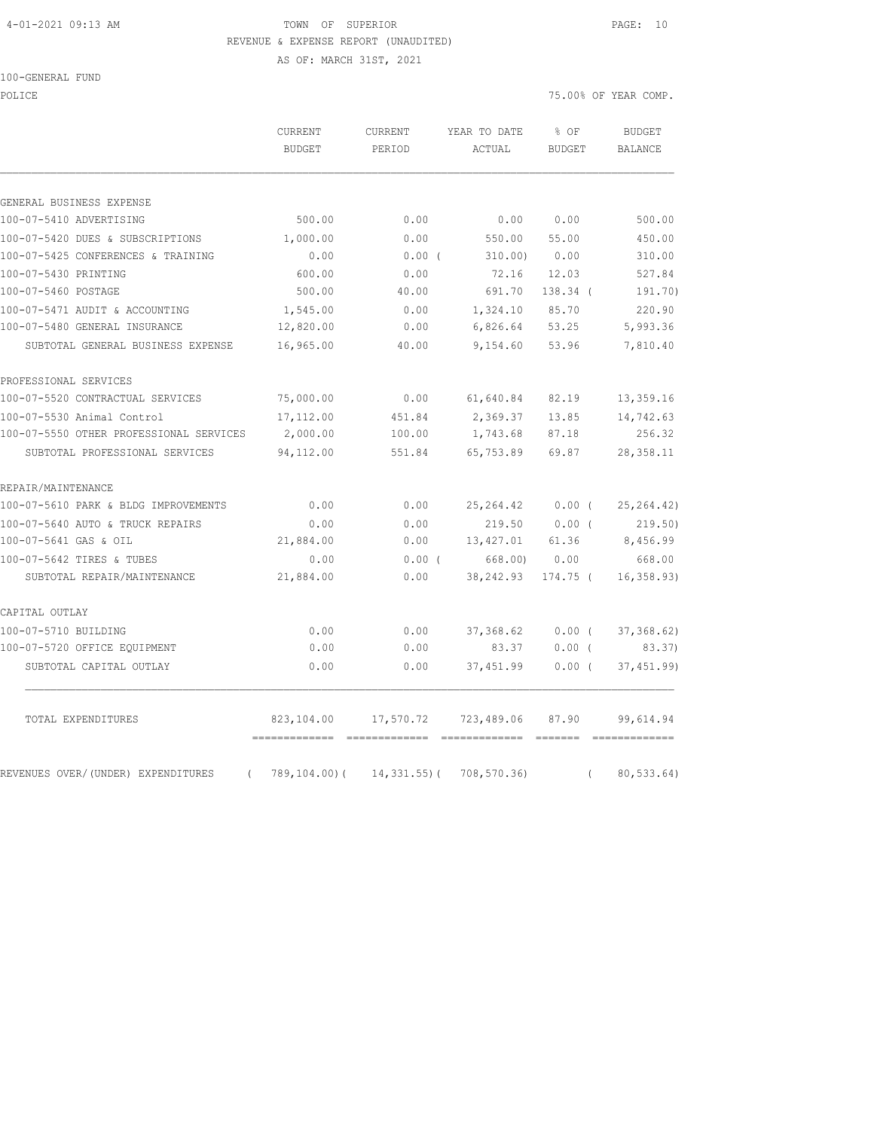#### 4-01-2021 09:13 AM TOWN OF SUPERIOR PAGE: 10 REVENUE & EXPENSE REPORT (UNAUDITED)

AS OF: MARCH 31ST, 2021

100-GENERAL FUND

POLICE THE STATE OF POLICE THE STATE OF STATE OF STATE OF STATE OF STATE OF STATE OF STATE OF STATE OF STATE OF STATE OF STATE OF STATE OF STATE OF STATE OF STATE OF STATE OF STATE OF STATE OF STATE OF STATE OF STATE OF ST

|                                         | <b>CURRENT</b><br><b>BUDGET</b> | CURRENT<br>PERIOD | YEAR TO DATE<br>ACTUAL | % OF<br>BUDGET | <b>BUDGET</b><br><b>BALANCE</b> |
|-----------------------------------------|---------------------------------|-------------------|------------------------|----------------|---------------------------------|
| GENERAL BUSINESS EXPENSE                |                                 |                   |                        |                |                                 |
| 100-07-5410 ADVERTISING                 | 500.00                          | 0.00              | 0.00                   | 0.00           | 500.00                          |
| 100-07-5420 DUES & SUBSCRIPTIONS        | 1,000.00                        | 0.00              | 550.00                 | 55.00          | 450.00                          |
| 100-07-5425 CONFERENCES & TRAINING      | 0.00                            | $0.00$ (          | 310.00)                | 0.00           | 310.00                          |
| 100-07-5430 PRINTING                    | 600.00                          | 0.00              | 72.16                  | 12.03          | 527.84                          |
| 100-07-5460 POSTAGE                     | 500.00                          | 40.00             | 691.70                 | 138.34 (       | 191.70)                         |
| 100-07-5471 AUDIT & ACCOUNTING          | 1,545.00                        | 0.00              | 1,324.10               | 85.70          | 220.90                          |
| 100-07-5480 GENERAL INSURANCE           | 12,820.00                       | 0.00              | 6,826.64               | 53.25          | 5,993.36                        |
| SUBTOTAL GENERAL BUSINESS EXPENSE       | 16,965.00                       | 40.00             | 9,154.60               | 53.96          | 7,810.40                        |
| PROFESSIONAL SERVICES                   |                                 |                   |                        |                |                                 |
| 100-07-5520 CONTRACTUAL SERVICES        | 75,000.00                       | 0.00              | 61,640.84              | 82.19          | 13,359.16                       |
| 100-07-5530 Animal Control              | 17,112.00                       | 451.84            | 2,369.37               | 13.85          | 14,742.63                       |
| 100-07-5550 OTHER PROFESSIONAL SERVICES | 2,000.00                        | 100.00            | 1,743.68               | 87.18          | 256.32                          |
| SUBTOTAL PROFESSIONAL SERVICES          | 94,112.00                       | 551.84            | 65,753.89              | 69.87          | 28, 358.11                      |
| REPAIR/MAINTENANCE                      |                                 |                   |                        |                |                                 |
| 100-07-5610 PARK & BLDG IMPROVEMENTS    | 0.00                            | 0.00              | 25, 264.42             | $0.00$ (       | 25, 264.42)                     |
| 100-07-5640 AUTO & TRUCK REPAIRS        | 0.00                            | 0.00              | 219.50                 | 0.00(          | 219.50)                         |
| 100-07-5641 GAS & OIL                   | 21,884.00                       | 0.00              | 13,427.01              | 61.36          | 8,456.99                        |
| 100-07-5642 TIRES & TUBES               | 0.00                            | $0.00$ (          | 668,00)                | 0.00           | 668.00                          |
| SUBTOTAL REPAIR/MAINTENANCE             | 21,884.00                       | 0.00              | 38,242.93              | 174.75 (       | 16, 358.93)                     |
| CAPITAL OUTLAY                          |                                 |                   |                        |                |                                 |
| 100-07-5710 BUILDING                    | 0.00                            | 0.00              | 37,368.62              | 0.00(          | 37, 368.62)                     |
| 100-07-5720 OFFICE EQUIPMENT            | 0.00                            | 0.00              | 83.37                  | $0.00$ (       | 83.37)                          |
| SUBTOTAL CAPITAL OUTLAY                 | 0.00                            | 0.00              | 37,451.99              | $0.00$ (       | 37,451.99                       |
| TOTAL EXPENDITURES                      | 823,104.00                      | 17,570.72         | 723,489.06             | 87.90          | 99,614.94                       |
| REVENUES OVER/(UNDER) EXPENDITURES      | $789, 104.00$ (                 | $14,331.55$ ) (   | 708,570.36)            |                | 80,533.64)                      |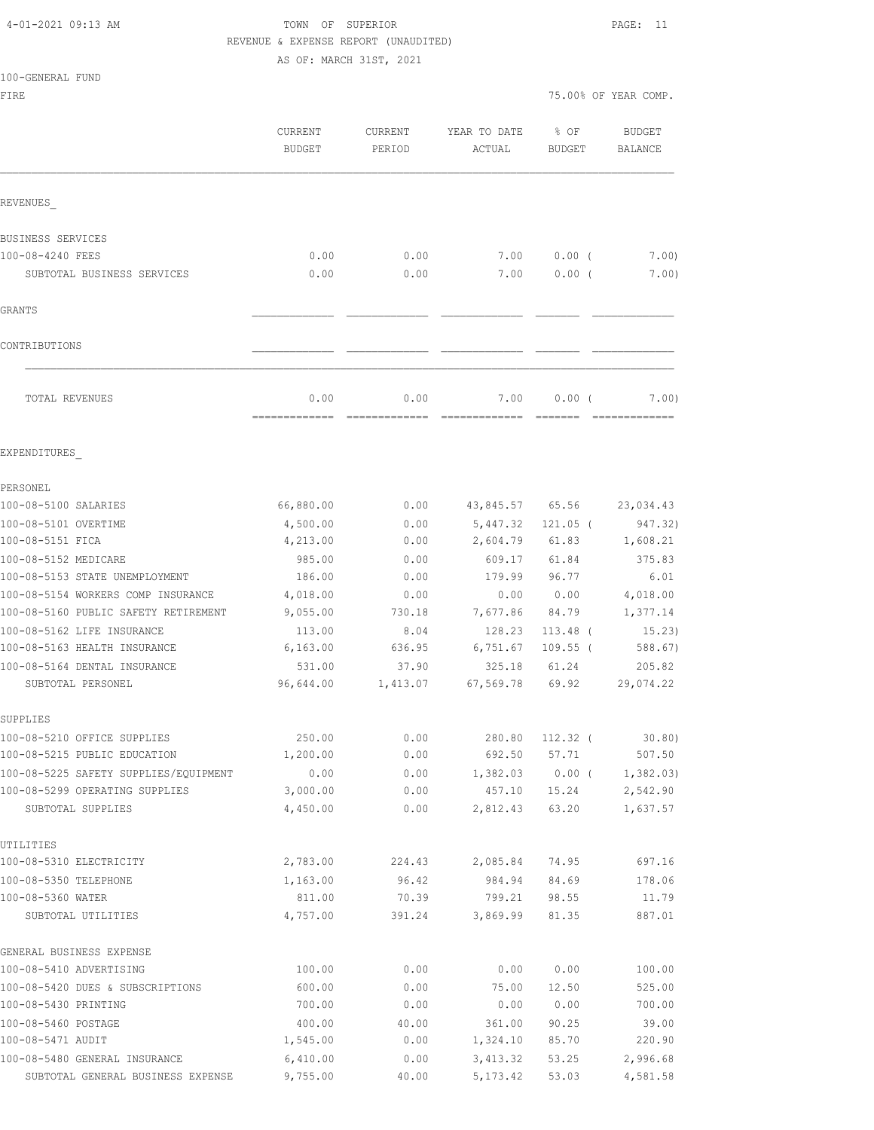# 4-01-2021 09:13 AM TOWN OF SUPERIOR PAGE: 11 REVENUE & EXPENSE REPORT (UNAUDITED)

AS OF: MARCH 31ST, 2021

|  | 100-GENERAL FUND |  |
|--|------------------|--|
|  |                  |  |

FIRE THE SERIES OF YEAR COMP.

|                                                   | CURRENT<br><b>BUDGET</b> | <b>CURRENT</b><br>PERIOD | YEAR TO DATE<br>ACTUAL | $8$ OF<br><b>BUDGET</b> | <b>BUDGET</b><br>BALANCE |
|---------------------------------------------------|--------------------------|--------------------------|------------------------|-------------------------|--------------------------|
| REVENUES                                          |                          |                          |                        |                         |                          |
| BUSINESS SERVICES                                 |                          |                          |                        |                         |                          |
| 100-08-4240 FEES                                  | 0.00                     | 0.00                     | 7.00                   | $0.00$ (                | 7.00)                    |
| SUBTOTAL BUSINESS SERVICES                        | 0.00                     | 0.00                     | 7.00                   | $0.00$ (                | 7.00)                    |
| GRANTS                                            |                          |                          |                        |                         |                          |
| CONTRIBUTIONS                                     |                          |                          |                        |                         |                          |
| TOTAL REVENUES                                    | 0.00                     | 0.00                     | 7.00                   | 0.00(                   | 7.00)                    |
| EXPENDITURES                                      |                          |                          |                        |                         |                          |
| PERSONEL                                          |                          |                          |                        |                         |                          |
| 100-08-5100 SALARIES                              | 66,880.00                | 0.00                     | 43,845.57 65.56        |                         | 23,034.43                |
| 100-08-5101 OVERTIME                              | 4,500.00                 | 0.00                     | 5,447.32               | $121.05$ (              | 947.32)                  |
| 100-08-5151 FICA                                  | 4,213.00                 | 0.00                     | 2,604.79               | 61.83                   | 1,608.21                 |
| 100-08-5152 MEDICARE                              | 985.00                   | 0.00                     | 609.17                 | 61.84                   | 375.83                   |
| 100-08-5153 STATE UNEMPLOYMENT                    | 186.00                   | 0.00                     | 179.99                 | 96.77                   | 6.01                     |
| 100-08-5154 WORKERS COMP INSURANCE                | 4,018.00                 | 0.00                     | 0.00                   | 0.00                    | 4,018.00                 |
| 100-08-5160 PUBLIC SAFETY RETIREMENT              | 9,055.00                 | 730.18                   | 7,677.86               | 84.79                   | 1,377.14                 |
| 100-08-5162 LIFE INSURANCE                        | 113.00                   | 8.04                     | 128.23                 | $113.48$ (              | 15.23)                   |
| 100-08-5163 HEALTH INSURANCE                      | 6, 163.00                | 636.95                   | 6,751.67               | $109.55$ (              | 588.67)                  |
| 100-08-5164 DENTAL INSURANCE<br>SUBTOTAL PERSONEL | 531.00<br>96,644.00      | 37.90<br>1,413.07        | 325.18<br>67,569.78    | 61.24<br>69.92          | 205.82<br>29,074.22      |
| SUPPLIES                                          |                          |                          |                        |                         |                          |
| 100-08-5210 OFFICE SUPPLIES                       | 250.00                   | 0.00                     | 280.80                 | $112.32$ (              | 30.80)                   |
| 100-08-5215 PUBLIC EDUCATION                      | 1,200.00                 | 0.00                     | 692.50                 | 57.71                   | 507.50                   |
| 100-08-5225 SAFETY SUPPLIES/EQUIPMENT             | 0.00                     | 0.00                     |                        | $1,382.03$ 0.00 (       | 1,382.03)                |
| 100-08-5299 OPERATING SUPPLIES                    | 3,000.00                 | 0.00                     | 457.10                 | 15.24                   | 2,542.90                 |
| SUBTOTAL SUPPLIES                                 | 4,450.00                 | 0.00                     | 2,812.43               | 63.20                   | 1,637.57                 |
| UTILITIES                                         |                          |                          |                        |                         |                          |
| 100-08-5310 ELECTRICITY                           | 2,783.00                 | 224.43                   | 2,085.84               | 74.95                   | 697.16                   |
| 100-08-5350 TELEPHONE                             | 1,163.00                 | 96.42                    | 984.94                 | 84.69                   | 178.06                   |
| 100-08-5360 WATER                                 | 811.00                   | 70.39                    | 799.21                 | 98.55                   | 11.79                    |
| SUBTOTAL UTILITIES                                | 4,757.00                 | 391.24                   | 3,869.99               | 81.35                   | 887.01                   |
| GENERAL BUSINESS EXPENSE                          |                          |                          |                        |                         |                          |
| 100-08-5410 ADVERTISING                           | 100.00                   | 0.00                     | 0.00                   | 0.00                    | 100.00                   |
| 100-08-5420 DUES & SUBSCRIPTIONS                  | 600.00                   | 0.00                     | 75.00                  | 12.50                   | 525.00                   |
| 100-08-5430 PRINTING                              | 700.00                   | 0.00                     | 0.00                   | 0.00                    | 700.00                   |
| 100-08-5460 POSTAGE<br>100-08-5471 AUDIT          | 400.00                   | 40.00                    | 361.00                 | 90.25                   | 39.00                    |
| 100-08-5480 GENERAL INSURANCE                     | 1,545.00<br>6,410.00     | 0.00<br>0.00             | 1,324.10<br>3,413.32   | 85.70<br>53.25          | 220.90<br>2,996.68       |
|                                                   |                          |                          |                        |                         |                          |

SUBTOTAL GENERAL BUSINESS EXPENSE 9,755.00 40.00 5,173.42 53.03 4,581.58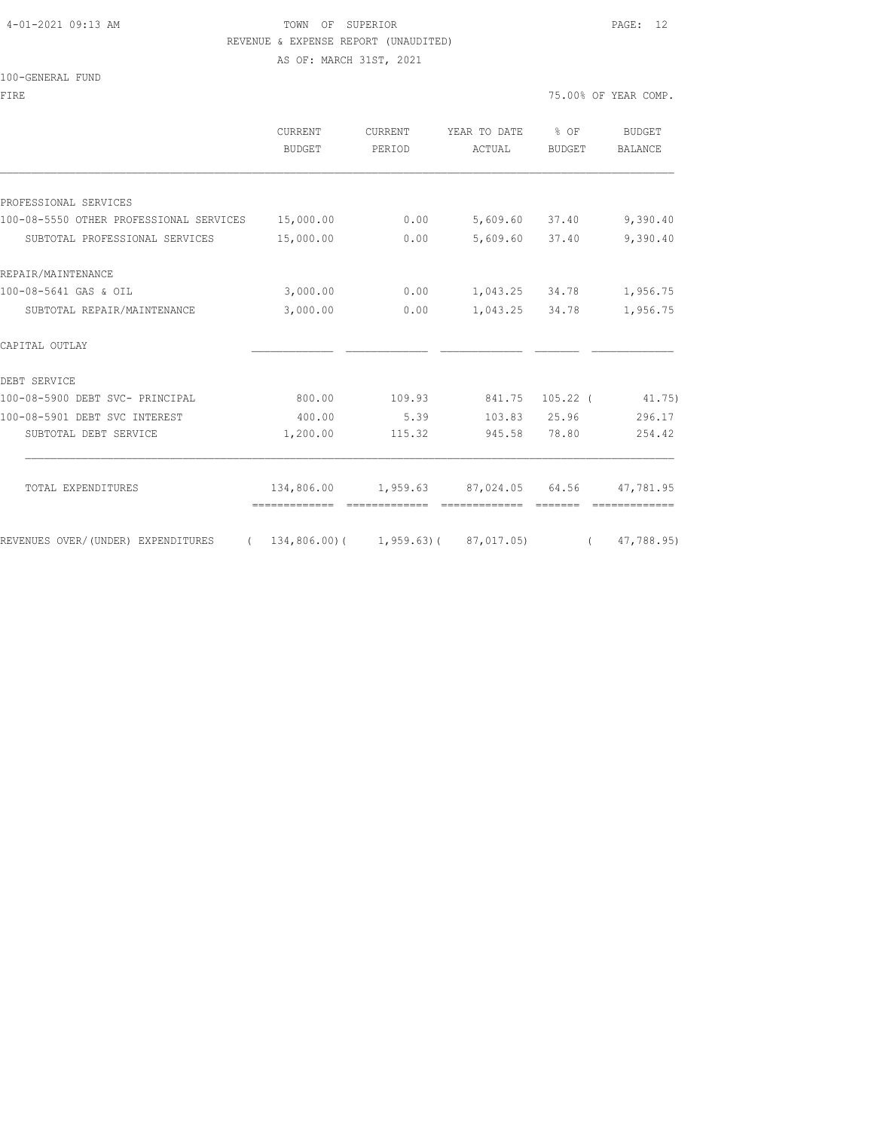## 4-01-2021 09:13 AM TOWN OF SUPERIOR PAGE: 12 REVENUE & EXPENSE REPORT (UNAUDITED)

AS OF: MARCH 31ST, 2021

|  | 100-GENERAL FUND |  |
|--|------------------|--|
|  |                  |  |

| FIRE                                              |                          |                   |                                        |                | 75.00% OF YEAR COMP.     |
|---------------------------------------------------|--------------------------|-------------------|----------------------------------------|----------------|--------------------------|
|                                                   | <b>CURRENT</b><br>BUDGET | CURRENT<br>PERIOD | YEAR TO DATE % OF<br>ACTUAL            | BUDGET         | BUDGET<br><b>BALANCE</b> |
|                                                   |                          |                   |                                        |                |                          |
| PROFESSIONAL SERVICES                             |                          |                   |                                        |                |                          |
| 100-08-5550 OTHER PROFESSIONAL SERVICES 15,000.00 |                          | 0.00              |                                        | 5,609.60 37.40 | 9,390.40                 |
| SUBTOTAL PROFESSIONAL SERVICES                    | 15,000.00                | 0.00              |                                        | 5,609.60 37.40 | 9,390.40                 |
| REPAIR/MAINTENANCE                                |                          |                   |                                        |                |                          |
| 100-08-5641 GAS & OIL                             | 3,000.00                 |                   | $0.00$ 1,043.25 34.78                  |                | 1,956.75                 |
| SUBTOTAL REPAIR/MAINTENANCE                       | 3,000.00                 | 0.00              |                                        | 1,043.25 34.78 | 1,956.75                 |
| CAPITAL OUTLAY                                    |                          |                   |                                        |                |                          |
| DEBT SERVICE                                      |                          |                   |                                        |                |                          |
| 100-08-5900 DEBT SVC- PRINCIPAL                   | 800.00                   |                   | 109.93 841.75 105.22 (41.75)           |                |                          |
| 100-08-5901 DEBT SVC INTEREST                     | 400.00                   | 5.39              |                                        | 103.83 25.96   | 296.17                   |
| SUBTOTAL DEBT SERVICE                             | 1,200.00                 | 115.32            | 945.58                                 | 78.80          | 254.42                   |
| TOTAL EXPENDITURES                                |                          |                   | 134,806.00  1,959.63  87,024.05  64.56 |                | 47,781.95                |
|                                                   |                          |                   |                                        |                | --------------           |

REVENUES OVER/(UNDER) EXPENDITURES ( 134,806.00)( 1,959.63)( 87,017.05) ( 47,788.95)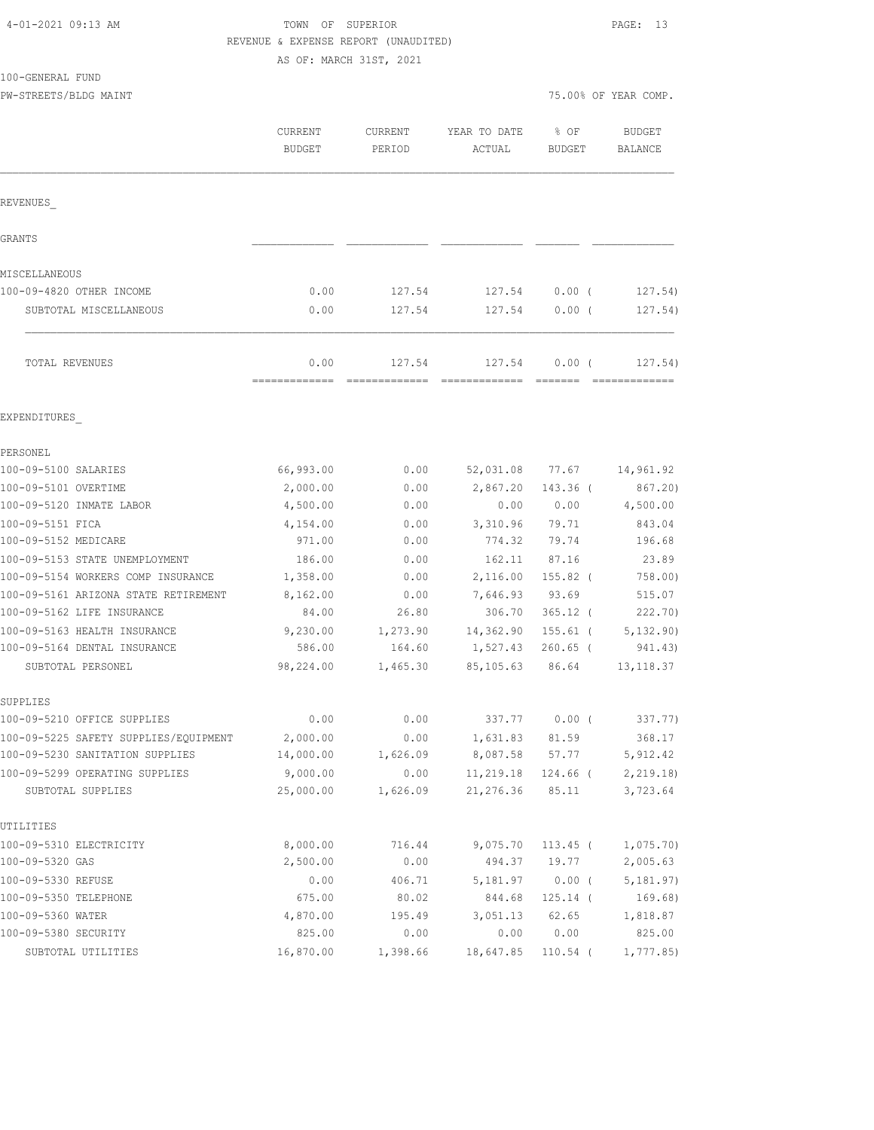| 4-01-2021 09:13 AM |  |  |
|--------------------|--|--|
|--------------------|--|--|

100-GENERAL FUND

#### TOWN OF SUPERIOR **PAGE:** 13 REVENUE & EXPENSE REPORT (UNAUDITED) AS OF: MARCH 31ST, 2021

PW-STREETS/BLDG MAINT 75.00% OF YEAR COMP.

|                                                                   | CURRENT<br><b>BUDGET</b> | CURRENT<br>PERIOD | YEAR TO DATE<br>ACTUAL          | % OF<br><b>BUDGET</b> | <b>BUDGET</b><br><b>BALANCE</b> |  |
|-------------------------------------------------------------------|--------------------------|-------------------|---------------------------------|-----------------------|---------------------------------|--|
| REVENUES                                                          |                          |                   |                                 |                       |                                 |  |
| GRANTS                                                            |                          |                   |                                 |                       |                                 |  |
| MISCELLANEOUS                                                     |                          |                   |                                 |                       |                                 |  |
| 100-09-4820 OTHER INCOME                                          | 0.00                     | 127.54            | 127.54                          | 0.00(                 | 127.54)                         |  |
| SUBTOTAL MISCELLANEOUS                                            | 0.00                     | 127.54            | 127.54                          | 0.00(                 | 127.54)                         |  |
| TOTAL REVENUES                                                    | 0.00                     | 127.54            | 127.54                          | 0.00(                 | 127.54)                         |  |
| EXPENDITURES                                                      |                          |                   |                                 |                       |                                 |  |
| PERSONEL                                                          |                          |                   |                                 |                       |                                 |  |
| 100-09-5100 SALARIES                                              | 66,993.00                | 0.00              | 52,031.08                       | 77.67                 | 14,961.92                       |  |
| 100-09-5101 OVERTIME                                              | 2,000.00                 | 0.00              | 2,867.20                        | 143.36 (              | 867.20)                         |  |
| 100-09-5120 INMATE LABOR                                          | 4,500.00                 | 0.00              | 0.00                            | 0.00                  | 4,500.00                        |  |
| 100-09-5151 FICA                                                  | 4,154.00                 | 0.00              | 3,310.96                        | 79.71                 | 843.04                          |  |
| 100-09-5152 MEDICARE                                              | 971.00                   | 0.00              | 774.32                          | 79.74                 | 196.68                          |  |
| 100-09-5153 STATE UNEMPLOYMENT                                    | 186.00                   | 0.00              | 162.11                          | 87.16                 | 23.89                           |  |
| 100-09-5154 WORKERS COMP INSURANCE                                | 1,358.00                 | 0.00              | 2,116.00                        | 155.82 (              | 758.00)                         |  |
| 100-09-5161 ARIZONA STATE RETIREMENT                              | 8,162.00                 | 0.00              | 7,646.93                        | 93.69                 | 515.07                          |  |
| 100-09-5162 LIFE INSURANCE                                        | 84.00                    | 26.80             | 306.70                          | $365.12$ (            | 222.70)                         |  |
| 100-09-5163 HEALTH INSURANCE                                      | 9,230.00                 | 1,273.90          | 14,362.90                       | $155.61$ (            | 5,132.90)                       |  |
| 100-09-5164 DENTAL INSURANCE                                      | 586.00                   | 164.60            | 1,527.43                        | $260.65$ (            | 941.43)                         |  |
| SUBTOTAL PERSONEL                                                 | 98,224.00                | 1,465.30          | 85,105.63                       | 86.64                 | 13, 118.37                      |  |
| SUPPLIES                                                          |                          |                   |                                 |                       |                                 |  |
| 100-09-5210 OFFICE SUPPLIES                                       | 0.00                     | 0.00              | 337.77                          | 0.00(                 | 337.77)                         |  |
| 100-09-5225 SAFETY SUPPLIES/EQUIPMENT                             | 2,000.00                 | 0.00              | 1,631.83 81.59                  |                       | 368.17                          |  |
| 100-09-5230 SANITATION SUPPLIES<br>100-09-5299 OPERATING SUPPLIES | 14,000.00                | 1,626.09          |                                 | 8,087.58 57.77        | 5,912.42                        |  |
| SUBTOTAL SUPPLIES                                                 | 9,000.00<br>25,000.00    | 0.00<br>1,626.09  | 11,219.18 124.66 (<br>21,276.36 | 85.11                 | 2,219.18)<br>3,723.64           |  |
| UTILITIES                                                         |                          |                   |                                 |                       |                                 |  |
| 100-09-5310 ELECTRICITY                                           | 8,000.00                 | 716.44            | 9,075.70                        | 113.45 (              | 1,075.70)                       |  |
| 100-09-5320 GAS                                                   | 2,500.00                 | 0.00              | 494.37                          | 19.77                 | 2,005.63                        |  |
| 100-09-5330 REFUSE                                                | 0.00                     | 406.71            | 5,181.97                        | $0.00$ (              | 5,181.97)                       |  |
| 100-09-5350 TELEPHONE                                             | 675.00                   | 80.02             | 844.68                          | 125.14 (              | 169.68)                         |  |
| 100-09-5360 WATER                                                 | 4,870.00                 | 195.49            | 3,051.13                        | 62.65                 | 1,818.87                        |  |
| 100-09-5380 SECURITY                                              | 825.00                   | 0.00              | 0.00                            | 0.00                  | 825.00                          |  |
| SUBTOTAL UTILITIES                                                | 16,870.00                | 1,398.66          | 18,647.85                       | $110.54$ (            | 1,777.85                        |  |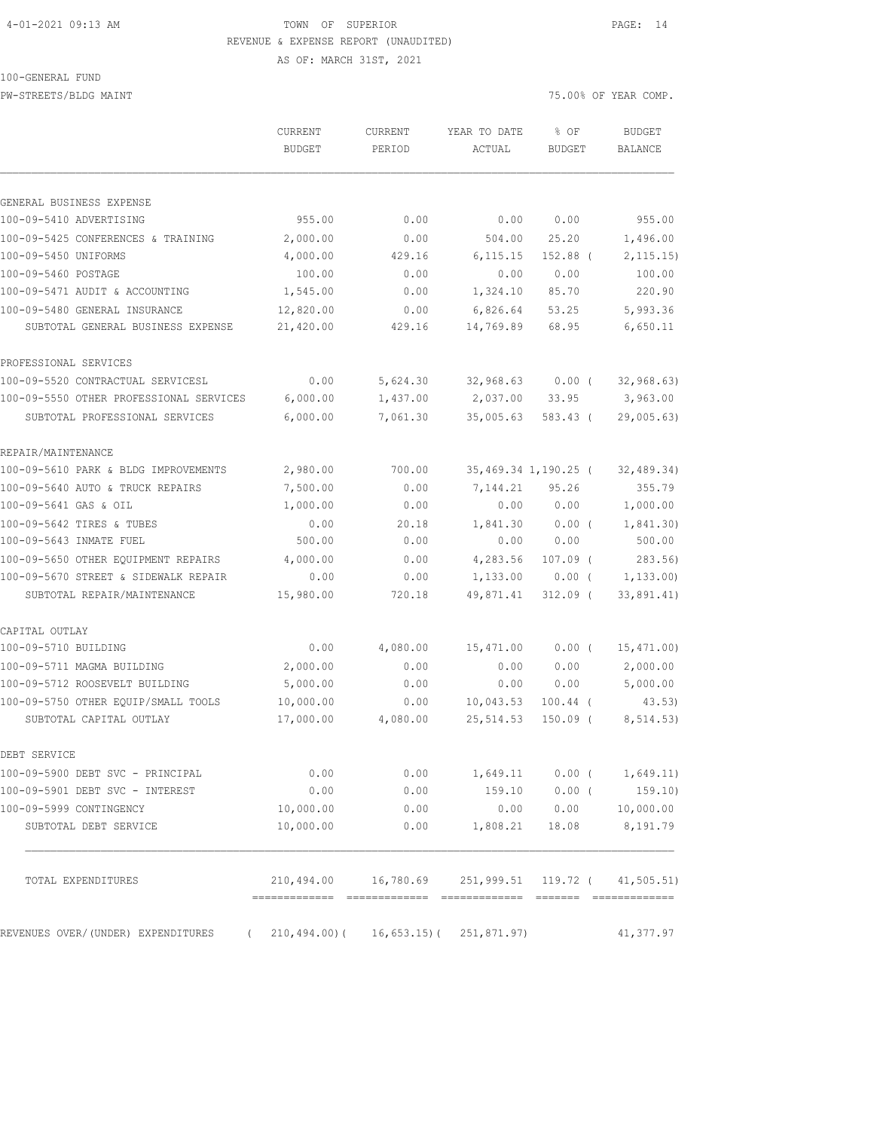#### 4-01-2021 09:13 AM TOWN OF SUPERIOR PAGE: 14 REVENUE & EXPENSE REPORT (UNAUDITED)

100-GENERAL FUND

AS OF: MARCH 31ST, 2021

PW-STREETS/BLDG MAINT **2000** MAINT 25.00% OF YEAR COMP.

|                                                   | CURRENT<br><b>BUDGET</b> | CURRENT<br>PERIOD                                      | YEAR TO DATE<br>ACTUAL | % OF<br>BUDGET       | <b>BUDGET</b><br><b>BALANCE</b> |
|---------------------------------------------------|--------------------------|--------------------------------------------------------|------------------------|----------------------|---------------------------------|
|                                                   |                          |                                                        |                        |                      |                                 |
| GENERAL BUSINESS EXPENSE                          |                          |                                                        |                        |                      |                                 |
| 100-09-5410 ADVERTISING                           | 955.00                   | 0.00                                                   | 0.00                   | 0.00                 | 955.00                          |
| 100-09-5425 CONFERENCES & TRAINING                | 2,000.00                 | 0.00                                                   | 504.00                 | 25.20                | 1,496.00                        |
| 100-09-5450 UNIFORMS                              | 4,000.00                 | 429.16                                                 | 6, 115.15              | $152.88$ (           | 2, 115.15)                      |
| 100-09-5460 POSTAGE                               | 100.00                   | 0.00                                                   | 0.00                   | 0.00                 | 100.00                          |
| 100-09-5471 AUDIT & ACCOUNTING                    | 1,545.00                 | 0.00                                                   | 1,324.10               | 85.70                | 220.90                          |
| 100-09-5480 GENERAL INSURANCE                     | 12,820.00                | 0.00                                                   | 6,826.64               | 53.25                | 5,993.36                        |
| SUBTOTAL GENERAL BUSINESS EXPENSE                 | 21,420.00                | 429.16                                                 | 14,769.89              | 68.95                | 6,650.11                        |
| PROFESSIONAL SERVICES                             |                          |                                                        |                        |                      |                                 |
| 100-09-5520 CONTRACTUAL SERVICESL                 | 0.00                     | 5,624.30                                               | 32,968.63              | $0.00$ (             | 32, 968.63)                     |
| 100-09-5550 OTHER PROFESSIONAL SERVICES           | 6,000.00                 | 1,437.00                                               | 2,037.00               | 33.95                | 3,963.00                        |
| SUBTOTAL PROFESSIONAL SERVICES                    | 6,000.00                 | 7,061.30                                               | 35,005.63              | 583.43 (             | 29,005.63)                      |
| REPAIR/MAINTENANCE                                |                          |                                                        |                        |                      |                                 |
| 100-09-5610 PARK & BLDG IMPROVEMENTS              | 2,980.00                 | 700.00                                                 |                        | 35,469.34 1,190.25 ( | 32, 489.34)                     |
| 100-09-5640 AUTO & TRUCK REPAIRS                  | 7,500.00                 | 0.00                                                   | 7,144.21               | 95.26                | 355.79                          |
| 100-09-5641 GAS & OIL                             | 1,000.00                 | 0.00                                                   | 0.00                   | 0.00                 | 1,000.00                        |
| 100-09-5642 TIRES & TUBES                         | 0.00                     | 20.18                                                  | 1,841.30               | $0.00$ (             | 1,841.30)                       |
| 100-09-5643 INMATE FUEL                           | 500.00                   | 0.00                                                   | 0.00                   | 0.00                 | 500.00                          |
| 100-09-5650 OTHER EQUIPMENT REPAIRS               | 4,000.00                 | 0.00                                                   | 4,283.56               | $107.09$ (           | 283.56                          |
| 100-09-5670 STREET & SIDEWALK REPAIR              | 0.00                     | 0.00                                                   | 1,133.00               | $0.00$ (             | 1, 133.00                       |
| SUBTOTAL REPAIR/MAINTENANCE                       | 15,980.00                | 720.18                                                 | 49,871.41              | $312.09$ (           | 33,891.41)                      |
| CAPITAL OUTLAY                                    |                          |                                                        |                        |                      |                                 |
| 100-09-5710 BUILDING                              | 0.00                     | 4,080.00                                               | 15,471.00              | $0.00$ (             | 15,471.00)                      |
| 100-09-5711 MAGMA BUILDING                        | 2,000.00                 | 0.00                                                   | 0.00                   | 0.00                 | 2,000.00                        |
| 100-09-5712 ROOSEVELT BUILDING                    | 5,000.00                 | 0.00                                                   | 0.00                   | 0.00                 | 5,000.00                        |
| 100-09-5750 OTHER EQUIP/SMALL TOOLS               | 10,000.00                | 0.00                                                   | 10,043.53              | $100.44$ (           | 43.53)                          |
| SUBTOTAL CAPITAL OUTLAY                           | 17,000.00                | 4,080.00                                               | 25, 514.53             | $150.09$ (           | 8, 514.53)                      |
| DEBT SERVICE                                      |                          |                                                        |                        |                      |                                 |
| 100-09-5900 DEBT SVC - PRINCIPAL                  | 0.00                     | 0.00                                                   | 1,649.11               | $0.00$ (             | 1,649.11)                       |
| 100-09-5901 DEBT SVC - INTEREST                   | 0.00                     | 0.00                                                   | 159.10                 | $0.00$ (             | 159.10)                         |
| 100-09-5999 CONTINGENCY                           | 10,000.00                | 0.00                                                   | 0.00                   | 0.00                 | 10,000.00                       |
| SUBTOTAL DEBT SERVICE                             | 10,000.00                | 0.00                                                   | 1,808.21               | 18.08                | 8,191.79                        |
| TOTAL EXPENDITURES                                |                          | 210,494.00  16,780.69  251,999.51  119.72  (41,505.51) |                        |                      |                                 |
| REVENUES OVER/ (UNDER) EXPENDITURES<br>$\sqrt{2}$ |                          | $210, 494.00$ ( $16, 653.15$ ( $251, 871.97$ )         |                        |                      | 41,377.97                       |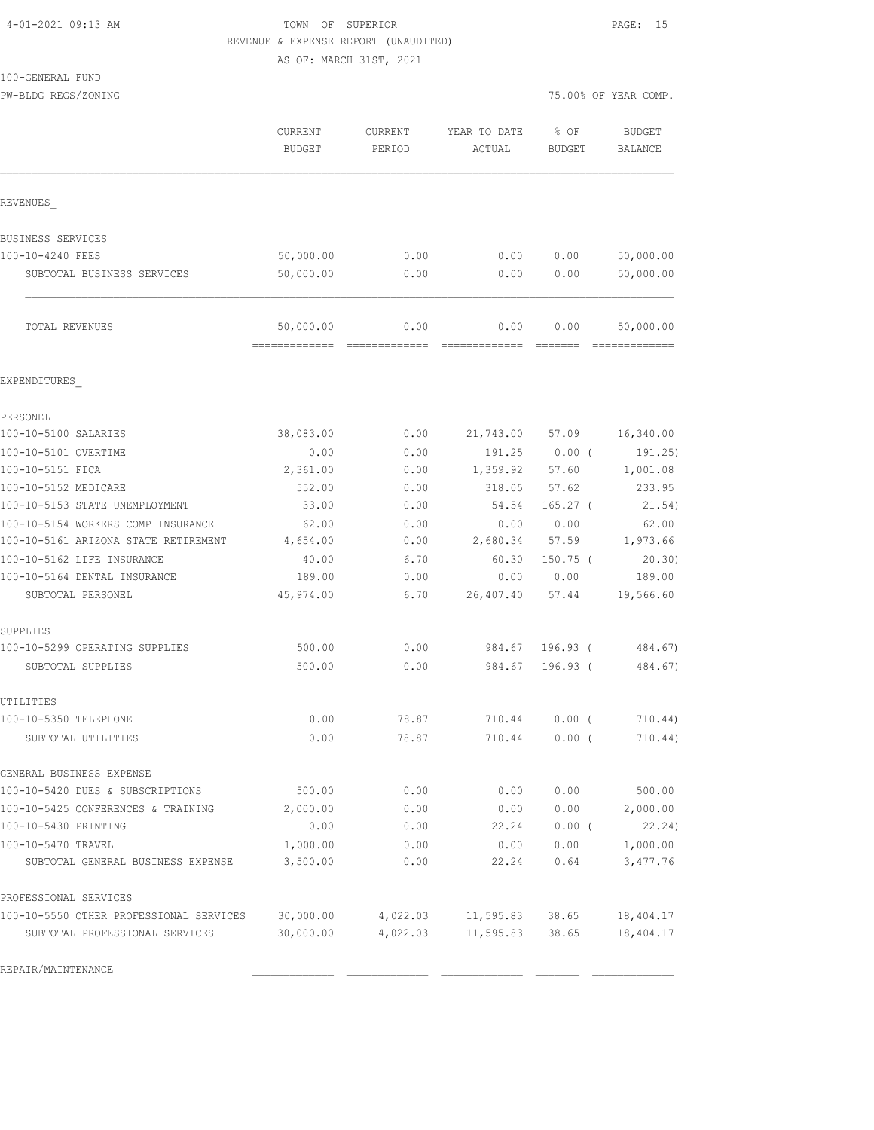# 4-01-2021 09:13 AM TOWN OF SUPERIOR PAGE: 15 REVENUE & EXPENSE REPORT (UNAUDITED)

|                                         |               | AS OF: MARCH 31ST, 2021 |              |                 |                      |
|-----------------------------------------|---------------|-------------------------|--------------|-----------------|----------------------|
| 100-GENERAL FUND                        |               |                         |              |                 |                      |
| PW-BLDG REGS/ZONING                     |               |                         |              |                 | 75.00% OF YEAR COMP. |
|                                         | CURRENT       | CURRENT                 | YEAR TO DATE | % OF            | <b>BUDGET</b>        |
|                                         | <b>BUDGET</b> | PERIOD                  | ACTUAL       | <b>BUDGET</b>   | BALANCE              |
| REVENUES                                |               |                         |              |                 |                      |
|                                         |               |                         |              |                 |                      |
| BUSINESS SERVICES                       |               |                         |              |                 |                      |
| 100-10-4240 FEES                        | 50,000.00     | 0.00                    | 0.00         | 0.00            | 50,000.00            |
| SUBTOTAL BUSINESS SERVICES              | 50,000.00     | 0.00                    | 0.00         | 0.00            | 50,000.00            |
| TOTAL REVENUES                          | 50,000.00     | 0.00                    | 0.00         | 0.00            | 50,000.00            |
| EXPENDITURES                            |               |                         |              |                 |                      |
| PERSONEL                                |               |                         |              |                 |                      |
| 100-10-5100 SALARIES                    | 38,083.00     | 0.00                    |              | 21,743.00 57.09 | 16,340.00            |
| 100-10-5101 OVERTIME                    | 0.00          | 0.00                    | 191.25       | $0.00$ (        | 191.25)              |
| 100-10-5151 FICA                        | 2,361.00      | 0.00                    | 1,359.92     | 57.60           | 1,001.08             |
| 100-10-5152 MEDICARE                    | 552.00        | 0.00                    | 318.05       | 57.62           | 233.95               |
| 100-10-5153 STATE UNEMPLOYMENT          | 33.00         | 0.00                    | 54.54        | $165.27$ (      | 21.54)               |
| 100-10-5154 WORKERS COMP INSURANCE      | 62.00         | 0.00                    | 0.00         | 0.00            | 62.00                |
| 100-10-5161 ARIZONA STATE RETIREMENT    | 4,654.00      | 0.00                    | 2,680.34     | 57.59           | 1,973.66             |
| 100-10-5162 LIFE INSURANCE              | 40.00         | 6.70                    | 60.30        | $150.75$ (      | 20.30)               |
| 100-10-5164 DENTAL INSURANCE            | 189.00        | 0.00                    | 0.00         | 0.00            | 189.00               |
| SUBTOTAL PERSONEL                       | 45,974.00     | 6.70                    | 26,407.40    | 57.44           | 19,566.60            |
| SUPPLIES                                |               |                         |              |                 |                      |
| 100-10-5299 OPERATING SUPPLIES          | 500.00        | 0.00                    | 984.67       | $196.93$ (      | 484.67)              |
| SUBTOTAL SUPPLIES                       | 500.00        | 0.00                    | 984.67       | $196.93$ (      | 484.67)              |
| UTILITIES                               |               |                         |              |                 |                      |
| 100-10-5350 TELEPHONE                   | 0.00          | 78.87                   | 710.44       | 0.00(           | 710.44)              |
| SUBTOTAL UTILITIES                      | 0.00          | 78.87                   | 710.44       | $0.00$ (        | 710.44)              |
| GENERAL BUSINESS EXPENSE                |               |                         |              |                 |                      |
| 100-10-5420 DUES & SUBSCRIPTIONS        | 500.00        | 0.00                    | 0.00         | 0.00            | 500.00               |
| 100-10-5425 CONFERENCES & TRAINING      | 2,000.00      | 0.00                    | 0.00         | 0.00            | 2,000.00             |
| 100-10-5430 PRINTING                    | 0.00          | 0.00                    | 22.24        | 0.00(           | 22.24)               |
| 100-10-5470 TRAVEL                      | 1,000.00      | 0.00                    | 0.00         | 0.00            | 1,000.00             |
| SUBTOTAL GENERAL BUSINESS EXPENSE       | 3,500.00      | 0.00                    | 22.24        | 0.64            | 3,477.76             |
| PROFESSIONAL SERVICES                   |               |                         |              |                 |                      |
| 100-10-5550 OTHER PROFESSIONAL SERVICES | 30,000.00     | 4,022.03                | 11,595.83    | 38.65           | 18,404.17            |
| SUBTOTAL PROFESSIONAL SERVICES          | 30,000.00     | 4,022.03                | 11,595.83    | 38.65           | 18,404.17            |

REPAIR/MAINTENANCE \_\_\_\_\_\_\_\_\_\_\_\_\_ \_\_\_\_\_\_\_\_\_\_\_\_\_ \_\_\_\_\_\_\_\_\_\_\_\_\_ \_\_\_\_\_\_\_ \_\_\_\_\_\_\_\_\_\_\_\_\_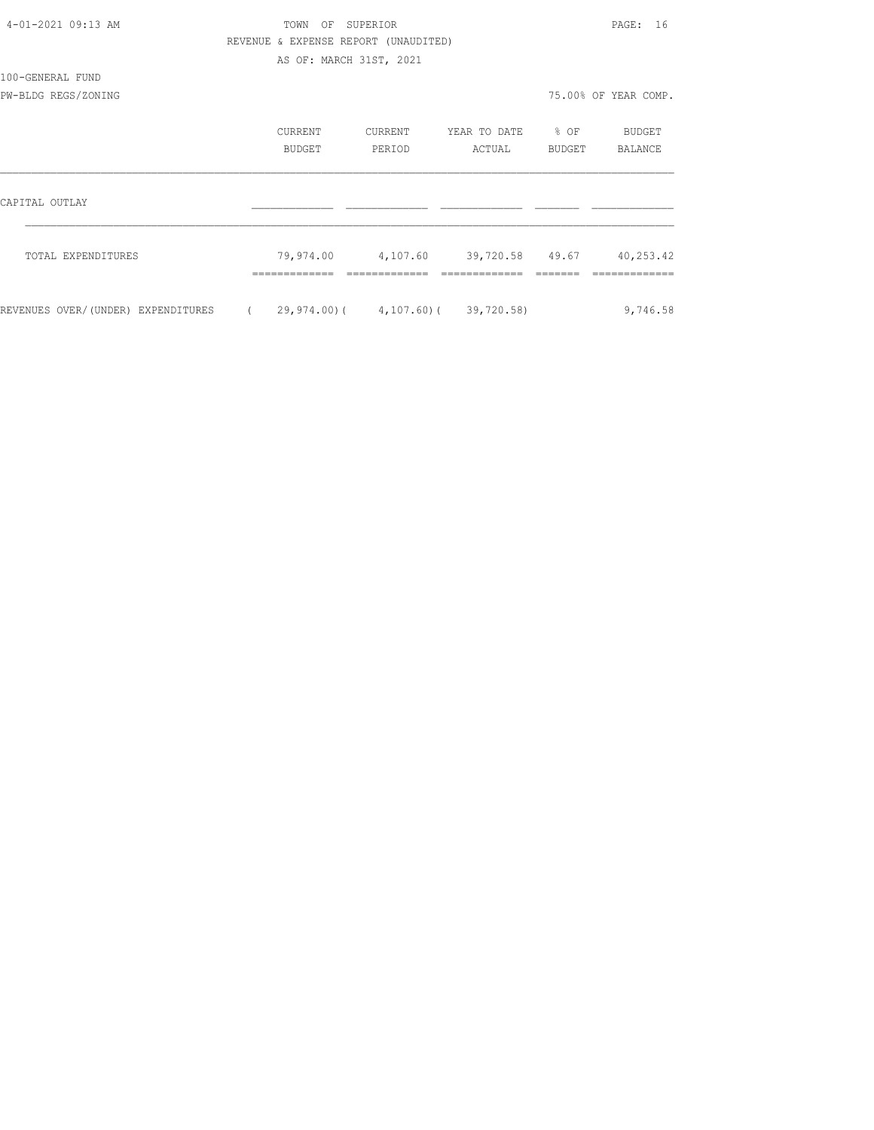| 4-01-2021 09:13 AM                 | TOWN                                       | OF SUPERIOR       |                           |                     | PAGE: 16             |
|------------------------------------|--------------------------------------------|-------------------|---------------------------|---------------------|----------------------|
|                                    | REVENUE & EXPENSE REPORT (UNAUDITED)       |                   |                           |                     |                      |
|                                    | AS OF: MARCH 31ST, 2021                    |                   |                           |                     |                      |
| 100-GENERAL FUND                   |                                            |                   |                           |                     |                      |
| PW-BLDG REGS/ZONING                |                                            |                   |                           |                     | 75.00% OF YEAR COMP. |
|                                    | CURRENT<br><b>BUDGET</b>                   | CURRENT<br>PERIOD | YEAR TO DATE<br>ACTUAL    | $\div$ OF<br>BUDGET | BUDGET<br>BALANCE    |
|                                    |                                            |                   |                           |                     |                      |
| CAPITAL OUTLAY                     |                                            |                   |                           |                     |                      |
| TOTAL EXPENDITURES                 | 79,974.00 4,107.60                         |                   | 39,720.58 49.67 40,253.42 |                     |                      |
| REVENUES OVER/(UNDER) EXPENDITURES | $(29, 974, 00) (4, 107, 60) (39, 720, 58)$ |                   |                           |                     | 9,746.58             |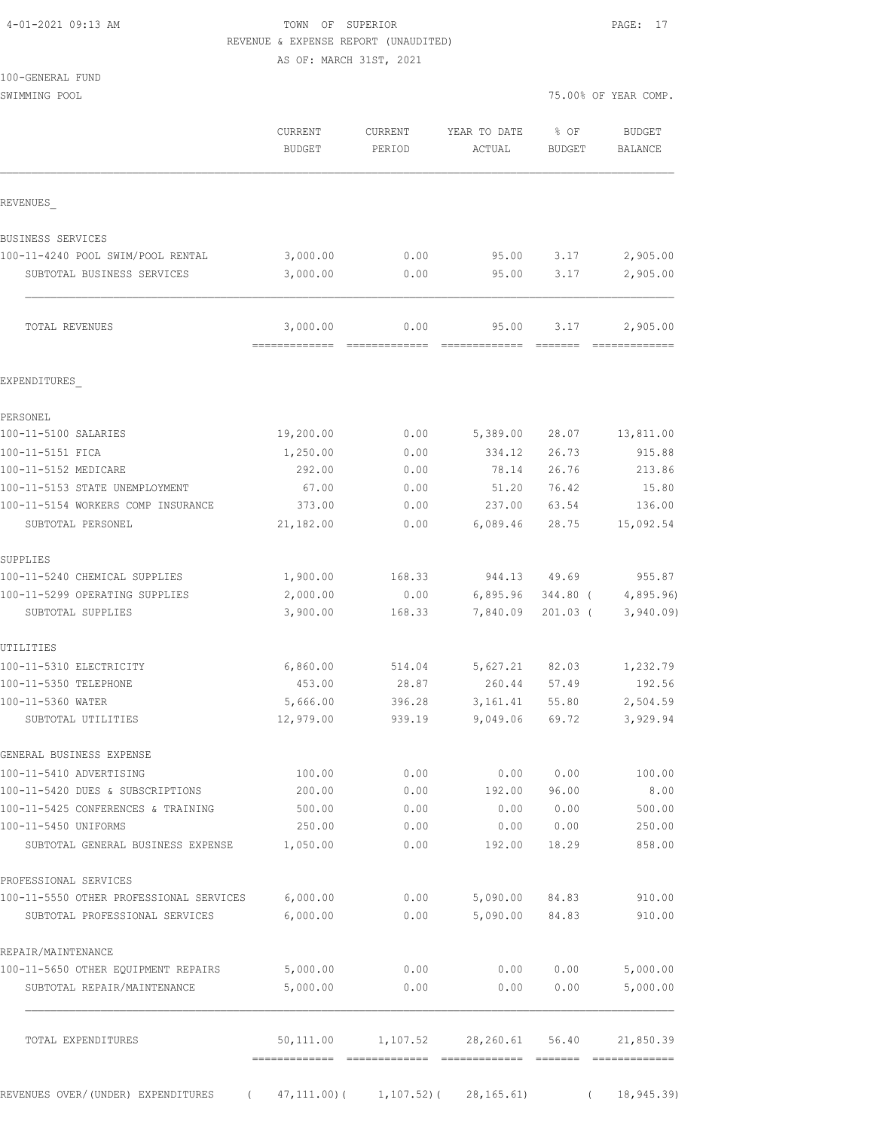| 4-01-2021 09:13 AM |  |
|--------------------|--|
|                    |  |

## TOWN OF SUPERIOR **PAGE:** 17 REVENUE & EXPENSE REPORT (UNAUDITED)

AS OF: MARCH 31ST, 2021

| 100-GENERAL FUND |  |
|------------------|--|
|                  |  |

SWIMMING POOL 3000 POOL 2000 POOL 2000 POOL 2000 POOL 2000 POOL 2000 POOL 2000 POOL 2000 POOL 2000 POOL 2000 POOL

|                                                  | <b>CURRENT</b><br>BUDGET                 | <b>CURRENT</b><br>PERIOD | YEAR TO DATE<br>ACTUAL                      | % OF<br>BUDGET                                                                                                                                                                                                                                                                                                                                                                                                                                                                                 | <b>BUDGET</b><br>BALANCE                                                                                                                                                                                                                                                                                                                                                                                                                                                                           |
|--------------------------------------------------|------------------------------------------|--------------------------|---------------------------------------------|------------------------------------------------------------------------------------------------------------------------------------------------------------------------------------------------------------------------------------------------------------------------------------------------------------------------------------------------------------------------------------------------------------------------------------------------------------------------------------------------|----------------------------------------------------------------------------------------------------------------------------------------------------------------------------------------------------------------------------------------------------------------------------------------------------------------------------------------------------------------------------------------------------------------------------------------------------------------------------------------------------|
| REVENUES                                         |                                          |                          |                                             |                                                                                                                                                                                                                                                                                                                                                                                                                                                                                                |                                                                                                                                                                                                                                                                                                                                                                                                                                                                                                    |
| BUSINESS SERVICES                                |                                          |                          |                                             |                                                                                                                                                                                                                                                                                                                                                                                                                                                                                                |                                                                                                                                                                                                                                                                                                                                                                                                                                                                                                    |
| 100-11-4240 POOL SWIM/POOL RENTAL                | 3,000.00                                 | 0.00                     | 95.00                                       | 3.17                                                                                                                                                                                                                                                                                                                                                                                                                                                                                           | 2,905.00                                                                                                                                                                                                                                                                                                                                                                                                                                                                                           |
| SUBTOTAL BUSINESS SERVICES                       | 3,000.00                                 | 0.00                     | 95.00                                       | 3.17                                                                                                                                                                                                                                                                                                                                                                                                                                                                                           | 2,905.00                                                                                                                                                                                                                                                                                                                                                                                                                                                                                           |
| TOTAL REVENUES                                   | 3,000.00<br>-------------- ------------- | 0.00                     | 95.00                                       | 3.17<br>$\begin{array}{cccccccccc} \multicolumn{2}{c}{} & \multicolumn{2}{c}{} & \multicolumn{2}{c}{} & \multicolumn{2}{c}{} & \multicolumn{2}{c}{} & \multicolumn{2}{c}{} & \multicolumn{2}{c}{} & \multicolumn{2}{c}{} & \multicolumn{2}{c}{} & \multicolumn{2}{c}{} & \multicolumn{2}{c}{} & \multicolumn{2}{c}{} & \multicolumn{2}{c}{} & \multicolumn{2}{c}{} & \multicolumn{2}{c}{} & \multicolumn{2}{c}{} & \multicolumn{2}{c}{} & \multicolumn{2}{c}{} & \multicolumn{2}{c}{} & \mult$ | 2,905.00<br>$\begin{array}{cccccccccccccc} \multicolumn{2}{c}{} & \multicolumn{2}{c}{} & \multicolumn{2}{c}{} & \multicolumn{2}{c}{} & \multicolumn{2}{c}{} & \multicolumn{2}{c}{} & \multicolumn{2}{c}{} & \multicolumn{2}{c}{} & \multicolumn{2}{c}{} & \multicolumn{2}{c}{} & \multicolumn{2}{c}{} & \multicolumn{2}{c}{} & \multicolumn{2}{c}{} & \multicolumn{2}{c}{} & \multicolumn{2}{c}{} & \multicolumn{2}{c}{} & \multicolumn{2}{c}{} & \multicolumn{2}{c}{} & \multicolumn{2}{c}{} & \$ |
| EXPENDITURES                                     |                                          |                          |                                             |                                                                                                                                                                                                                                                                                                                                                                                                                                                                                                |                                                                                                                                                                                                                                                                                                                                                                                                                                                                                                    |
| PERSONEL                                         |                                          |                          |                                             |                                                                                                                                                                                                                                                                                                                                                                                                                                                                                                |                                                                                                                                                                                                                                                                                                                                                                                                                                                                                                    |
| 100-11-5100 SALARIES                             | 19,200.00                                | 0.00                     | 5,389.00                                    | 28.07                                                                                                                                                                                                                                                                                                                                                                                                                                                                                          | 13,811.00                                                                                                                                                                                                                                                                                                                                                                                                                                                                                          |
| 100-11-5151 FICA                                 | 1,250.00                                 | 0.00                     | 334.12                                      | 26.73                                                                                                                                                                                                                                                                                                                                                                                                                                                                                          | 915.88                                                                                                                                                                                                                                                                                                                                                                                                                                                                                             |
| 100-11-5152 MEDICARE                             | 292.00                                   | 0.00                     | 78.14                                       | 26.76                                                                                                                                                                                                                                                                                                                                                                                                                                                                                          | 213.86                                                                                                                                                                                                                                                                                                                                                                                                                                                                                             |
| 100-11-5153 STATE UNEMPLOYMENT                   | 67.00                                    | 0.00                     | 51.20                                       | 76.42                                                                                                                                                                                                                                                                                                                                                                                                                                                                                          | 15.80                                                                                                                                                                                                                                                                                                                                                                                                                                                                                              |
| 100-11-5154 WORKERS COMP INSURANCE               | 373.00                                   | 0.00                     | 237.00                                      | 63.54                                                                                                                                                                                                                                                                                                                                                                                                                                                                                          | 136.00                                                                                                                                                                                                                                                                                                                                                                                                                                                                                             |
| SUBTOTAL PERSONEL                                | 21,182.00                                | 0.00                     | 6,089.46                                    | 28.75                                                                                                                                                                                                                                                                                                                                                                                                                                                                                          | 15,092.54                                                                                                                                                                                                                                                                                                                                                                                                                                                                                          |
| SUPPLIES                                         |                                          |                          |                                             |                                                                                                                                                                                                                                                                                                                                                                                                                                                                                                |                                                                                                                                                                                                                                                                                                                                                                                                                                                                                                    |
| 100-11-5240 CHEMICAL SUPPLIES                    | 1,900.00                                 | 168.33                   | 944.13                                      | 49.69                                                                                                                                                                                                                                                                                                                                                                                                                                                                                          | 955.87                                                                                                                                                                                                                                                                                                                                                                                                                                                                                             |
| 100-11-5299 OPERATING SUPPLIES                   | 2,000.00                                 | 0.00                     | 6,895.96                                    | $344.80$ (                                                                                                                                                                                                                                                                                                                                                                                                                                                                                     | 4,895.96                                                                                                                                                                                                                                                                                                                                                                                                                                                                                           |
| SUBTOTAL SUPPLIES                                | 3,900.00                                 | 168.33                   | 7,840.09                                    | $201.03$ (                                                                                                                                                                                                                                                                                                                                                                                                                                                                                     | 3,940.09                                                                                                                                                                                                                                                                                                                                                                                                                                                                                           |
| UTILITIES                                        |                                          |                          |                                             |                                                                                                                                                                                                                                                                                                                                                                                                                                                                                                |                                                                                                                                                                                                                                                                                                                                                                                                                                                                                                    |
| 100-11-5310 ELECTRICITY<br>100-11-5350 TELEPHONE | 6,860.00<br>453.00                       | 514.04<br>28.87          | 5,627.21<br>260.44                          | 82.03<br>57.49                                                                                                                                                                                                                                                                                                                                                                                                                                                                                 | 1,232.79<br>192.56                                                                                                                                                                                                                                                                                                                                                                                                                                                                                 |
| 100-11-5360 WATER                                | 5,666.00                                 | 396.28                   | 3,161.41                                    | 55.80                                                                                                                                                                                                                                                                                                                                                                                                                                                                                          | 2,504.59                                                                                                                                                                                                                                                                                                                                                                                                                                                                                           |
| SUBTOTAL UTILITIES                               | 12,979.00                                | 939.19                   | 9,049.06                                    | 69.72                                                                                                                                                                                                                                                                                                                                                                                                                                                                                          | 3,929.94                                                                                                                                                                                                                                                                                                                                                                                                                                                                                           |
| GENERAL BUSINESS EXPENSE                         |                                          |                          |                                             |                                                                                                                                                                                                                                                                                                                                                                                                                                                                                                |                                                                                                                                                                                                                                                                                                                                                                                                                                                                                                    |
| 100-11-5410 ADVERTISING                          | 100.00                                   | 0.00                     | 0.00                                        | 0.00                                                                                                                                                                                                                                                                                                                                                                                                                                                                                           | 100.00                                                                                                                                                                                                                                                                                                                                                                                                                                                                                             |
| 100-11-5420 DUES & SUBSCRIPTIONS                 | 200.00                                   | 0.00                     | 192.00                                      | 96.00                                                                                                                                                                                                                                                                                                                                                                                                                                                                                          | 8.00                                                                                                                                                                                                                                                                                                                                                                                                                                                                                               |
| 100-11-5425 CONFERENCES & TRAINING               | 500.00                                   | 0.00                     | 0.00                                        | 0.00                                                                                                                                                                                                                                                                                                                                                                                                                                                                                           | 500.00                                                                                                                                                                                                                                                                                                                                                                                                                                                                                             |
| 100-11-5450 UNIFORMS                             | 250.00                                   | 0.00                     | 0.00                                        | 0.00                                                                                                                                                                                                                                                                                                                                                                                                                                                                                           | 250.00                                                                                                                                                                                                                                                                                                                                                                                                                                                                                             |
| SUBTOTAL GENERAL BUSINESS EXPENSE                | 1,050.00                                 | 0.00                     | 192.00                                      | 18.29                                                                                                                                                                                                                                                                                                                                                                                                                                                                                          | 858.00                                                                                                                                                                                                                                                                                                                                                                                                                                                                                             |
| PROFESSIONAL SERVICES                            |                                          |                          |                                             |                                                                                                                                                                                                                                                                                                                                                                                                                                                                                                |                                                                                                                                                                                                                                                                                                                                                                                                                                                                                                    |
| 100-11-5550 OTHER PROFESSIONAL SERVICES 6,000.00 |                                          | 0.00                     | 5,090.00                                    | 84.83                                                                                                                                                                                                                                                                                                                                                                                                                                                                                          | 910.00                                                                                                                                                                                                                                                                                                                                                                                                                                                                                             |
| SUBTOTAL PROFESSIONAL SERVICES                   | 6,000.00                                 | 0.00                     | 5,090.00                                    | 84.83                                                                                                                                                                                                                                                                                                                                                                                                                                                                                          | 910.00                                                                                                                                                                                                                                                                                                                                                                                                                                                                                             |
| REPAIR/MAINTENANCE                               |                                          |                          |                                             |                                                                                                                                                                                                                                                                                                                                                                                                                                                                                                |                                                                                                                                                                                                                                                                                                                                                                                                                                                                                                    |
| 100-11-5650 OTHER EQUIPMENT REPAIRS              | 5,000.00                                 | 0.00                     | 0.00                                        | 0.00                                                                                                                                                                                                                                                                                                                                                                                                                                                                                           | 5,000.00                                                                                                                                                                                                                                                                                                                                                                                                                                                                                           |
| SUBTOTAL REPAIR/MAINTENANCE                      | 5,000.00                                 | 0.00                     | 0.00                                        | 0.00                                                                                                                                                                                                                                                                                                                                                                                                                                                                                           | 5,000.00                                                                                                                                                                                                                                                                                                                                                                                                                                                                                           |
| TOTAL EXPENDITURES                               |                                          |                          | 50,111.00    1,107.52    28,260.61    56.40 |                                                                                                                                                                                                                                                                                                                                                                                                                                                                                                | 21,850.39                                                                                                                                                                                                                                                                                                                                                                                                                                                                                          |
|                                                  |                                          |                          |                                             |                                                                                                                                                                                                                                                                                                                                                                                                                                                                                                |                                                                                                                                                                                                                                                                                                                                                                                                                                                                                                    |

REVENUES OVER/(UNDER) EXPENDITURES (47,111.00)( 1,107.52)( 28,165.61) (18,945.39)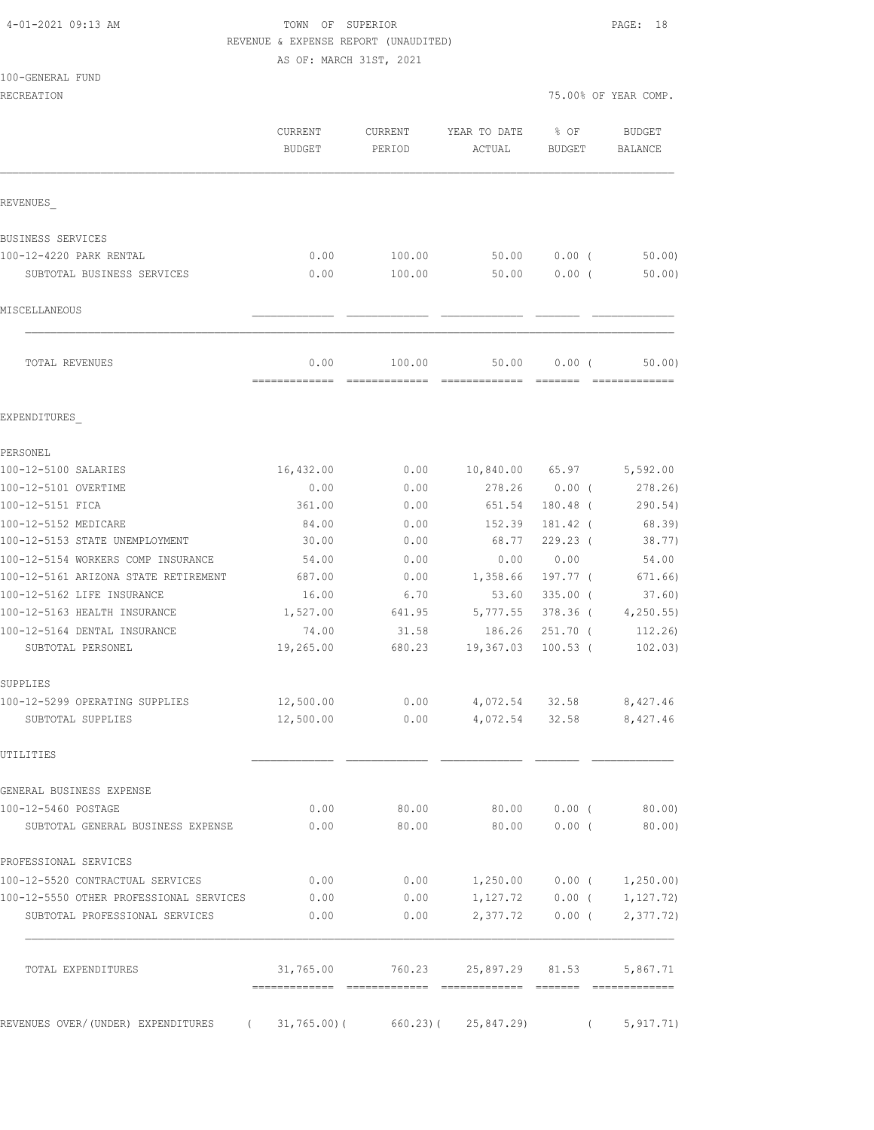## 4-01-2021 09:13 AM TOWN OF SUPERIOR PAGE: 18 REVENUE & EXPENSE REPORT (UNAUDITED)

AS OF: MARCH 31ST, 2021

|  | 100-GENERAL FUND |  |
|--|------------------|--|
|  |                  |  |

RECREATION **RECREATION** 75.00% OF YEAR COMP.

| 75.00% OF YEAR COMP. |  |
|----------------------|--|
|----------------------|--|

|                                                                     | CURRENT<br><b>BUDGET</b> | <b>CURRENT</b><br>PERIOD                            | YEAR TO DATE<br>ACTUAL      | % OF<br><b>BUDGET</b> | <b>BUDGET</b><br>BALANCE    |
|---------------------------------------------------------------------|--------------------------|-----------------------------------------------------|-----------------------------|-----------------------|-----------------------------|
| REVENUES                                                            |                          |                                                     |                             |                       |                             |
| BUSINESS SERVICES                                                   |                          |                                                     |                             |                       |                             |
| 100-12-4220 PARK RENTAL                                             | 0.00                     | 100.00                                              | 50.00                       | 0.00(                 | 50.00                       |
| SUBTOTAL BUSINESS SERVICES                                          | 0.00                     | 100.00                                              | 50.00                       | $0.00$ (              | 50.00                       |
| MISCELLANEOUS                                                       |                          |                                                     |                             |                       |                             |
| TOTAL REVENUES                                                      | 0.00<br>=============    | 100.00<br>=============                             | 50.00<br>=============      | 0.00(                 | 50.00)<br>-------------     |
| EXPENDITURES                                                        |                          |                                                     |                             |                       |                             |
| PERSONEL                                                            |                          |                                                     |                             |                       |                             |
| 100-12-5100 SALARIES                                                | 16,432.00                | 0.00                                                | 10,840.00 65.97             |                       | 5,592.00                    |
| 100-12-5101 OVERTIME                                                | 0.00                     | 0.00                                                | 278.26                      | $0.00$ (              | 278.26)                     |
| 100-12-5151 FICA                                                    | 361.00                   | 0.00                                                | 651.54                      | $180.48$ (            | 290.54)                     |
| 100-12-5152 MEDICARE                                                | 84.00                    | 0.00                                                | 152.39                      | 181.42 (              | 68.39)                      |
| 100-12-5153 STATE UNEMPLOYMENT                                      | 30.00                    | 0.00                                                | 68.77                       | $229.23$ (            | 38.77)                      |
| 100-12-5154 WORKERS COMP INSURANCE                                  | 54.00                    | 0.00                                                | 0.00                        | 0.00                  | 54.00                       |
| 100-12-5161 ARIZONA STATE RETIREMENT                                | 687.00                   | 0.00                                                | 1,358.66                    | 197.77 (              | 671.66)                     |
| 100-12-5162 LIFE INSURANCE                                          | 16.00                    | 6.70                                                | 53.60                       | $335.00$ (            | 37.60)                      |
| 100-12-5163 HEALTH INSURANCE                                        | 1,527.00                 | 641.95                                              | 5,777.55                    | 378.36 (              | 4, 250.55                   |
| 100-12-5164 DENTAL INSURANCE                                        | 74.00                    | 31.58                                               | 186.26                      | $251.70$ (            | 112.26                      |
| SUBTOTAL PERSONEL                                                   | 19,265.00                | 680.23                                              | 19,367.03                   | $100.53$ (            | 102.03)                     |
| SUPPLIES                                                            |                          |                                                     |                             |                       |                             |
| 100-12-5299 OPERATING SUPPLIES                                      | 12,500.00                | 0.00                                                | 4,072.54 32.58              |                       | 8,427.46                    |
| SUBTOTAL SUPPLIES                                                   | 12,500.00                | 0.00                                                | 4,072.54                    | 32.58                 | 8,427.46                    |
| UTILITIES                                                           |                          |                                                     |                             |                       |                             |
| GENERAL BUSINESS EXPENSE                                            |                          |                                                     |                             |                       |                             |
| 100-12-5460 POSTAGE                                                 | 0.00                     | 80.00                                               |                             |                       | 80.00 0.00 (80.00)          |
| SUBTOTAL GENERAL BUSINESS EXPENSE                                   | 0.00                     | 80.00                                               | 80.00 0.00 (                |                       | 80.00)                      |
| PROFESSIONAL SERVICES                                               |                          |                                                     |                             |                       |                             |
| 100-12-5520 CONTRACTUAL SERVICES                                    | 0.00                     | 0.00                                                | $1,250.00$ 0.00 ( 1,250.00) |                       |                             |
| 100-12-5550 OTHER PROFESSIONAL SERVICES                             | 0.00                     | 0.00                                                |                             |                       | $1,127.72$ 0.00 ( 1,127.72) |
| SUBTOTAL PROFESSIONAL SERVICES                                      | 0.00                     | 0.00                                                |                             |                       | $2,377.72$ 0.00 ( 2,377.72) |
| TOTAL EXPENDITURES                                                  |                          | $31,765.00$ $760.23$ $25,897.29$ $81.53$ $5,867.71$ |                             |                       |                             |
|                                                                     |                          |                                                     |                             |                       |                             |
| REVENUES OVER/(UNDER) EXPENDITURES (31,765.00)(660.23)(25,847.29) ( |                          |                                                     |                             |                       | 5, 917.71)                  |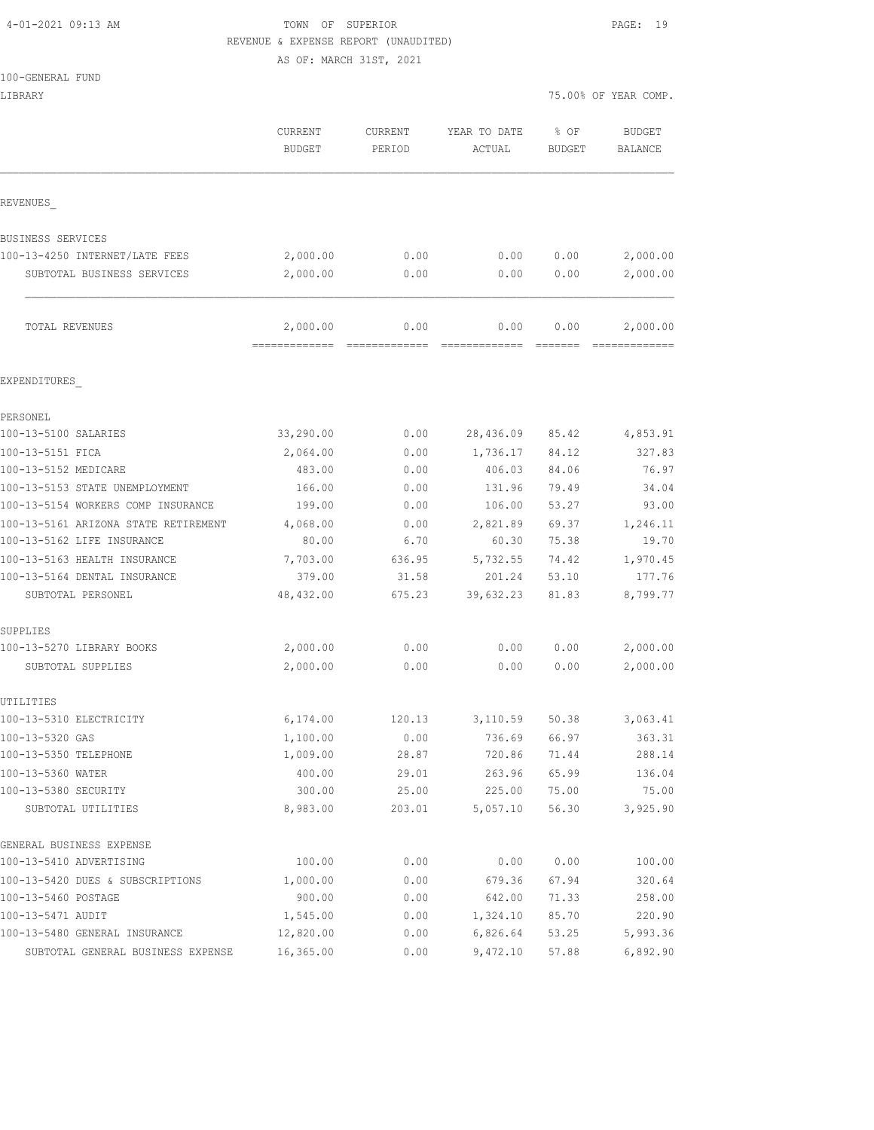## 4-01-2021 09:13 AM TOWN OF SUPERIOR PAGE: 19 REVENUE & EXPENSE REPORT (UNAUDITED)

AS OF: MARCH 31ST, 2021

| 100-GENERAL FUND                     |                                 |                          |                        |                       |                           |
|--------------------------------------|---------------------------------|--------------------------|------------------------|-----------------------|---------------------------|
| LIBRARY                              |                                 |                          |                        |                       | 75.00% OF YEAR COMP.      |
|                                      | <b>CURRENT</b><br><b>BUDGET</b> | <b>CURRENT</b><br>PERIOD | YEAR TO DATE<br>ACTUAL | % OF<br><b>BUDGET</b> | <b>BUDGET</b><br>BALANCE  |
| REVENUES                             |                                 |                          |                        |                       |                           |
|                                      |                                 |                          |                        |                       |                           |
| BUSINESS SERVICES                    |                                 |                          |                        |                       |                           |
| 100-13-4250 INTERNET/LATE FEES       | 2,000.00                        | 0.00                     | 0.00                   | 0.00                  | 2,000.00                  |
| SUBTOTAL BUSINESS SERVICES           | 2,000.00                        | 0.00                     | 0.00                   | 0.00                  | 2,000.00                  |
| TOTAL REVENUES                       | 2,000.00<br>-------------       | 0.00<br>=============    | 0.00                   | 0.00                  | 2,000.00<br>============= |
| EXPENDITURES                         |                                 |                          |                        |                       |                           |
| PERSONEL                             |                                 |                          |                        |                       |                           |
| 100-13-5100 SALARIES                 | 33,290.00                       | 0.00                     | 28,436.09              | 85.42                 | 4,853.91                  |
| 100-13-5151 FICA                     | 2,064.00                        | 0.00                     | 1,736.17               | 84.12                 | 327.83                    |
| 100-13-5152 MEDICARE                 | 483.00                          | 0.00                     | 406.03                 | 84.06                 | 76.97                     |
| 100-13-5153 STATE UNEMPLOYMENT       | 166.00                          | 0.00                     | 131.96                 | 79.49                 | 34.04                     |
| 100-13-5154 WORKERS COMP INSURANCE   | 199.00                          | 0.00                     | 106.00                 | 53.27                 | 93.00                     |
| 100-13-5161 ARIZONA STATE RETIREMENT | 4,068.00                        | 0.00                     | 2,821.89               | 69.37                 | 1,246.11                  |
| 100-13-5162 LIFE INSURANCE           | 80.00                           | 6.70                     | 60.30                  | 75.38                 | 19.70                     |
| 100-13-5163 HEALTH INSURANCE         | 7,703.00                        | 636.95                   | 5,732.55               | 74.42                 | 1,970.45                  |
| 100-13-5164 DENTAL INSURANCE         | 379.00                          | 31.58                    | 201.24                 | 53.10                 | 177.76                    |
| SUBTOTAL PERSONEL                    | 48,432.00                       | 675.23                   | 39,632.23              | 81.83                 | 8,799.77                  |
| SUPPLIES                             |                                 |                          |                        |                       |                           |
| 100-13-5270 LIBRARY BOOKS            | 2,000.00                        | 0.00                     | 0.00                   | 0.00                  | 2,000.00                  |
| SUBTOTAL SUPPLIES                    | 2,000.00                        | 0.00                     | 0.00                   | 0.00                  | 2,000.00                  |
| UTILITIES                            |                                 |                          |                        |                       |                           |
| 100-13-5310 ELECTRICITY              | 6,174.00                        | 120.13                   | 3,110.59               | 50.38                 | 3,063.41                  |
| 100-13-5320 GAS                      | 1,100.00                        | 0.00                     | 736.69                 | 66.97                 | 363.31                    |
| 100-13-5350 TELEPHONE                | 1,009.00                        | 28.87                    | 720.86                 | 71.44                 | 288.14                    |
| 100-13-5360 WATER                    | 400.00                          | 29.01                    | 263.96                 | 65.99                 | 136.04                    |
| 100-13-5380 SECURITY                 | 300.00                          | 25.00                    | 225.00                 | 75.00                 | 75.00                     |
| SUBTOTAL UTILITIES                   | 8,983.00                        | 203.01                   | 5,057.10               | 56.30                 | 3,925.90                  |
| GENERAL BUSINESS EXPENSE             |                                 |                          |                        |                       |                           |
| 100-13-5410 ADVERTISING              | 100.00                          | 0.00                     | 0.00                   | 0.00                  | 100.00                    |
| 100-13-5420 DUES & SUBSCRIPTIONS     | 1,000.00                        | 0.00                     | 679.36                 | 67.94                 | 320.64                    |
| 100-13-5460 POSTAGE                  | 900.00                          | 0.00                     | 642.00                 | 71.33                 | 258.00                    |
| 100-13-5471 AUDIT                    | 1,545.00                        | 0.00                     | 1,324.10               | 85.70                 | 220.90                    |
| 100-13-5480 GENERAL INSURANCE        | 12,820.00                       | 0.00                     | 6,826.64               | 53.25                 | 5,993.36                  |
| SUBTOTAL GENERAL BUSINESS EXPENSE    | 16,365.00                       | 0.00                     | 9,472.10               | 57.88                 | 6,892.90                  |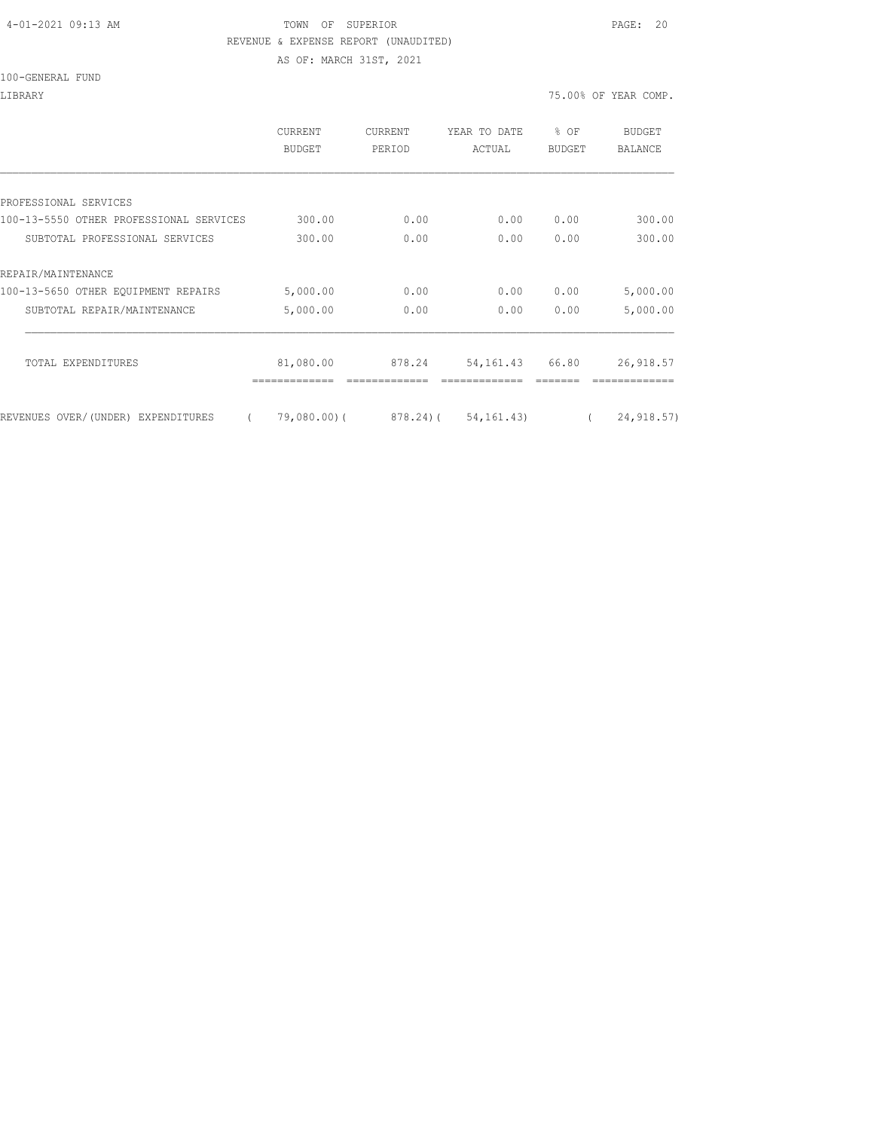#### 4-01-2021 09:13 AM TOWN OF SUPERIOR PAGE: 20 REVENUE & EXPENSE REPORT (UNAUDITED)

AS OF: MARCH 31ST, 2021

|  | 100-GENERAL FUND |  |
|--|------------------|--|
|  |                  |  |

LIBRARY 75.00% OF YEAR COMP.

|                                                | <b>CURRENT</b><br>BUDGET | CURRENT<br>PERIOD | YEAR TO DATE<br>ACTUAL | % OF<br><b>BUDGET</b> | <b>BUDGET</b><br>BALANCE |
|------------------------------------------------|--------------------------|-------------------|------------------------|-----------------------|--------------------------|
|                                                |                          |                   |                        |                       |                          |
| PROFESSIONAL SERVICES                          |                          |                   |                        |                       |                          |
| 100-13-5550 OTHER PROFESSIONAL SERVICES        | 300.00                   | 0.00              | 0.00                   | 0.00                  | 300.00                   |
| SUBTOTAL PROFESSIONAL SERVICES                 | 300.00                   | 0.00              | 0.00                   | 0.00                  | 300.00                   |
| REPAIR/MAINTENANCE                             |                          |                   |                        |                       |                          |
| 100-13-5650 OTHER EOUIPMENT REPAIRS            | 5,000.00                 | 0.00              | 0.00                   | 0.00                  | 5,000.00                 |
| SUBTOTAL REPAIR/MAINTENANCE                    | 5,000.00                 | 0.00              | 0.00                   | 0.00                  | 5,000.00                 |
| TOTAL EXPENDITURES                             | 81,080.00                | 878.24            | 54, 161. 43            | 66.80                 | 26, 918.57               |
| REVENUES OVER/(UNDER) EXPENDITURES<br>$\left($ | 79,080.00)(              |                   | 878.24) (54,161.43)    |                       | 24, 918.57)              |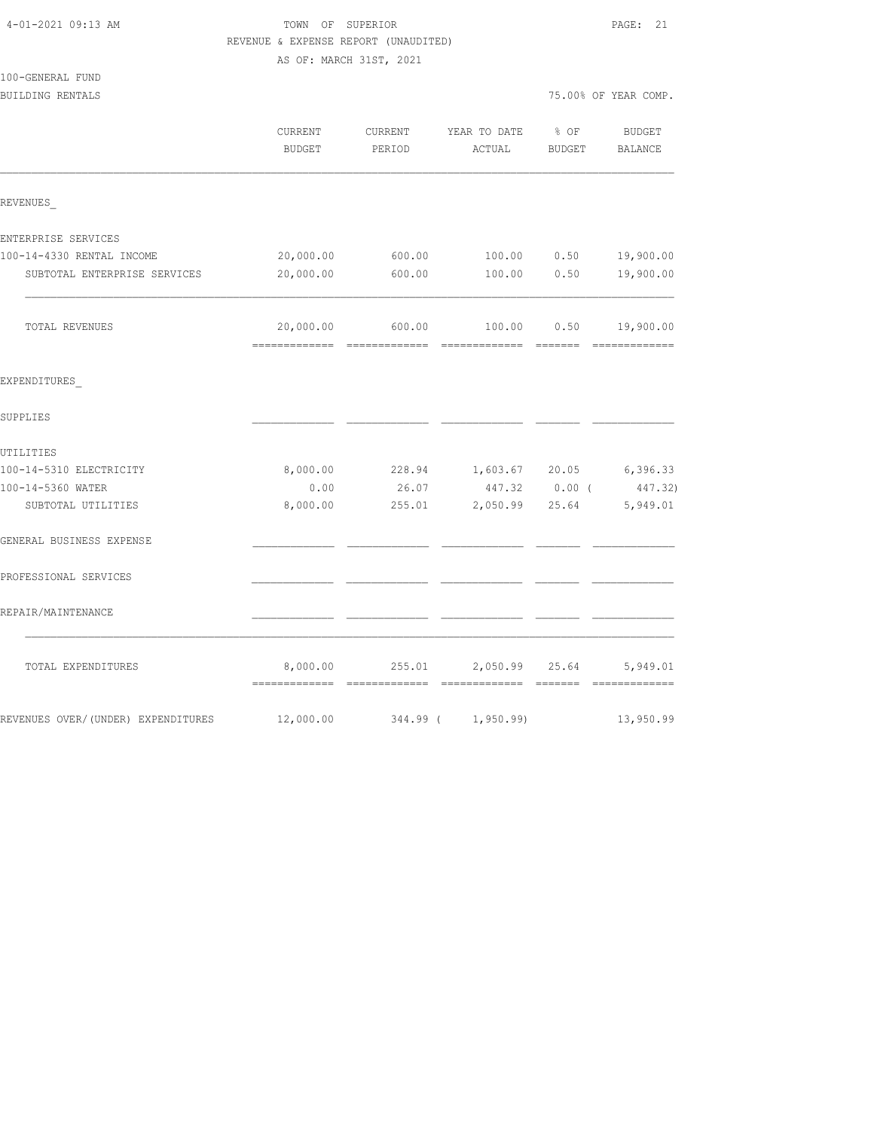| 4-01-2021 09:13 AM                   | TOWN OF SUPERIOR<br>REVENUE & EXPENSE REPORT (UNAUDITED)<br>AS OF: MARCH 31ST, 2021 | PAGE: 21          |                                |                  |                      |  |  |
|--------------------------------------|-------------------------------------------------------------------------------------|-------------------|--------------------------------|------------------|----------------------|--|--|
| 100-GENERAL FUND<br>BUILDING RENTALS |                                                                                     |                   |                                |                  | 75.00% OF YEAR COMP. |  |  |
|                                      | CURRENT<br>BUDGET                                                                   | CURRENT<br>PERIOD | YEAR TO DATE<br>ACTUAL         | $8$ OF<br>BUDGET | BUDGET<br>BALANCE    |  |  |
| REVENUES                             |                                                                                     |                   |                                |                  |                      |  |  |
| ENTERPRISE SERVICES                  |                                                                                     |                   |                                |                  |                      |  |  |
| 100-14-4330 RENTAL INCOME            | 20,000.00                                                                           | 600.00            | 100.00                         | 0.50             | 19,900.00            |  |  |
| SUBTOTAL ENTERPRISE SERVICES         | 20,000.00                                                                           | 600.00            | 100.00                         | 0.50             | 19,900.00            |  |  |
| TOTAL REVENUES                       | 20,000.00                                                                           | 600.00            |                                | 100.00 0.50      | 19,900.00            |  |  |
| EXPENDITURES                         |                                                                                     |                   |                                |                  |                      |  |  |
| SUPPLIES                             |                                                                                     |                   |                                |                  |                      |  |  |
| UTILITIES                            |                                                                                     |                   |                                |                  |                      |  |  |
| 100-14-5310 ELECTRICITY              | 8,000.00                                                                            |                   | 228.94 1,603.67 20.05 6,396.33 |                  |                      |  |  |
| 100-14-5360 WATER                    | 0.00                                                                                | 26.07             |                                | 447.32 0.00 (    | 447.32)              |  |  |
| SUBTOTAL UTILITIES                   | 8,000.00                                                                            | 255.01            |                                | 2,050.99 25.64   | 5,949.01             |  |  |
| GENERAL BUSINESS EXPENSE             |                                                                                     |                   |                                |                  |                      |  |  |
| PROFESSIONAL SERVICES                |                                                                                     |                   |                                |                  |                      |  |  |
| REPAIR/MAINTENANCE                   |                                                                                     |                   |                                |                  |                      |  |  |
| TOTAL EXPENDITURES                   | 8,000.00                                                                            | 255.01            | 2,050.99                       | 25.64            | 5,949.01             |  |  |
| REVENUES OVER/(UNDER) EXPENDITURES   | 12,000.00                                                                           | 344.99 (          | 1,950.99)                      |                  | 13,950.99            |  |  |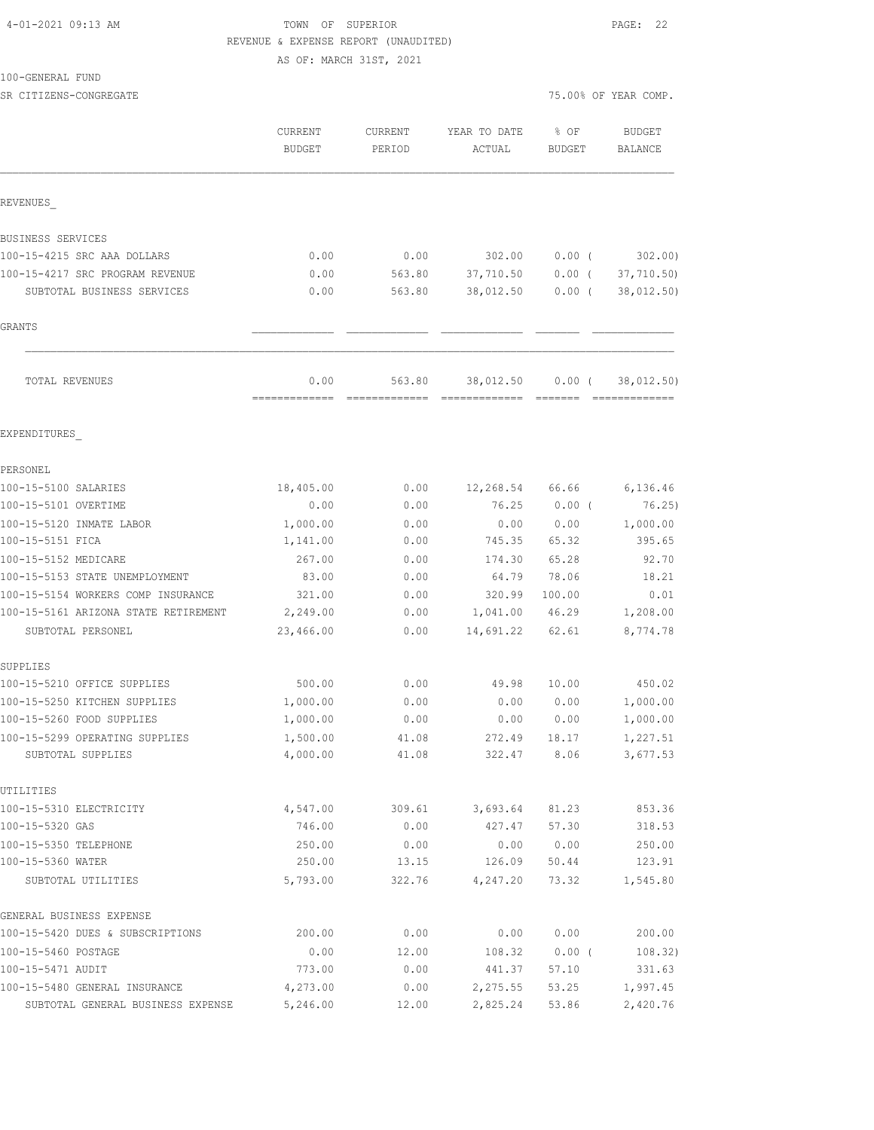#### 4-01-2021 09:13 AM TOWN OF SUPERIOR PAGE: 22 REVENUE & EXPENSE REPORT (UNAUDITED) AS OF: MARCH 31ST, 2021

100-GENERAL FUND

| TAA ARMAHAT LAMA                     |                          |                   |                        |                |                          |
|--------------------------------------|--------------------------|-------------------|------------------------|----------------|--------------------------|
| SR CITIZENS-CONGREGATE               |                          |                   |                        |                | 75.00% OF YEAR COMP.     |
|                                      | CURRENT<br><b>BUDGET</b> | CURRENT<br>PERIOD | YEAR TO DATE<br>ACTUAL | % OF<br>BUDGET | BUDGET<br><b>BALANCE</b> |
| REVENUES                             |                          |                   |                        |                |                          |
| BUSINESS SERVICES                    |                          |                   |                        |                |                          |
| 100-15-4215 SRC AAA DOLLARS          | 0.00                     | 0.00              | 302.00                 | 0.00(          | 302.00                   |
| 100-15-4217 SRC PROGRAM REVENUE      | 0.00                     | 563.80            | 37,710.50              | $0.00$ (       | 37,710.50)               |
| SUBTOTAL BUSINESS SERVICES           | 0.00                     | 563.80            | 38,012.50              | $0.00$ (       | 38,012.50)               |
| GRANTS                               |                          |                   |                        |                |                          |
| TOTAL REVENUES                       | 0.00<br>=============    | 563.80            | 38,012.50              | 0.00(          | 38,012.50)               |
| EXPENDITURES                         |                          |                   |                        |                |                          |
| PERSONEL                             |                          |                   |                        |                |                          |
| 100-15-5100 SALARIES                 | 18,405.00                | 0.00              | 12,268.54              | 66.66          | 6,136.46                 |
| 100-15-5101 OVERTIME                 | 0.00                     | 0.00              | 76.25                  | $0.00$ (       | 76.25)                   |
| 100-15-5120 INMATE LABOR             | 1,000.00                 | 0.00              | 0.00                   | 0.00           | 1,000.00                 |
| 100-15-5151 FICA                     | 1,141.00                 | 0.00              | 745.35                 | 65.32          | 395.65                   |
| 100-15-5152 MEDICARE                 | 267.00                   | 0.00              | 174.30                 | 65.28          | 92.70                    |
| 100-15-5153 STATE UNEMPLOYMENT       | 83.00                    | 0.00              | 64.79                  | 78.06          | 18.21                    |
| 100-15-5154 WORKERS COMP INSURANCE   | 321.00                   | 0.00              | 320.99                 | 100.00         | 0.01                     |
| 100-15-5161 ARIZONA STATE RETIREMENT | 2,249.00                 | 0.00              | 1,041.00               | 46.29          | 1,208.00                 |
| SUBTOTAL PERSONEL                    | 23,466.00                | 0.00              | 14,691.22              | 62.61          | 8,774.78                 |
| SUPPLIES                             |                          |                   |                        |                |                          |
| 100-15-5210 OFFICE SUPPLIES          | 500.00                   | 0.00              | 49.98                  | 10.00          | 450.02                   |
| 100-15-5250 KITCHEN SUPPLIES         | 1,000.00                 | 0.00              | 0.00                   | 0.00           | 1,000.00                 |
| 100-15-5260 FOOD SUPPLIES            | 1,000.00                 | 0.00              | 0.00                   | 0.00           | 1,000.00                 |

100-15-5299 OPERATING SUPPLIES 1,500.00 41.08 272.49 18.17 1,227.51 SUBTOTAL SUPPLIES 4,000.00 41.08 322.47 8.06 3,677.53 UTILITIES 100-15-5310 ELECTRICITY 4,547.00 309.61 3,693.64 81.23 853.36 100-15-5320 GAS 746.00 0.00 427.47 57.30 318.53 100-15-5350 TELEPHONE 250.00 0.00 0.00 0.00 250.00 100-15-5360 WATER 250.00 13.15 126.09 50.44 123.91 SUBTOTAL UTILITIES 5,793.00 322.76 4,247.20 73.32 1,545.80 GENERAL BUSINESS EXPENSE 100-15-5420 DUES & SUBSCRIPTIONS 200.00 0.00 0.00 0.00 0.00 200.00 100-15-5460 POSTAGE 0.00 12.00 108.32 0.00 ( 108.32) 100-15-5471 AUDIT 773.00 0.00 441.37 57.10 331.63 100-15-5480 GENERAL INSURANCE 4,273.00 0.00 2,275.55 53.25 1,997.45<br>100-15-5480 GENERAL INSURANCE 4,273.00 0.00 2,275.55 53.25 1,997.45 SUBTOTAL GENERAL BUSINESS EXPENSE 5,246.00 12.00 2,825.24 53.86 2,420.76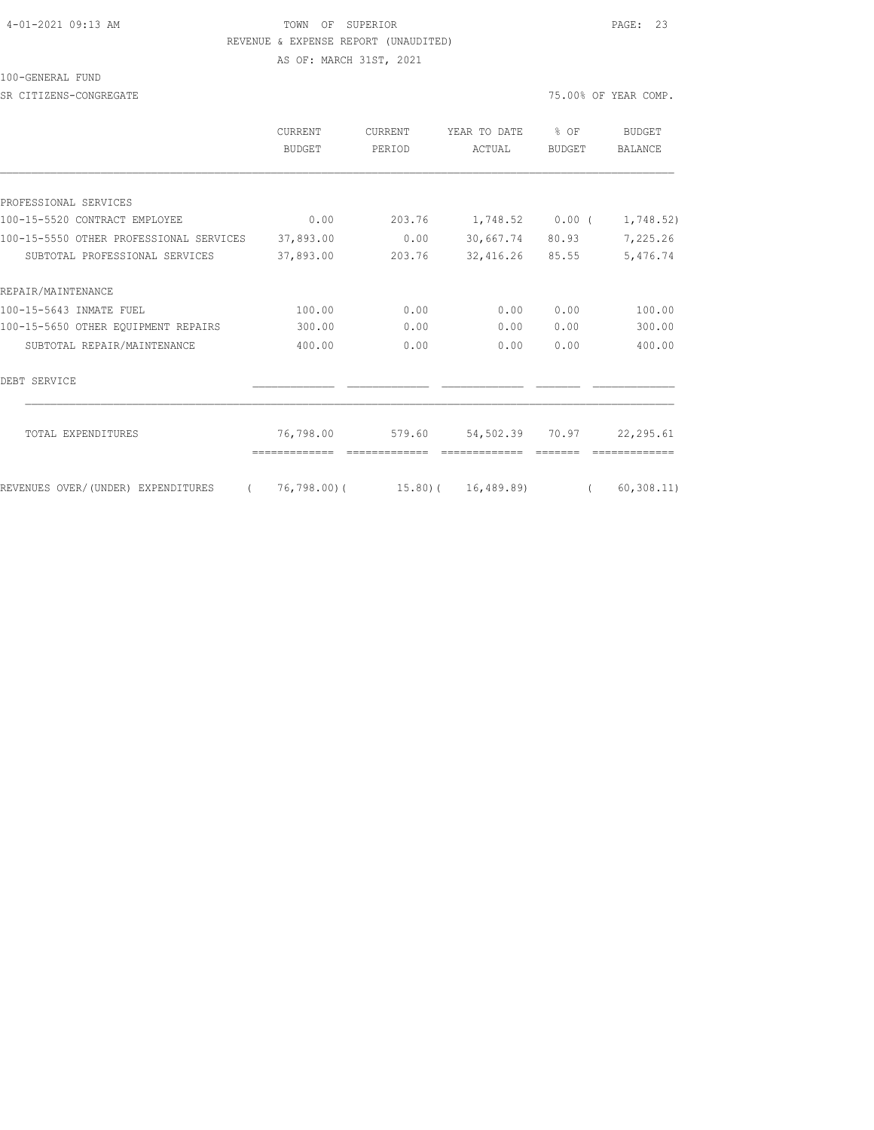#### 4-01-2021 09:13 AM TOWN OF SUPERIOR PAGE: 23 REVENUE & EXPENSE REPORT (UNAUDITED)

100-GENERAL FUND

SR CITIZENS-CONGREGATE **75.00%** OF YEAR COMP.

AS OF: MARCH 31ST, 2021

|                                         | CURRENT<br><b>BUDGET</b> | CURRENT<br>PERIOD | YEAR TO DATE<br>ACTUAL         | $8$ OF<br><b>BUDGET</b> | BUDGET<br><b>BALANCE</b> |
|-----------------------------------------|--------------------------|-------------------|--------------------------------|-------------------------|--------------------------|
|                                         |                          |                   |                                |                         |                          |
| PROFESSIONAL SERVICES                   |                          |                   |                                |                         |                          |
| 100-15-5520 CONTRACT EMPLOYEE           | 0.00                     | 203.76            | 1,748.52 0.00 (                |                         | 1,748.52)                |
| 100-15-5550 OTHER PROFESSIONAL SERVICES | 37,893.00                | 0.00              | 30,667.74                      | 80.93                   | 7,225.26                 |
| SUBTOTAL PROFESSIONAL SERVICES          | 37,893.00                | 203.76            | 32,416.26                      | 85.55                   | 5,476.74                 |
| REPAIR/MAINTENANCE                      |                          |                   |                                |                         |                          |
| 100-15-5643 INMATE FUEL                 | 100.00                   | 0.00              | 0.00                           | 0.00                    | 100.00                   |
| 100-15-5650 OTHER EQUIPMENT REPAIRS     | 300.00                   | 0.00              | 0.00                           | 0.00                    | 300.00                   |
| SUBTOTAL REPAIR/MAINTENANCE             | 400.00                   | 0.00              | 0.00                           | 0.00                    | 400.00                   |
| DEBT SERVICE                            |                          |                   |                                |                         |                          |
| TOTAL EXPENDITURES                      | 76,798.00                | 579.60            | 54,502.39 70.97                |                         | 22,295.61                |
| REVENUES OVER/(UNDER) EXPENDITURES      |                          |                   | 76,798.00)( 15.80)( 16,489.89) |                         | 60, 308.11)              |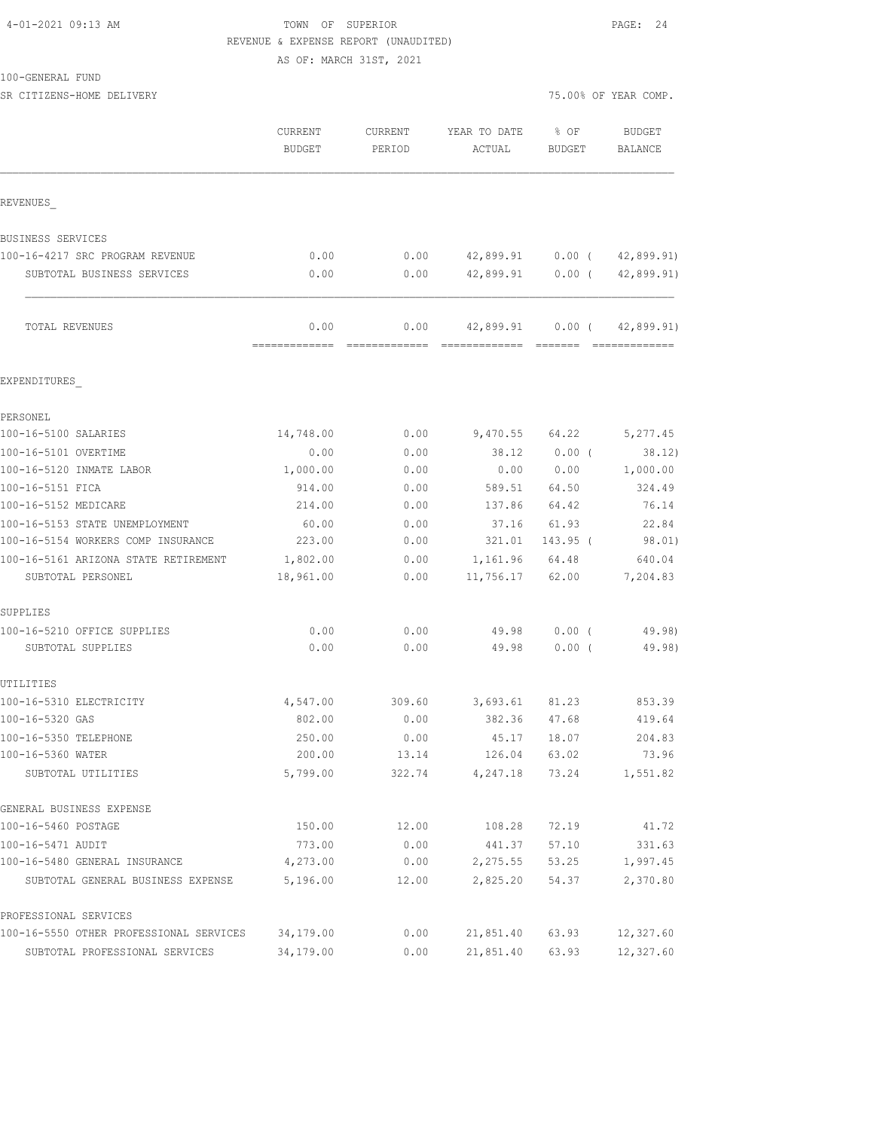#### 4-01-2021 09:13 AM TOWN OF SUPERIOR PAGE: 24 REVENUE & EXPENSE REPORT (UNAUDITED)

AS OF: MARCH 31ST, 2021

SR CITIZENS-HOME DELIVERY 75.00% OF YEAR COMP.

|                                                           | CURRENT<br><b>BUDGET</b> | <b>CURRENT</b><br>PERIOD | YEAR TO DATE<br>ACTUAL     | % OF<br>BUDGET | <b>BUDGET</b><br>BALANCE |
|-----------------------------------------------------------|--------------------------|--------------------------|----------------------------|----------------|--------------------------|
| REVENUES                                                  |                          |                          |                            |                |                          |
| BUSINESS SERVICES                                         |                          |                          |                            |                |                          |
| 100-16-4217 SRC PROGRAM REVENUE                           | 0.00                     | 0.00                     | 42,899.91                  | $0.00$ (       | 42,899.91)               |
| SUBTOTAL BUSINESS SERVICES                                | 0.00                     | 0.00                     | 42,899.91                  | $0.00$ (       | 42,899.91)               |
| TOTAL REVENUES                                            | 0.00<br>=============    | 0.00<br>=============    | 42,899.91<br>============= | $0.00$ (       | 42,899.91)               |
| EXPENDITURES                                              |                          |                          |                            |                |                          |
| PERSONEL                                                  |                          |                          |                            |                |                          |
| 100-16-5100 SALARIES                                      | 14,748.00                | 0.00                     | 9,470.55                   | 64.22          | 5,277.45                 |
| 100-16-5101 OVERTIME                                      | 0.00                     | 0.00                     | 38.12                      | 0.00(          | 38.12)                   |
| 100-16-5120 INMATE LABOR                                  | 1,000.00                 | 0.00                     | 0.00                       | 0.00           | 1,000.00                 |
| 100-16-5151 FICA                                          | 914.00                   | 0.00                     | 589.51                     | 64.50          | 324.49                   |
| 100-16-5152 MEDICARE                                      | 214.00                   | 0.00                     | 137.86                     | 64.42          | 76.14                    |
| 100-16-5153 STATE UNEMPLOYMENT                            | 60.00                    | 0.00                     | 37.16                      | 61.93          | 22.84                    |
| 100-16-5154 WORKERS COMP INSURANCE                        | 223.00                   | 0.00                     | 321.01                     | 143.95 (       | 98.01)                   |
| 100-16-5161 ARIZONA STATE RETIREMENT<br>SUBTOTAL PERSONEL | 1,802.00<br>18,961.00    | 0.00<br>0.00             | 1,161.96<br>11,756.17      | 64.48<br>62.00 | 640.04<br>7,204.83       |
| SUPPLIES                                                  |                          |                          |                            |                |                          |
| 100-16-5210 OFFICE SUPPLIES                               | 0.00                     | 0.00                     | 49.98                      | $0.00$ (       | 49.98)                   |
| SUBTOTAL SUPPLIES                                         | 0.00                     | 0.00                     | 49.98                      | $0.00$ (       | 49.98)                   |
| UTILITIES                                                 |                          |                          |                            |                |                          |
| 100-16-5310 ELECTRICITY                                   | 4,547.00                 | 309.60                   | 3,693.61                   | 81.23          | 853.39                   |
| 100-16-5320 GAS                                           | 802.00                   | 0.00                     | 382.36                     | 47.68          | 419.64                   |
| 100-16-5350 TELEPHONE                                     | 250.00                   | 0.00                     | 45.17                      | 18.07          | 204.83                   |
| 100-16-5360 WATER<br>SUBTOTAL UTILITIES                   | 200.00<br>5,799.00       | 13.14<br>322.74          | 126.04 63.02<br>4,247.18   | 73.24          | 73.96<br>1,551.82        |
| GENERAL BUSINESS EXPENSE                                  |                          |                          |                            |                |                          |
| 100-16-5460 POSTAGE                                       | 150.00                   | 12.00                    | 108.28                     | 72.19          | 41.72                    |
| 100-16-5471 AUDIT                                         | 773.00                   | 0.00                     | 441.37                     | 57.10          | 331.63                   |
| 100-16-5480 GENERAL INSURANCE                             | 4,273.00                 | 0.00                     | 2,275.55                   | 53.25          | 1,997.45                 |
| SUBTOTAL GENERAL BUSINESS EXPENSE                         | 5,196.00                 | 12.00                    | 2,825.20                   | 54.37          | 2,370.80                 |
| PROFESSIONAL SERVICES                                     |                          |                          |                            |                |                          |
| 100-16-5550 OTHER PROFESSIONAL SERVICES                   | 34,179.00                | 0.00                     | 21,851.40                  | 63.93          | 12,327.60                |
| SUBTOTAL PROFESSIONAL SERVICES                            | 34,179.00                | 0.00                     | 21,851.40                  | 63.93          | 12,327.60                |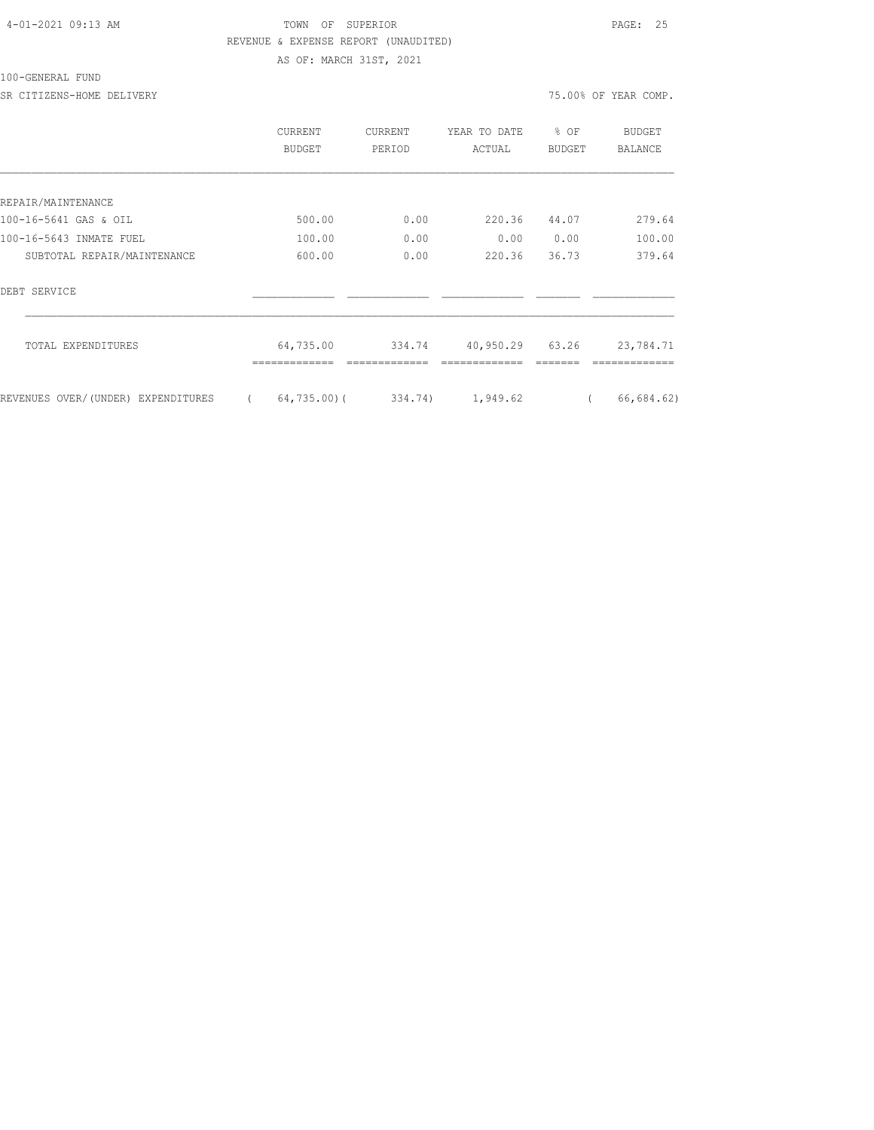## 4-01-2021 09:13 AM TOWN OF SUPERIOR PAGE: 25 REVENUE & EXPENSE REPORT (UNAUDITED) AS OF: MARCH 31ST, 2021

100-GENERAL FUND

|                                    | CURRENT<br><b>BUDGET</b> | CURRENT<br>PERIOD | YEAR TO DATE<br>ACTUAL | % OF<br><b>BUDGET</b> | <b>BUDGET</b><br><b>BALANCE</b> |
|------------------------------------|--------------------------|-------------------|------------------------|-----------------------|---------------------------------|
|                                    |                          |                   |                        |                       |                                 |
| REPAIR/MAINTENANCE                 |                          |                   |                        |                       |                                 |
| 100-16-5641 GAS & OIL              | 500.00                   | 0.00              | 220.36                 | 44.07                 | 279.64                          |
| 100-16-5643 INMATE FUEL            | 100.00                   | 0.00              | 0.00                   | 0.00                  | 100.00                          |
| SUBTOTAL REPAIR/MAINTENANCE        | 600.00                   | 0.00              | 220.36                 | 36.73                 | 379.64                          |
| DEBT SERVICE                       |                          |                   |                        |                       |                                 |
| TOTAL EXPENDITURES                 | 64,735.00                | 334.74            | 40,950.29 63.26        |                       | 23,784.71                       |
| REVENUES OVER/(UNDER) EXPENDITURES | 64,735.00)(<br>$\left($  | 334.74)           | 1,949.62               | $\left($              | 66,684.62)                      |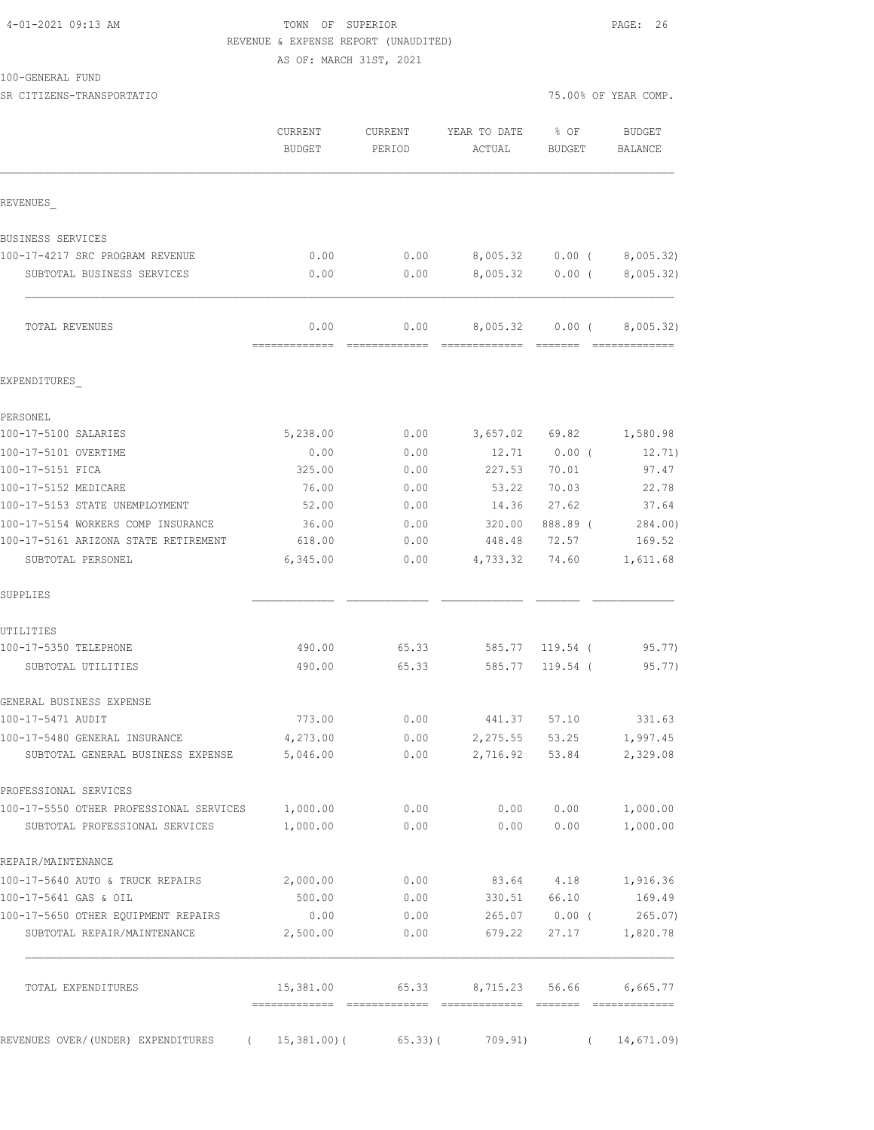#### 4-01-2021 09:13 AM TOWN OF SUPERIOR PAGE: 26 REVENUE & EXPENSE REPORT (UNAUDITED) AS OF: MARCH 31ST, 2021

100-GENERAL FUND

SR CITIZENS-TRANSPORTATIO **1999** COMP.

|                                                           | CURRENT<br><b>BUDGET</b> | <b>CURRENT</b><br>PERIOD | YEAR TO DATE<br>ACTUAL | % OF<br>BUDGET  | BUDGET<br>BALANCE           |
|-----------------------------------------------------------|--------------------------|--------------------------|------------------------|-----------------|-----------------------------|
| REVENUES                                                  |                          |                          |                        |                 |                             |
| BUSINESS SERVICES                                         |                          |                          |                        |                 |                             |
| 100-17-4217 SRC PROGRAM REVENUE                           | 0.00                     | 0.00                     |                        | 8,005.32 0.00 ( | 8,005.32)                   |
| SUBTOTAL BUSINESS SERVICES                                | 0.00                     | 0.00                     |                        | 8,005.32 0.00 ( | 8,005.32)                   |
| TOTAL REVENUES                                            | 0.00<br>=============    | 0.00<br>- =============  |                        | 8,005.32 0.00 ( | 8,005.32)<br>-------------- |
| EXPENDITURES                                              |                          |                          |                        |                 |                             |
| PERSONEL                                                  |                          |                          |                        |                 |                             |
| 100-17-5100 SALARIES                                      | 5,238.00                 | 0.00                     | 3,657.02               | 69.82           | 1,580.98                    |
| 100-17-5101 OVERTIME                                      | 0.00                     | 0.00                     | 12.71                  | $0.00$ (        | 12.71)                      |
| 100-17-5151 FICA                                          | 325.00                   | 0.00                     | 227.53                 | 70.01           | 97.47                       |
| 100-17-5152 MEDICARE                                      | 76.00                    | 0.00                     | 53.22                  | 70.03           | 22.78                       |
| 100-17-5153 STATE UNEMPLOYMENT                            | 52.00                    | 0.00                     | 14.36                  | 27.62           | 37.64                       |
| 100-17-5154 WORKERS COMP INSURANCE                        | 36.00                    | 0.00                     | 320.00                 | 888.89 (        | 284.00)                     |
| 100-17-5161 ARIZONA STATE RETIREMENT<br>SUBTOTAL PERSONEL | 618.00<br>6,345.00       | 0.00<br>0.00             | 448.48<br>4,733.32     | 72.57<br>74.60  | 169.52<br>1,611.68          |
| SUPPLIES                                                  |                          |                          |                        |                 |                             |
| UTILITIES                                                 |                          |                          |                        |                 |                             |
| 100-17-5350 TELEPHONE                                     | 490.00                   | 65.33                    |                        | 585.77 119.54 ( | 95.77)                      |
| SUBTOTAL UTILITIES                                        | 490.00                   | 65.33                    | 585.77                 | 119.54 (        | 95.77)                      |
| GENERAL BUSINESS EXPENSE                                  |                          |                          |                        |                 |                             |
| 100-17-5471 AUDIT                                         | 773.00                   | 0.00                     | 441.37 57.10           |                 | 331.63                      |
| 100-17-5480 GENERAL INSURANCE                             | 4,273.00                 | 0.00                     | 2,275.55               | 53.25           | 1,997.45                    |
| SUBTOTAL GENERAL BUSINESS EXPENSE                         | 5,046.00                 | 0.00                     |                        | 2,716.92 53.84  | 2,329.08                    |
| PROFESSIONAL SERVICES                                     |                          |                          |                        |                 |                             |
| 100-17-5550 OTHER PROFESSIONAL SERVICES 1,000.00          |                          | 0.00                     |                        | 0.00 0.00       | 1,000.00                    |
| SUBTOTAL PROFESSIONAL SERVICES                            | 1,000.00                 | 0.00                     |                        | 0.00 0.00       | 1,000.00                    |
| REPAIR/MAINTENANCE                                        |                          |                          |                        |                 |                             |
| 100-17-5640 AUTO & TRUCK REPAIRS                          | 2,000.00                 | 0.00                     |                        | 83.64 4.18      | 1,916.36                    |
| 100-17-5641 GAS & OIL                                     | 500.00                   | 0.00                     | 330.51                 | 66.10           | 169.49                      |
| 100-17-5650 OTHER EQUIPMENT REPAIRS                       | 0.00                     | 0.00                     |                        | 265.07 0.00 (   | 265.07)                     |
| SUBTOTAL REPAIR/MAINTENANCE                               | 2,500.00                 | 0.00                     | 679.22                 | 27.17           | 1,820.78                    |
| TOTAL EXPENDITURES                                        | 15,381.00                | 65.33                    |                        | 8,715.23 56.66  | 6,665.77                    |
| REVENUES OVER/(UNDER) EXPENDITURES (15,381.00)(65.33)(    |                          |                          | 709.91)                | $\sqrt{2}$      | 14,671.09                   |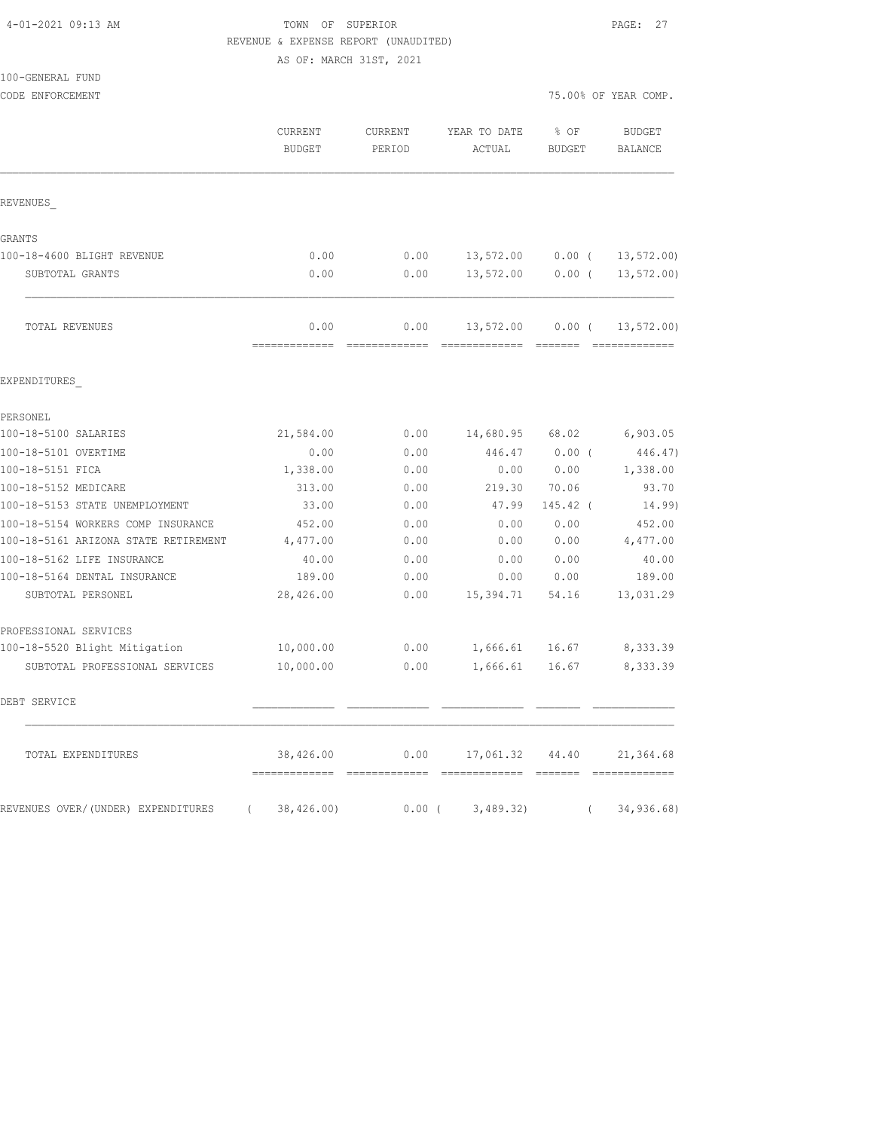## TOWN OF SUPERIOR **PAGE: 27** REVENUE & EXPENSE REPORT (UNAUDITED)

AS OF: MARCH 31ST, 2021

|                                      | UA AR ' MUMAN ATAI' TART        |                       |                                |                       |                                 |
|--------------------------------------|---------------------------------|-----------------------|--------------------------------|-----------------------|---------------------------------|
| 100-GENERAL FUND<br>CODE ENFORCEMENT |                                 |                       |                                |                       | 75.00% OF YEAR COMP.            |
|                                      | <b>CURRENT</b><br><b>BUDGET</b> | CURRENT<br>PERIOD     | YEAR TO DATE<br>ACTUAL         | % OF<br><b>BUDGET</b> | <b>BUDGET</b><br><b>BALANCE</b> |
| REVENUES                             |                                 |                       |                                |                       |                                 |
| GRANTS                               |                                 |                       |                                |                       |                                 |
| 100-18-4600 BLIGHT REVENUE           | 0.00                            | 0.00                  | 13,572.00                      | $0.00$ (              | 13, 572.00                      |
| SUBTOTAL GRANTS                      | 0.00                            | 0.00                  | 13,572.00                      | $0.00$ (              | $13, 572.00$ )                  |
| TOTAL REVENUES                       | 0.00<br>=============           | 0.00<br>============= | 13,572.00<br>=============     | $0.00$ (              | 13, 572.00                      |
| EXPENDITURES                         |                                 |                       |                                |                       |                                 |
| PERSONEL                             |                                 |                       |                                |                       |                                 |
| 100-18-5100 SALARIES                 | 21,584.00                       | 0.00                  | 14,680.95                      | 68.02                 | 6,903.05                        |
| 100-18-5101 OVERTIME                 | 0.00                            | 0.00                  | 446.47                         | 0.00(                 | 446.47)                         |
| 100-18-5151 FICA                     | 1,338.00                        | 0.00                  | 0.00                           | 0.00                  | 1,338.00                        |
| 100-18-5152 MEDICARE                 | 313.00                          | 0.00                  | 219.30                         | 70.06                 | 93.70                           |
| 100-18-5153 STATE UNEMPLOYMENT       | 33.00                           | 0.00                  | 47.99                          | 145.42 (              | 14.99)                          |
| 100-18-5154 WORKERS COMP INSURANCE   | 452.00                          | 0.00                  | 0.00                           | 0.00                  | 452.00                          |
| 100-18-5161 ARIZONA STATE RETIREMENT | 4,477.00                        | 0.00                  | 0.00                           | 0.00                  | 4,477.00                        |
| 100-18-5162 LIFE INSURANCE           | 40.00                           | 0.00                  | 0.00                           | 0.00                  | 40.00                           |
| 100-18-5164 DENTAL INSURANCE         | 189.00                          | 0.00                  | 0.00                           | 0.00                  | 189.00                          |
| SUBTOTAL PERSONEL                    | 28,426.00                       | 0.00                  | 15,394.71                      | 54.16                 | 13,031.29                       |
| PROFESSIONAL SERVICES                |                                 |                       |                                |                       |                                 |
| 100-18-5520 Blight Mitigation        | 10,000.00                       | 0.00                  | 1,666.61                       | 16.67                 | 8,333.39                        |
| SUBTOTAL PROFESSIONAL SERVICES       | 10,000.00                       | 0.00                  | 1,666.61                       | 16.67                 | 8,333.39                        |
| DEBT SERVICE                         |                                 |                       |                                |                       |                                 |
| TOTAL EXPENDITURES                   |                                 |                       | 38,426.00 0.00 17,061.32 44.40 |                       | 21,364.68                       |
| REVENUES OVER/(UNDER) EXPENDITURES   | 38,426.00)<br>$\left($          | $0.00$ (              | 3,489.32)                      | $\left($              | 34,936.68)                      |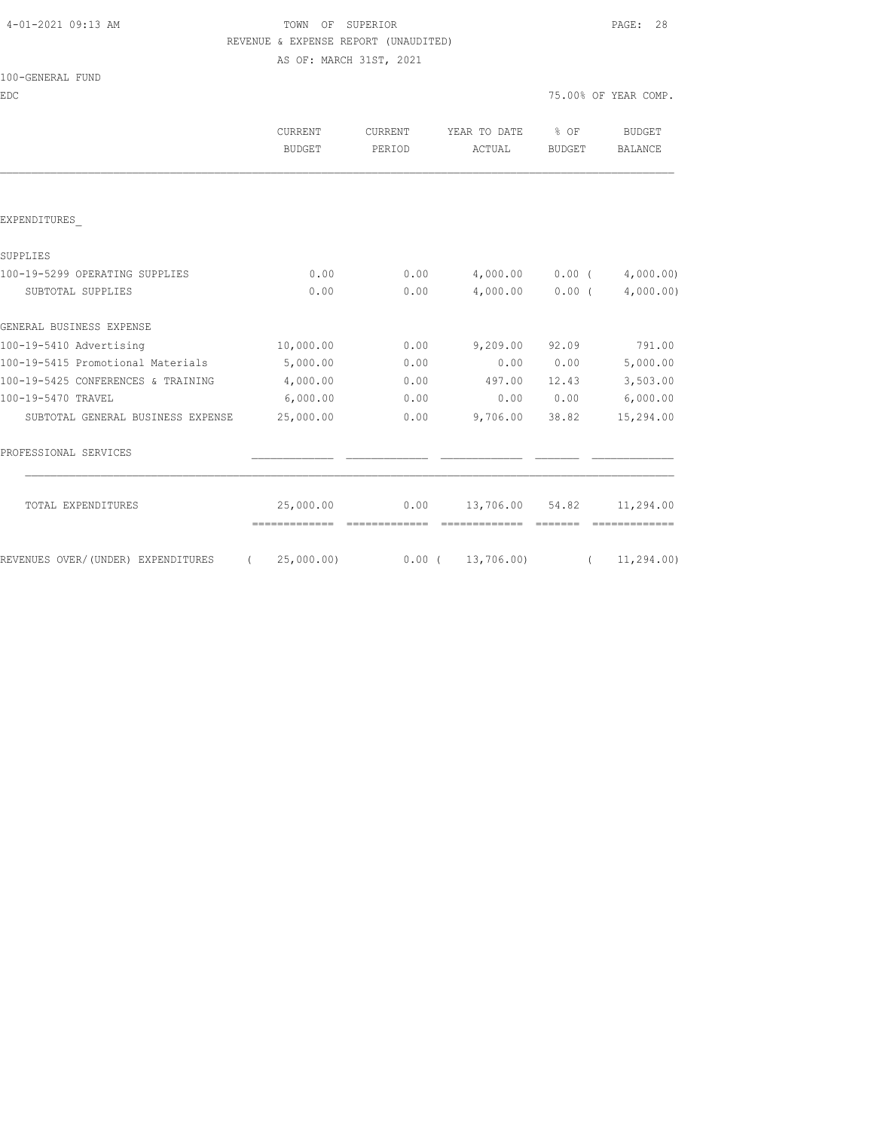# 4-01-2021 09:13 AM TOWN OF SUPERIOR PAGE: 28 REVENUE & EXPENSE REPORT (UNAUDITED)

AS OF: MARCH 31ST, 2021

| 100-GENERAL FUND |  |
|------------------|--|
|------------------|--|

EDC TEAR COMP. THE SECOND OF YEAR COMP.

|                                    | <b>CURRENT</b><br><b>BUDGET</b> | CURRENT<br>PERIOD | YEAR TO DATE<br>ACTUAL | $\frac{6}{6}$ OF<br><b>BUDGET</b> | <b>BUDGET</b><br>BALANCE |
|------------------------------------|---------------------------------|-------------------|------------------------|-----------------------------------|--------------------------|
|                                    |                                 |                   |                        |                                   |                          |
| EXPENDITURES                       |                                 |                   |                        |                                   |                          |
| SUPPLIES                           |                                 |                   |                        |                                   |                          |
| 100-19-5299 OPERATING SUPPLIES     | 0.00                            | 0.00              | 4,000.00               | $0.00$ (                          | 4,000.00                 |
| SUBTOTAL SUPPLIES                  | 0.00                            | 0.00              | 4,000.00               | $0.00$ (                          | 4,000.00)                |
| GENERAL BUSINESS EXPENSE           |                                 |                   |                        |                                   |                          |
| 100-19-5410 Advertising            | 10,000.00                       | 0.00              | 9,209.00               | 92.09                             | 791.00                   |
| 100-19-5415 Promotional Materials  | 5,000.00                        | 0.00              | 0.00                   | 0.00                              | 5,000.00                 |
| 100-19-5425 CONFERENCES & TRAINING | 4,000.00                        | 0.00              | 497.00                 | 12.43                             | 3,503.00                 |
| 100-19-5470 TRAVEL                 | 6,000.00                        | 0.00              | 0.00                   | 0.00                              | 6,000.00                 |
| SUBTOTAL GENERAL BUSINESS EXPENSE  | 25,000.00                       | 0.00              | 9,706.00               | 38.82                             | 15,294.00                |
| PROFESSIONAL SERVICES              |                                 |                   |                        |                                   |                          |
| TOTAL EXPENDITURES                 | 25,000.00                       | 0.00              | 13,706.00 54.82        |                                   | 11,294.00                |
|                                    |                                 |                   |                        |                                   |                          |
| REVENUES OVER/(UNDER) EXPENDITURES | 25,000.00)<br>$\sqrt{2}$        |                   | $0.00$ ( 13,706.00)    |                                   | 11, 294.00               |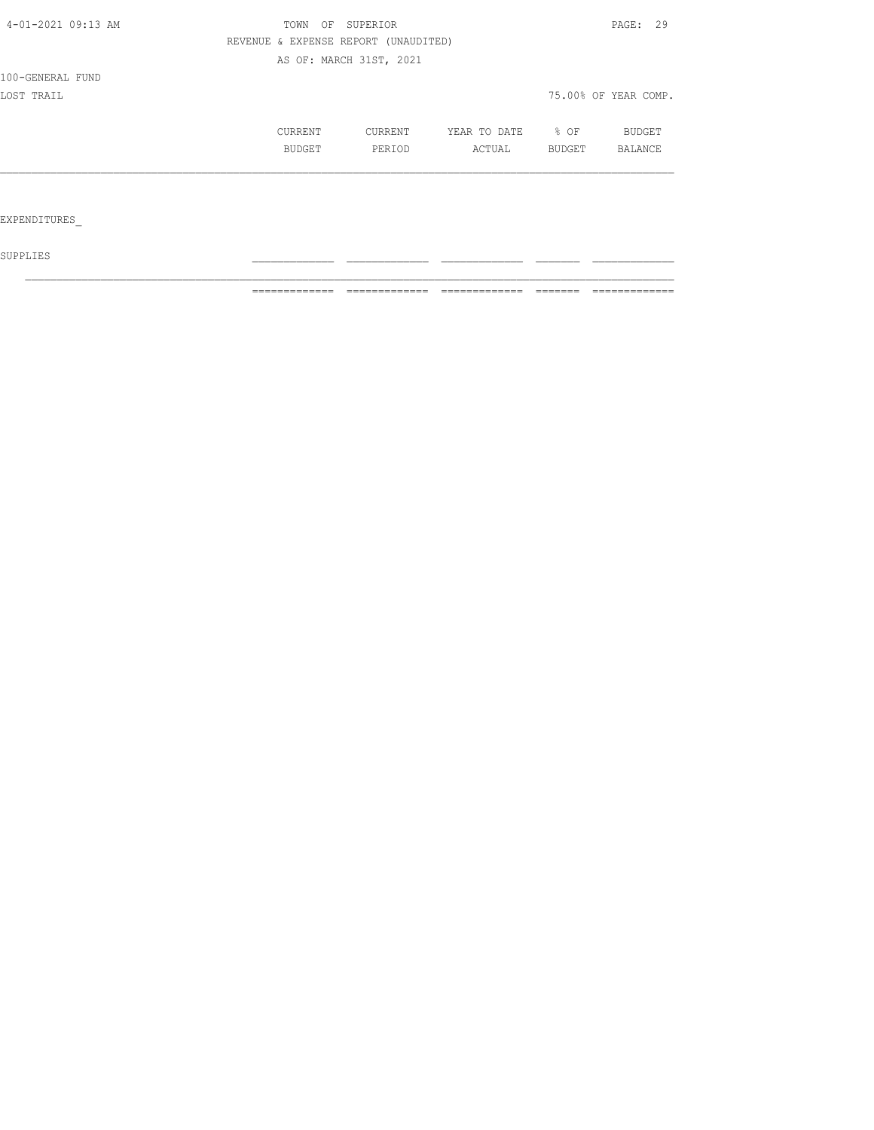| REVENUE & EXPENSE REPORT (UNAUDITED)<br>AS OF: MARCH 31ST, 2021 |                   |        |                      |
|-----------------------------------------------------------------|-------------------|--------|----------------------|
|                                                                 |                   |        |                      |
|                                                                 |                   |        |                      |
|                                                                 |                   |        |                      |
|                                                                 |                   |        | 75.00% OF YEAR COMP. |
| CURRENT                                                         | YEAR TO DATE      | % OF   | BUDGET               |
| PERIOD                                                          | ACTUAL            | BUDGET | <b>BALANCE</b>       |
|                                                                 |                   |        |                      |
|                                                                 |                   |        |                      |
|                                                                 | CURRENT<br>BUDGET |        |                      |

 ${\tt SUPPLIES}$ 

============= ============= ============= ======= =============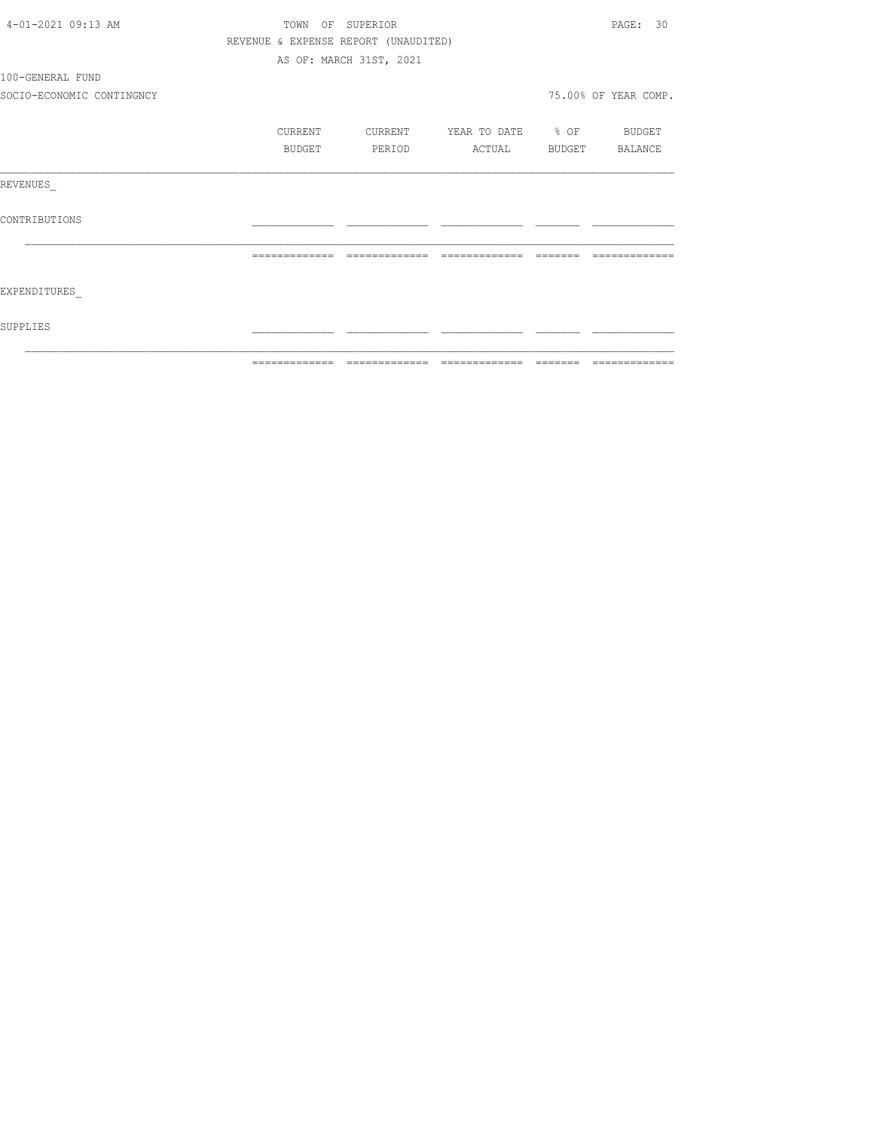| 4-01-2021 09:13 AM        |                                      | TOWN OF SUPERIOR        |                          |                         | PAGE: 30             |
|---------------------------|--------------------------------------|-------------------------|--------------------------|-------------------------|----------------------|
|                           | REVENUE & EXPENSE REPORT (UNAUDITED) |                         |                          |                         |                      |
|                           |                                      | AS OF: MARCH 31ST, 2021 |                          |                         |                      |
| 100-GENERAL FUND          |                                      |                         |                          |                         |                      |
| SOCIO-ECONOMIC CONTINGNCY |                                      |                         |                          |                         | 75.00% OF YEAR COMP. |
|                           | CURRENT                              | CURRENT                 | YEAR TO DATE % OF BUDGET |                         |                      |
|                           | BUDGET                               | PERIOD                  | ACTUAL BUDGET BALANCE    |                         |                      |
| REVENUES                  |                                      |                         |                          |                         |                      |
| CONTRIBUTIONS             |                                      |                         |                          |                         |                      |
|                           | =============                        | =============           |                          | $=$ $=$ $=$ $=$ $=$ $=$ | -------------        |
| EXPENDITURES              |                                      |                         |                          |                         |                      |
| SUPPLIES                  |                                      |                         |                          |                         |                      |
|                           |                                      |                         |                          |                         |                      |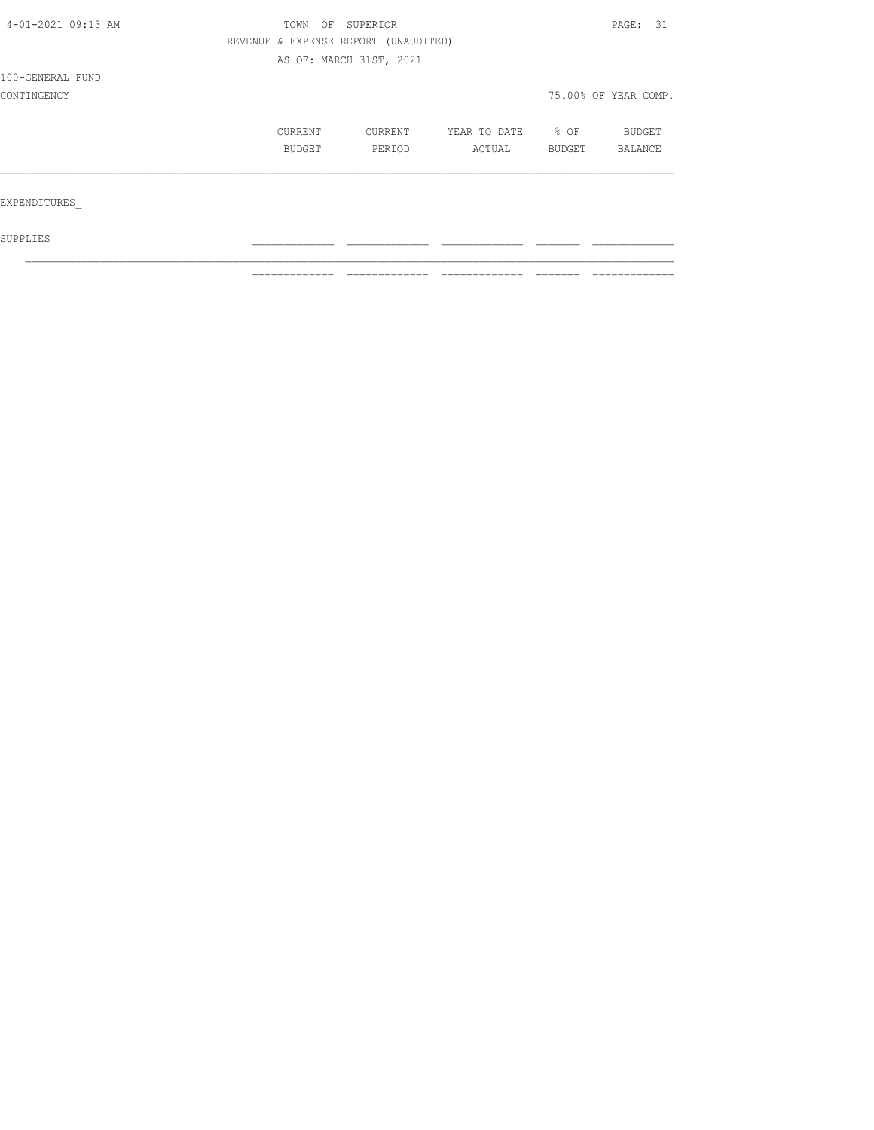| 4-01-2021 09:13 AM | TOWN                                 | OF SUPERIOR             |              |        | PAGE: 31             |  |
|--------------------|--------------------------------------|-------------------------|--------------|--------|----------------------|--|
|                    | REVENUE & EXPENSE REPORT (UNAUDITED) |                         |              |        |                      |  |
|                    |                                      | AS OF: MARCH 31ST, 2021 |              |        |                      |  |
| 100-GENERAL FUND   |                                      |                         |              |        |                      |  |
| CONTINGENCY        |                                      |                         |              |        | 75.00% OF YEAR COMP. |  |
|                    | CURRENT                              | CURRENT                 | YEAR TO DATE | % OF   | BUDGET               |  |
|                    | BUDGET                               | PERIOD                  | ACTUAL       | BUDGET | BALANCE              |  |
|                    |                                      |                         |              |        |                      |  |
| EXPENDITURES       |                                      |                         |              |        |                      |  |
| SUPPLIES           |                                      |                         |              |        |                      |  |

 $\mathcal{L}_\text{max}$ 

 $\blacksquare$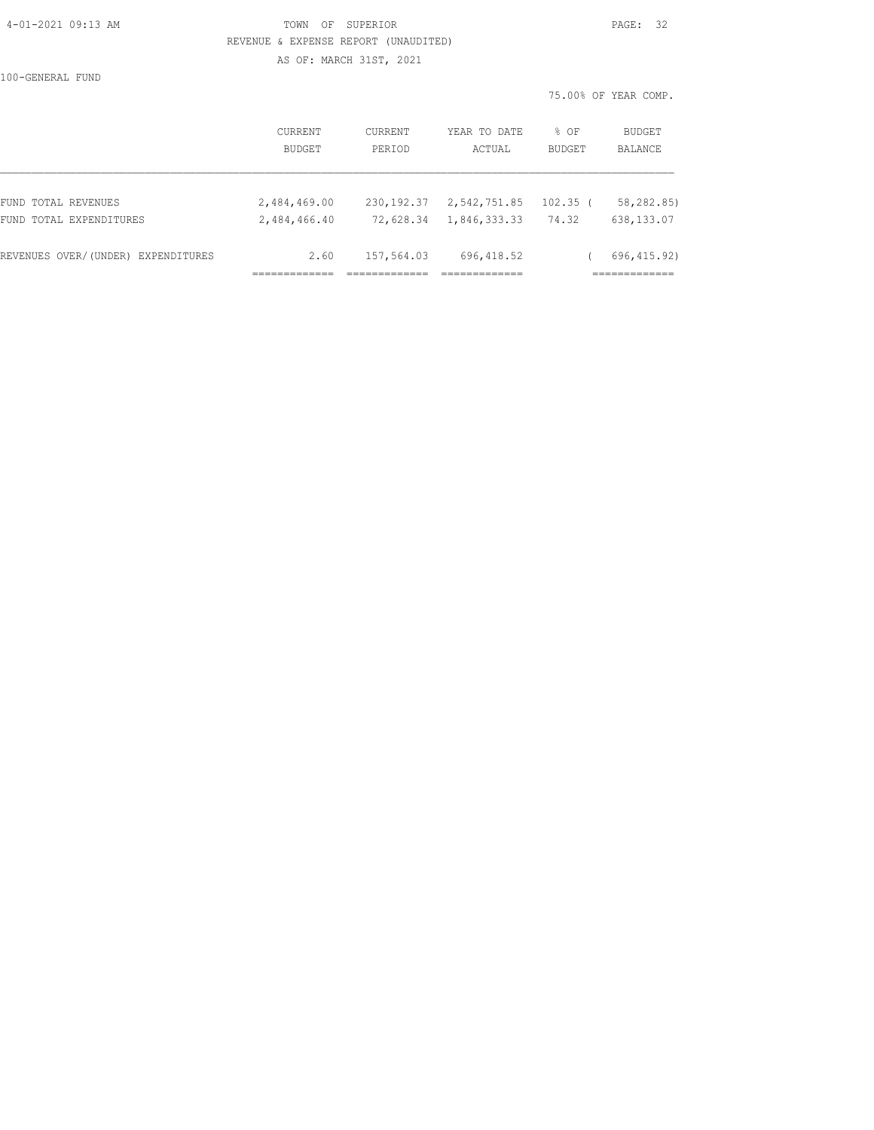#### 4-01-2021 09:13 AM TOWN OF SUPERIOR PAGE: 32 REVENUE & EXPENSE REPORT (UNAUDITED) AS OF: MARCH 31ST, 2021

100-GENERAL FUND

75.00% OF YEAR COMP.

|                                    | CURRENT<br>BUDGET | CURRENT<br>PERIOD | YEAR TO DATE<br>ACTUAL | $%$ $OF$<br><b>BUDGET</b> | BUDGET<br>BALANCE |
|------------------------------------|-------------------|-------------------|------------------------|---------------------------|-------------------|
| FUND TOTAL REVENUES                | 2,484,469.00      | 230, 192.37       | 2,542,751.85           | $102.35$ (                | 58,282.85)        |
| FUND TOTAL EXPENDITURES            | 2,484,466.40      | 72,628.34         | 1,846,333.33           | 74.32                     | 638,133.07        |
| REVENUES OVER/(UNDER) EXPENDITURES | 2.60              | 157,564.03        | 696, 418.52            |                           | 696, 415.92)      |
|                                    |                   |                   |                        |                           |                   |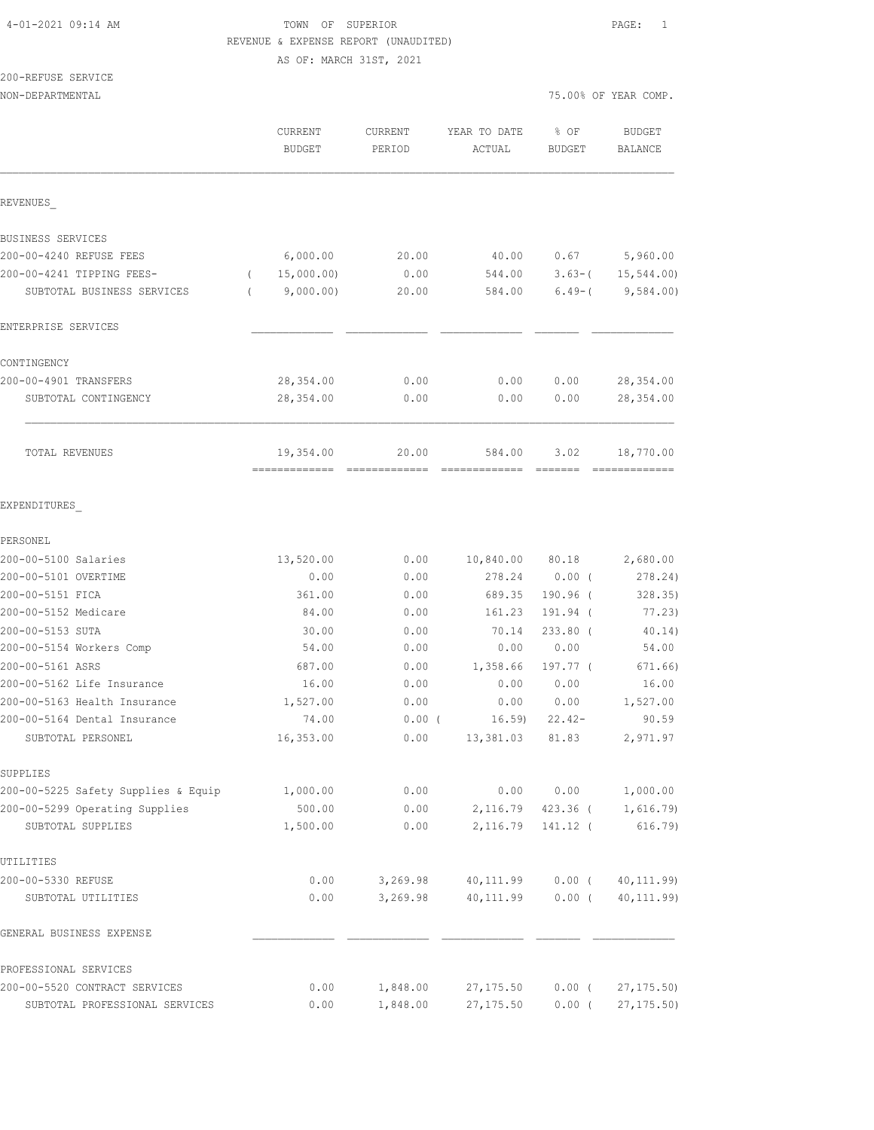#### 4-01-2021 09:14 AM TOWN OF SUPERIOR PAGE: 1 REVENUE & EXPENSE REPORT (UNAUDITED) AS OF: MARCH 31ST, 2021

# 200-REFUSE SERVICE

|                                                   | CURRENT<br><b>BUDGET</b> | <b>CURRENT</b><br>PERIOD | YEAR TO DATE<br>ACTUAL | % OF<br>BUDGET    | <b>BUDGET</b><br><b>BALANCE</b> |
|---------------------------------------------------|--------------------------|--------------------------|------------------------|-------------------|---------------------------------|
| REVENUES                                          |                          |                          |                        |                   |                                 |
| BUSINESS SERVICES                                 |                          |                          |                        |                   |                                 |
| 200-00-4240 REFUSE FEES                           | 6,000.00                 | 20.00                    | 40.00                  | 0.67              | 5,960.00                        |
| 200-00-4241 TIPPING FEES-                         | 15,000.00)               | 0.00                     | 544.00                 | $3.63-$           | 15, 544.00                      |
| SUBTOTAL BUSINESS SERVICES                        | 9,000.00)                | 20.00                    | 584.00                 | $6.49-$ (         | 9,584.00)                       |
| ENTERPRISE SERVICES                               |                          |                          |                        |                   |                                 |
| CONTINGENCY                                       |                          |                          |                        |                   |                                 |
| 200-00-4901 TRANSFERS                             | 28, 354.00               | 0.00                     | 0.00                   | 0.00              | 28, 354.00                      |
| SUBTOTAL CONTINGENCY                              | 28,354.00                | 0.00                     | 0.00                   | 0.00              | 28, 354.00                      |
| TOTAL REVENUES                                    | 19,354.00                | 20.00                    | 584.00                 | 3.02              | 18,770.00                       |
| EXPENDITURES                                      |                          |                          |                        |                   |                                 |
| PERSONEL                                          |                          |                          |                        |                   |                                 |
| 200-00-5100 Salaries                              | 13,520.00                | 0.00                     | 10,840.00              | 80.18             | 2,680.00                        |
| 200-00-5101 OVERTIME                              | 0.00                     | 0.00                     | 278.24                 | 0.00(             | 278.24)                         |
| 200-00-5151 FICA                                  | 361.00                   | 0.00                     | 689.35                 | 190.96 (          | 328.35)                         |
| 200-00-5152 Medicare                              | 84.00                    | 0.00                     | 161.23                 | 191.94 (          | 77.23)                          |
| 200-00-5153 SUTA                                  | 30.00                    | 0.00                     | 70.14                  | 233.80 (          | 40.14)                          |
| 200-00-5154 Workers Comp                          | 54.00                    | 0.00                     | 0.00                   | 0.00              | 54.00                           |
| 200-00-5161 ASRS                                  | 687.00                   | 0.00                     | 1,358.66               | 197.77 (          | 671.66)                         |
| 200-00-5162 Life Insurance                        | 16.00                    | 0.00                     | 0.00                   | 0.00              | 16.00                           |
| 200-00-5163 Health Insurance                      | 1,527.00                 | 0.00                     | 0.00                   | 0.00              | 1,527.00                        |
| 200-00-5164 Dental Insurance<br>SUBTOTAL PERSONEL | 74.00<br>16,353.00       | $0.00$ (<br>0.00         | 16.59<br>13,381.03     | $22.42-$<br>81.83 | 90.59<br>2,971.97               |
|                                                   |                          |                          |                        |                   |                                 |
| SUPPLIES<br>200-00-5225 Safety Supplies & Equip   | 1,000.00                 | 0.00                     | 0.00                   | 0.00              | 1,000.00                        |
| 200-00-5299 Operating Supplies                    | 500.00                   | 0.00                     | 2,116.79               | $423.36$ (        | 1,616.79                        |
| SUBTOTAL SUPPLIES                                 | 1,500.00                 | 0.00                     | 2,116.79               | 141.12 (          | 616.79                          |
| UTILITIES                                         |                          |                          |                        |                   |                                 |
| 200-00-5330 REFUSE                                | 0.00                     | 3,269.98                 | 40,111.99              | $0.00$ (          | 40, 111.99)                     |
| SUBTOTAL UTILITIES                                | 0.00                     | 3,269.98                 | 40, 111.99             | $0.00$ (          | 40, 111.99)                     |
| GENERAL BUSINESS EXPENSE                          |                          |                          |                        |                   |                                 |
| PROFESSIONAL SERVICES                             |                          |                          |                        |                   |                                 |
| 200-00-5520 CONTRACT SERVICES                     | 0.00                     | 1,848.00                 | 27, 175.50             | $0.00$ (          | 27, 175.50                      |
| SUBTOTAL PROFESSIONAL SERVICES                    | 0.00                     | 1,848.00                 | 27, 175.50             | $0.00$ (          | 27, 175.50                      |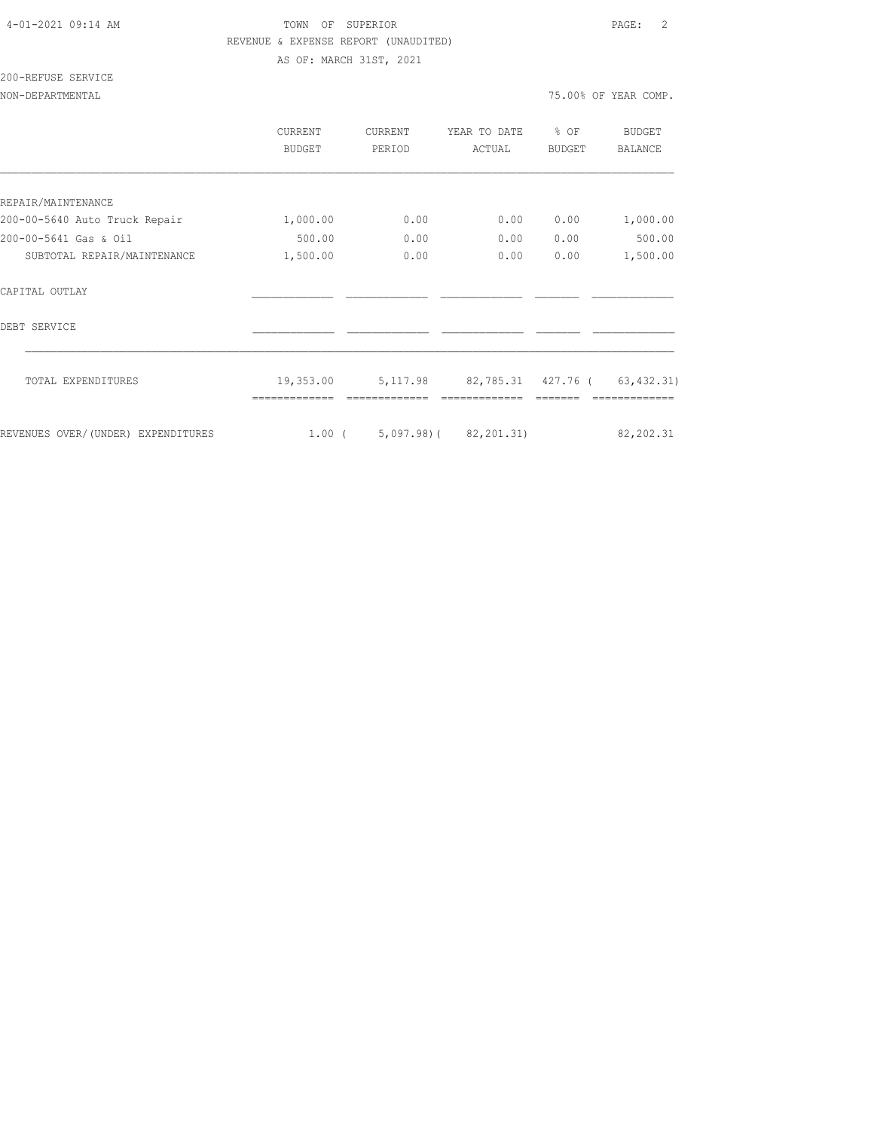# 4-01-2021 09:14 AM TOWN OF SUPERIOR PAGE: 2 REVENUE & EXPENSE REPORT (UNAUDITED)

AS OF: MARCH 31ST, 2021

# 200-REFUSE SERVICE

|                                    | <b>CURRENT</b><br>BUDGET | <b>CURRENT</b><br>PERIOD | YEAR TO DATE<br>ACTUAL | % OF<br>BUDGET | BUDGET<br><b>BALANCE</b> |
|------------------------------------|--------------------------|--------------------------|------------------------|----------------|--------------------------|
|                                    |                          |                          |                        |                |                          |
| REPAIR/MAINTENANCE                 |                          |                          |                        |                |                          |
| 200-00-5640 Auto Truck Repair      | 1,000.00                 | 0.00                     | 0.00                   | 0.00           | 1,000.00                 |
| 200-00-5641 Gas & Oil              | 500.00                   | 0.00                     | 0.00                   | 0.00           | 500.00                   |
| SUBTOTAL REPAIR/MAINTENANCE        | 1,500.00                 | 0.00                     | 0.00                   | 0.00           | 1,500.00                 |
| CAPITAL OUTLAY                     |                          |                          |                        |                |                          |
| DEBT SERVICE                       |                          |                          |                        |                |                          |
| TOTAL EXPENDITURES                 | 19,353.00                | 5, 117.98                | 82,785.31 427.76 (     |                | 63, 432.31)              |
|                                    |                          |                          |                        |                |                          |
| REVENUES OVER/(UNDER) EXPENDITURES | $1.00$ (                 |                          | $5,097.98$ (82,201.31) |                | 82, 202.31               |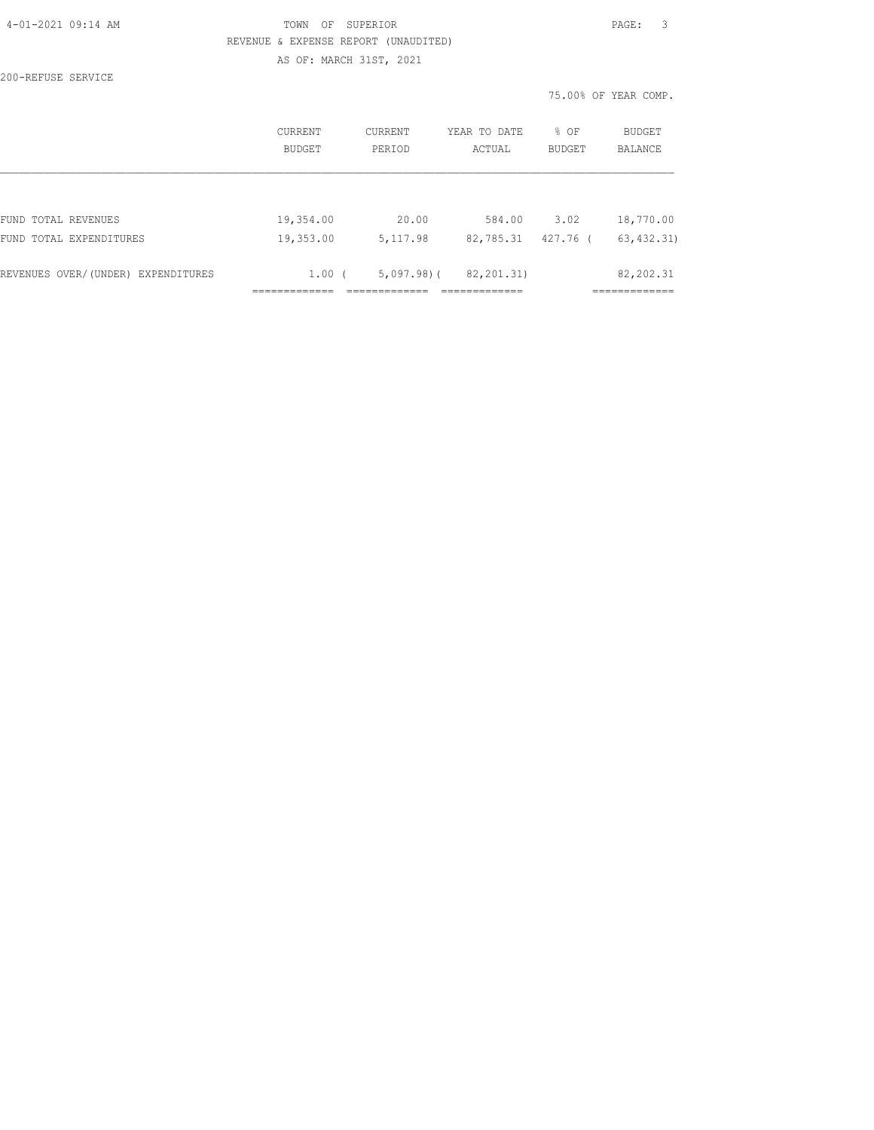#### TOWN OF SUPERIOR **PAGE:** 3 REVENUE & EXPENSE REPORT (UNAUDITED) AS OF: MARCH 31ST, 2021

200-REFUSE SERVICE

75.00% OF YEAR COMP.

|                                    | CURRENT<br><b>BUDGET</b> | <b>CURRENT</b><br>PERIOD | YEAR TO DATE<br>ACTUAL | % OF<br><b>BUDGET</b> | <b>BUDGET</b><br><b>BALANCE</b> |
|------------------------------------|--------------------------|--------------------------|------------------------|-----------------------|---------------------------------|
|                                    |                          |                          |                        |                       |                                 |
| FUND TOTAL REVENUES                | 19,354.00                | 20.00                    | 584.00                 | 3.02                  | 18,770.00                       |
| FUND TOTAL EXPENDITURES            | 19,353.00                | 5, 117.98                | 82,785.31              | 427.76 (              | 63, 432, 31)                    |
| REVENUES OVER/(UNDER) EXPENDITURES | 1.00(                    | $5,097,98$ )(            | 82, 201.31)            |                       | 82, 202.31                      |
|                                    |                          |                          |                        |                       |                                 |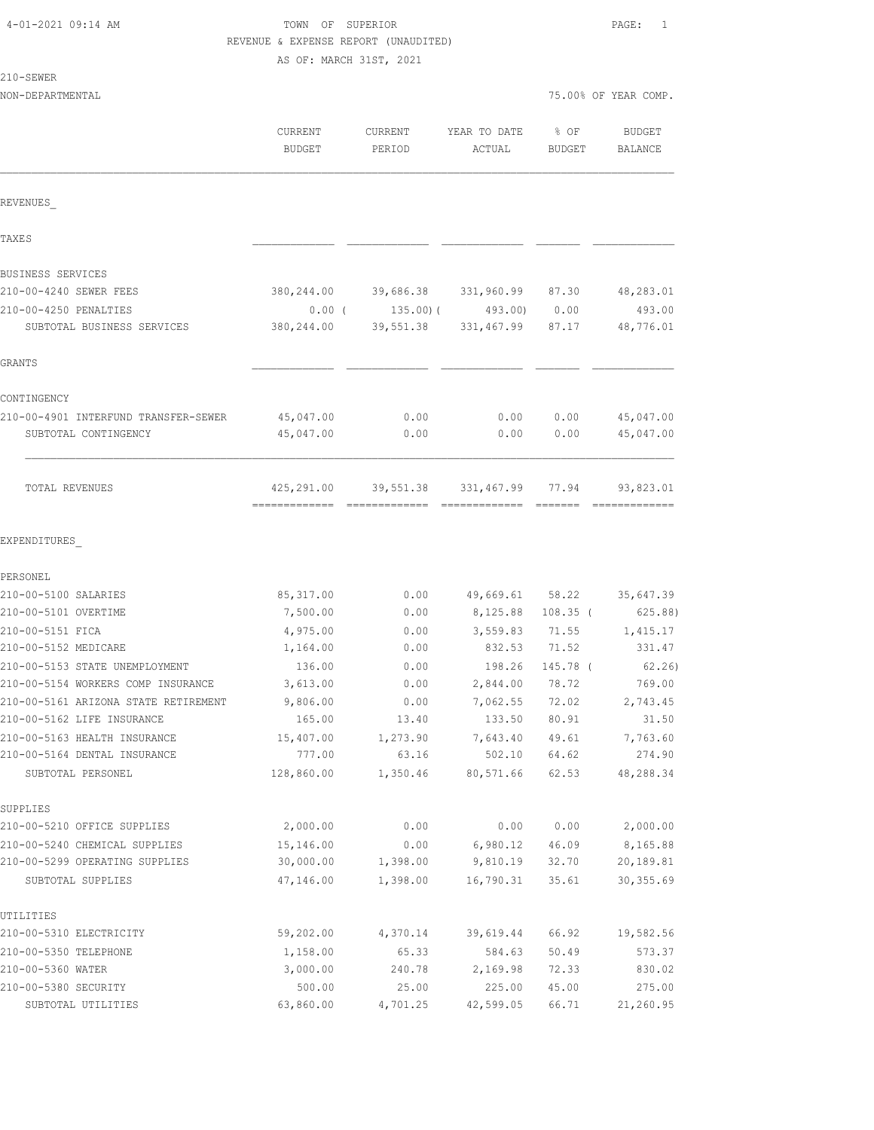# TOWN OF SUPERIOR **PAGE:** 1 REVENUE & EXPENSE REPORT (UNAUDITED)

AS OF: MARCH 31ST, 2021

| ä<br>ı<br>× |  |
|-------------|--|
|-------------|--|

| ZIU-SEWER                                |                          |                   |                                       |                  |                          |
|------------------------------------------|--------------------------|-------------------|---------------------------------------|------------------|--------------------------|
| NON-DEPARTMENTAL                         |                          |                   |                                       |                  | 75.00% OF YEAR COMP.     |
|                                          | CURRENT<br><b>BUDGET</b> | CURRENT<br>PERIOD | YEAR TO DATE<br>ACTUAL                | $8$ OF<br>BUDGET | <b>BUDGET</b><br>BALANCE |
|                                          |                          |                   |                                       |                  |                          |
| REVENUES                                 |                          |                   |                                       |                  |                          |
| TAXE S                                   |                          |                   |                                       |                  |                          |
| BUSINESS SERVICES                        |                          |                   |                                       |                  |                          |
| 210-00-4240 SEWER FEES                   |                          |                   | 380,244.00 39,686.38 331,960.99 87.30 |                  | 48,283.01                |
| 210-00-4250 PENALTIES                    |                          |                   | $0.00$ ( $135.00$ ) ( $493.00$ ) 0.00 |                  | 493.00                   |
| SUBTOTAL BUSINESS SERVICES               | 380,244.00               |                   | 39,551.38 331,467.99 87.17            |                  | 48,776.01                |
| GRANTS                                   |                          |                   |                                       |                  |                          |
| CONTINGENCY                              |                          |                   |                                       |                  |                          |
| 210-00-4901 INTERFUND TRANSFER-SEWER     | 45,047.00                | 0.00              | 0.00                                  | 0.00             | 45,047.00                |
| SUBTOTAL CONTINGENCY                     | 45,047.00                | 0.00              | 0.00                                  | 0.00             | 45,047.00                |
| TOTAL REVENUES                           |                          |                   | 425,291.00 39,551.38 331,467.99 77.94 |                  | 93,823.01                |
| EXPENDITURES                             |                          |                   |                                       |                  |                          |
| PERSONEL                                 |                          |                   |                                       |                  |                          |
| 210-00-5100 SALARIES                     | 85, 317.00               | 0.00              |                                       | 49,669.61 58.22  | 35,647.39                |
| 210-00-5101 OVERTIME                     | 7,500.00                 | 0.00              | 8,125.88                              | $108.35$ (       | 625.88)                  |
| 210-00-5151 FICA<br>210-00-5152 MEDICARE | 4,975.00<br>1,164.00     | 0.00<br>0.00      | 3,559.83<br>832.53                    | 71.55<br>71.52   | 1,415.17<br>331.47       |
| 210-00-5153 STATE UNEMPLOYMENT           | 136.00                   | 0.00              | 198.26                                | 145.78 (         | 62.26)                   |
| 210-00-5154 WORKERS COMP INSURANCE       | 3,613.00                 | 0.00              | 2,844.00                              | 78.72            | 769.00                   |
| 210-00-5161 ARIZONA STATE RETIREMENT     | 9,806.00                 | 0.00              | 7,062.55                              | 72.02            | 2,743.45                 |
| 210-00-5162 LIFE INSURANCE               | 165.00                   | 13.40             | 133.50                                | 80.91            | 31.50                    |
| 210-00-5163 HEALTH INSURANCE             | 15,407.00                | 1,273.90          | 7,643.40                              | 49.61            | 7,763.60                 |
| 210-00-5164 DENTAL INSURANCE             | 777.00                   | 63.16             | 502.10                                | 64.62            | 274.90                   |
| SUBTOTAL PERSONEL                        | 128,860.00               | 1,350.46          | 80,571.66                             | 62.53            | 48,288.34                |
| SUPPLIES                                 |                          |                   |                                       |                  |                          |
| 210-00-5210 OFFICE SUPPLIES              | 2,000.00                 | 0.00              | 0.00                                  | 0.00             | 2,000.00                 |
| 210-00-5240 CHEMICAL SUPPLIES            | 15,146.00                | 0.00              | 6,980.12                              | 46.09            | 8,165.88                 |
| 210-00-5299 OPERATING SUPPLIES           | 30,000.00                | 1,398.00          | 9,810.19                              | 32.70            | 20,189.81                |
| SUBTOTAL SUPPLIES                        | 47,146.00                | 1,398.00          | 16,790.31                             | 35.61            | 30, 355.69               |
| UTILITIES                                |                          |                   |                                       |                  |                          |
| 210-00-5310 ELECTRICITY                  | 59,202.00                | 4,370.14          | 39,619.44                             | 66.92            | 19,582.56                |
| 210-00-5350 TELEPHONE                    | 1,158.00                 | 65.33             | 584.63                                | 50.49            | 573.37                   |
| 210-00-5360 WATER                        | 3,000.00                 | 240.78            | 2,169.98                              | 72.33            | 830.02                   |

210-00-5380 SECURITY 500.00 25.00 225.00 45.00 275.00 SUBTOTAL UTILITIES 63,860.00 4,701.25 42,599.05 66.71 21,260.95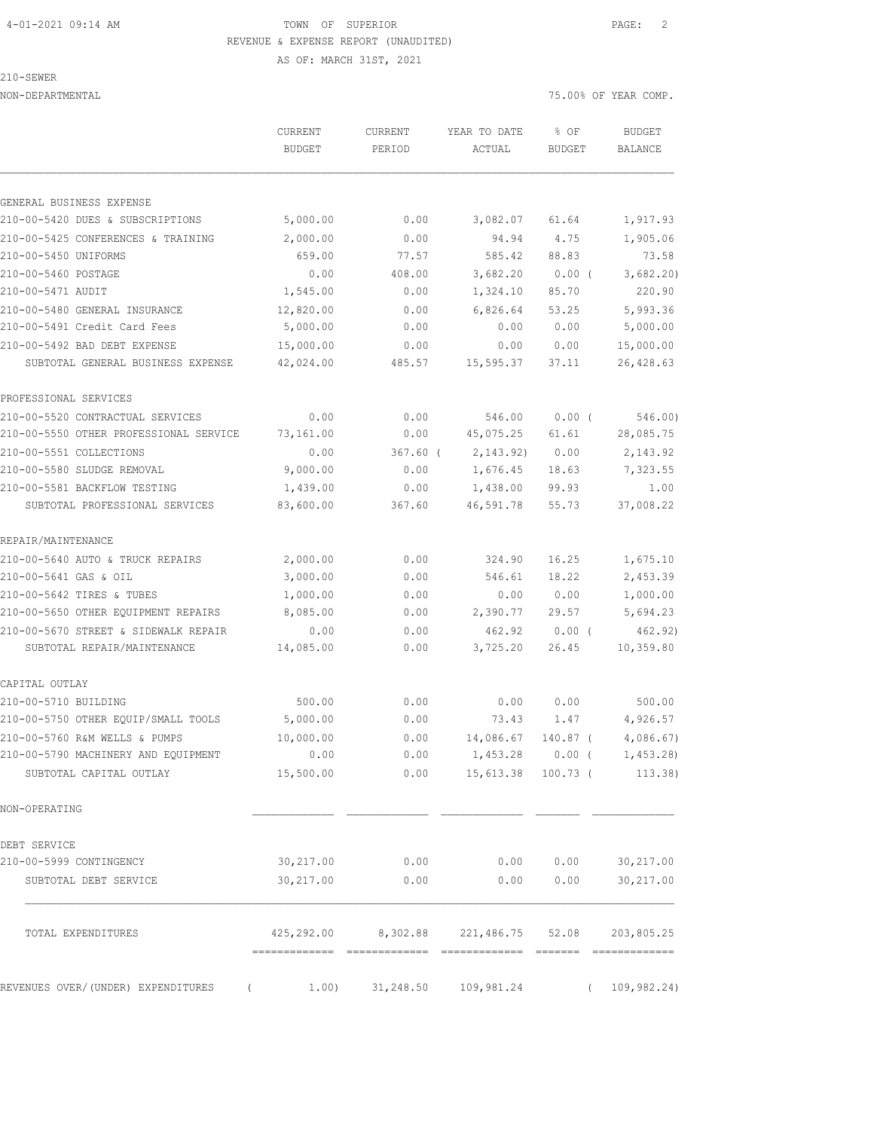# 4-01-2021 09:14 AM TOWN OF SUPERIOR PAGE: 2 REVENUE & EXPENSE REPORT (UNAUDITED)

AS OF: MARCH 31ST, 2021

210-SEWER

| NON-DEPARTMENTAL                                               |                   |                |                       | 75.00% OF YEAR COMP. |                                  |
|----------------------------------------------------------------|-------------------|----------------|-----------------------|----------------------|----------------------------------|
|                                                                | CURRENT           | <b>CURRENT</b> | YEAR TO DATE          | % OF                 | <b>BUDGET</b>                    |
|                                                                | <b>BUDGET</b>     | PERIOD         | ACTUAL                | BUDGET               | BALANCE                          |
| GENERAL BUSINESS EXPENSE                                       |                   |                |                       |                      |                                  |
| 210-00-5420 DUES & SUBSCRIPTIONS                               | 5,000.00          | 0.00           | 3,082.07              | 61.64                | 1,917.93                         |
| 210-00-5425 CONFERENCES & TRAINING                             | 2,000.00          | 0.00           | 94.94                 | 4.75                 | 1,905.06                         |
| 210-00-5450 UNIFORMS                                           | 659.00            | 77.57          | 585.42                | 88.83                | 73.58                            |
| 210-00-5460 POSTAGE                                            | 0.00              | 408.00         | 3,682.20              | $0.00$ (             | 3,682.20                         |
| 210-00-5471 AUDIT                                              | 1,545.00          | 0.00           | 1,324.10              | 85.70                | 220.90                           |
| 210-00-5480 GENERAL INSURANCE                                  | 12,820.00         | 0.00           | 6,826.64              | 53.25                | 5,993.36                         |
| 210-00-5491 Credit Card Fees                                   | 5,000.00          | 0.00           | 0.00                  | 0.00                 | 5,000.00                         |
| 210-00-5492 BAD DEBT EXPENSE                                   | 15,000.00         | 0.00           | 0.00                  | 0.00                 | 15,000.00                        |
| SUBTOTAL GENERAL BUSINESS EXPENSE                              | 42,024.00         | 485.57         | 15,595.37             | 37.11                | 26, 428.63                       |
| PROFESSIONAL SERVICES                                          |                   |                |                       |                      |                                  |
| 210-00-5520 CONTRACTUAL SERVICES                               | 0.00              | 0.00           | 546.00                | 0.00(                | 546.00)                          |
| 210-00-5550 OTHER PROFESSIONAL SERVICE                         | 73,161.00         | 0.00           | 45,075.25             | 61.61                | 28,085.75                        |
| 210-00-5551 COLLECTIONS                                        | 0.00              | $367.60$ (     | 2, 143.92)            | 0.00                 | 2,143.92                         |
| 210-00-5580 SLUDGE REMOVAL                                     | 9,000.00          | 0.00           | 1,676.45              | 18.63                | 7,323.55                         |
| 210-00-5581 BACKFLOW TESTING                                   | 1,439.00          | 0.00           | 1,438.00              | 99.93                | 1.00                             |
| SUBTOTAL PROFESSIONAL SERVICES                                 | 83,600.00         | 367.60         | 46,591.78             | 55.73                | 37,008.22                        |
| REPAIR/MAINTENANCE                                             |                   |                |                       |                      |                                  |
| 210-00-5640 AUTO & TRUCK REPAIRS                               | 2,000.00          | 0.00           | 324.90                | 16.25                | 1,675.10                         |
| 210-00-5641 GAS & OIL                                          | 3,000.00          | 0.00           | 546.61                | 18.22                | 2,453.39                         |
| 210-00-5642 TIRES & TUBES                                      | 1,000.00          | 0.00           | 0.00                  | 0.00                 | 1,000.00                         |
| 210-00-5650 OTHER EQUIPMENT REPAIRS                            | 8,085.00          | 0.00           | 2,390.77              | 29.57                | 5,694.23                         |
| 210-00-5670 STREET & SIDEWALK REPAIR                           | 0.00              | 0.00           | 462.92                | 0.00(                | 462.92)                          |
| SUBTOTAL REPAIR/MAINTENANCE                                    | 14,085.00         | 0.00           | 3,725.20              | 26.45                | 10,359.80                        |
| CAPITAL OUTLAY                                                 |                   |                |                       |                      |                                  |
| 210-00-5710 BUILDING                                           | 500.00            | 0.00           | 0.00                  | 0.00                 | 500.00                           |
| 210-00-5750 OTHER EQUIP/SMALL TOOLS                            | 5,000.00          | 0.00           | 73.43                 | 1.47                 | 4,926.57                         |
| 210-00-5760 R&M WELLS & PUMPS                                  | 10,000.00         | 0.00           | 14,086.67             | 140.87 (             | 4,086.67                         |
| 210-00-5790 MACHINERY AND EQUIPMENT<br>SUBTOTAL CAPITAL OUTLAY | 0.00<br>15,500.00 | 0.00<br>0.00   | 1,453.28<br>15,613.38 | $100.73$ (           | $0.00$ ( $1,453.28$ )<br>113.38) |
|                                                                |                   |                |                       |                      |                                  |
| NON-OPERATING                                                  |                   |                |                       |                      |                                  |
| DEBT SERVICE                                                   |                   |                |                       |                      |                                  |
| 210-00-5999 CONTINGENCY                                        | 30, 217.00        | 0.00           | 0.00                  | 0.00                 | 30, 217.00                       |
| SUBTOTAL DEBT SERVICE                                          | 30,217.00         | 0.00           | 0.00                  | 0.00                 | 30,217.00                        |
| TOTAL EXPENDITURES                                             | 425,292.00        | 8,302.88       | 221,486.75            | 52.08                | 203,805.25                       |

REVENUES OVER/(UNDER) EXPENDITURES ( 1.00) 31,248.50 109,981.24 ( 109,982.24)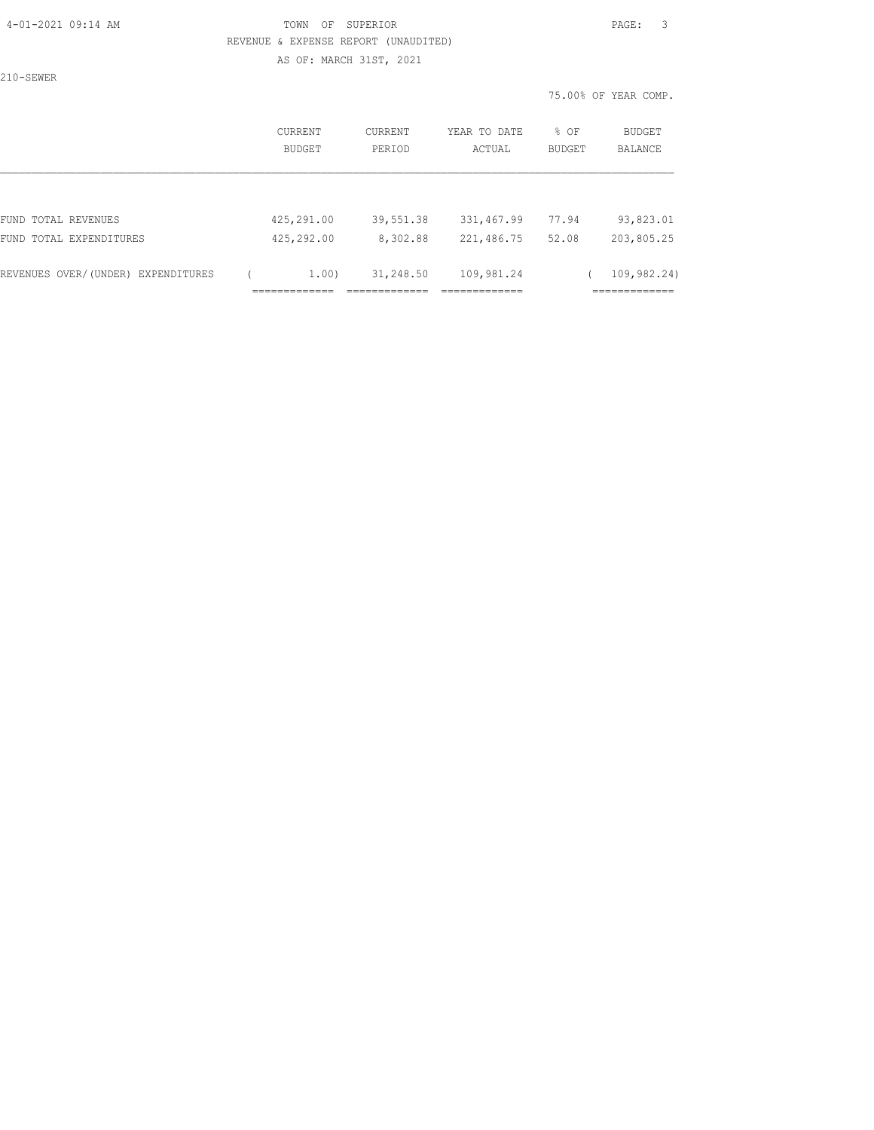#### 4-01-2021 09:14 AM TOWN OF SUPERIOR PAGE: 3 REVENUE & EXPENSE REPORT (UNAUDITED) AS OF: MARCH 31ST, 2021

210-SEWER

|                                    | <b>CURRENT</b><br><b>BUDGET</b> | CURRENT<br>PERIOD | YEAR TO DATE<br>ACTUAL | % OF<br><b>BUDGET</b> | <b>BUDGET</b><br><b>BALANCE</b> |
|------------------------------------|---------------------------------|-------------------|------------------------|-----------------------|---------------------------------|
|                                    |                                 |                   |                        |                       |                                 |
| FUND TOTAL REVENUES                | 425,291.00                      | 39,551.38         | 331,467.99             | 77.94                 | 93,823.01                       |
| FUND TOTAL EXPENDITURES            | 425,292.00                      | 8,302.88          | 221,486.75             | 52.08                 | 203,805.25                      |
| REVENUES OVER/(UNDER) EXPENDITURES | 1,00)                           | 31,248.50         | 109,981.24             |                       | 109,982.24)                     |
|                                    |                                 |                   |                        |                       |                                 |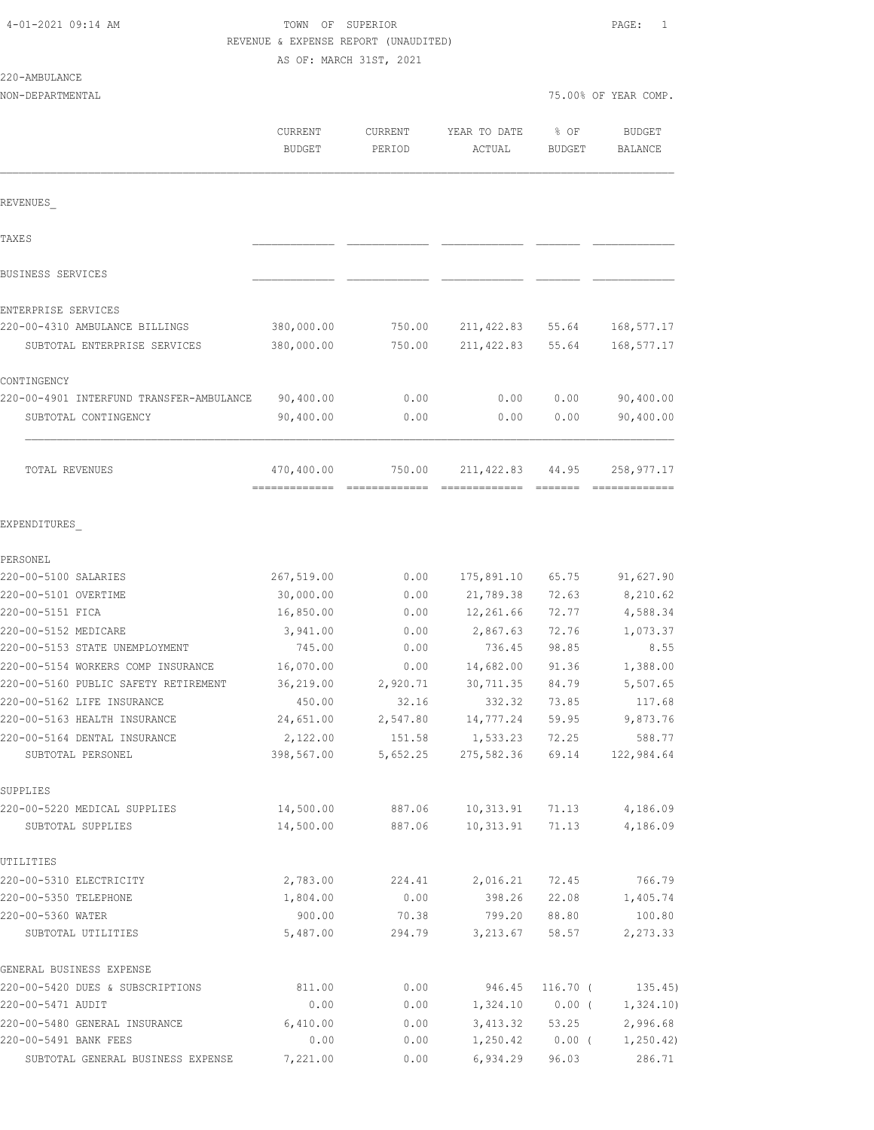# TOWN OF SUPERIOR **PAGE:** 1 REVENUE & EXPENSE REPORT (UNAUDITED)

AS OF: MARCH 31ST, 2021

| NON-DEPARTMENTAL                                  |                                 |                          |                          | 75.00% OF YEAR COMP. |                                 |
|---------------------------------------------------|---------------------------------|--------------------------|--------------------------|----------------------|---------------------------------|
|                                                   | <b>CURRENT</b><br><b>BUDGET</b> | <b>CURRENT</b><br>PERIOD | YEAR TO DATE<br>ACTUAL   | % OF<br>BUDGET       | <b>BUDGET</b><br><b>BALANCE</b> |
| REVENUES                                          |                                 |                          |                          |                      |                                 |
| TAXE S                                            |                                 |                          |                          |                      |                                 |
| BUSINESS SERVICES                                 |                                 |                          |                          |                      |                                 |
| ENTERPRISE SERVICES                               |                                 |                          |                          |                      |                                 |
| 220-00-4310 AMBULANCE BILLINGS                    | 380,000.00                      | 750.00                   | 211, 422.83              | 55.64                | 168, 577. 17                    |
| SUBTOTAL ENTERPRISE SERVICES                      | 380,000.00                      | 750.00                   | 211, 422.83              | 55.64                | 168,577.17                      |
| CONTINGENCY                                       |                                 |                          |                          |                      |                                 |
| 220-00-4901 INTERFUND TRANSFER-AMBULANCE          | 90,400.00                       | 0.00                     | 0.00                     | 0.00                 | 90,400.00                       |
| SUBTOTAL CONTINGENCY                              | 90,400.00                       | 0.00                     | 0.00                     | 0.00                 | 90,400.00                       |
| TOTAL REVENUES                                    | 470,400.00                      | 750.00                   | 211, 422.83              | 44.95<br>=======     | 258,977.17                      |
| EXPENDITURES                                      |                                 |                          |                          |                      |                                 |
| PERSONEL                                          |                                 |                          |                          |                      |                                 |
| 220-00-5100 SALARIES                              | 267,519.00                      | 0.00                     | 175,891.10               | 65.75                | 91,627.90                       |
| 220-00-5101 OVERTIME                              | 30,000.00                       | 0.00                     | 21,789.38                | 72.63                | 8,210.62                        |
| 220-00-5151 FICA                                  | 16,850.00                       | 0.00                     | 12,261.66                | 72.77                | 4,588.34                        |
| 220-00-5152 MEDICARE                              | 3,941.00                        | 0.00                     | 2,867.63                 | 72.76                | 1,073.37                        |
| 220-00-5153 STATE UNEMPLOYMENT                    | 745.00                          | 0.00                     | 736.45                   | 98.85                | 8.55                            |
| 220-00-5154 WORKERS COMP INSURANCE                | 16,070.00                       | 0.00                     | 14,682.00                | 91.36                | 1,388.00                        |
| 220-00-5160 PUBLIC SAFETY RETIREMENT              | 36,219.00                       | 2,920.71                 | 30,711.35                | 84.79                | 5,507.65                        |
| 220-00-5162 LIFE INSURANCE                        | 450.00                          | 32.16                    | 332.32                   | 73.85                | 117.68                          |
| 220-00-5163 HEALTH INSURANCE                      | 24,651.00                       | 2,547.80                 | 14,777.24                | 59.95                | 9,873.76                        |
| 220-00-5164 DENTAL INSURANCE                      | 2,122.00                        | 151.58                   | 1,533.23                 | 72.25                | 588.77                          |
| SUBTOTAL PERSONEL                                 | 398,567.00                      | 5,652.25                 | 275,582.36               | 69.14                | 122,984.64                      |
| SUPPLIES                                          |                                 |                          |                          |                      |                                 |
| 220-00-5220 MEDICAL SUPPLIES<br>SUBTOTAL SUPPLIES | 14,500.00<br>14,500.00          | 887.06<br>887.06         | 10, 313.91<br>10, 313.91 | 71.13<br>71.13       | 4,186.09<br>4,186.09            |
| UTILITIES                                         |                                 |                          |                          |                      |                                 |
| 220-00-5310 ELECTRICITY                           | 2,783.00                        | 224.41                   | 2,016.21                 | 72.45                | 766.79                          |
| 220-00-5350 TELEPHONE                             | 1,804.00                        | 0.00                     | 398.26                   | 22.08                | 1,405.74                        |
| 220-00-5360 WATER                                 | 900.00                          | 70.38                    | 799.20                   | 88.80                | 100.80                          |
| SUBTOTAL UTILITIES                                | 5,487.00                        | 294.79                   | 3,213.67                 | 58.57                | 2, 273.33                       |
| GENERAL BUSINESS EXPENSE                          |                                 |                          |                          |                      |                                 |
| 220-00-5420 DUES & SUBSCRIPTIONS                  | 811.00                          | 0.00                     | 946.45                   | $116.70$ (           | 135.45)                         |
| 220-00-5471 AUDIT                                 | 0.00                            | 0.00                     | 1,324.10                 | $0.00$ (             | 1,324.10)                       |
| 220-00-5480 GENERAL INSURANCE                     | 6,410.00                        | 0.00                     | 3,413.32                 | 53.25                | 2,996.68                        |
| 220-00-5491 BANK FEES                             | 0.00                            | 0.00                     | 1,250.42                 | $0.00$ (             | 1,250.42)                       |

SUBTOTAL GENERAL BUSINESS EXPENSE 7,221.00 0.00 6,934.29 96.03 286.71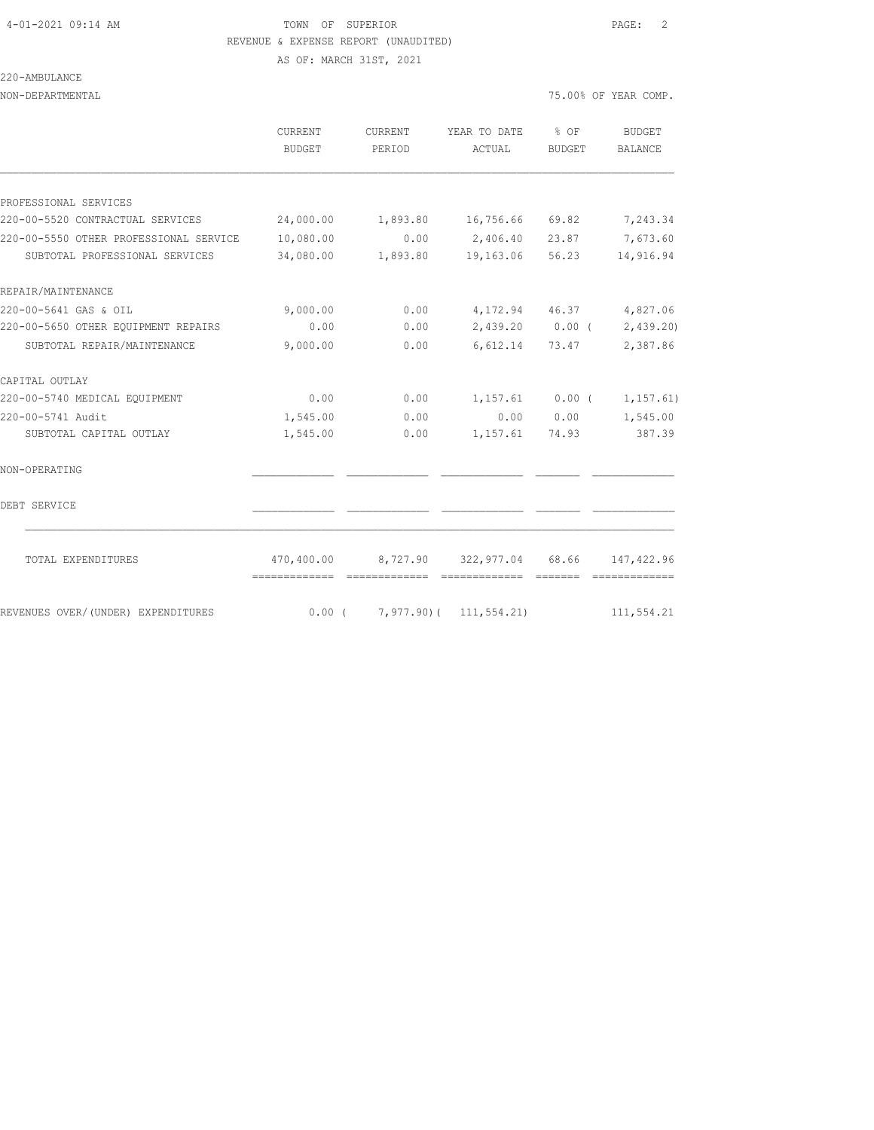220-AMBULANCE

#### 4-01-2021 09:14 AM TOWN OF SUPERIOR PAGE: 2 REVENUE & EXPENSE REPORT (UNAUDITED)

NON-DEPARTMENTAL 75.00% OF YEAR COMP.

AS OF: MARCH 31ST, 2021

|                                        | CURRENT                                    | CURRENT | YEAR TO DATE                               | $8$ OF    | <b>BUDGET</b>                 |
|----------------------------------------|--------------------------------------------|---------|--------------------------------------------|-----------|-------------------------------|
|                                        | BUDGET                                     | PERIOD  | ACTUAL                                     | BUDGET    | <b>BALANCE</b>                |
|                                        |                                            |         |                                            |           |                               |
| PROFESSIONAL SERVICES                  |                                            |         |                                            |           |                               |
| 220-00-5520 CONTRACTUAL SERVICES       | 24,000.00                                  |         | 1,893.80 16,756.66 69.82                   |           | 7,243.34                      |
| 220-00-5550 OTHER PROFESSIONAL SERVICE | 10,080.00                                  | 0.00    | 2,406.40                                   | 23.87     | 7,673.60                      |
| SUBTOTAL PROFESSIONAL SERVICES         | 34,080.00                                  |         | 1,893.80 19,163.06 56.23                   |           | 14,916.94                     |
| REPAIR/MAINTENANCE                     |                                            |         |                                            |           |                               |
| 220-00-5641 GAS & OIL                  | 9,000.00                                   | 0.00    |                                            |           | 4, 172.94 46.37 4, 827.06     |
| 220-00-5650 OTHER EQUIPMENT REPAIRS    | 0.00                                       | 0.00    |                                            |           | $2,439.20$ 0.00 ( 2,439.20)   |
| SUBTOTAL REPAIR/MAINTENANCE            | 9,000.00                                   | 0.00    | 6,612.14                                   | 73.47     | 2,387.86                      |
| CAPITAL OUTLAY                         |                                            |         |                                            |           |                               |
| 220-00-5740 MEDICAL EQUIPMENT          | 0.00                                       | 0.00    | $1,157.61$ 0.00 (                          |           | 1, 157.61)                    |
| 220-00-5741 Audit                      | 1,545.00                                   | 0.00    |                                            | 0.00 0.00 | 1,545.00                      |
| SUBTOTAL CAPITAL OUTLAY                | 1,545.00                                   | 0.00    | 1, 157.61 74.93                            |           | 387.39                        |
| NON-OPERATING                          |                                            |         |                                            |           |                               |
| DEBT SERVICE                           |                                            |         |                                            |           |                               |
| TOTAL EXPENDITURES                     | 470,400.00<br>-------------- ------------- |         | 8,727.90 322,977.04 68.66<br>============= | -------   | 147, 422.96<br>-------------- |
| REVENUES OVER/(UNDER) EXPENDITURES     | $0.00$ (                                   |         | $7,977,90$ (11,554.21)                     |           | 111,554.21                    |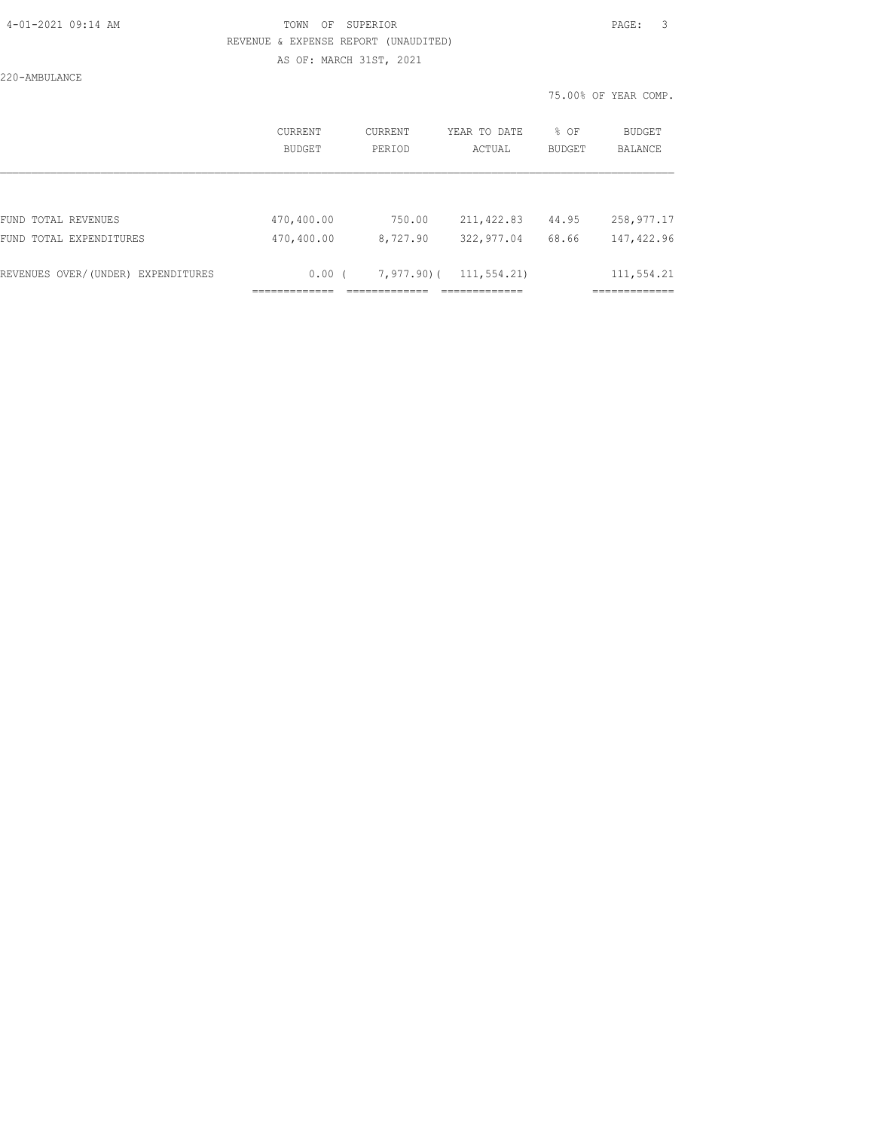#### 4-01-2021 09:14 AM TOWN OF SUPERIOR PAGE: 3 REVENUE & EXPENSE REPORT (UNAUDITED) AS OF: MARCH 31ST, 2021

220-AMBULANCE

|                                    | CURRENT<br>BUDGET | CURRENT<br>PERIOD | YEAR TO DATE<br>ACTUAL | $8$ OF<br>BUDGET | BUDGET<br><b>BALANCE</b> |
|------------------------------------|-------------------|-------------------|------------------------|------------------|--------------------------|
|                                    |                   |                   |                        |                  |                          |
| FUND TOTAL REVENUES                | 470,400.00        | 750.00            | 211, 422.83            | 44.95            | 258,977.17               |
| FUND TOTAL EXPENDITURES            | 470,400.00        | 8,727.90          | 322,977.04             | 68.66            | 147,422.96               |
|                                    |                   |                   |                        |                  |                          |
| REVENUES OVER/(UNDER) EXPENDITURES | 0.00(             | 7,977.90)(        | 111,554.21)            |                  | 111,554.21               |
|                                    |                   |                   |                        |                  |                          |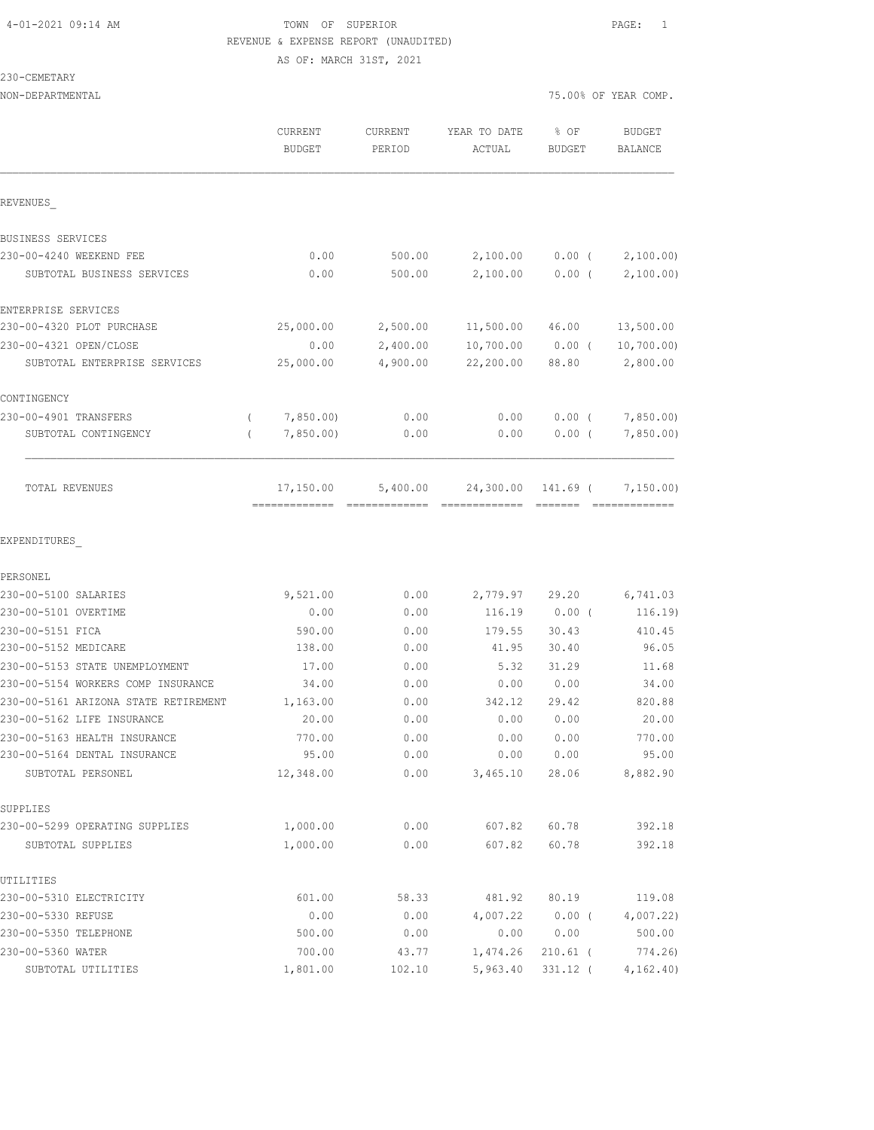# 4-01-2021 09:14 AM TOWN OF SUPERIOR PAGE: 1 REVENUE & EXPENSE REPORT (UNAUDITED) AS OF: MARCH 31ST, 2021

#### 230-CEMETARY

| NON-DEPARTMENTAL                     |                       |                |              | 75.00% OF YEAR COMP. |                    |  |
|--------------------------------------|-----------------------|----------------|--------------|----------------------|--------------------|--|
|                                      | <b>CURRENT</b>        | <b>CURRENT</b> | YEAR TO DATE | % OF                 | <b>BUDGET</b>      |  |
|                                      | <b>BUDGET</b>         | PERIOD         | ACTUAL       | <b>BUDGET</b>        | BALANCE            |  |
| REVENUES                             |                       |                |              |                      |                    |  |
| BUSINESS SERVICES                    |                       |                |              |                      |                    |  |
| 230-00-4240 WEEKEND FEE              | 0.00                  | 500.00         | 2,100.00     | $0.00$ (             | 2,100.00)          |  |
| SUBTOTAL BUSINESS SERVICES           | 0.00                  | 500.00         | 2,100.00     | $0.00$ (             | 2,100.00)          |  |
| ENTERPRISE SERVICES                  |                       |                |              |                      |                    |  |
| 230-00-4320 PLOT PURCHASE            | 25,000.00             | 2,500.00       | 11,500.00    | 46.00                | 13,500.00          |  |
| 230-00-4321 OPEN/CLOSE               | 0.00                  | 2,400.00       | 10,700.00    | $0.00$ (             | 10,700.00)         |  |
| SUBTOTAL ENTERPRISE SERVICES         | 25,000.00             | 4,900.00       | 22,200.00    | 88.80                | 2,800.00           |  |
| CONTINGENCY                          |                       |                |              |                      |                    |  |
| 230-00-4901 TRANSFERS                | 7,850.00)<br>$\left($ | 0.00           | 0.00         | $0.00$ (             | 7,850.00           |  |
| SUBTOTAL CONTINGENCY                 | 7,850.00<br>$\left($  | 0.00           | 0.00         | 0.00(                | 7,850.00           |  |
| TOTAL REVENUES                       | 17,150.00             | 5,400.00       | 24,300.00    | 141.69 (             | 7,150.00)          |  |
| EXPENDITURES                         |                       |                |              |                      |                    |  |
| PERSONEL<br>230-00-5100 SALARIES     | 9,521.00              | 0.00           | 2,779.97     | 29.20                | 6,741.03           |  |
| 230-00-5101 OVERTIME                 | 0.00                  | 0.00           | 116.19       | $0.00$ (             | 116.19)            |  |
| 230-00-5151 FICA                     | 590.00                | 0.00           | 179.55       | 30.43                | 410.45             |  |
| 230-00-5152 MEDICARE                 | 138.00                | 0.00           | 41.95        | 30.40                | 96.05              |  |
| 230-00-5153 STATE UNEMPLOYMENT       | 17.00                 | 0.00           | 5.32         | 31.29                | 11.68              |  |
| 230-00-5154 WORKERS COMP INSURANCE   | 34.00                 | 0.00           | 0.00         | 0.00                 | 34.00              |  |
| 230-00-5161 ARIZONA STATE RETIREMENT | 1,163.00              | 0.00           | 342.12       | 29.42                | 820.88             |  |
| 230-00-5162 LIFE INSURANCE           | 20.00                 | 0.00           | 0.00         | 0.00                 | 20.00              |  |
| 230-00-5163 HEALTH INSURANCE         | 770.00                | 0.00           | 0.00         | 0.00                 | 770.00             |  |
| 230-00-5164 DENTAL INSURANCE         | 95.00                 | 0.00           | 0.00         | 0.00                 | 95.00              |  |
| SUBTOTAL PERSONEL                    | 12,348.00             | 0.00           | 3,465.10     | 28.06                | 8,882.90           |  |
| SUPPLIES                             |                       |                |              |                      |                    |  |
| 230-00-5299 OPERATING SUPPLIES       | 1,000.00              | 0.00           | 607.82       | 60.78                | 392.18             |  |
| SUBTOTAL SUPPLIES                    | 1,000.00              | 0.00           | 607.82       | 60.78                | 392.18             |  |
| UTILITIES<br>230-00-5310 ELECTRICITY | 601.00                | 58.33          | 481.92       | 80.19                |                    |  |
| 230-00-5330 REFUSE                   | 0.00                  |                | 4,007.22     |                      | 119.08             |  |
| 230-00-5350 TELEPHONE                | 500.00                | 0.00<br>0.00   | 0.00         | $0.00$ (<br>0.00     | 4,007.22<br>500.00 |  |
| 230-00-5360 WATER                    | 700.00                | 43.77          | 1,474.26     | $210.61$ (           | 774.26)            |  |
|                                      |                       |                |              |                      |                    |  |

SUBTOTAL UTILITIES 1,801.00 102.10 5,963.40 331.12 ( 4,162.40)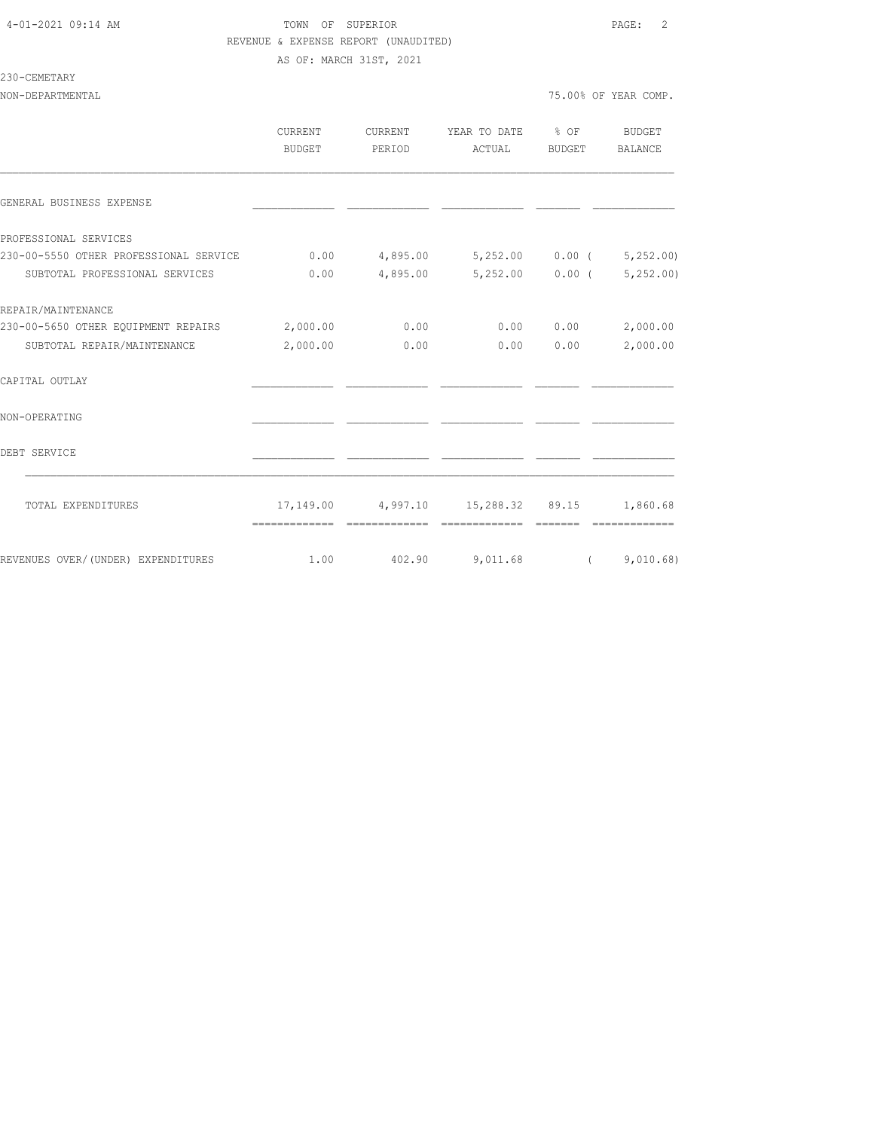#### 4-01-2021 09:14 AM TOWN OF SUPERIOR PAGE: 2 REVENUE & EXPENSE REPORT (UNAUDITED) AS OF: MARCH 31ST, 2021

#### 230-CEMETARY

NON-DEPARTMENTAL 75.00% OF YEAR COMP.

|                                              | CURRENT<br>BUDGET | CURRENT<br>PERIOD | YEAR TO DATE % OF<br>ACTUAL                 | BUDGET            | <b>BUDGET</b><br>BALANCE |
|----------------------------------------------|-------------------|-------------------|---------------------------------------------|-------------------|--------------------------|
| GENERAL BUSINESS EXPENSE                     |                   |                   |                                             |                   |                          |
| PROFESSIONAL SERVICES                        |                   |                   |                                             |                   |                          |
| 230-00-5550 OTHER PROFESSIONAL SERVICE       | 0.00              |                   | 4,895.00 5,252.00 0.00 (                    |                   | 5,252.00                 |
| SUBTOTAL PROFESSIONAL SERVICES               | 0.00              | 4,895.00          |                                             | $5,252.00$ 0.00 ( | 5,252.00                 |
| REPAIR/MAINTENANCE                           |                   |                   |                                             |                   |                          |
| 230-00-5650 OTHER EQUIPMENT REPAIRS 2,000.00 |                   | 0.00              |                                             | 0.00 0.00         | 2,000.00                 |
| SUBTOTAL REPAIR/MAINTENANCE                  | 2,000.00          | 0.00              |                                             | 0.00 0.00         | 2,000.00                 |
| CAPITAL OUTLAY                               |                   |                   |                                             |                   |                          |
| NON-OPERATING                                |                   |                   |                                             |                   |                          |
| DEBT SERVICE                                 |                   |                   |                                             |                   |                          |
| TOTAL EXPENDITURES                           |                   |                   | 17,149.00 4,997.10 15,288.32 89.15 1,860.68 |                   |                          |
|                                              |                   |                   |                                             |                   |                          |
| REVENUES OVER/(UNDER) EXPENDITURES           | 1.00              |                   | 402.90 9,011.68 (9,010.68)                  |                   |                          |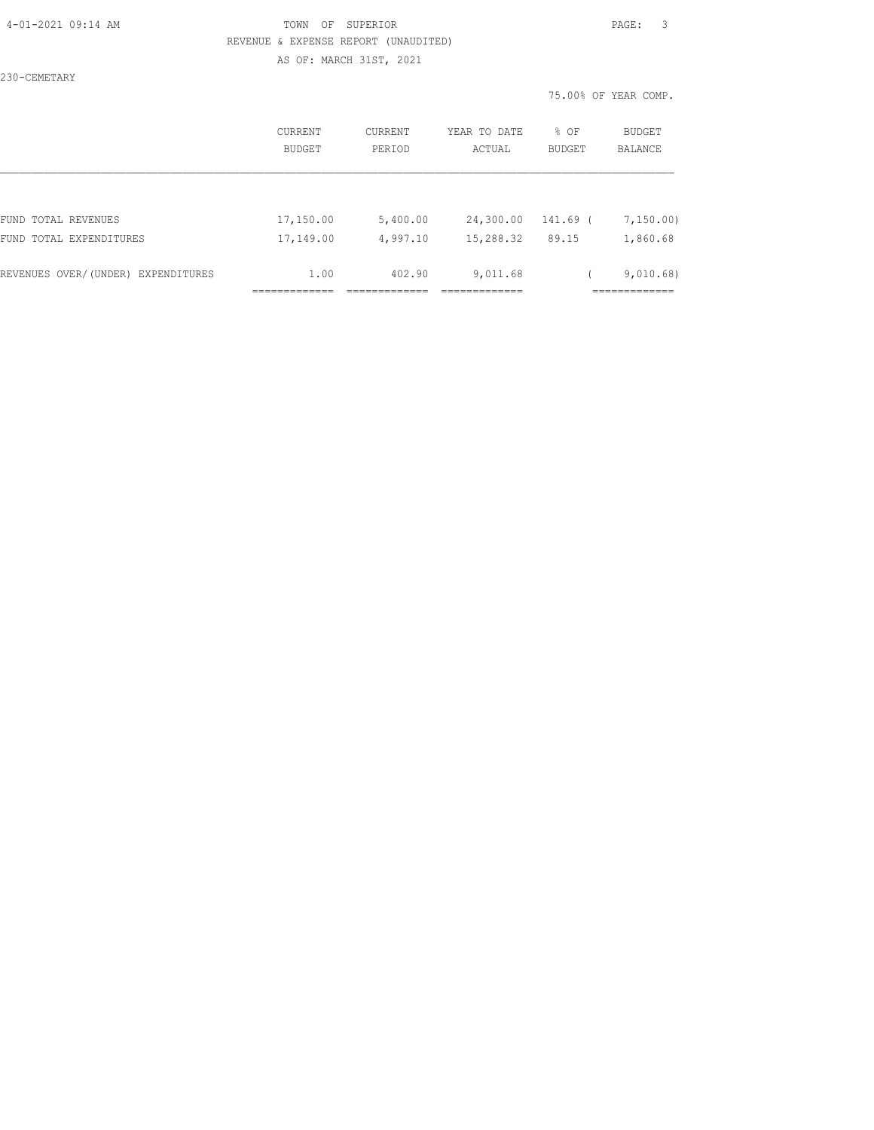### 4-01-2021 09:14 AM TOWN OF SUPERIOR PAGE: 3 REVENUE & EXPENSE REPORT (UNAUDITED) AS OF: MARCH 31ST, 2021

230-CEMETARY

|                                    | CURRENT<br><b>BUDGET</b> | CURRENT<br>PERIOD | YEAR TO DATE<br>ACTUAL | % OF<br><b>BUDGET</b> | BUDGET<br><b>BALANCE</b> |
|------------------------------------|--------------------------|-------------------|------------------------|-----------------------|--------------------------|
|                                    |                          |                   |                        |                       |                          |
| FUND TOTAL REVENUES                | 17,150.00                | 5,400.00          | 24,300.00              | 141.69 (              | 7,150.00                 |
| FUND TOTAL EXPENDITURES            | 17,149.00                | 4,997.10          | 15,288.32              | 89.15                 | 1,860.68                 |
| REVENUES OVER/(UNDER) EXPENDITURES | 1.00                     | 402.90            | 9,011.68               |                       | 9,010.68)                |
|                                    |                          |                   |                        |                       |                          |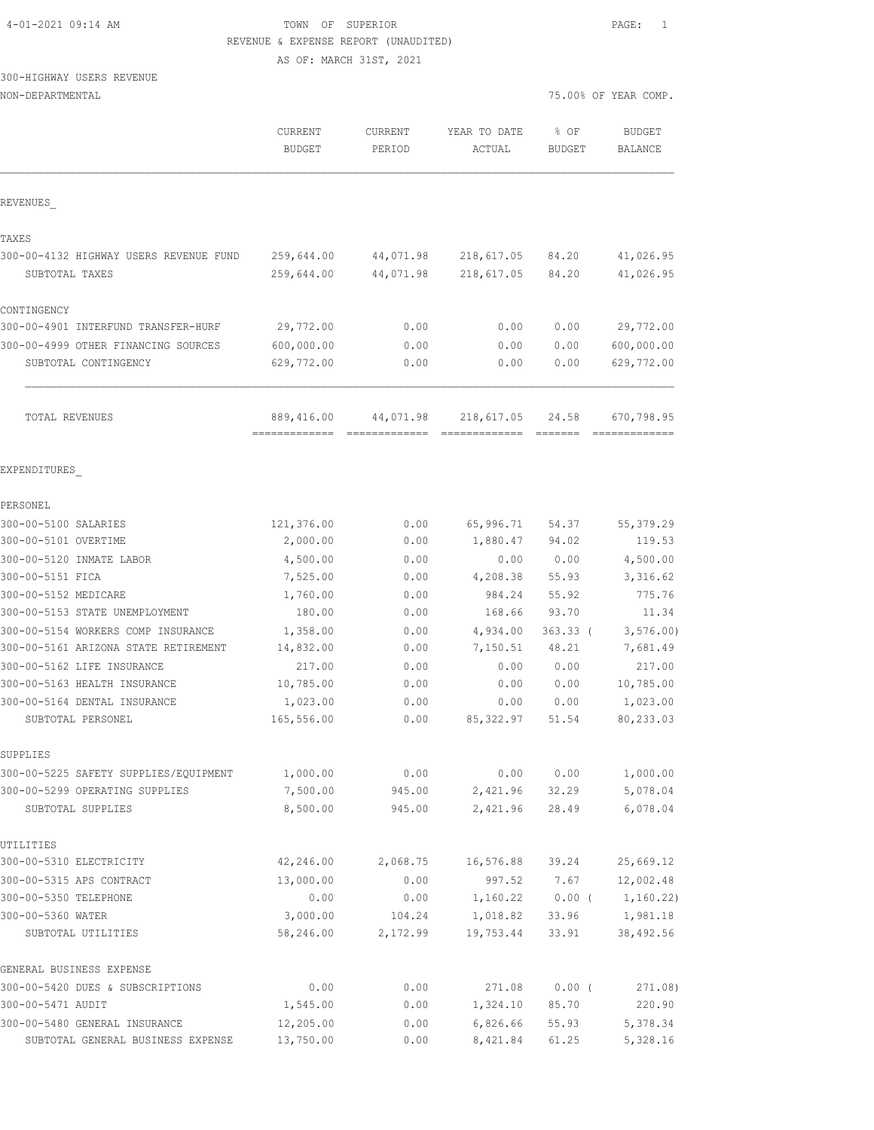|  | 4-01-2021 09:14 AM |  |
|--|--------------------|--|
|  |                    |  |

# TOWN OF SUPERIOR **PAGE:** 1 REVENUE & EXPENSE REPORT (UNAUDITED)

AS OF: MARCH 31ST, 2021

# 300-HIGHWAY USERS REVENUE

| NON-DEPARTMENTAL                                                     |                          |                   |                        |                       | 75.00% OF YEAR COMP.            |
|----------------------------------------------------------------------|--------------------------|-------------------|------------------------|-----------------------|---------------------------------|
|                                                                      | CURRENT<br><b>BUDGET</b> | CURRENT<br>PERIOD | YEAR TO DATE<br>ACTUAL | % OF<br><b>BUDGET</b> | <b>BUDGET</b><br><b>BALANCE</b> |
| REVENUES                                                             |                          |                   |                        |                       |                                 |
| TAXES                                                                |                          |                   |                        |                       |                                 |
| 300-00-4132 HIGHWAY USERS REVENUE FUND                               | 259,644.00               | 44,071.98         | 218,617.05             | 84.20                 | 41,026.95                       |
| SUBTOTAL TAXES                                                       | 259,644.00               | 44,071.98         | 218,617.05             | 84.20                 | 41,026.95                       |
| CONTINGENCY                                                          |                          |                   |                        |                       |                                 |
| 300-00-4901 INTERFUND TRANSFER-HURF                                  | 29,772.00                | 0.00              | 0.00                   | 0.00                  | 29,772.00                       |
| 300-00-4999 OTHER FINANCING SOURCES                                  | 600,000.00               | 0.00              | 0.00                   | 0.00                  | 600,000.00                      |
| SUBTOTAL CONTINGENCY                                                 | 629,772.00               | 0.00              | 0.00                   | 0.00                  | 629,772.00                      |
| TOTAL REVENUES                                                       | 889,416.00               | 44,071.98         | 218,617.05             | 24.58                 | 670,798.95                      |
| EXPENDITURES                                                         |                          |                   |                        |                       |                                 |
| PERSONEL                                                             |                          |                   |                        |                       |                                 |
| 300-00-5100 SALARIES                                                 | 121,376.00               | 0.00              | 65,996.71              | 54.37                 | 55,379.29                       |
| 300-00-5101 OVERTIME                                                 | 2,000.00                 | 0.00              | 1,880.47               | 94.02                 | 119.53                          |
| 300-00-5120 INMATE LABOR                                             | 4,500.00                 | 0.00              | 0.00                   | 0.00                  | 4,500.00                        |
| 300-00-5151 FICA                                                     | 7,525.00                 | 0.00              | 4,208.38               | 55.93                 | 3,316.62                        |
| 300-00-5152 MEDICARE                                                 | 1,760.00                 | 0.00              | 984.24                 | 55.92                 | 775.76                          |
| 300-00-5153 STATE UNEMPLOYMENT<br>300-00-5154 WORKERS COMP INSURANCE | 180.00<br>1,358.00       | 0.00              | 168.66<br>4,934.00     | 93.70                 | 11.34<br>3, 576.00              |
| 300-00-5161 ARIZONA STATE RETIREMENT                                 | 14,832.00                | 0.00<br>0.00      | 7,150.51               | $363.33$ (<br>48.21   | 7,681.49                        |
| 300-00-5162 LIFE INSURANCE                                           | 217.00                   | 0.00              | 0.00                   | 0.00                  | 217.00                          |
| 300-00-5163 HEALTH INSURANCE                                         | 10,785.00                | 0.00              | 0.00                   | 0.00                  | 10,785.00                       |
| 300-00-5164 DENTAL INSURANCE                                         | 1,023.00                 | 0.00              | 0.00                   | 0.00                  | 1,023.00                        |
| SUBTOTAL PERSONEL                                                    | 165,556.00               | 0.00              | 85, 322.97             | 51.54                 | 80,233.03                       |
| SUPPLIES                                                             |                          |                   |                        |                       |                                 |
| 300-00-5225 SAFETY SUPPLIES/EQUIPMENT                                | 1,000.00                 | 0.00              | 0.00                   | 0.00                  | 1,000.00                        |
| 300-00-5299 OPERATING SUPPLIES<br>SUBTOTAL SUPPLIES                  | 7,500.00<br>8,500.00     | 945.00<br>945.00  | 2,421.96<br>2,421.96   | 32.29<br>28.49        | 5,078.04<br>6,078.04            |
| UTILITIES                                                            |                          |                   |                        |                       |                                 |
| 300-00-5310 ELECTRICITY                                              | 42,246.00                | 2,068.75          | 16,576.88              | 39.24                 | 25,669.12                       |
| 300-00-5315 APS CONTRACT                                             | 13,000.00                | 0.00              | 997.52                 | 7.67                  | 12,002.48                       |
| 300-00-5350 TELEPHONE                                                | 0.00                     | 0.00              | 1,160.22               | $0.00$ (              | 1,160.22)                       |
| 300-00-5360 WATER                                                    | 3,000.00                 | 104.24            | 1,018.82               | 33.96                 | 1,981.18                        |
| SUBTOTAL UTILITIES                                                   | 58,246.00                | 2,172.99          | 19,753.44              | 33.91                 | 38,492.56                       |
| GENERAL BUSINESS EXPENSE                                             |                          |                   |                        |                       |                                 |
| 300-00-5420 DUES & SUBSCRIPTIONS                                     | 0.00                     | 0.00              | 271.08                 | $0.00$ (              | 271.08)                         |
| 300-00-5471 AUDIT                                                    | 1,545.00                 | 0.00              | 1,324.10               | 85.70                 | 220.90                          |
| 300-00-5480 GENERAL INSURANCE                                        | 12,205.00                | 0.00              | 6,826.66               | 55.93                 | 5,378.34                        |
| SUBTOTAL GENERAL BUSINESS EXPENSE                                    | 13,750.00                | 0.00              | 8,421.84               | 61.25                 | 5,328.16                        |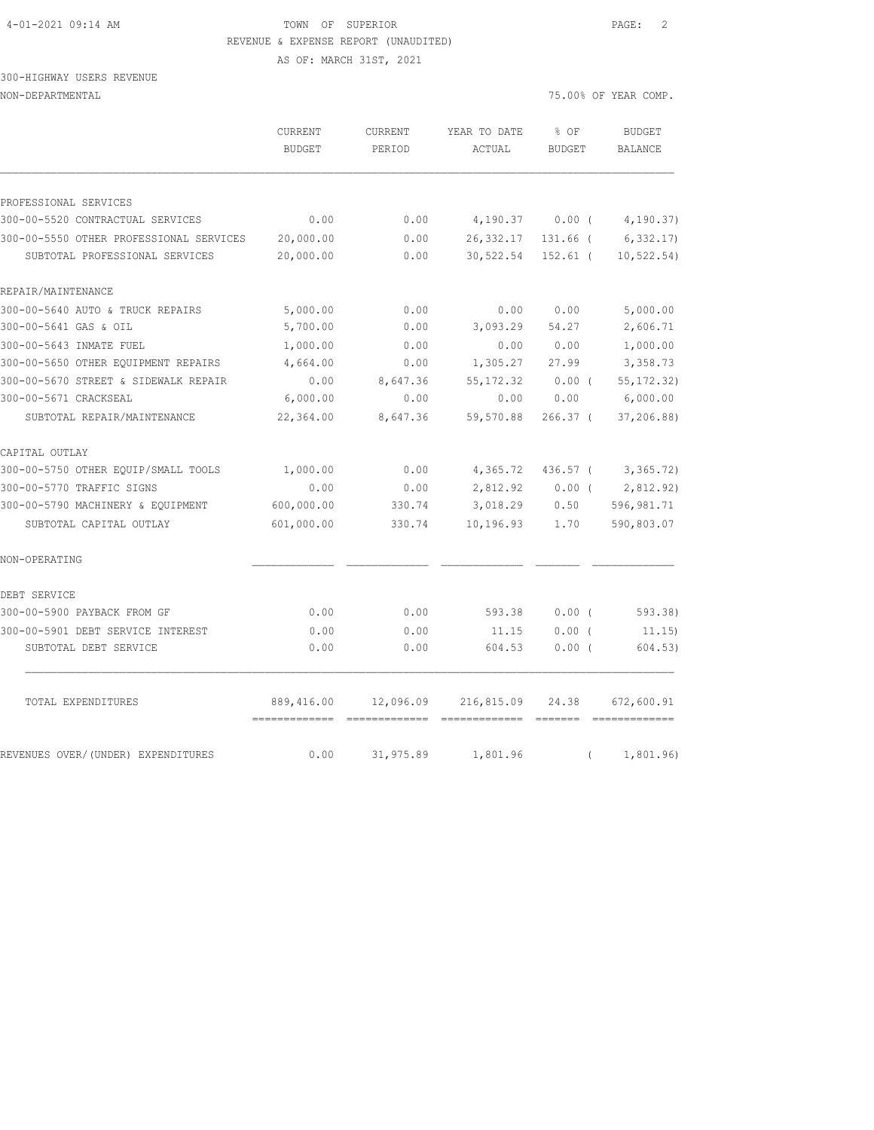# 4-01-2021 09:14 AM TOWN OF SUPERIOR PAGE: 2 REVENUE & EXPENSE REPORT (UNAUDITED) AS OF: MARCH 31ST, 2021

300-HIGHWAY USERS REVENUE

NON-DEPARTMENTAL 75.00% OF YEAR COMP.

|                                         | <b>CURRENT</b><br><b>BUDGET</b> | <b>CURRENT</b><br>PERIOD | YEAR TO DATE<br>ACTUAL | % OF<br><b>BUDGET</b> | <b>BUDGET</b><br><b>BALANCE</b> |
|-----------------------------------------|---------------------------------|--------------------------|------------------------|-----------------------|---------------------------------|
| PROFESSIONAL SERVICES                   |                                 |                          |                        |                       |                                 |
| 300-00-5520 CONTRACTUAL SERVICES        | 0.00                            | 0.00                     | 4,190.37               | $0.00$ (              | 4,190.37)                       |
| 300-00-5550 OTHER PROFESSIONAL SERVICES | 20,000.00                       | 0.00                     | 26, 332.17             | 131.66 (              | 6,332.17                        |
| SUBTOTAL PROFESSIONAL SERVICES          | 20,000.00                       | 0.00                     | 30,522.54              | $152.61$ (            | 10, 522.54)                     |
| REPAIR/MAINTENANCE                      |                                 |                          |                        |                       |                                 |
| 300-00-5640 AUTO & TRUCK REPAIRS        | 5,000.00                        | 0.00                     | 0.00                   | 0.00                  | 5,000.00                        |
| 300-00-5641 GAS & OIL                   | 5,700.00                        | 0.00                     | 3,093.29               | 54.27                 | 2,606.71                        |
| 300-00-5643 INMATE FUEL                 | 1,000.00                        | 0.00                     | 0.00                   | 0.00                  | 1,000.00                        |
| 300-00-5650 OTHER EQUIPMENT REPAIRS     | 4,664.00                        | 0.00                     | 1,305.27               | 27.99                 | 3,358.73                        |
| 300-00-5670 STREET & SIDEWALK REPAIR    | 0.00                            | 8,647.36                 | 55, 172.32             | $0.00$ (              | 55, 172.32)                     |
| 300-00-5671 CRACKSEAL                   | 6,000.00                        | 0.00                     | 0.00                   | 0.00                  | 6,000.00                        |
| SUBTOTAL REPAIR/MAINTENANCE             | 22,364.00                       | 8,647.36                 | 59,570.88              | 266.37 (              | 37,206.88)                      |
| CAPITAL OUTLAY                          |                                 |                          |                        |                       |                                 |
| 300-00-5750 OTHER EQUIP/SMALL TOOLS     | 1,000.00                        | 0.00                     | 4,365.72               | 436.57 (              | 3,365.72)                       |
| 300-00-5770 TRAFFIC SIGNS               | 0.00                            | 0.00                     | 2,812.92               | $0.00$ (              | 2,812.92)                       |
| 300-00-5790 MACHINERY & EQUIPMENT       | 600,000.00                      | 330.74                   | 3,018.29               | 0.50                  | 596,981.71                      |
| SUBTOTAL CAPITAL OUTLAY                 | 601,000.00                      | 330.74                   | 10, 196.93             | 1.70                  | 590,803.07                      |
| NON-OPERATING                           |                                 |                          |                        |                       |                                 |
| DEBT SERVICE                            |                                 |                          |                        |                       |                                 |
| 300-00-5900 PAYBACK FROM GF             | 0.00                            | 0.00                     | 593.38                 | $0.00$ (              | 593.38)                         |
| 300-00-5901 DEBT SERVICE INTEREST       | 0.00                            | 0.00                     | 11.15                  | $0.00$ (              | 11.15)                          |
| SUBTOTAL DEBT SERVICE                   | 0.00                            | 0.00                     | 604.53                 | $0.00$ (              | 604.53)                         |
| TOTAL EXPENDITURES                      | 889,416.00                      | 12,096.09                | 216,815.09             | 24.38                 | 672,600.91                      |
| REVENUES OVER/(UNDER) EXPENDITURES      | 0.00                            | 31,975.89                | 1,801.96               | $\left($              | 1,801.96)                       |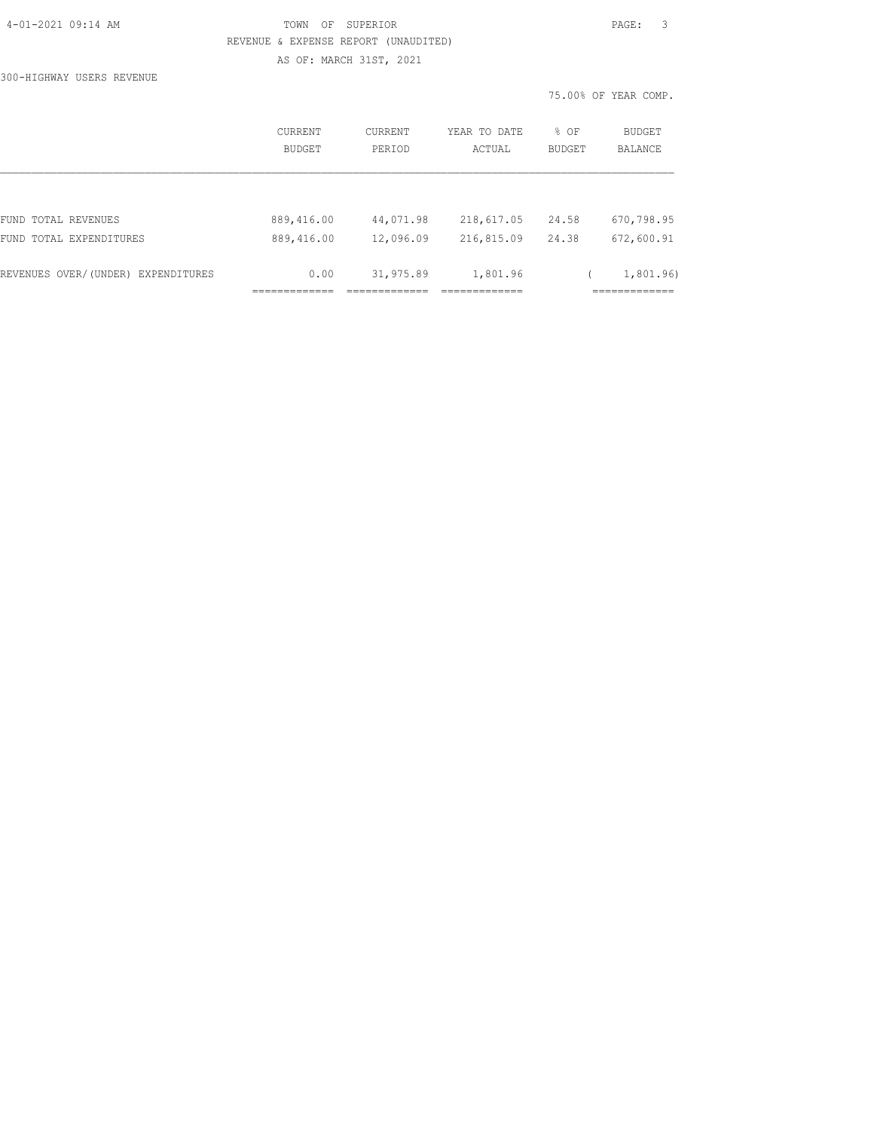## TOWN OF SUPERIOR **PAGE:** 3 REVENUE & EXPENSE REPORT (UNAUDITED) AS OF: MARCH 31ST, 2021

300-HIGHWAY USERS REVENUE

|                                    |                          |                          |                        |                | 75.00% OF YEAR COMP.            |
|------------------------------------|--------------------------|--------------------------|------------------------|----------------|---------------------------------|
|                                    | <b>CURRENT</b><br>BUDGET | <b>CURRENT</b><br>PERIOD | YEAR TO DATE<br>ACTUAL | % OF<br>BUDGET | <b>BUDGET</b><br><b>BALANCE</b> |
|                                    |                          |                          |                        |                |                                 |
| FUND TOTAL REVENUES                | 889,416.00               | 44,071.98                | 218,617.05             | 24.58          | 670,798.95                      |
| FUND TOTAL EXPENDITURES            | 889,416.00               | 12,096.09                | 216,815.09             | 24.38          | 672,600.91                      |
| REVENUES OVER/(UNDER) EXPENDITURES | 0.00<br>----------       | 31,975.89                | 1,801.96               |                | 1,801.96)<br>. ============     |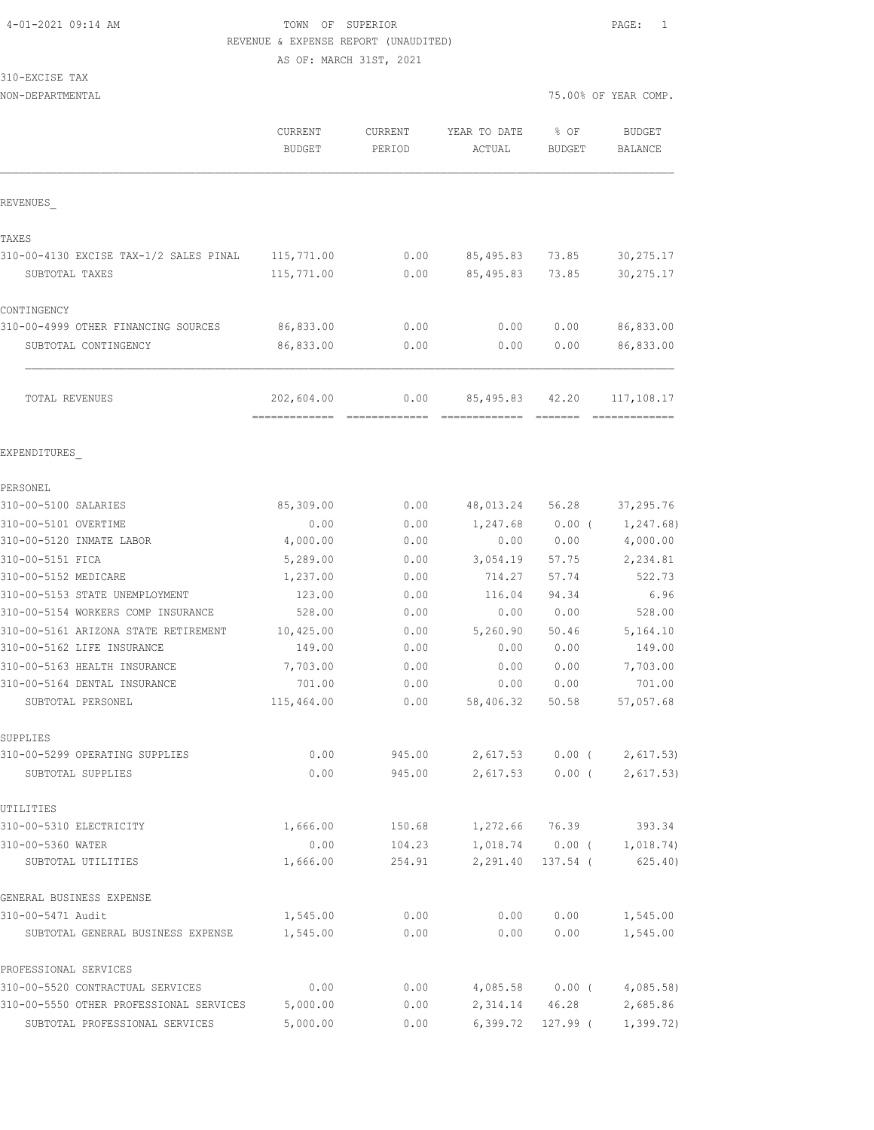# 4-01-2021 09:14 AM TOWN OF SUPERIOR PAGE: 1 REVENUE & EXPENSE REPORT (UNAUDITED) AS OF: MARCH 31ST, 2021

310-EXCISE TAX

| NON-DEPARTMENTAL                        |                             |                       |                             | 75.00% OF YEAR COMP. |                           |  |
|-----------------------------------------|-----------------------------|-----------------------|-----------------------------|----------------------|---------------------------|--|
|                                         | CURRENT<br><b>BUDGET</b>    | CURRENT<br>PERIOD     | YEAR TO DATE<br>ACTUAL      | % OF<br>BUDGET       | <b>BUDGET</b><br>BALANCE  |  |
| REVENUES                                |                             |                       |                             |                      |                           |  |
| TAXES                                   |                             |                       |                             |                      |                           |  |
| 310-00-4130 EXCISE TAX-1/2 SALES PINAL  | 115,771.00                  | 0.00                  | 85,495.83                   | 73.85                | 30, 275.17                |  |
| SUBTOTAL TAXES                          | 115,771.00                  | 0.00                  | 85, 495.83                  | 73.85                | 30, 275.17                |  |
| CONTINGENCY                             |                             |                       |                             |                      |                           |  |
| 310-00-4999 OTHER FINANCING SOURCES     | 86,833.00                   | 0.00                  | 0.00                        | 0.00                 | 86,833.00                 |  |
| SUBTOTAL CONTINGENCY                    | 86,833.00                   | 0.00                  | 0.00                        | 0.00                 | 86,833.00                 |  |
| TOTAL REVENUES                          | 202,604.00<br>------------- | 0.00<br>============= | 85, 495.83<br>------------- | 42.20<br>--------    | 117,108.17<br>----------- |  |
| EXPENDITURES                            |                             |                       |                             |                      |                           |  |
| PERSONEL                                |                             |                       |                             |                      |                           |  |
| 310-00-5100 SALARIES                    | 85,309.00                   | 0.00                  | 48,013.24                   | 56.28                | 37,295.76                 |  |
| 310-00-5101 OVERTIME                    | 0.00                        | 0.00                  | 1,247.68                    | $0.00$ (             | 1,247.68)                 |  |
| 310-00-5120 INMATE LABOR                | 4,000.00                    | 0.00                  | 0.00                        | 0.00                 | 4,000.00                  |  |
| 310-00-5151 FICA                        | 5,289.00                    | 0.00                  | 3,054.19                    | 57.75                | 2,234.81                  |  |
| 310-00-5152 MEDICARE                    | 1,237.00                    | 0.00                  | 714.27                      | 57.74                | 522.73                    |  |
| 310-00-5153 STATE UNEMPLOYMENT          | 123.00                      | 0.00                  | 116.04                      | 94.34                | 6.96                      |  |
| 310-00-5154 WORKERS COMP INSURANCE      | 528.00                      | 0.00                  | 0.00                        | 0.00                 | 528.00                    |  |
| 310-00-5161 ARIZONA STATE RETIREMENT    | 10,425.00                   | 0.00                  | 5,260.90                    | 50.46                | 5,164.10                  |  |
| 310-00-5162 LIFE INSURANCE              | 149.00                      | 0.00                  | 0.00                        | 0.00                 | 149.00                    |  |
| 310-00-5163 HEALTH INSURANCE            | 7,703.00                    | 0.00                  | 0.00                        | 0.00                 | 7,703.00                  |  |
| 310-00-5164 DENTAL INSURANCE            | 701.00                      | 0.00                  | 0.00                        | 0.00                 | 701.00                    |  |
| SUBTOTAL PERSONEL                       | 115,464.00                  | 0.00                  | 58,406.32                   | 50.58                | 57,057.68                 |  |
| SUPPLIES                                |                             |                       |                             |                      |                           |  |
| 310-00-5299 OPERATING SUPPLIES          | 0.00                        | 945.00                | 2,617.53                    |                      | $0.00$ ( 2,617.53)        |  |
| SUBTOTAL SUPPLIES                       | 0.00                        | 945.00                | 2,617.53                    | $0.00$ (             | 2,617.53)                 |  |
| UTILITIES                               |                             |                       |                             |                      |                           |  |
| 310-00-5310 ELECTRICITY                 | 1,666.00                    | 150.68                |                             | 1,272.66 76.39       | 393.34                    |  |
| 310-00-5360 WATER                       | 0.00                        | 104.23                |                             |                      | 1,018.74 0.00 ( 1,018.74) |  |
| SUBTOTAL UTILITIES                      | 1,666.00                    | 254.91                | 2,291.40                    | 137.54 (             | 625.40                    |  |
| GENERAL BUSINESS EXPENSE                |                             |                       |                             |                      |                           |  |
| 310-00-5471 Audit                       | 1,545.00                    | 0.00                  | 0.00                        | 0.00                 | 1,545.00                  |  |
| SUBTOTAL GENERAL BUSINESS EXPENSE       | 1,545.00                    | 0.00                  | 0.00                        | 0.00                 | 1,545.00                  |  |
| PROFESSIONAL SERVICES                   |                             |                       |                             |                      |                           |  |
| 310-00-5520 CONTRACTUAL SERVICES        | 0.00                        | 0.00                  | 4,085.58                    | $0.00$ (             | 4,085.58)                 |  |
| 310-00-5550 OTHER PROFESSIONAL SERVICES | 5,000.00                    | 0.00                  | 2,314.14                    | 46.28                | 2,685.86                  |  |

SUBTOTAL PROFESSIONAL SERVICES 5,000.00 0.00 6,399.72 127.99 ( 1,399.72)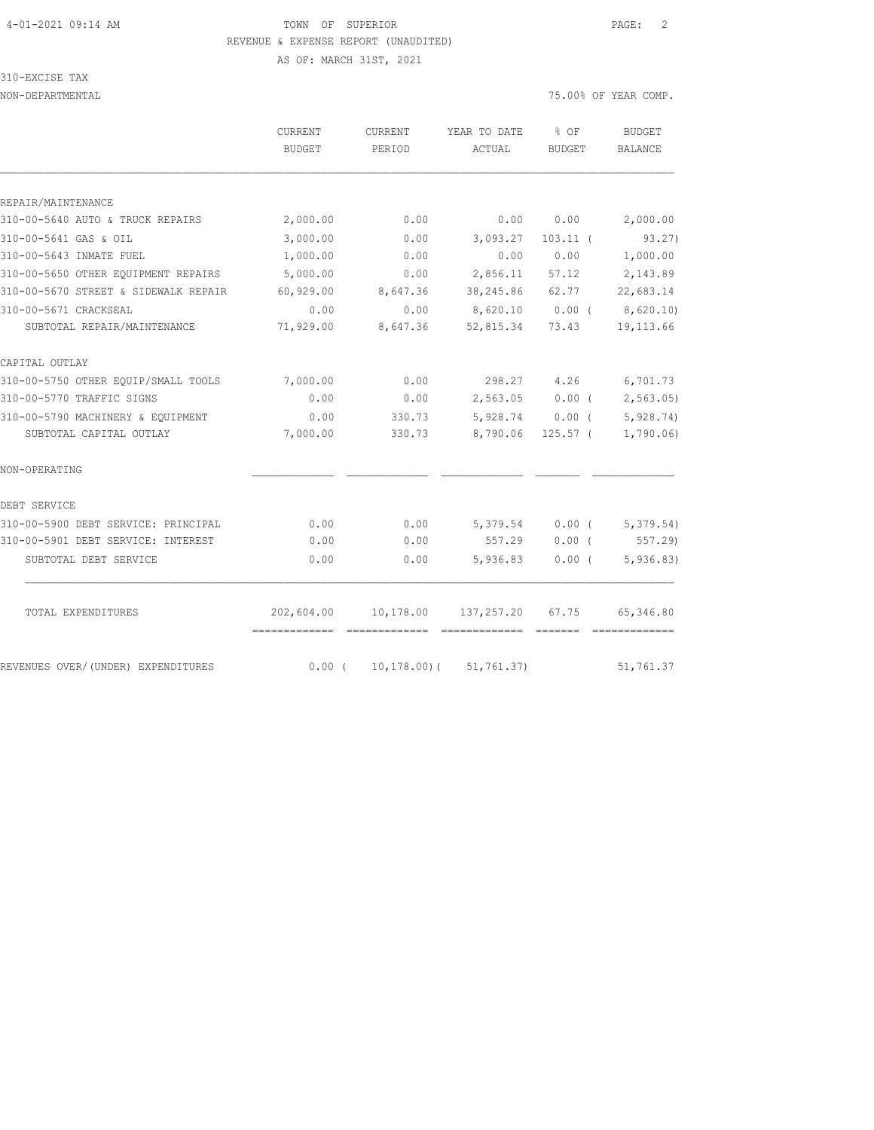# 4-01-2021 09:14 AM TOWN OF SUPERIOR PAGE: 2 REVENUE & EXPENSE REPORT (UNAUDITED)

310-EXCISE TAX

AS OF: MARCH 31ST, 2021

NON-DEPARTMENTAL 75.00% OF YEAR COMP.

|                                      | CURRENT       | CURRENT     | YEAR TO DATE    | $8$ OF        | <b>BUDGET</b>         |
|--------------------------------------|---------------|-------------|-----------------|---------------|-----------------------|
|                                      | <b>BUDGET</b> | PERIOD      | ACTUAL          | <b>BUDGET</b> | BALANCE               |
|                                      |               |             |                 |               |                       |
| REPAIR/MAINTENANCE                   |               |             |                 |               |                       |
| 310-00-5640 AUTO & TRUCK REPAIRS     | 2,000.00      | 0.00        | 0.00            | 0.00          | 2,000.00              |
| 310-00-5641 GAS & OIL                | 3,000.00      | 0.00        | 3,093.27        | $103.11$ (    | 93.27)                |
| 310-00-5643 INMATE FUEL              | 1,000.00      | 0.00        | 0.00            | 0.00          | 1,000.00              |
| 310-00-5650 OTHER EQUIPMENT REPAIRS  | 5,000.00      | 0.00        | 2,856.11        | 57.12         | 2,143.89              |
| 310-00-5670 STREET & SIDEWALK REPAIR | 60,929.00     | 8,647.36    | 38,245.86 62.77 |               | 22,683.14             |
| 310-00-5671 CRACKSEAL                | 0.00          | 0.00        | 8,620.10        | $0.00$ (      | 8,620.10)             |
| SUBTOTAL REPAIR/MAINTENANCE          | 71,929.00     | 8,647.36    | 52,815.34       | 73.43         | 19, 113.66            |
| CAPITAL OUTLAY                       |               |             |                 |               |                       |
| 310-00-5750 OTHER EQUIP/SMALL TOOLS  | 7,000.00      | 0.00        | 298.27 4.26     |               | 6,701.73              |
| 310-00-5770 TRAFFIC SIGNS            | 0.00          | 0.00        | 2,563.05        |               | $0.00$ ( $2,563.05$ ) |
| 310-00-5790 MACHINERY & EQUIPMENT    | 0.00          | 330.73      | 5,928.74        | $0.00$ (      | 5,928.74)             |
| SUBTOTAL CAPITAL OUTLAY              | 7,000.00      | 330.73      | 8,790.06        | $125.57$ (    | 1,790.06)             |
| NON-OPERATING                        |               |             |                 |               |                       |
| DEBT SERVICE                         |               |             |                 |               |                       |
| 310-00-5900 DEBT SERVICE: PRINCIPAL  | 0.00          | 0.00        | 5,379.54        | $0.00$ (      | 5,379.54)             |
| 310-00-5901 DEBT SERVICE: INTEREST   | 0.00          | 0.00        | 557.29          | 0.00(         | 557.29)               |
| SUBTOTAL DEBT SERVICE                | 0.00          | 0.00        | 5,936.83        | $0.00$ (      | 5,936.83              |
|                                      | 202,604.00    |             |                 |               |                       |
| TOTAL EXPENDITURES                   | ============= | 10,178.00   | 137,257.20      | 67.75         | 65,346.80             |
| REVENUES OVER/(UNDER) EXPENDITURES   | $0.00$ (      | 10,178.00)( | 51, 761.37)     |               | 51,761.37             |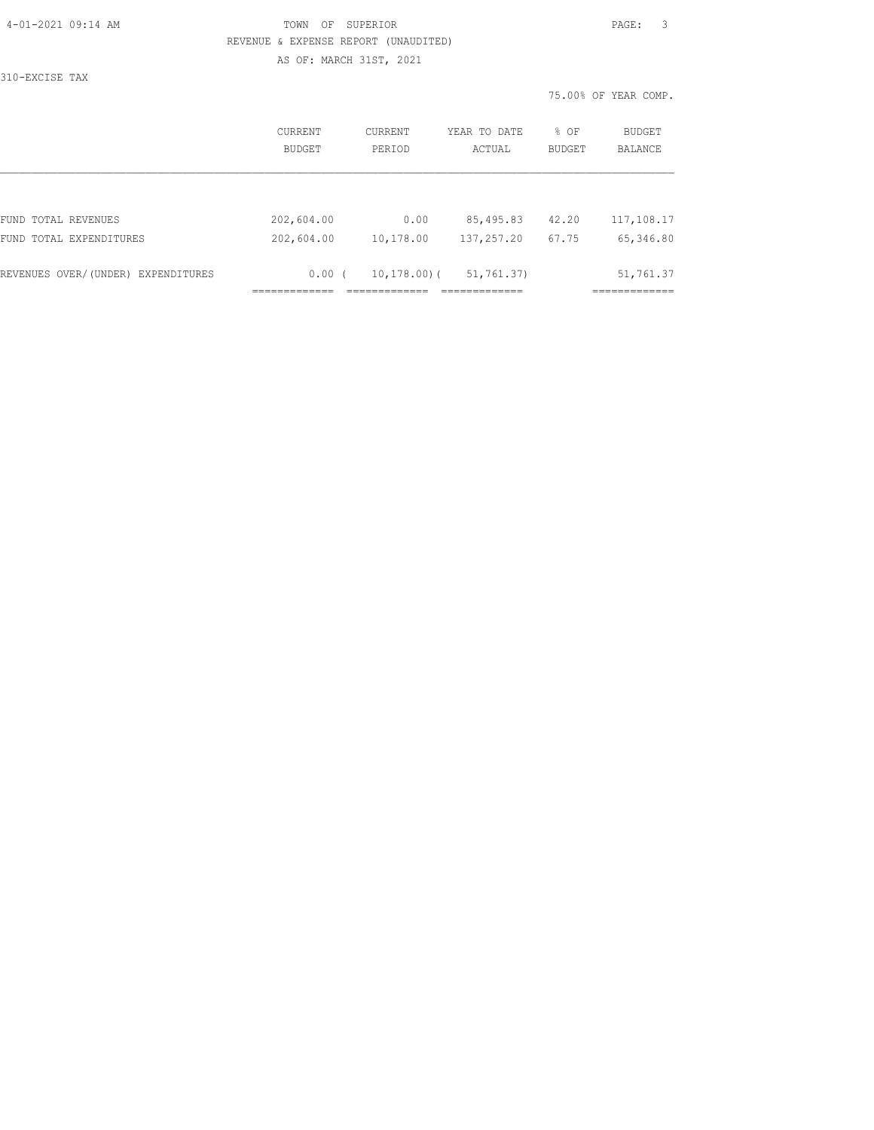| 4-01-2021 09:14 AM |  |
|--------------------|--|
|                    |  |

# TOWN OF SUPERIOR **PAGE:** 3 REVENUE & EXPENSE REPORT (UNAUDITED) AS OF: MARCH 31ST, 2021

310-EXCISE TAX

|                                    | CURRENT       | CURRENT         | YEAR TO DATE | % OF          | BUDGET         |
|------------------------------------|---------------|-----------------|--------------|---------------|----------------|
|                                    | <b>BUDGET</b> | PERIOD          | ACTUAL       | <b>BUDGET</b> | <b>BALANCE</b> |
| FUND TOTAL REVENUES                | 202,604.00    | 0.00            | 85,495.83    | 42.20         | 117,108.17     |
| FUND TOTAL EXPENDITURES            | 202,604.00    | 10,178.00       | 137,257.20   | 67.75         | 65,346.80      |
| REVENUES OVER/(UNDER) EXPENDITURES | 0.00(         | $10, 178, 00$ ( | 51, 761, 37) |               | 51,761.37      |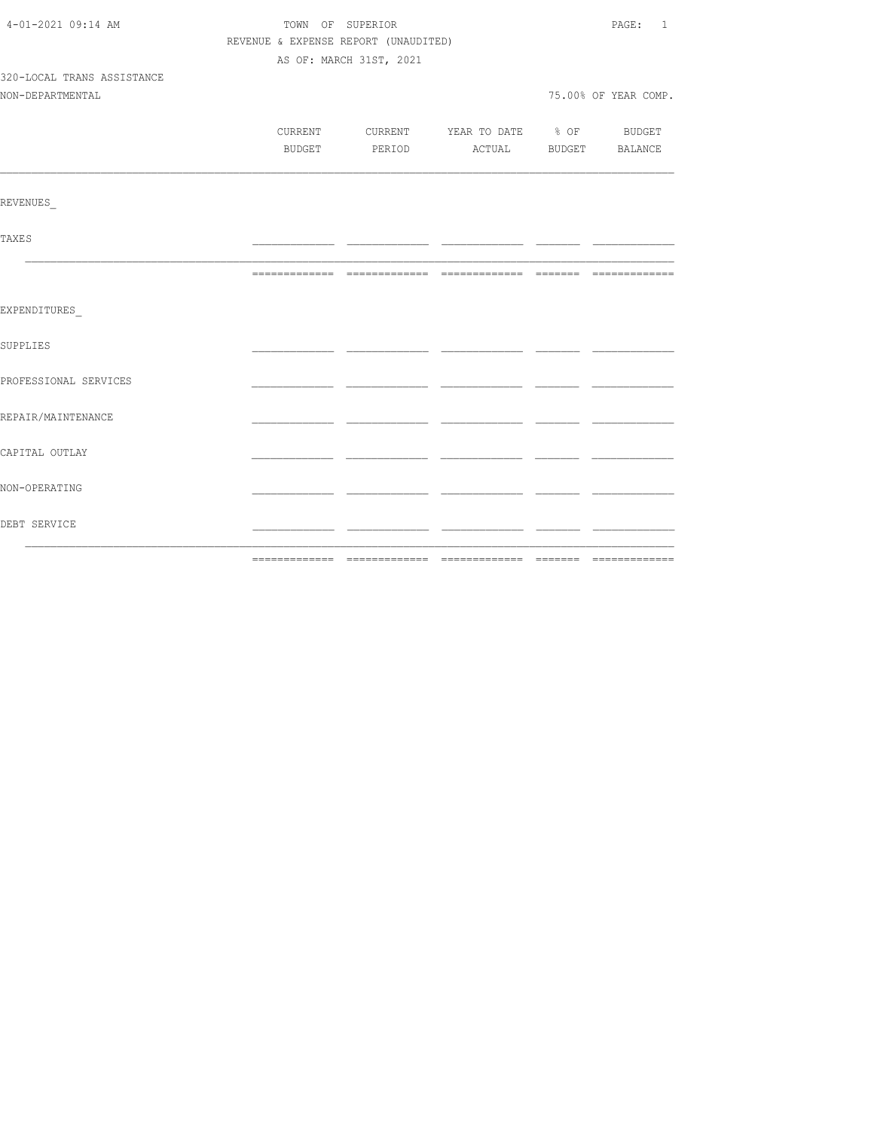| 4-01-2021 09:14 AM         | TOWN OF SUPERIOR | PAGE: 1                              |                                          |                       |                      |
|----------------------------|------------------|--------------------------------------|------------------------------------------|-----------------------|----------------------|
|                            |                  | REVENUE & EXPENSE REPORT (UNAUDITED) |                                          |                       |                      |
|                            |                  | AS OF: MARCH 31ST, 2021              |                                          |                       |                      |
| 320-LOCAL TRANS ASSISTANCE |                  |                                      |                                          |                       |                      |
| NON-DEPARTMENTAL           |                  |                                      |                                          |                       | 75.00% OF YEAR COMP. |
|                            |                  |                                      |                                          |                       |                      |
|                            |                  |                                      | CURRENT CURRENT YEAR TO DATE % OF BUDGET |                       |                      |
|                            | BUDGET           | PERIOD                               |                                          | ACTUAL BUDGET BALANCE |                      |
|                            |                  |                                      |                                          |                       |                      |
| <b>REVENUES</b>            |                  |                                      |                                          |                       |                      |
| <b>TAXES</b>               |                  |                                      |                                          |                       |                      |
|                            |                  |                                      |                                          |                       |                      |
| EXPENDITURES               |                  |                                      |                                          |                       |                      |
| SUPPLIES                   |                  |                                      |                                          |                       |                      |
| PROFESSIONAL SERVICES      |                  |                                      |                                          |                       |                      |
| REPAIR/MAINTENANCE         |                  |                                      |                                          |                       |                      |
| CAPITAL OUTLAY             |                  |                                      |                                          |                       |                      |
| NON-OPERATING              |                  |                                      |                                          |                       |                      |
| DEBT SERVICE               |                  |                                      |                                          |                       |                      |
|                            | --------------   |                                      |                                          |                       |                      |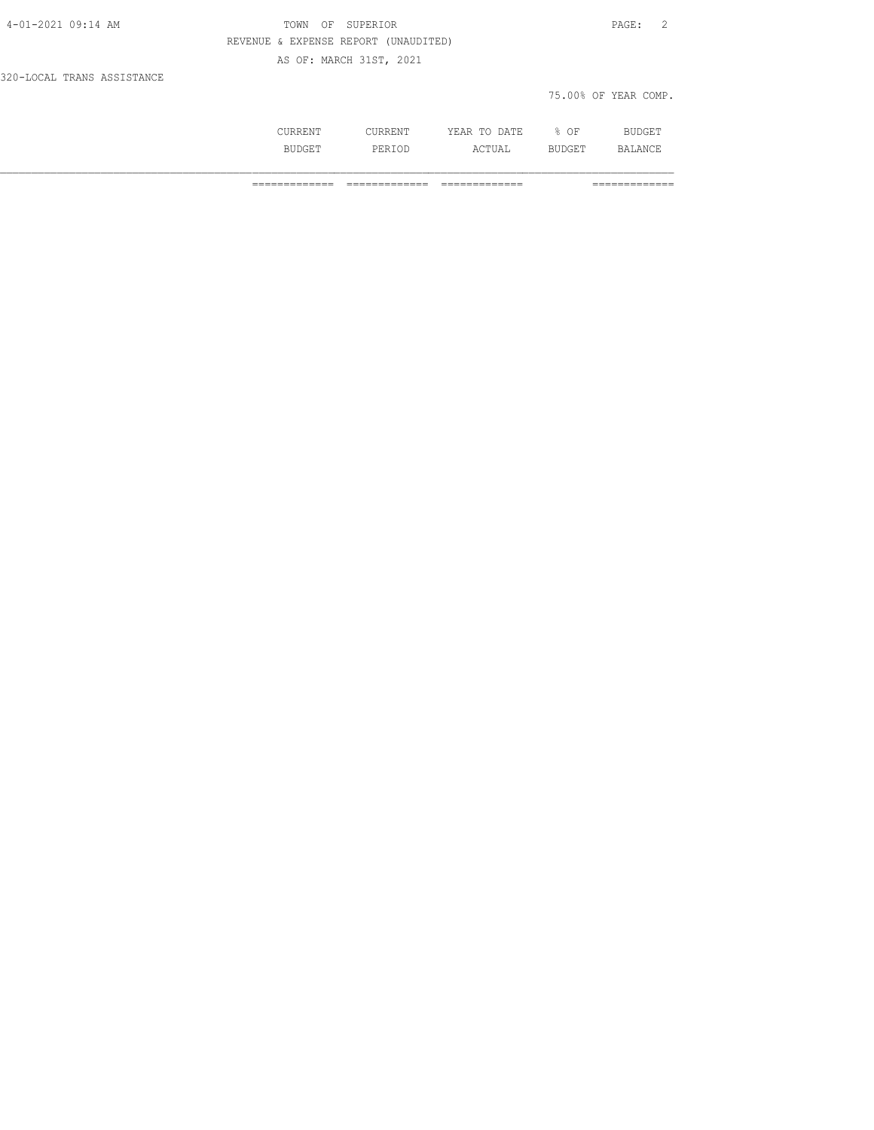| 4-01-2021 09:14 AM         | TOWN OF SUPERIOR                     |                      | PAGE: 2 |  |
|----------------------------|--------------------------------------|----------------------|---------|--|
|                            | REVENUE & EXPENSE REPORT (UNAUDITED) |                      |         |  |
|                            | AS OF: MARCH 31ST, 2021              |                      |         |  |
| 320-LOCAL TRANS ASSISTANCE |                                      |                      |         |  |
|                            |                                      | 75.00% OF YEAR COMP. |         |  |

| .     |            | - - -<br>A m r<br>- 13<br>----<br>----- | OF<br>◡ |                |
|-------|------------|-----------------------------------------|---------|----------------|
| ----- | <br>------ | $\sim$ m.<br>770 T OTT                  |         | $\mathbb{R}^n$ |

============= ============= ============= =============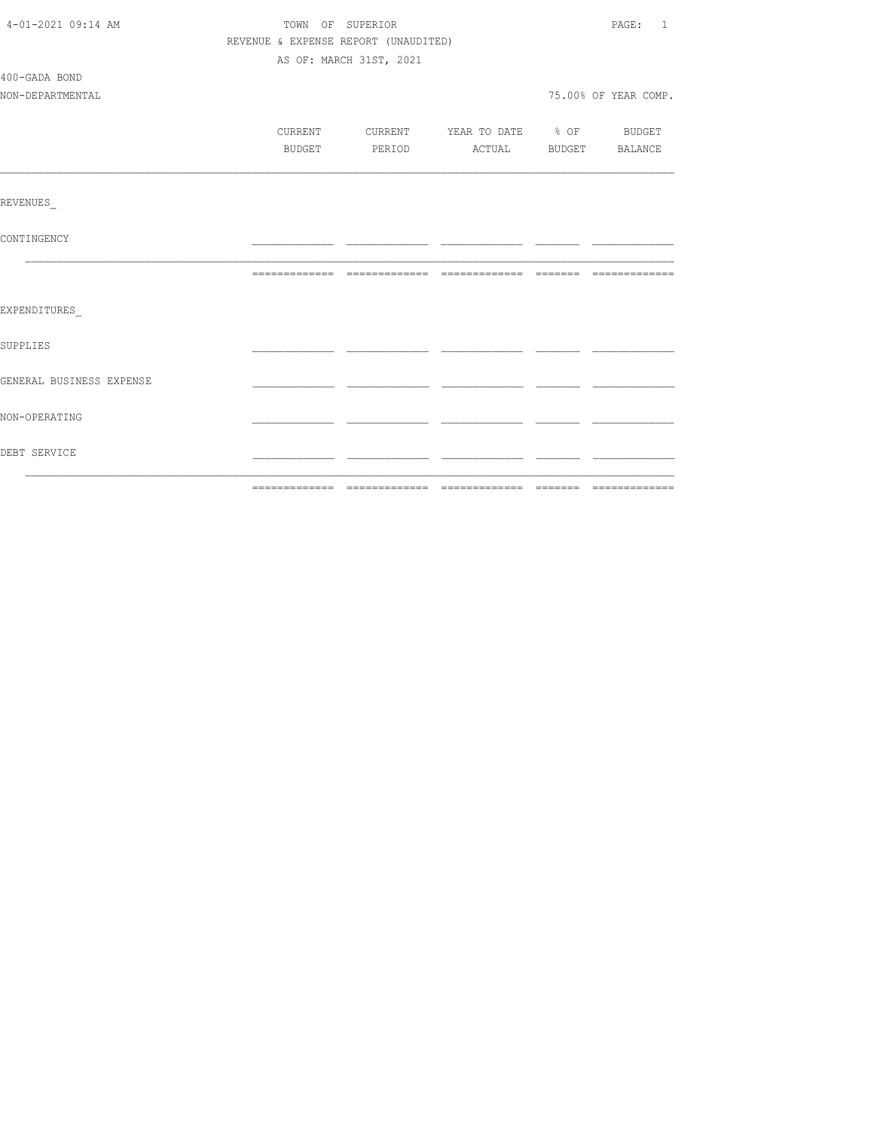| 4-01-2021 09:14 AM       |         | TOWN OF SUPERIOR                     |                                  | PAGE: 1              |
|--------------------------|---------|--------------------------------------|----------------------------------|----------------------|
|                          |         | REVENUE & EXPENSE REPORT (UNAUDITED) |                                  |                      |
|                          |         | AS OF: MARCH 31ST, 2021              |                                  |                      |
| 400-GADA BOND            |         |                                      |                                  |                      |
| NON-DEPARTMENTAL         |         |                                      |                                  | 75.00% OF YEAR COMP. |
|                          |         |                                      |                                  |                      |
|                          | CURRENT |                                      | CURRENT YEAR TO DATE % OF BUDGET |                      |
|                          | BUDGET  | PERIOD                               | ACTUAL BUDGET BALANCE            |                      |
|                          |         |                                      |                                  |                      |
| REVENUES                 |         |                                      |                                  |                      |
| CONTINGENCY              |         |                                      |                                  |                      |
|                          |         |                                      |                                  |                      |
| EXPENDITURES             |         |                                      |                                  |                      |
| SUPPLIES                 |         |                                      |                                  |                      |
| GENERAL BUSINESS EXPENSE |         |                                      |                                  |                      |
| NON-OPERATING            |         |                                      |                                  |                      |
| DEBT SERVICE             |         |                                      |                                  |                      |
|                          |         |                                      |                                  |                      |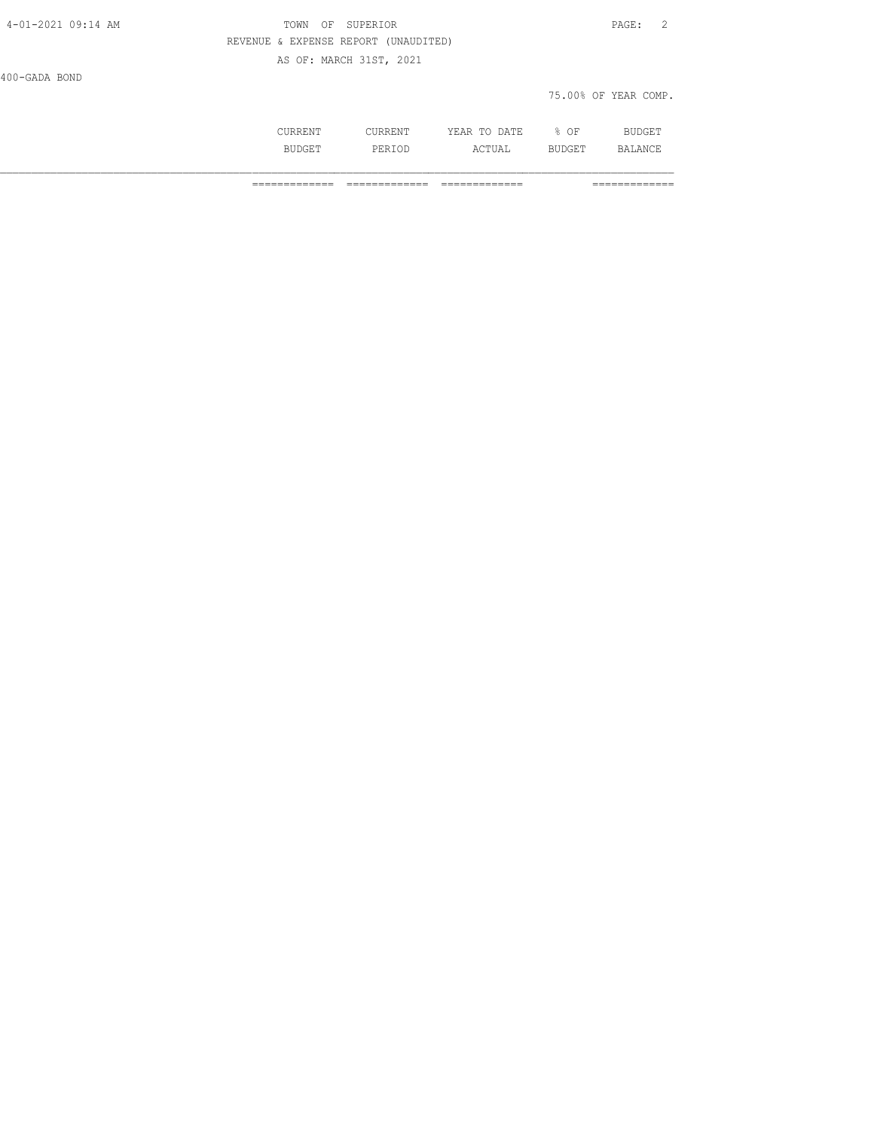| 4-01-2021 09:14 AM | TOWN OF SUPERIOR                     |                      | PAGE: 2 |  |
|--------------------|--------------------------------------|----------------------|---------|--|
|                    | REVENUE & EXPENSE REPORT (UNAUDITED) |                      |         |  |
|                    | AS OF: MARCH 31ST, 2021              |                      |         |  |
| 400-GADA BOND      |                                      |                      |         |  |
|                    |                                      | 75.00% OF YEAR COMP. |         |  |

| CURRENT      | ---------<br>I I R R F.<br>. | DATE.<br>VEAD<br>₫AR<br>------<br>-----                   | ΟF          | BUDGET                 |
|--------------|------------------------------|-----------------------------------------------------------|-------------|------------------------|
| <b>BIIDC</b> | ז סמ<br><br>------           | $\Lambda$ $\sim$ $\rm m$ $\rm H}$ $\sim$ $\sim$<br>ACTUAL | ĸ<br>ב מסטו | .ANCF<br>RΔ<br>------- |

============= ============= ============= =============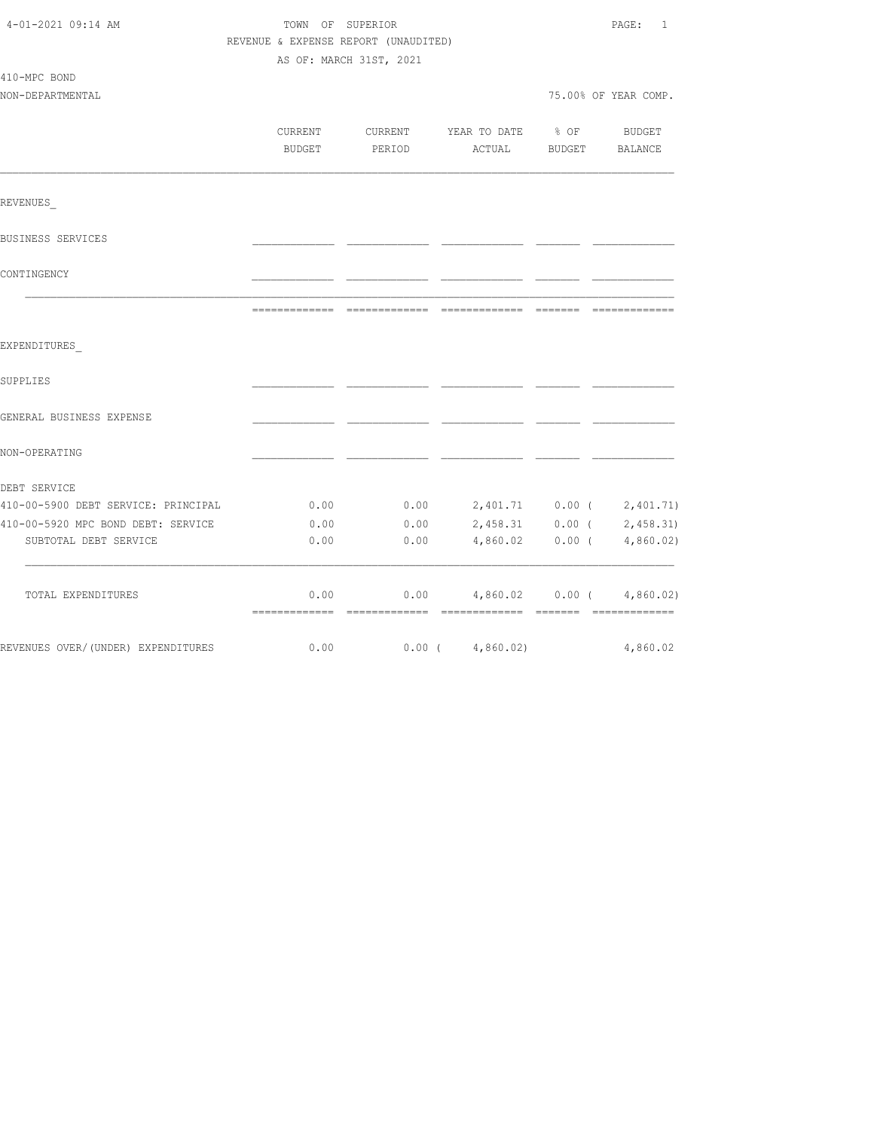| 4-01-2021 09:14 AM                  | TOWN OF SUPERIOR<br>REVENUE & EXPENSE REPORT (UNAUDITED)<br>AS OF: MARCH 31ST, 2021 |                   |                           |                            | PAGE:<br>1           |  |
|-------------------------------------|-------------------------------------------------------------------------------------|-------------------|---------------------------|----------------------------|----------------------|--|
| 410-MPC BOND<br>NON-DEPARTMENTAL    |                                                                                     |                   |                           |                            | 75.00% OF YEAR COMP. |  |
|                                     | CURRENT<br>BUDGET                                                                   | CURRENT<br>PERIOD | YEAR TO DATE<br>ACTUAL    | $\frac{1}{2}$ of<br>BUDGET | BUDGET<br>BALANCE    |  |
| REVENUES                            |                                                                                     |                   |                           |                            |                      |  |
| BUSINESS SERVICES                   |                                                                                     |                   |                           |                            |                      |  |
| CONTINGENCY                         |                                                                                     |                   |                           |                            |                      |  |
|                                     |                                                                                     |                   |                           |                            |                      |  |
| EXPENDITURES                        |                                                                                     |                   |                           |                            |                      |  |
| SUPPLIES                            |                                                                                     |                   |                           |                            |                      |  |
| GENERAL BUSINESS EXPENSE            |                                                                                     |                   |                           |                            |                      |  |
| NON-OPERATING                       |                                                                                     |                   |                           |                            |                      |  |
| DEBT SERVICE                        |                                                                                     |                   |                           |                            |                      |  |
| 410-00-5900 DEBT SERVICE: PRINCIPAL | 0.00                                                                                | 0.00              | 2,401.71 0.00 ( 2,401.71) |                            |                      |  |
| 410-00-5920 MPC BOND DEBT: SERVICE  | 0.00                                                                                | 0.00              | 2,458.31                  | $0.00$ (                   | 2,458.31             |  |
| SUBTOTAL DEBT SERVICE               | 0.00                                                                                | 0.00              | 4,860.02                  | $0.00$ (                   | 4,860.02             |  |
| TOTAL EXPENDITURES                  | 0.00                                                                                | 0.00              | 4,860.02                  | $0.00$ (                   | 4,860.02             |  |
| REVENUES OVER/(UNDER) EXPENDITURES  | 0.00                                                                                |                   | $0.00$ ( $4,860.02$ )     |                            | 4,860.02             |  |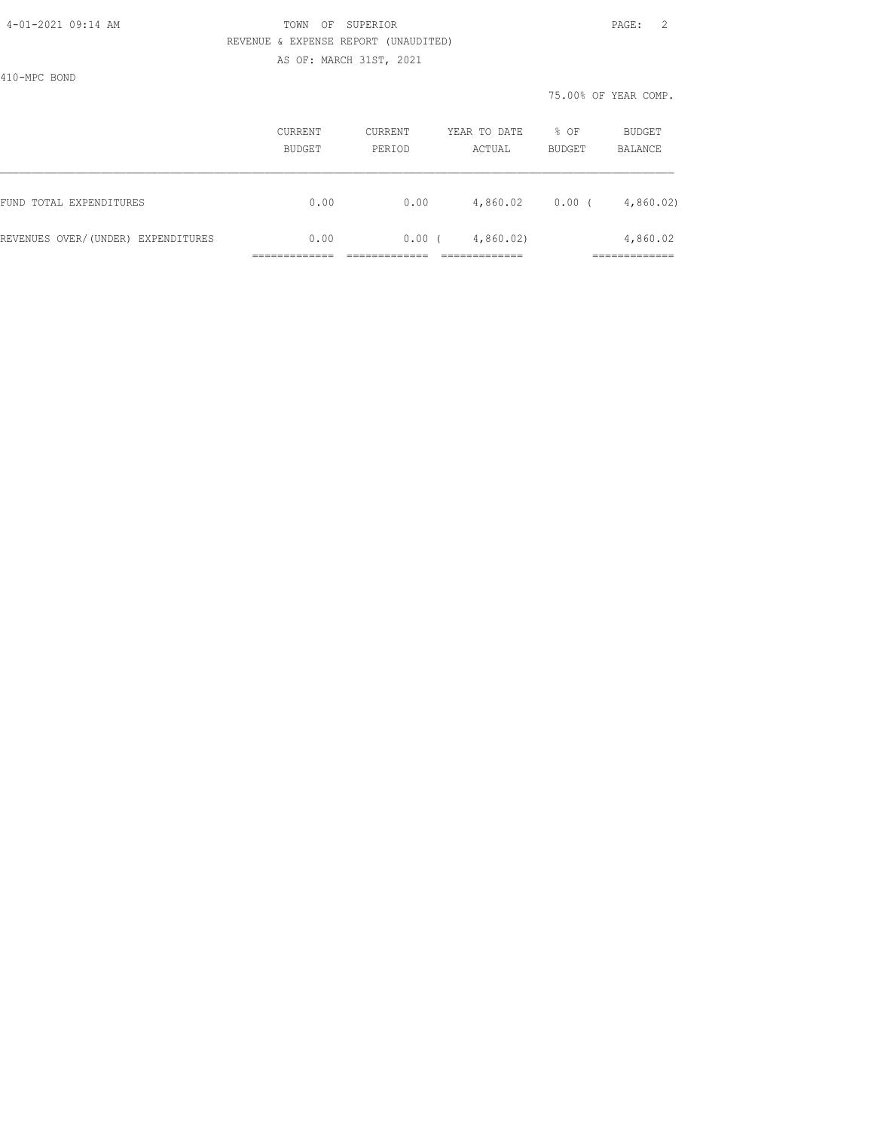#### 4-01-2021 09:14 AM TOWN OF SUPERIOR PAGE: 2 REVENUE & EXPENSE REPORT (UNAUDITED) AS OF: MARCH 31ST, 2021

410-MPC BOND

|                                    | <b>CURRENT</b><br>CURRENT<br>BUDGET<br>PERIOD |      | YEAR TO DATE<br>ACTUAL | $8$ OF<br>BUDGET | BUDGET<br>BALANCE         |  |
|------------------------------------|-----------------------------------------------|------|------------------------|------------------|---------------------------|--|
| FUND TOTAL EXPENDITURES            | 0.00                                          | 0.00 | 4,860.02               | 0.00(            | 4,860.02                  |  |
| REVENUES OVER/(UNDER) EXPENDITURES | 0.00                                          | 0.00 | 4,860.02               |                  | 4,860.02<br>_____________ |  |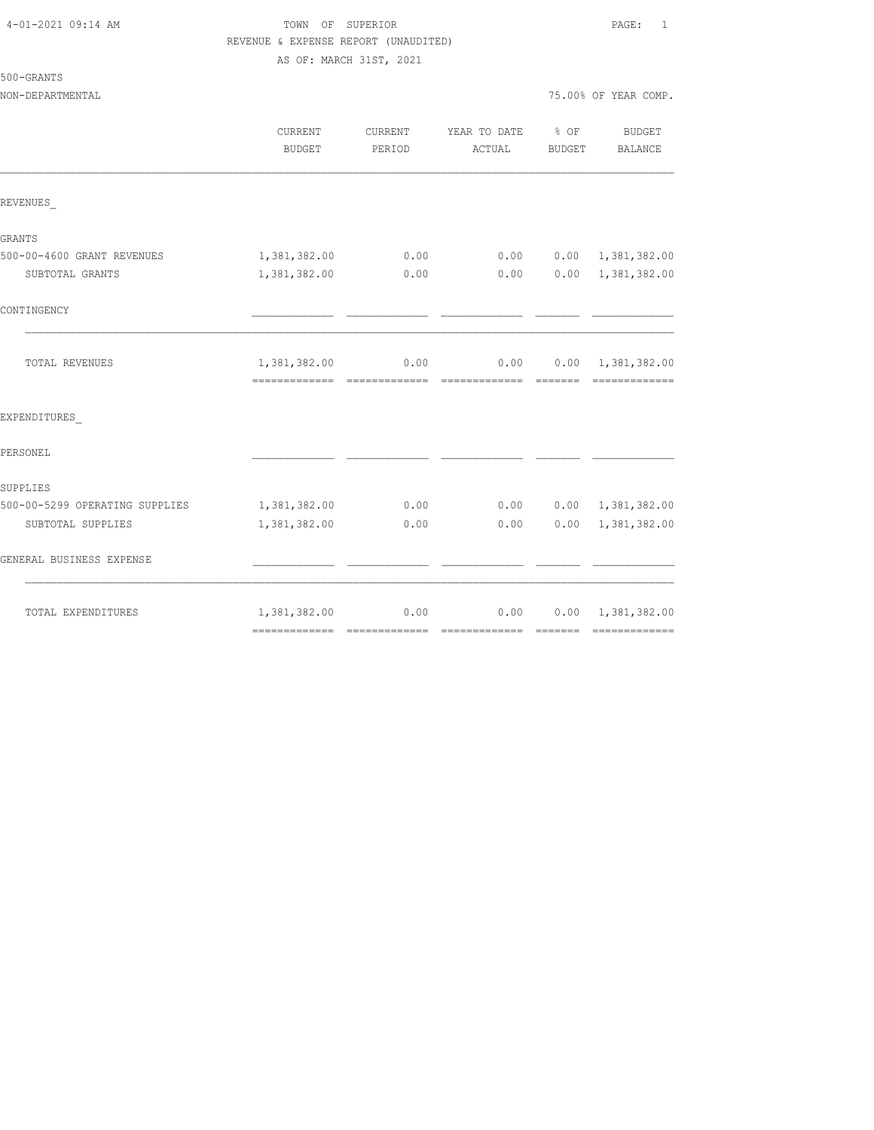# TOWN OF SUPERIOR **PAGE:** 1 REVENUE & EXPENSE REPORT (UNAUDITED)

AS OF: MARCH 31ST, 2021

|  | 500-GRANTS |  |  |
|--|------------|--|--|
|  |            |  |  |

|                                | CURRENT<br>BUDGET | <b>CURRENT</b><br>PERIOD | YEAR TO DATE % OF<br>ACTUAL | BUDGET | <b>BUDGET</b><br>BALANCE                      |
|--------------------------------|-------------------|--------------------------|-----------------------------|--------|-----------------------------------------------|
| REVENUES                       |                   |                          |                             |        |                                               |
| GRANTS                         |                   |                          |                             |        |                                               |
| 500-00-4600 GRANT REVENUES     | 1,381,382.00      | 0.00                     | 0.00                        |        | $0.00 \quad 1,381,382.00$                     |
| SUBTOTAL GRANTS                | 1,381,382.00      | 0.00                     | 0.00                        |        | $0.00 \quad 1,381,382.00$                     |
| CONTINGENCY                    |                   |                          |                             |        |                                               |
| TOTAL REVENUES                 | 1,381,382.00 0.00 |                          |                             |        | $0.00$ $0.00$ $1,381,382.00$<br>------------- |
| EXPENDITURES                   |                   |                          |                             |        |                                               |
| PERSONEL                       |                   |                          |                             |        |                                               |
| SUPPLIES                       |                   |                          |                             |        |                                               |
| 500-00-5299 OPERATING SUPPLIES | 1,381,382.00      | 0.00                     |                             |        | $0.00$ $0.00$ $1,381,382.00$                  |
| SUBTOTAL SUPPLIES              | 1,381,382.00      | 0.00                     | 0.00                        |        | 0.00 1,381,382.00                             |
| GENERAL BUSINESS EXPENSE       |                   |                          |                             |        |                                               |
| TOTAL EXPENDITURES             | 1,381,382.00      | 0.00                     | 0.00                        |        | $0.00 \quad 1,381,382.00$                     |
|                                |                   |                          |                             |        |                                               |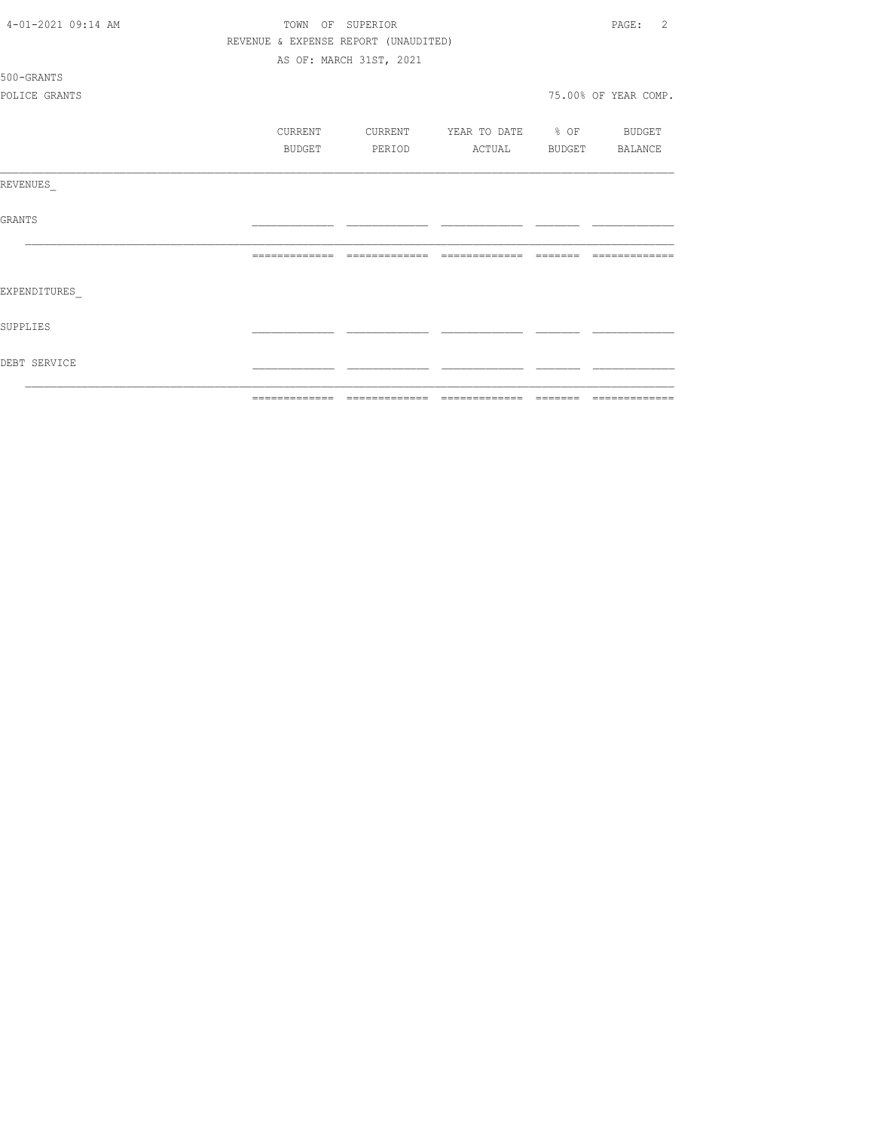| 4-01-2021 09:14 AM | TOWN OF SUPERIOR                     |                         |                          |                | 2<br>PAGE:           |
|--------------------|--------------------------------------|-------------------------|--------------------------|----------------|----------------------|
|                    | REVENUE & EXPENSE REPORT (UNAUDITED) |                         |                          |                |                      |
|                    |                                      | AS OF: MARCH 31ST, 2021 |                          |                |                      |
| 500-GRANTS         |                                      |                         |                          |                |                      |
| POLICE GRANTS      |                                      |                         |                          |                | 75.00% OF YEAR COMP. |
|                    | CURRENT                              | CURRENT                 | YEAR TO DATE % OF BUDGET |                |                      |
|                    | BUDGET                               | PERIOD                  | ACTUAL                   | BUDGET BALANCE |                      |
| REVENUES           |                                      |                         |                          |                |                      |
| GRANTS             |                                      |                         |                          |                |                      |
|                    |                                      |                         |                          |                | --------------       |
| EXPENDITURES       |                                      |                         |                          |                |                      |
| SUPPLIES           |                                      |                         |                          |                |                      |
| DEBT SERVICE       |                                      |                         |                          |                |                      |
|                    |                                      |                         |                          |                |                      |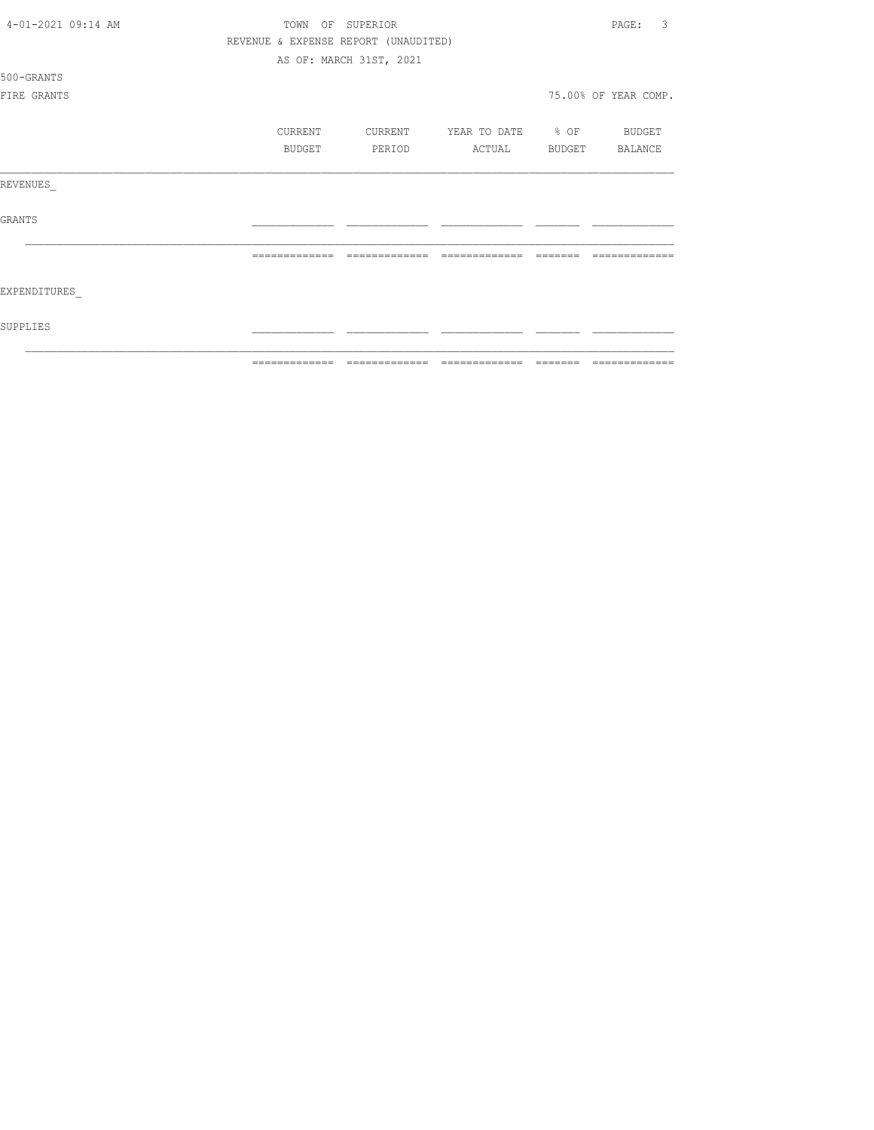| 4-01-2021 09:14 AM | TOWN          | OF<br>SUPERIOR                       |                   |        | 3<br>PAGE:           |
|--------------------|---------------|--------------------------------------|-------------------|--------|----------------------|
|                    |               | REVENUE & EXPENSE REPORT (UNAUDITED) |                   |        |                      |
|                    |               | AS OF: MARCH 31ST, 2021              |                   |        |                      |
| 500-GRANTS         |               |                                      |                   |        |                      |
| FIRE GRANTS        |               |                                      |                   |        | 75.00% OF YEAR COMP. |
|                    |               |                                      |                   |        |                      |
|                    | CURRENT       | CURRENT                              | YEAR TO DATE % OF |        | BUDGET               |
|                    | BUDGET        | PERIOD                               | ACTUAL            | BUDGET | BALANCE              |
| REVENUES           |               |                                      |                   |        |                      |
| <b>GRANTS</b>      |               |                                      |                   |        |                      |
|                    | ------------- |                                      |                   |        |                      |
| EXPENDITURES       |               |                                      |                   |        |                      |
| SUPPLIES           |               |                                      |                   |        |                      |
|                    | ------------- |                                      | -------------     |        |                      |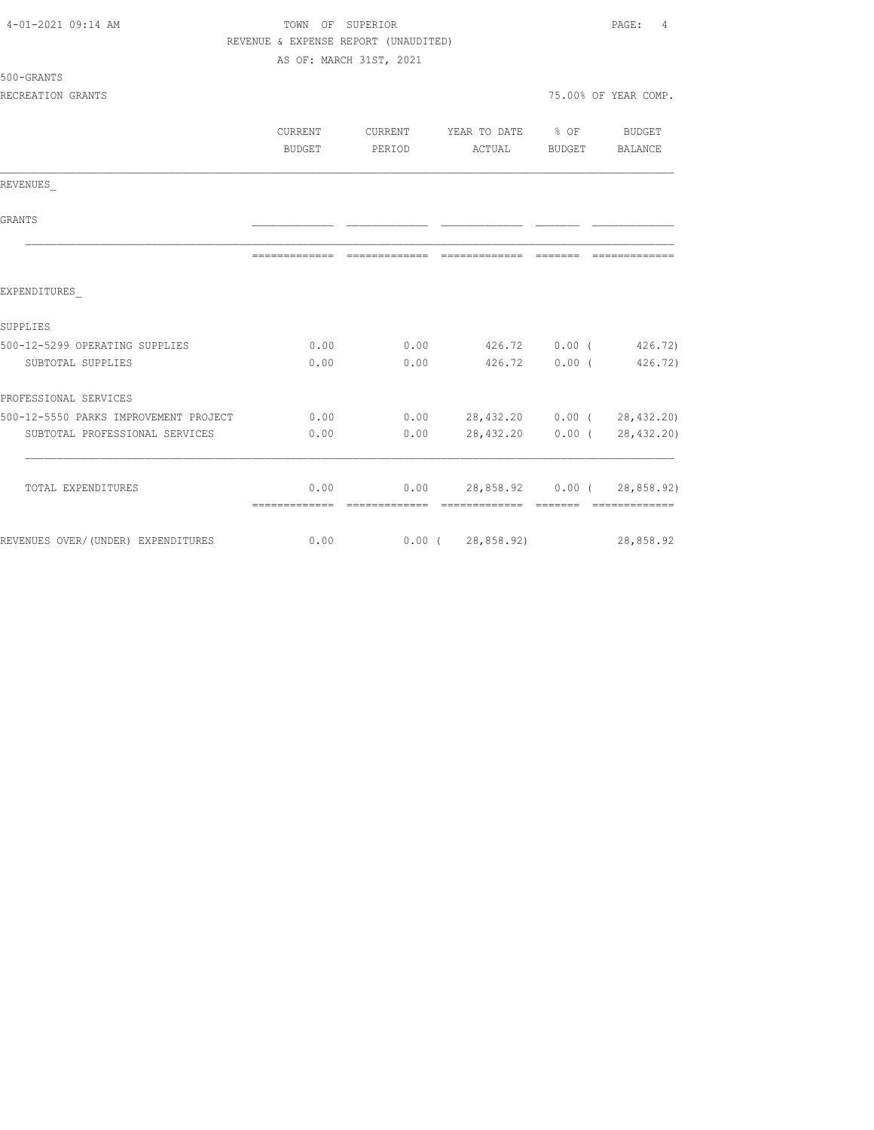| 4-01-2021 09:14 AM                    | TOWN OF SUPERIOR                     |                         |                            |          |                             |
|---------------------------------------|--------------------------------------|-------------------------|----------------------------|----------|-----------------------------|
|                                       | REVENUE & EXPENSE REPORT (UNAUDITED) |                         |                            |          |                             |
|                                       |                                      | AS OF: MARCH 31ST, 2021 |                            |          |                             |
| 500-GRANTS                            |                                      |                         |                            |          |                             |
| RECREATION GRANTS                     |                                      |                         |                            |          | 75.00% OF YEAR COMP.        |
|                                       | CURRENT                              | CURRENT                 | YEAR TO DATE               | $8$ OF   | BUDGET                      |
|                                       | BUDGET                               | PERIOD                  | ACTUAL                     | BUDGET   | BALANCE                     |
| REVENUES                              |                                      |                         |                            |          |                             |
| <b>GRANTS</b>                         |                                      |                         |                            |          |                             |
|                                       |                                      |                         |                            |          | =============               |
| EXPENDITURES                          |                                      |                         |                            |          |                             |
| SUPPLIES                              |                                      |                         |                            |          |                             |
| 500-12-5299 OPERATING SUPPLIES        | 0.00                                 | 0.00                    |                            |          | 426.72 0.00 (426.72)        |
| SUBTOTAL SUPPLIES                     | 0.00                                 | 0.00                    | 426.72                     | $0.00$ ( | 426.72)                     |
| PROFESSIONAL SERVICES                 |                                      |                         |                            |          |                             |
| 500-12-5550 PARKS IMPROVEMENT PROJECT | 0.00                                 | 0.00                    | 28,432.20 0.00 (28,432.20) |          |                             |
| SUBTOTAL PROFESSIONAL SERVICES        | 0.00                                 | 0.00                    | 28,432.20                  |          | 0.00(28, 432, 20)           |
| TOTAL EXPENDITURES                    | 0.00                                 | 0.00                    |                            |          | 28,858.92 0.00 ( 28,858.92) |
|                                       |                                      |                         |                            |          |                             |
| REVENUES OVER/(UNDER) EXPENDITURES    | 0.00                                 |                         | 0.00(28,858.92)            |          | 28,858.92                   |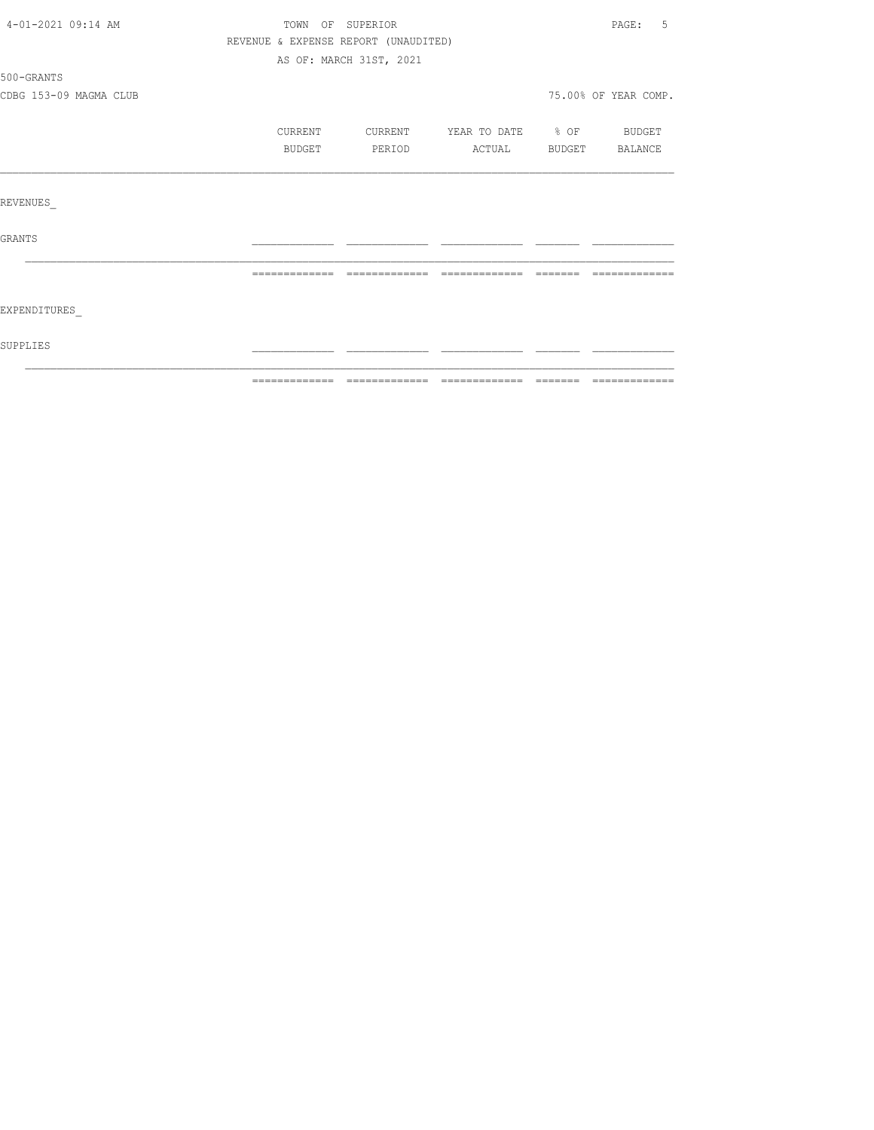| 4-01-2021 09:14 AM     | TOWN OF SUPERIOR                     |                         |                          | PAGE: 5              |
|------------------------|--------------------------------------|-------------------------|--------------------------|----------------------|
|                        | REVENUE & EXPENSE REPORT (UNAUDITED) |                         |                          |                      |
|                        |                                      | AS OF: MARCH 31ST, 2021 |                          |                      |
| 500-GRANTS             |                                      |                         |                          |                      |
| CDBG 153-09 MAGMA CLUB |                                      |                         |                          | 75.00% OF YEAR COMP. |
|                        | CURRENT                              | CURRENT                 | YEAR TO DATE % OF BUDGET |                      |
|                        | BUDGET                               | PERIOD                  | ACTUAL BUDGET            | BALANCE              |
| REVENUES               |                                      |                         |                          |                      |
| <b>GRANTS</b>          |                                      |                         |                          |                      |
|                        |                                      |                         |                          |                      |
| EXPENDITURES           |                                      |                         |                          |                      |
| SUPPLIES               |                                      |                         |                          |                      |
|                        |                                      |                         |                          |                      |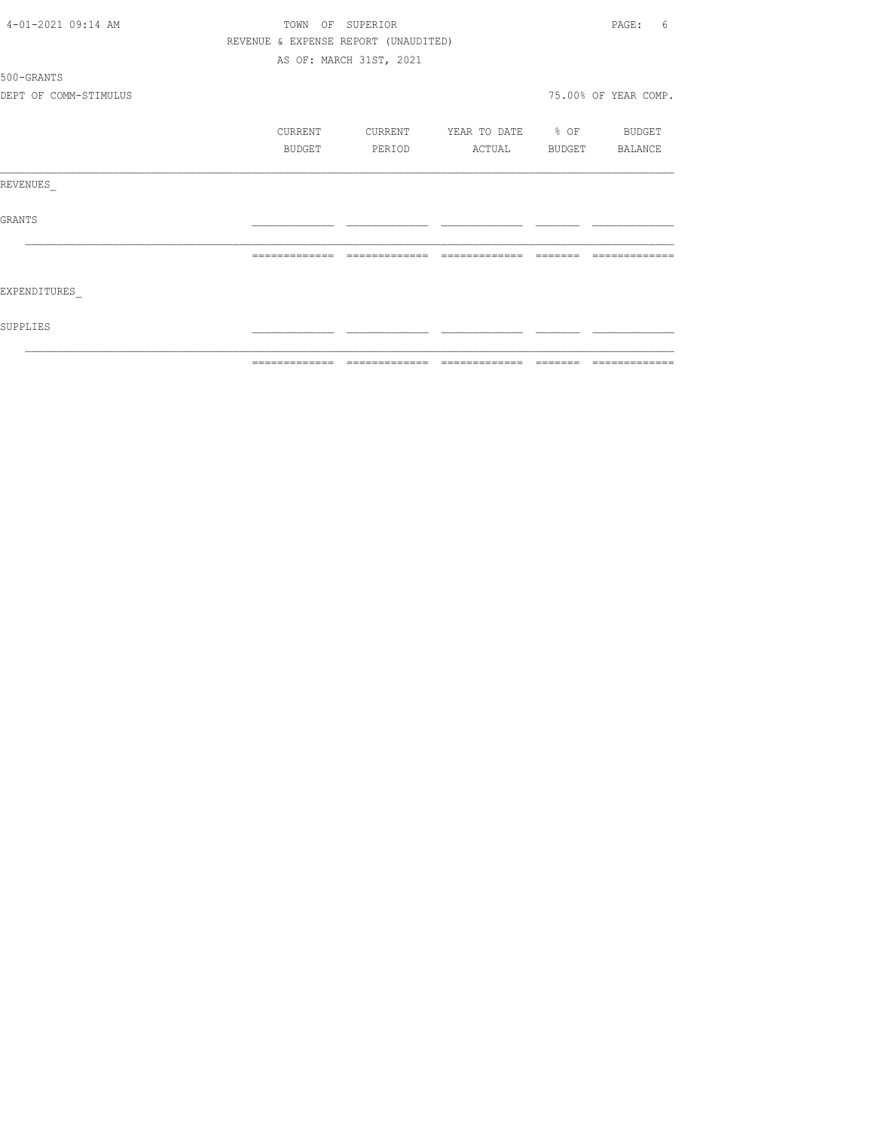|                       | ============= |         | -------------                        |                   | -------  | =============        |
|-----------------------|---------------|---------|--------------------------------------|-------------------|----------|----------------------|
| SUPPLIES              |               |         |                                      |                   |          |                      |
| EXPENDITURES          |               |         |                                      |                   |          |                      |
|                       | ============= |         | --------------                       | --------------    | -------- | -------------        |
| GRANTS                |               |         |                                      |                   |          |                      |
| REVENUES              |               |         |                                      |                   |          |                      |
|                       |               | BUDGET  | PERIOD                               | <b>ACTUAL</b>     |          | BUDGET BALANCE       |
|                       |               | CURRENT | CURRENT                              | YEAR TO DATE % OF |          | BUDGET               |
| DEPT OF COMM-STIMULUS |               |         |                                      |                   |          | 75.00% OF YEAR COMP. |
| 500-GRANTS            |               |         |                                      |                   |          |                      |
|                       |               |         | AS OF: MARCH 31ST, 2021              |                   |          |                      |
|                       |               |         | REVENUE & EXPENSE REPORT (UNAUDITED) |                   |          |                      |
| 4-01-2021 09:14 AM    |               |         | TOWN OF SUPERIOR                     |                   |          | PAGE:<br>6           |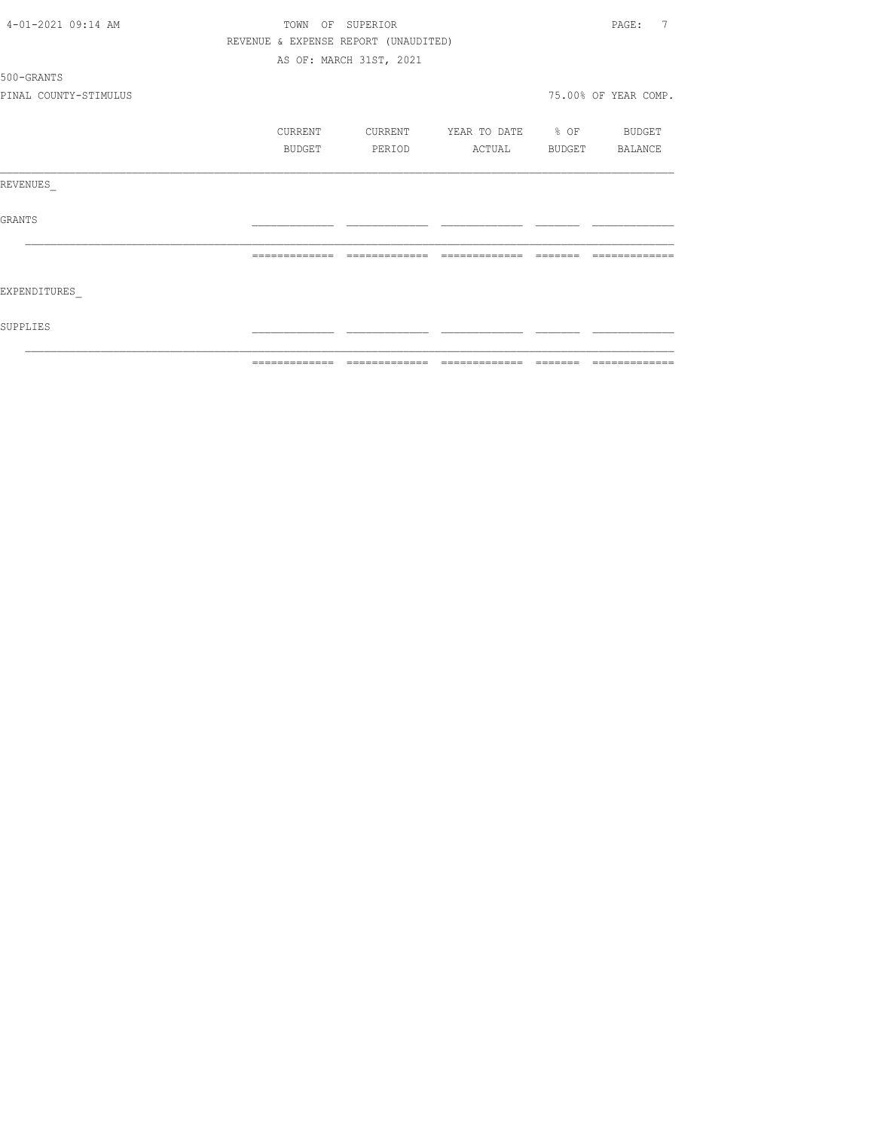|                       |               |                                      |                          |                                                                                                                                                                                                                                                                                                                                                                                                                                                                                           | - =============      |  |
|-----------------------|---------------|--------------------------------------|--------------------------|-------------------------------------------------------------------------------------------------------------------------------------------------------------------------------------------------------------------------------------------------------------------------------------------------------------------------------------------------------------------------------------------------------------------------------------------------------------------------------------------|----------------------|--|
| SUPPLIES              |               |                                      |                          |                                                                                                                                                                                                                                                                                                                                                                                                                                                                                           |                      |  |
| EXPENDITURES          |               |                                      |                          |                                                                                                                                                                                                                                                                                                                                                                                                                                                                                           |                      |  |
|                       | ============= | =============                        | =============            | $\qquad \qquad =\qquad \qquad =\qquad \qquad =\qquad \qquad =\qquad \qquad =\qquad \qquad =\qquad \qquad =\qquad \qquad =\qquad \qquad =\qquad \qquad =\qquad \qquad =\qquad \qquad =\qquad \qquad =\qquad \qquad =\qquad \qquad =\qquad \qquad =\qquad \qquad =\qquad \qquad =\qquad \qquad =\qquad \qquad =\qquad \qquad =\qquad \qquad =\qquad \qquad =\qquad \qquad =\qquad \qquad =\qquad \qquad =\qquad \qquad =\qquad \qquad =\qquad \qquad =\qquad \qquad =\qquad \qquad =\qquad$ | =============        |  |
| GRANTS                |               |                                      |                          |                                                                                                                                                                                                                                                                                                                                                                                                                                                                                           |                      |  |
| REVENUES              |               |                                      |                          |                                                                                                                                                                                                                                                                                                                                                                                                                                                                                           |                      |  |
|                       | BUDGET        | PERIOD                               | ACTUAL BUDGET BALANCE    |                                                                                                                                                                                                                                                                                                                                                                                                                                                                                           |                      |  |
|                       | CURRENT       | CURRENT                              | YEAR TO DATE % OF BUDGET |                                                                                                                                                                                                                                                                                                                                                                                                                                                                                           |                      |  |
| PINAL COUNTY-STIMULUS |               |                                      |                          |                                                                                                                                                                                                                                                                                                                                                                                                                                                                                           | 75.00% OF YEAR COMP. |  |
| 500-GRANTS            |               |                                      |                          |                                                                                                                                                                                                                                                                                                                                                                                                                                                                                           |                      |  |
|                       |               | AS OF: MARCH 31ST, 2021              |                          |                                                                                                                                                                                                                                                                                                                                                                                                                                                                                           |                      |  |
|                       |               | REVENUE & EXPENSE REPORT (UNAUDITED) |                          |                                                                                                                                                                                                                                                                                                                                                                                                                                                                                           |                      |  |
| 4-01-2021 09:14 AM    |               | TOWN OF SUPERIOR                     |                          |                                                                                                                                                                                                                                                                                                                                                                                                                                                                                           |                      |  |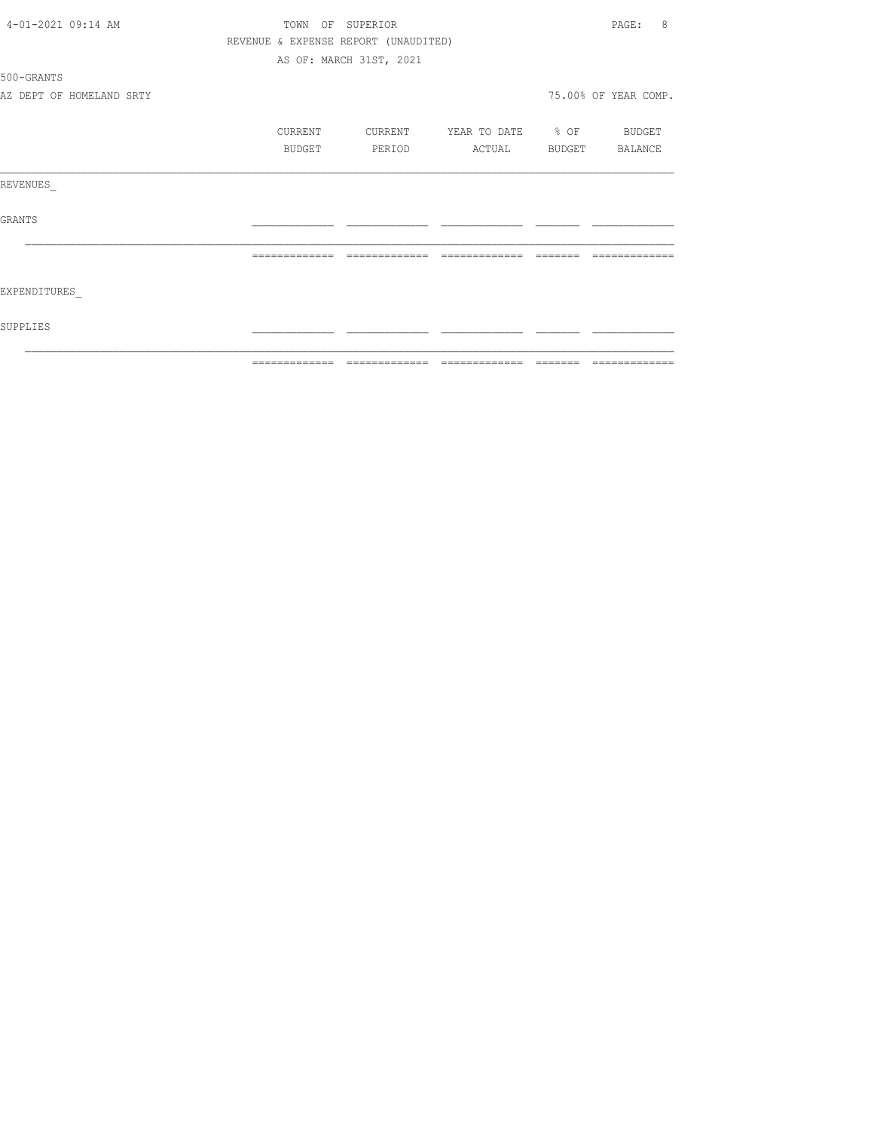| 4-01-2021 09:14 AM |                          | TOWN OF SUPERIOR                     |                               |                   |          |                      |  |
|--------------------|--------------------------|--------------------------------------|-------------------------------|-------------------|----------|----------------------|--|
|                    |                          | REVENUE & EXPENSE REPORT (UNAUDITED) |                               |                   |          |                      |  |
|                    |                          |                                      | AS OF: MARCH 31ST, 2021       |                   |          |                      |  |
| 500-GRANTS         |                          |                                      |                               |                   |          |                      |  |
|                    | AZ DEPT OF HOMELAND SRTY |                                      |                               |                   |          | 75.00% OF YEAR COMP. |  |
|                    |                          | CURRENT                              | CURRENT                       | YEAR TO DATE % OF |          | BUDGET               |  |
|                    |                          | BUDGET                               | PERIOD                        | ACTUAL            |          | BUDGET BALANCE       |  |
| REVENUES           |                          |                                      |                               |                   |          |                      |  |
| GRANTS             |                          |                                      |                               |                   |          |                      |  |
|                    |                          | =============                        | =============                 | =============     | -------- |                      |  |
| EXPENDITURES       |                          |                                      |                               |                   |          |                      |  |
| SUPPLIES           |                          |                                      |                               |                   |          |                      |  |
|                    |                          |                                      | ============================= |                   |          | --------------       |  |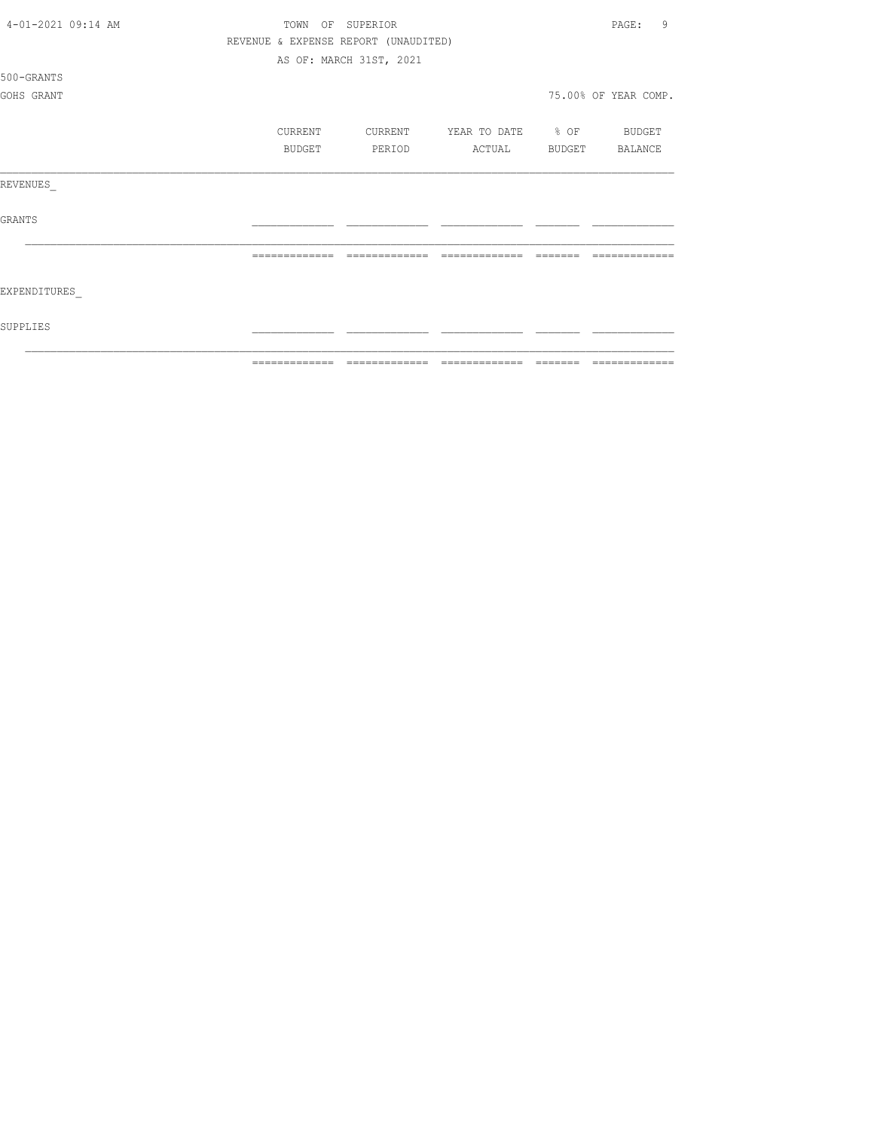| 4-01-2021 09:14 AM | OF<br>TOWN                           | SUPERIOR                |                   |               | 9<br>PAGE:           |
|--------------------|--------------------------------------|-------------------------|-------------------|---------------|----------------------|
|                    | REVENUE & EXPENSE REPORT (UNAUDITED) |                         |                   |               |                      |
|                    |                                      | AS OF: MARCH 31ST, 2021 |                   |               |                      |
| 500-GRANTS         |                                      |                         |                   |               |                      |
| GOHS GRANT         |                                      |                         |                   |               | 75.00% OF YEAR COMP. |
|                    |                                      |                         |                   |               |                      |
|                    | CURRENT                              | CURRENT                 | YEAR TO DATE % OF |               | BUDGET               |
|                    | BUDGET                               | PERIOD                  | ACTUAL            | <b>BUDGET</b> | BALANCE              |
| REVENUES           |                                      |                         |                   |               |                      |
| <b>GRANTS</b>      |                                      |                         |                   |               |                      |
|                    | --------------                       | -------------           | =======<br>______ |               |                      |
| EXPENDITURES       |                                      |                         |                   |               |                      |
| SUPPLIES           |                                      |                         |                   |               |                      |
|                    | --------------                       |                         | -------------     | --------      | --------------       |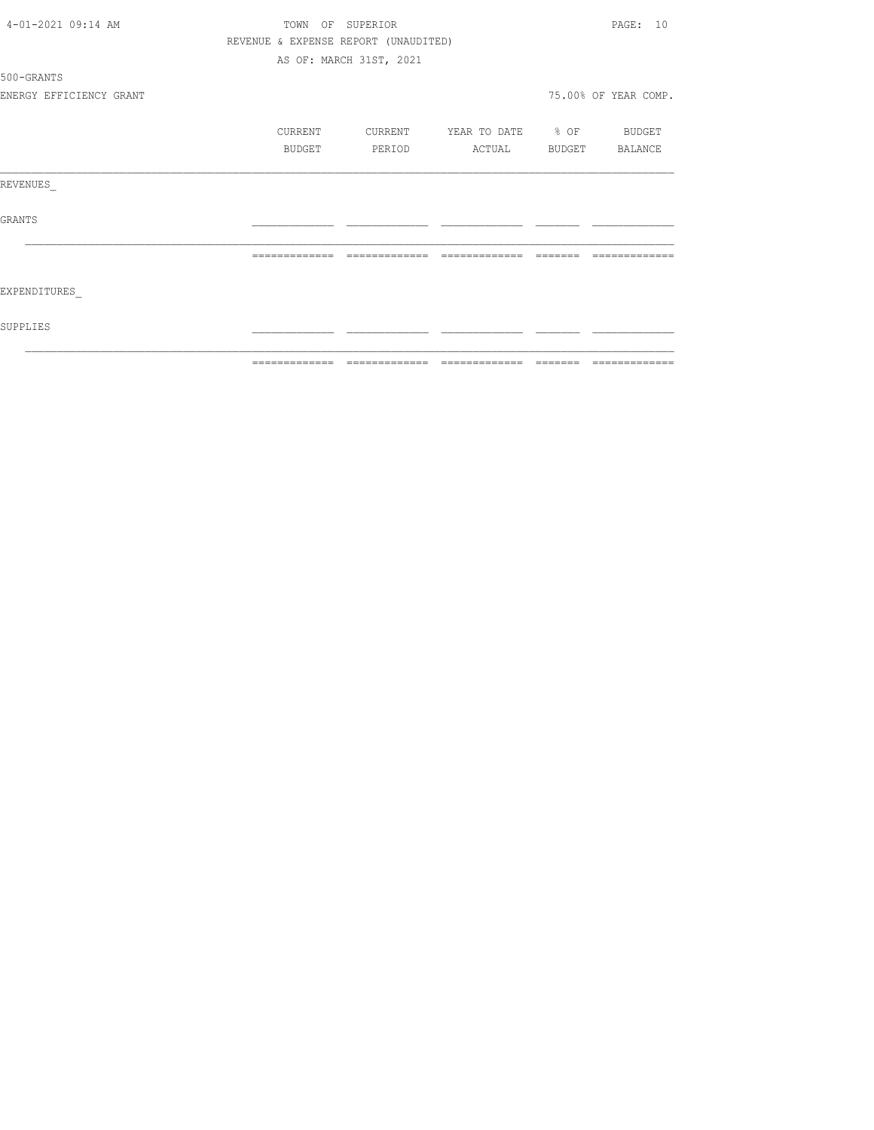|                                           |  | ============= | $\qquad \qquad = \qquad \qquad = \qquad \qquad =$ | $\begin{array}{cccccccccccccc} \multicolumn{2}{c}{} & \multicolumn{2}{c}{} & \multicolumn{2}{c}{} & \multicolumn{2}{c}{} & \multicolumn{2}{c}{} & \multicolumn{2}{c}{} & \multicolumn{2}{c}{} & \multicolumn{2}{c}{} & \multicolumn{2}{c}{} & \multicolumn{2}{c}{} & \multicolumn{2}{c}{} & \multicolumn{2}{c}{} & \multicolumn{2}{c}{} & \multicolumn{2}{c}{} & \multicolumn{2}{c}{} & \multicolumn{2}{c}{} & \multicolumn{2}{c}{} & \multicolumn{2}{c}{} & \multicolumn{2}{c}{} & \$ | $=$ $=$ $=$ $=$ $=$ $=$ |                      |
|-------------------------------------------|--|---------------|---------------------------------------------------|----------------------------------------------------------------------------------------------------------------------------------------------------------------------------------------------------------------------------------------------------------------------------------------------------------------------------------------------------------------------------------------------------------------------------------------------------------------------------------------|-------------------------|----------------------|
| SUPPLIES                                  |  |               |                                                   |                                                                                                                                                                                                                                                                                                                                                                                                                                                                                        |                         |                      |
| EXPENDITURES                              |  |               |                                                   |                                                                                                                                                                                                                                                                                                                                                                                                                                                                                        |                         |                      |
|                                           |  |               | -------------                                     | --------------                                                                                                                                                                                                                                                                                                                                                                                                                                                                         | --------                |                      |
| <b>GRANTS</b>                             |  |               |                                                   |                                                                                                                                                                                                                                                                                                                                                                                                                                                                                        |                         |                      |
| REVENUES                                  |  |               |                                                   |                                                                                                                                                                                                                                                                                                                                                                                                                                                                                        |                         |                      |
|                                           |  | BUDGET        | PERIOD                                            | ACTUAL                                                                                                                                                                                                                                                                                                                                                                                                                                                                                 | BUDGET                  | BALANCE              |
|                                           |  | CURRENT       | CURRENT                                           | YEAR TO DATE % OF                                                                                                                                                                                                                                                                                                                                                                                                                                                                      |                         | BUDGET               |
| ENERGY EFFICIENCY GRANT                   |  |               |                                                   |                                                                                                                                                                                                                                                                                                                                                                                                                                                                                        |                         | 75.00% OF YEAR COMP. |
| 500-GRANTS                                |  |               |                                                   |                                                                                                                                                                                                                                                                                                                                                                                                                                                                                        |                         |                      |
|                                           |  |               | AS OF: MARCH 31ST, 2021                           |                                                                                                                                                                                                                                                                                                                                                                                                                                                                                        |                         |                      |
|                                           |  |               | REVENUE & EXPENSE REPORT (UNAUDITED)              |                                                                                                                                                                                                                                                                                                                                                                                                                                                                                        |                         |                      |
| 4-01-2021 09:14 AM<br>OF SUPERIOR<br>TOWN |  |               |                                                   |                                                                                                                                                                                                                                                                                                                                                                                                                                                                                        |                         | PAGE: 10             |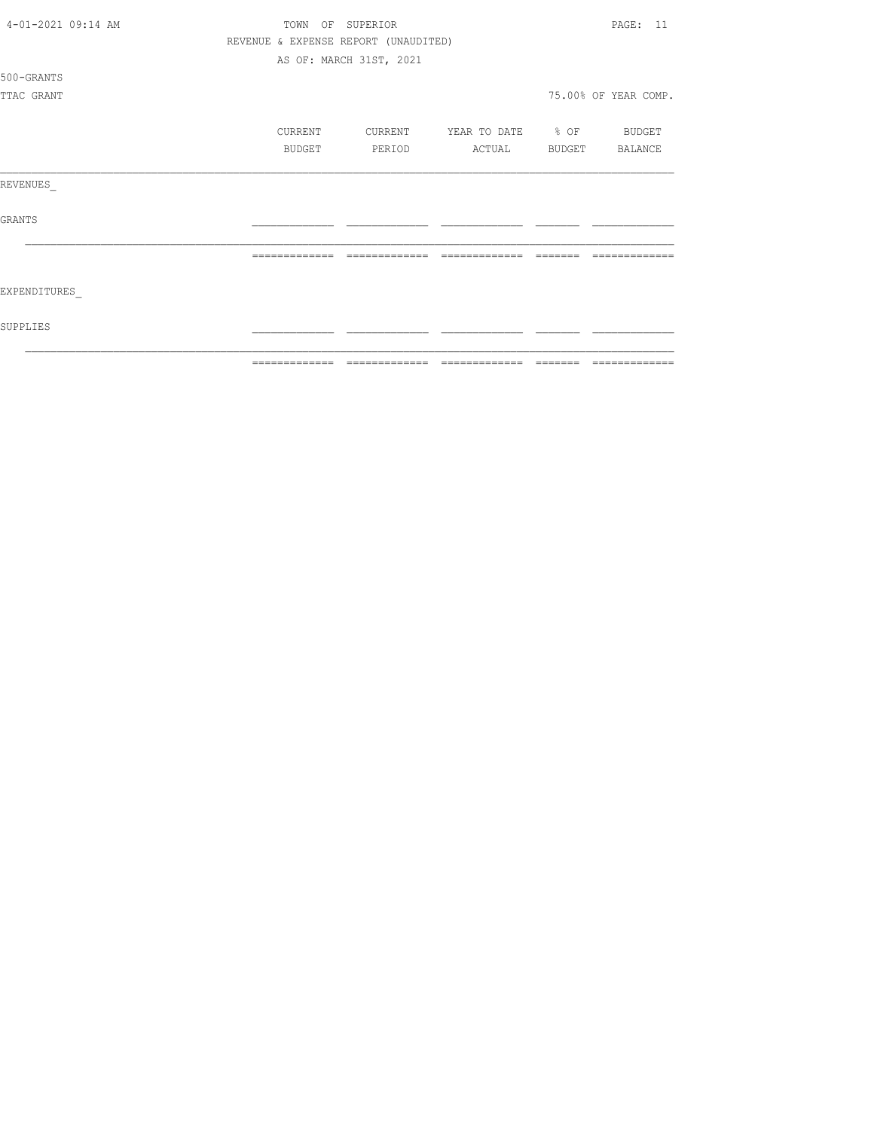| 4-01-2021 09:14 AM<br>OF SUPERIOR<br>TOWN |                                      |                         |                          |                         |                      |  |
|-------------------------------------------|--------------------------------------|-------------------------|--------------------------|-------------------------|----------------------|--|
|                                           | REVENUE & EXPENSE REPORT (UNAUDITED) |                         |                          |                         |                      |  |
|                                           |                                      | AS OF: MARCH 31ST, 2021 |                          |                         |                      |  |
| 500-GRANTS                                |                                      |                         |                          |                         |                      |  |
| TTAC GRANT                                |                                      |                         |                          |                         | 75.00% OF YEAR COMP. |  |
|                                           | CURRENT                              | CURRENT                 | YEAR TO DATE % OF BUDGET |                         |                      |  |
|                                           | <b>BUDGET</b>                        | PERIOD                  | ACTUAL BUDGET BALANCE    |                         |                      |  |
| REVENUES                                  |                                      |                         |                          |                         |                      |  |
| GRANTS                                    |                                      |                         |                          |                         |                      |  |
|                                           | =============                        | =============           | =============            | $=$ $=$ $=$ $=$ $=$ $=$ | ----                 |  |
| EXPENDITURES                              |                                      |                         |                          |                         |                      |  |
| SUPPLIES                                  |                                      |                         |                          |                         |                      |  |
|                                           | -------------                        | -------------           | --------------           | _______                 | --------------       |  |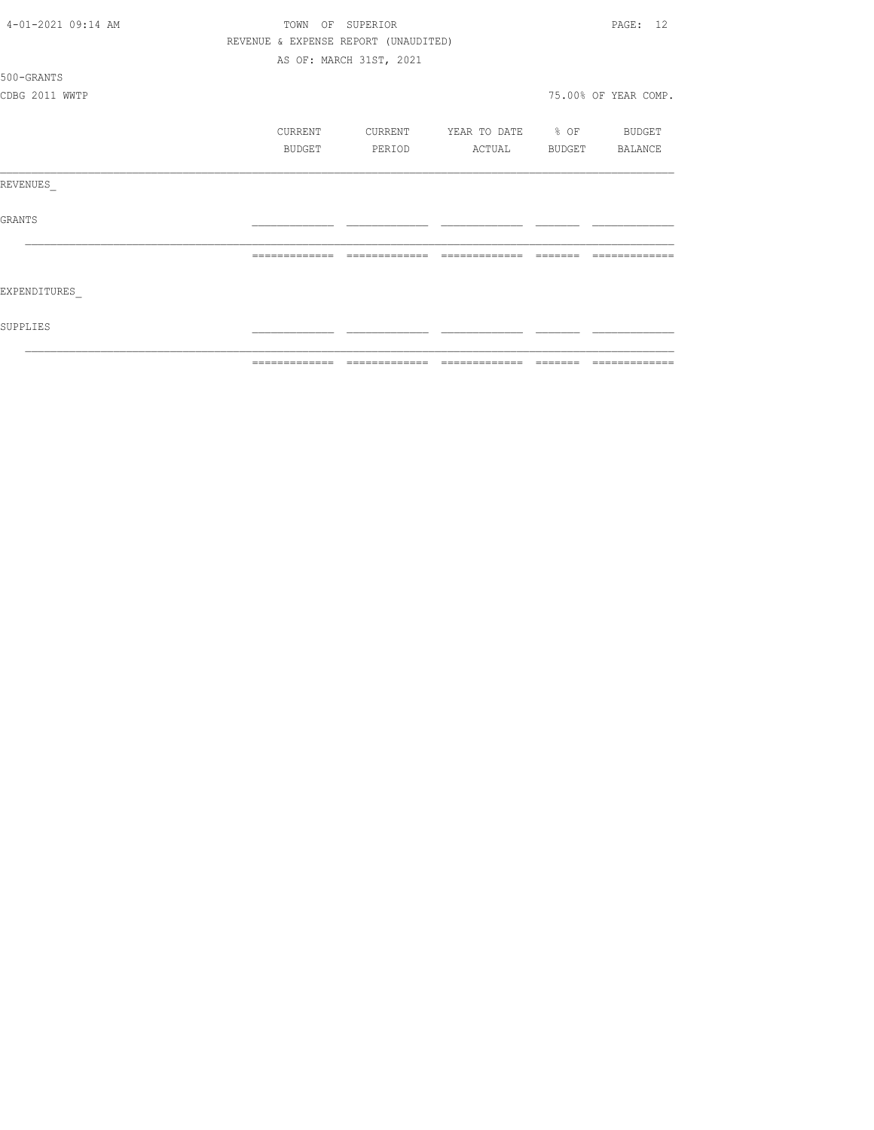| 4-01-2021 09:14 AM | OF SUPERIOR<br>TOWN                  |               |                         |                              |         |                      |
|--------------------|--------------------------------------|---------------|-------------------------|------------------------------|---------|----------------------|
|                    | REVENUE & EXPENSE REPORT (UNAUDITED) |               |                         |                              |         |                      |
|                    |                                      |               | AS OF: MARCH 31ST, 2021 |                              |         |                      |
| 500-GRANTS         |                                      |               |                         |                              |         |                      |
| CDBG 2011 WWTP     |                                      |               |                         |                              |         | 75.00% OF YEAR COMP. |
|                    |                                      | CURRENT       | CURRENT                 | YEAR TO DATE % OF            |         | BUDGET               |
|                    |                                      | BUDGET        | PERIOD                  | ACTUAL                       | BUDGET  | BALANCE              |
| REVENUES           |                                      |               |                         |                              |         |                      |
| <b>GRANTS</b>      |                                      |               |                         |                              |         |                      |
|                    |                                      |               |                         |                              |         |                      |
| EXPENDITURES       |                                      |               |                         |                              |         |                      |
| SUPPLIES           |                                      |               |                         |                              |         |                      |
|                    |                                      | ------------- |                         | ============================ | ======= | -------------        |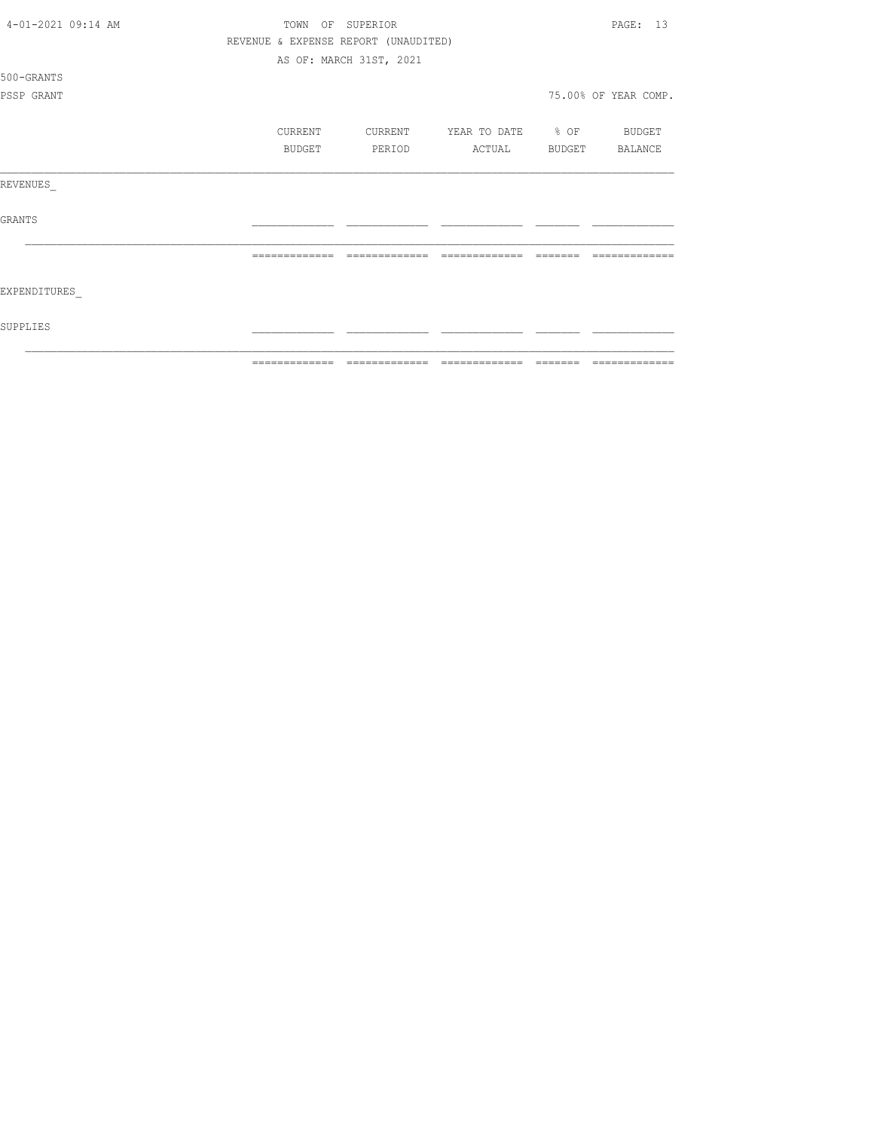| 4-01-2021 09:14 AM<br>TOWN<br>OF<br>SUPERIOR |                |                                      |                   |                 |                      |
|----------------------------------------------|----------------|--------------------------------------|-------------------|-----------------|----------------------|
|                                              |                | REVENUE & EXPENSE REPORT (UNAUDITED) |                   |                 |                      |
|                                              |                | AS OF: MARCH 31ST, 2021              |                   |                 |                      |
| 500-GRANTS                                   |                |                                      |                   |                 |                      |
| PSSP GRANT                                   |                |                                      |                   |                 | 75.00% OF YEAR COMP. |
|                                              | CURRENT        | CURRENT                              | YEAR TO DATE % OF |                 | BUDGET               |
|                                              | BUDGET         | PERIOD                               | ACTUAL            |                 | BUDGET BALANCE       |
| REVENUES                                     |                |                                      |                   |                 |                      |
| <b>GRANTS</b>                                |                |                                      |                   |                 |                      |
|                                              | -------------- | -------------                        | =============     | $---$           |                      |
| EXPENDITURES                                 |                |                                      |                   |                 |                      |
| SUPPLIES                                     |                |                                      |                   |                 |                      |
|                                              | -------------- |                                      | -------------     | $- - - - - - -$ | --------------       |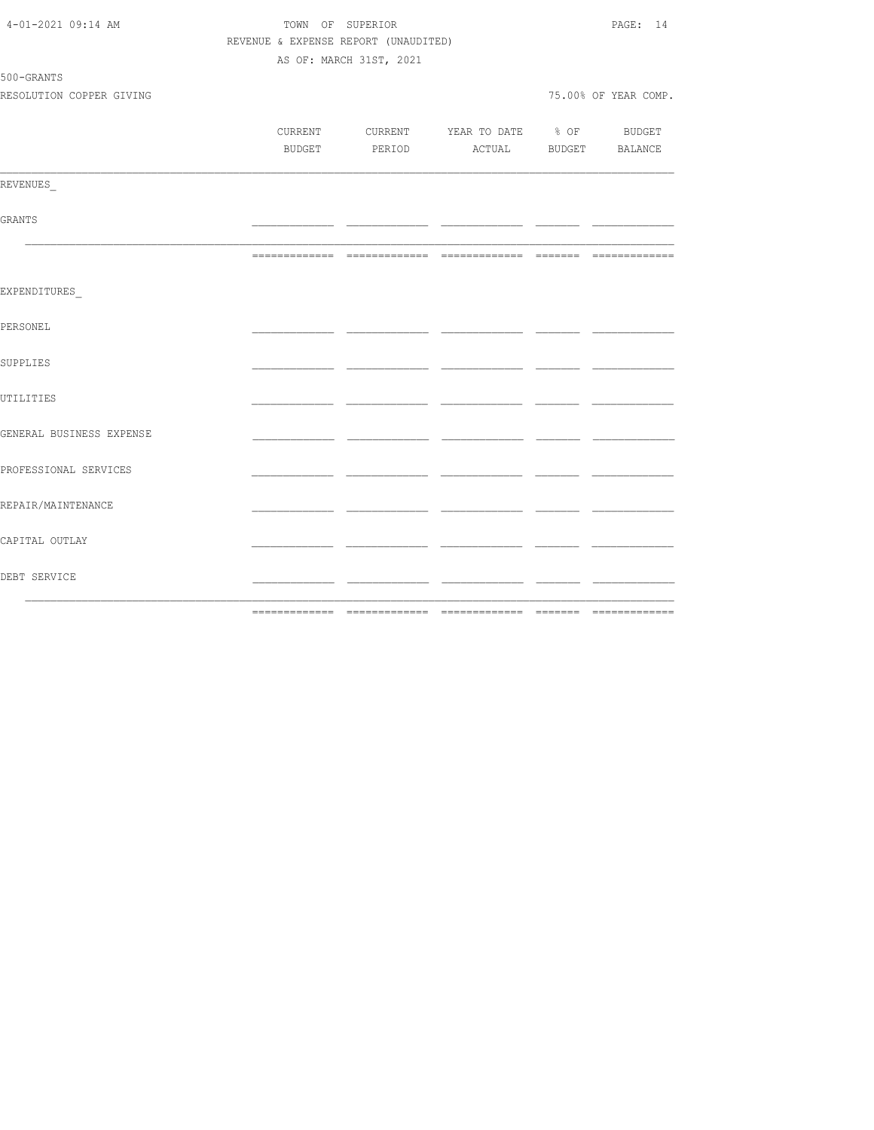| 4-01-2021 09:14 AM       |                                      |                         | PAGE: 14                                 |      |                      |
|--------------------------|--------------------------------------|-------------------------|------------------------------------------|------|----------------------|
|                          | REVENUE & EXPENSE REPORT (UNAUDITED) |                         |                                          |      |                      |
|                          |                                      | AS OF: MARCH 31ST, 2021 |                                          |      |                      |
| 500-GRANTS               |                                      |                         |                                          |      |                      |
| RESOLUTION COPPER GIVING |                                      |                         |                                          |      | 75.00% OF YEAR COMP. |
|                          |                                      |                         |                                          |      |                      |
|                          |                                      |                         | CURRENT CURRENT YEAR TO DATE % OF BUDGET |      |                      |
|                          |                                      |                         | BUDGET PERIOD ACTUAL BUDGET BALANCE      |      |                      |
| REVENUES                 |                                      |                         |                                          |      |                      |
|                          |                                      |                         |                                          |      |                      |
| GRANTS                   |                                      |                         |                                          |      |                      |
|                          |                                      |                         |                                          |      |                      |
| EXPENDITURES             |                                      |                         |                                          |      |                      |
| PERSONEL                 |                                      |                         |                                          |      |                      |
| SUPPLIES                 |                                      |                         |                                          |      |                      |
| UTILITIES                |                                      | - -                     |                                          |      |                      |
| GENERAL BUSINESS EXPENSE |                                      |                         |                                          | - -  |                      |
| PROFESSIONAL SERVICES    |                                      |                         |                                          | - -  |                      |
| REPAIR/MAINTENANCE       |                                      |                         |                                          |      |                      |
| CAPITAL OUTLAY           |                                      |                         | - -                                      | ____ |                      |
| DEBT SERVICE             |                                      |                         |                                          | ___  |                      |
|                          |                                      |                         |                                          |      |                      |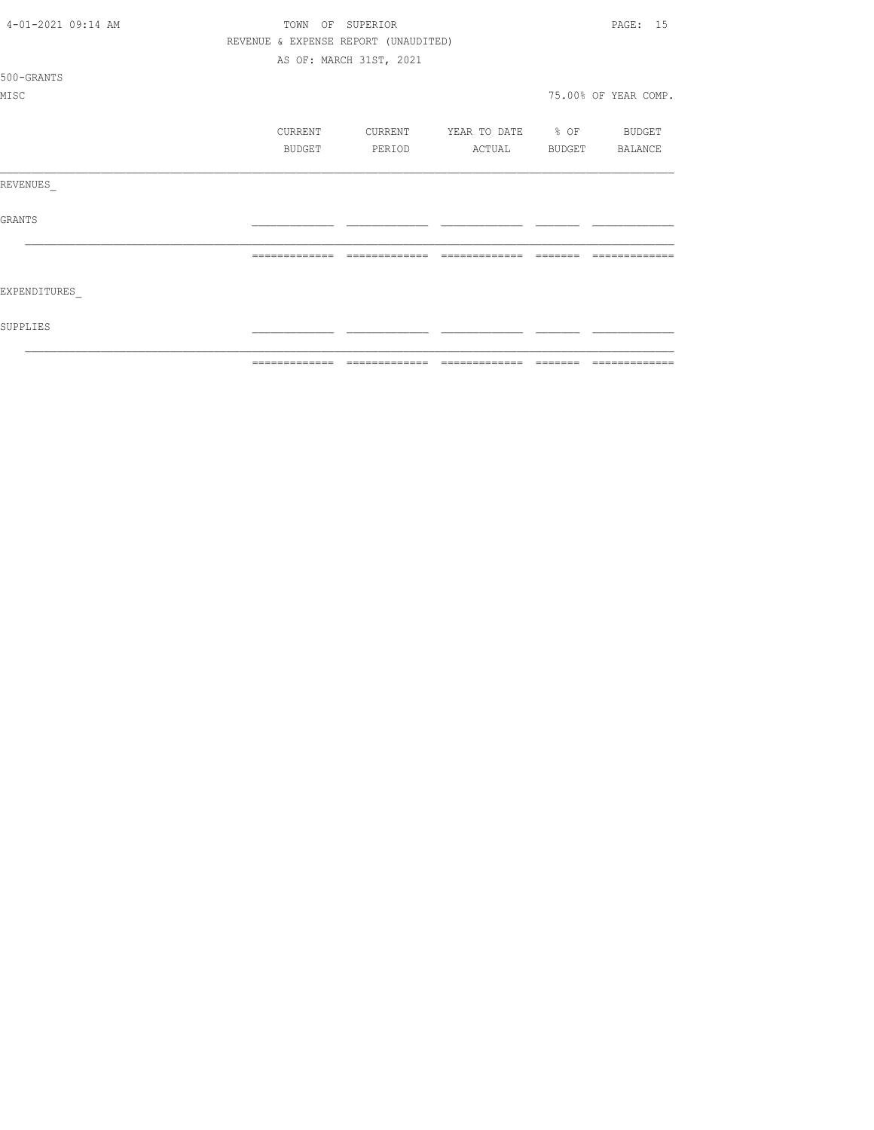| $4 - 01 - 202109:14 AM$ | TOWN          | OF SUPERIOR                          |                                  |          | PAGE: 15             |
|-------------------------|---------------|--------------------------------------|----------------------------------|----------|----------------------|
|                         |               | REVENUE & EXPENSE REPORT (UNAUDITED) |                                  |          |                      |
|                         |               | AS OF: MARCH 31ST, 2021              |                                  |          |                      |
| 500-GRANTS              |               |                                      |                                  |          |                      |
| MISC                    |               |                                      |                                  |          | 75.00% OF YEAR COMP. |
|                         | CURRENT       |                                      | CURRENT YEAR TO DATE % OF BUDGET |          |                      |
|                         | BUDGET        | PERIOD                               | ACTUAL BUDGET BALANCE            |          |                      |
| REVENUES                |               |                                      |                                  |          |                      |
| <b>GRANTS</b>           |               |                                      |                                  |          |                      |
|                         | ============= | =============                        | =============                    |          |                      |
| EXPENDITURES            |               |                                      |                                  |          |                      |
| SUPPLIES                |               |                                      |                                  |          |                      |
|                         | ------------- |                                      |                                  | -------- | -------------        |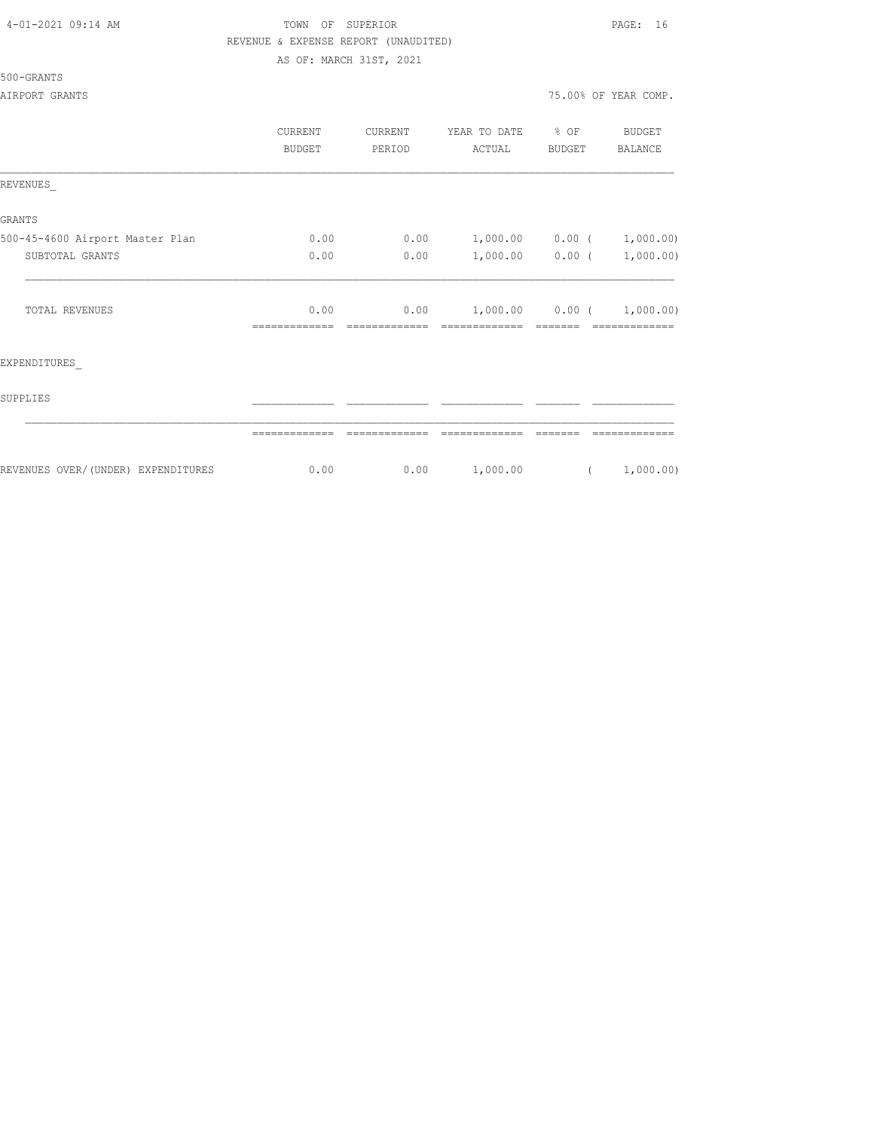## TOWN OF SUPERIOR **PAGE:** 16 REVENUE & EXPENSE REPORT (UNAUDITED) AS OF: MARCH 31ST, 2021

|                                     | CURRENT<br><b>BUDGET</b> | CURRENT<br>PERIOD | YEAR TO DATE<br>ACTUAL | $8$ OF<br>BUDGET  | BUDGET<br>BALANCE |
|-------------------------------------|--------------------------|-------------------|------------------------|-------------------|-------------------|
| REVENUES                            |                          |                   |                        |                   |                   |
| <b>GRANTS</b>                       |                          |                   |                        |                   |                   |
| 500-45-4600 Airport Master Plan     | 0.00                     | 0.00              |                        | $1,000.00$ 0.00 ( | 1,000.00)         |
| SUBTOTAL GRANTS                     | 0.00                     | 0.00              | 1,000.00               | 0.00(             | 1,000.00)         |
| <b>TOTAL REVENUES</b>               | 0.00                     | 0.00              |                        | $1,000.00$ 0.00 ( | 1,000.00)         |
| EXPENDITURES                        |                          |                   |                        |                   |                   |
| SUPPLIES                            |                          |                   |                        |                   |                   |
|                                     |                          |                   |                        |                   |                   |
| REVENUES OVER/ (UNDER) EXPENDITURES | 0.00                     | 0.00              | 1,000.00               | $\left($          | 1,000.00)         |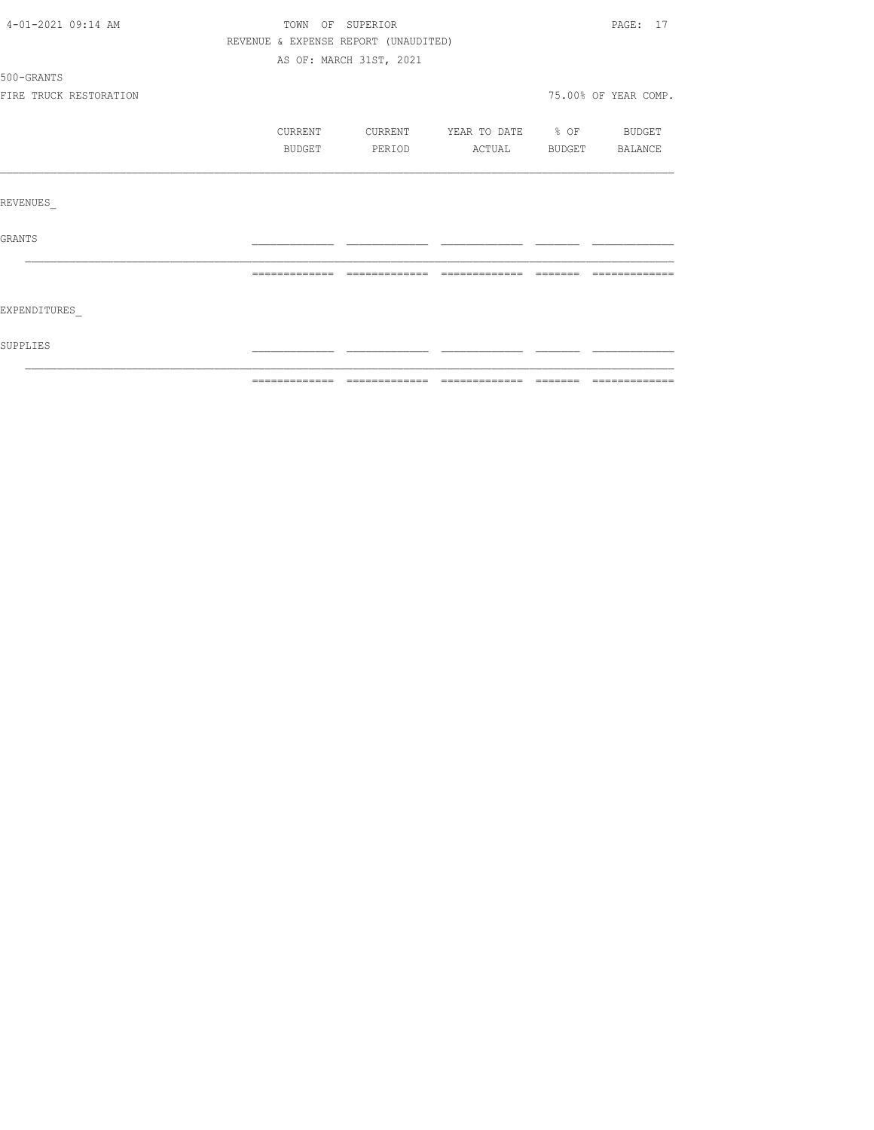| EXPENDITURES    |                        |               |         |                                      |                          |                      |
|-----------------|------------------------|---------------|---------|--------------------------------------|--------------------------|----------------------|
|                 |                        |               |         |                                      |                          |                      |
|                 |                        | ============= |         |                                      |                          |                      |
| <b>GRANTS</b>   |                        |               |         |                                      |                          |                      |
|                 |                        |               |         |                                      |                          |                      |
| <b>REVENUES</b> |                        |               |         |                                      |                          |                      |
|                 |                        |               |         |                                      |                          |                      |
|                 |                        |               | BUDGET  | PERIOD                               | ACTUAL                   | BUDGET BALANCE       |
|                 |                        |               | CURRENT | CURRENT                              | YEAR TO DATE % OF BUDGET |                      |
|                 |                        |               |         |                                      |                          |                      |
|                 | FIRE TRUCK RESTORATION |               |         |                                      |                          | 75.00% OF YEAR COMP. |
| 500-GRANTS      |                        |               |         |                                      |                          |                      |
|                 |                        |               |         | AS OF: MARCH 31ST, 2021              |                          |                      |
|                 |                        |               |         | REVENUE & EXPENSE REPORT (UNAUDITED) |                          |                      |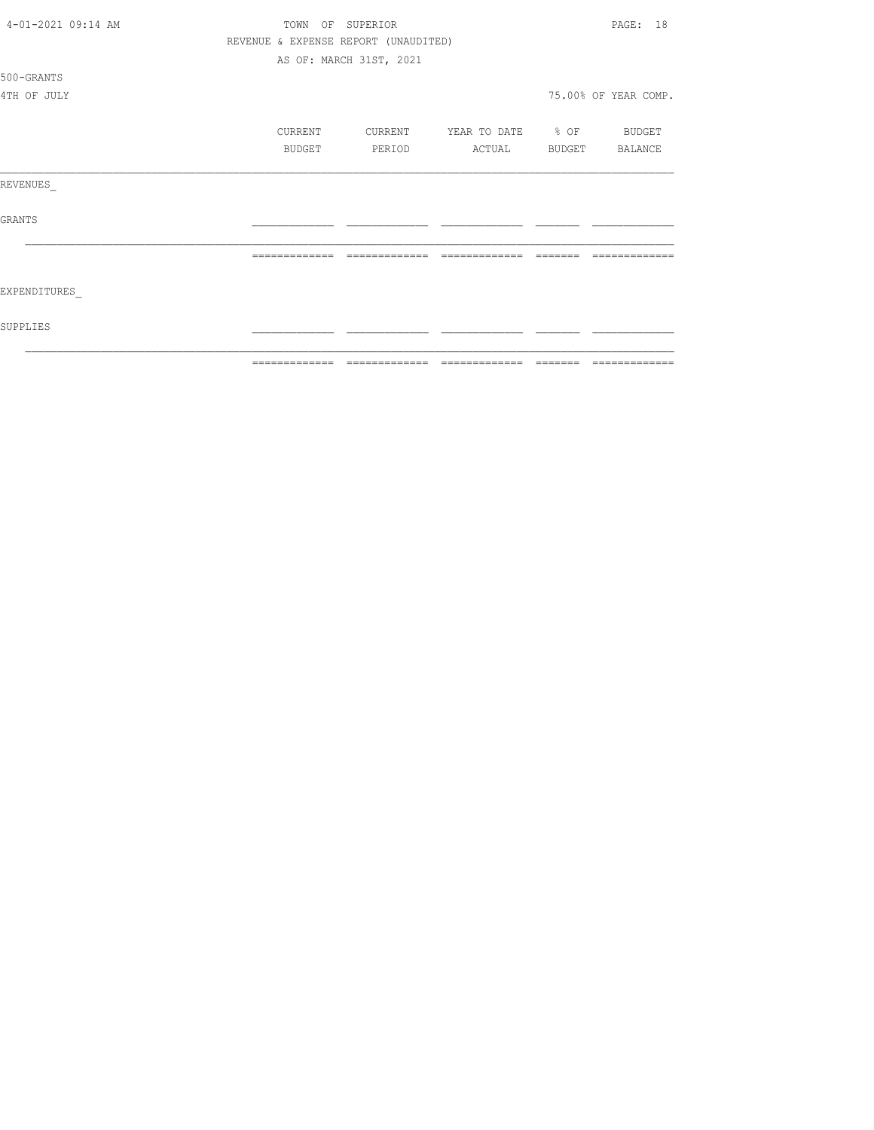| 4-01-2021 09:14 AM | PAGE: 18<br>TOWN OF SUPERIOR |               |                                      |                          |          |                      |  |
|--------------------|------------------------------|---------------|--------------------------------------|--------------------------|----------|----------------------|--|
|                    |                              |               | REVENUE & EXPENSE REPORT (UNAUDITED) |                          |          |                      |  |
|                    |                              |               | AS OF: MARCH 31ST, 2021              |                          |          |                      |  |
| 500-GRANTS         |                              |               |                                      |                          |          |                      |  |
| 4TH OF JULY        |                              |               |                                      |                          |          | 75.00% OF YEAR COMP. |  |
|                    |                              | CURRENT       | CURRENT                              | YEAR TO DATE % OF BUDGET |          |                      |  |
|                    |                              | BUDGET        | PERIOD                               | ACTUAL                   |          | BUDGET BALANCE       |  |
| REVENUES           |                              |               |                                      |                          |          |                      |  |
| GRANTS             |                              |               |                                      |                          |          |                      |  |
|                    |                              | ============= | =============                        |                          | -------- |                      |  |
| EXPENDITURES       |                              |               |                                      |                          |          |                      |  |
| SUPPLIES           |                              |               |                                      |                          |          |                      |  |
|                    |                              | ------------- | -------------                        | --------------           | ________ | -------------        |  |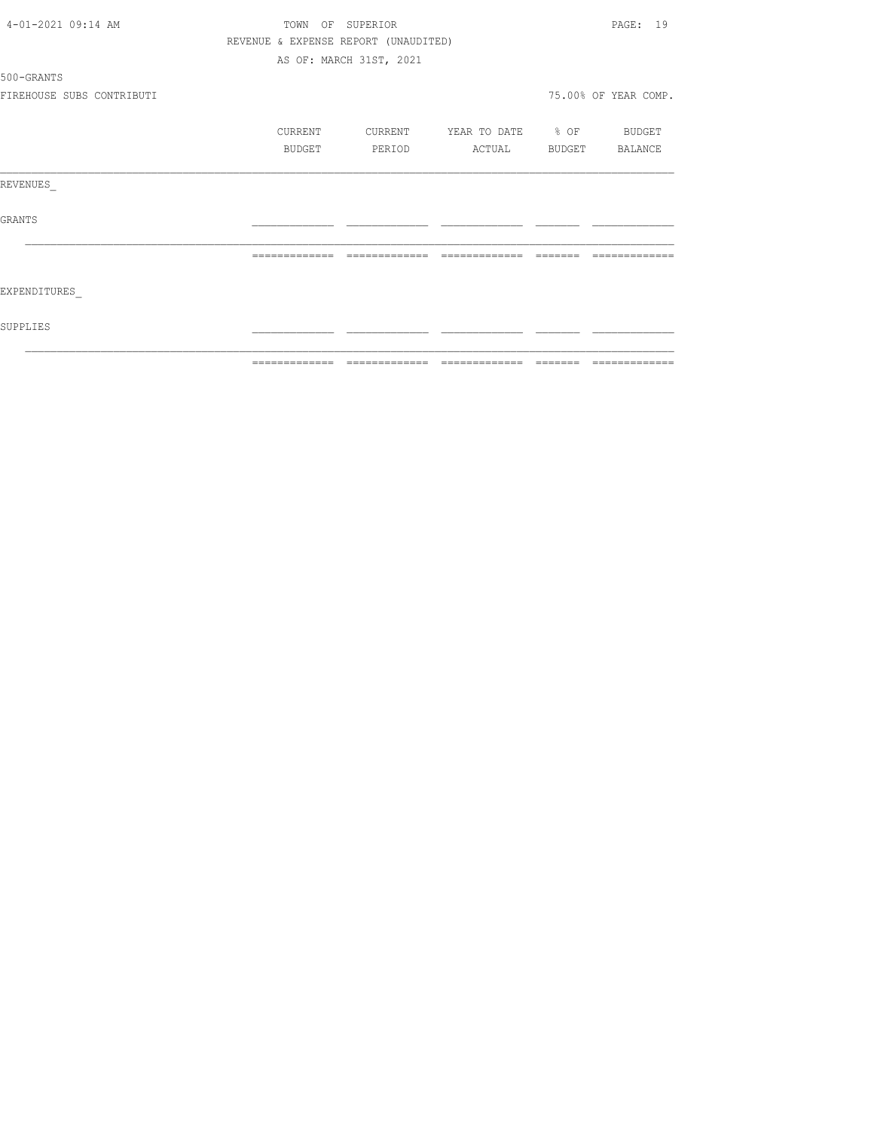| 4-01-2021 09:14 AM        | PAGE: 19<br>TOWN OF SUPERIOR |  |                                      |                                                                                                                                                                                                                                                                                                                                                                                                                                                                                        |  |                                                                                                                                                                                                                                                                                                                                                                                                                                                                               |
|---------------------------|------------------------------|--|--------------------------------------|----------------------------------------------------------------------------------------------------------------------------------------------------------------------------------------------------------------------------------------------------------------------------------------------------------------------------------------------------------------------------------------------------------------------------------------------------------------------------------------|--|-------------------------------------------------------------------------------------------------------------------------------------------------------------------------------------------------------------------------------------------------------------------------------------------------------------------------------------------------------------------------------------------------------------------------------------------------------------------------------|
|                           |                              |  | REVENUE & EXPENSE REPORT (UNAUDITED) |                                                                                                                                                                                                                                                                                                                                                                                                                                                                                        |  |                                                                                                                                                                                                                                                                                                                                                                                                                                                                               |
|                           |                              |  | AS OF: MARCH 31ST, 2021              |                                                                                                                                                                                                                                                                                                                                                                                                                                                                                        |  |                                                                                                                                                                                                                                                                                                                                                                                                                                                                               |
| 500-GRANTS                |                              |  |                                      |                                                                                                                                                                                                                                                                                                                                                                                                                                                                                        |  |                                                                                                                                                                                                                                                                                                                                                                                                                                                                               |
| FIREHOUSE SUBS CONTRIBUTI |                              |  |                                      |                                                                                                                                                                                                                                                                                                                                                                                                                                                                                        |  | 75.00% OF YEAR COMP.                                                                                                                                                                                                                                                                                                                                                                                                                                                          |
|                           | CURRENT                      |  | CURRENT                              | YEAR TO DATE % OF BUDGET                                                                                                                                                                                                                                                                                                                                                                                                                                                               |  |                                                                                                                                                                                                                                                                                                                                                                                                                                                                               |
|                           | BUDGET                       |  | PERIOD                               | ACTUAL                                                                                                                                                                                                                                                                                                                                                                                                                                                                                 |  | BUDGET BALANCE                                                                                                                                                                                                                                                                                                                                                                                                                                                                |
| REVENUES                  |                              |  |                                      |                                                                                                                                                                                                                                                                                                                                                                                                                                                                                        |  |                                                                                                                                                                                                                                                                                                                                                                                                                                                                               |
| GRANTS                    |                              |  |                                      |                                                                                                                                                                                                                                                                                                                                                                                                                                                                                        |  |                                                                                                                                                                                                                                                                                                                                                                                                                                                                               |
|                           |                              |  | =============                        | $\begin{array}{cccccccccccccc} \multicolumn{2}{c}{} & \multicolumn{2}{c}{} & \multicolumn{2}{c}{} & \multicolumn{2}{c}{} & \multicolumn{2}{c}{} & \multicolumn{2}{c}{} & \multicolumn{2}{c}{} & \multicolumn{2}{c}{} & \multicolumn{2}{c}{} & \multicolumn{2}{c}{} & \multicolumn{2}{c}{} & \multicolumn{2}{c}{} & \multicolumn{2}{c}{} & \multicolumn{2}{c}{} & \multicolumn{2}{c}{} & \multicolumn{2}{c}{} & \multicolumn{2}{c}{} & \multicolumn{2}{c}{} & \multicolumn{2}{c}{} & \$ |  |                                                                                                                                                                                                                                                                                                                                                                                                                                                                               |
| EXPENDITURES              |                              |  |                                      |                                                                                                                                                                                                                                                                                                                                                                                                                                                                                        |  |                                                                                                                                                                                                                                                                                                                                                                                                                                                                               |
| SUPPLIES                  |                              |  |                                      |                                                                                                                                                                                                                                                                                                                                                                                                                                                                                        |  |                                                                                                                                                                                                                                                                                                                                                                                                                                                                               |
|                           |                              |  |                                      |                                                                                                                                                                                                                                                                                                                                                                                                                                                                                        |  | $\begin{array}{c} \multicolumn{2}{c} {\textbf 1} & \multicolumn{2}{c} {\textbf 2} & \multicolumn{2}{c} {\textbf 3} & \multicolumn{2}{c} {\textbf 4} & \multicolumn{2}{c} {\textbf 5} & \multicolumn{2}{c} {\textbf 6} & \multicolumn{2}{c} {\textbf 7} & \multicolumn{2}{c} {\textbf 8} & \multicolumn{2}{c} {\textbf 9} & \multicolumn{2}{c} {\textbf 1} & \multicolumn{2}{c} {\textbf 1} & \multicolumn{2}{c} {\textbf 1} & \multicolumn{2}{c} {\textbf 1} & \multicolumn{$ |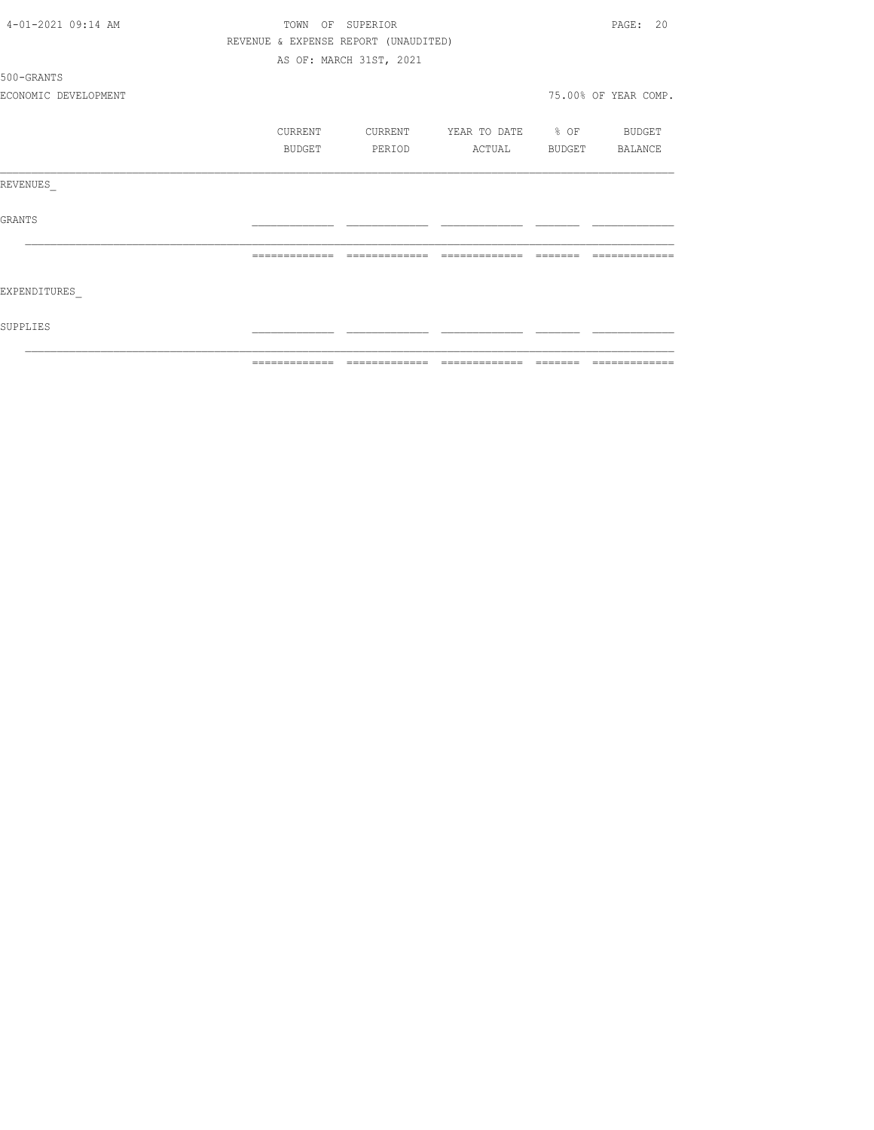|                      |                              | =============================        |                          |          | --------------       |  |
|----------------------|------------------------------|--------------------------------------|--------------------------|----------|----------------------|--|
| SUPPLIES             |                              |                                      |                          |          |                      |  |
| EXPENDITURES         |                              |                                      |                          |          |                      |  |
|                      | =============                | --------------                       | =============            | -------- |                      |  |
| GRANTS               |                              |                                      |                          |          |                      |  |
| REVENUES             |                              |                                      |                          |          |                      |  |
|                      | BUDGET                       | PERIOD                               | ACTUAL BUDGET BALANCE    |          |                      |  |
|                      | CURRENT                      | CURRENT                              | YEAR TO DATE % OF BUDGET |          |                      |  |
| ECONOMIC DEVELOPMENT |                              |                                      |                          |          | 75.00% OF YEAR COMP. |  |
| 500-GRANTS           |                              |                                      |                          |          |                      |  |
|                      |                              | AS OF: MARCH 31ST, 2021              |                          |          |                      |  |
|                      |                              | REVENUE & EXPENSE REPORT (UNAUDITED) |                          |          |                      |  |
| 4-01-2021 09:14 AM   | PAGE: 20<br>TOWN OF SUPERIOR |                                      |                          |          |                      |  |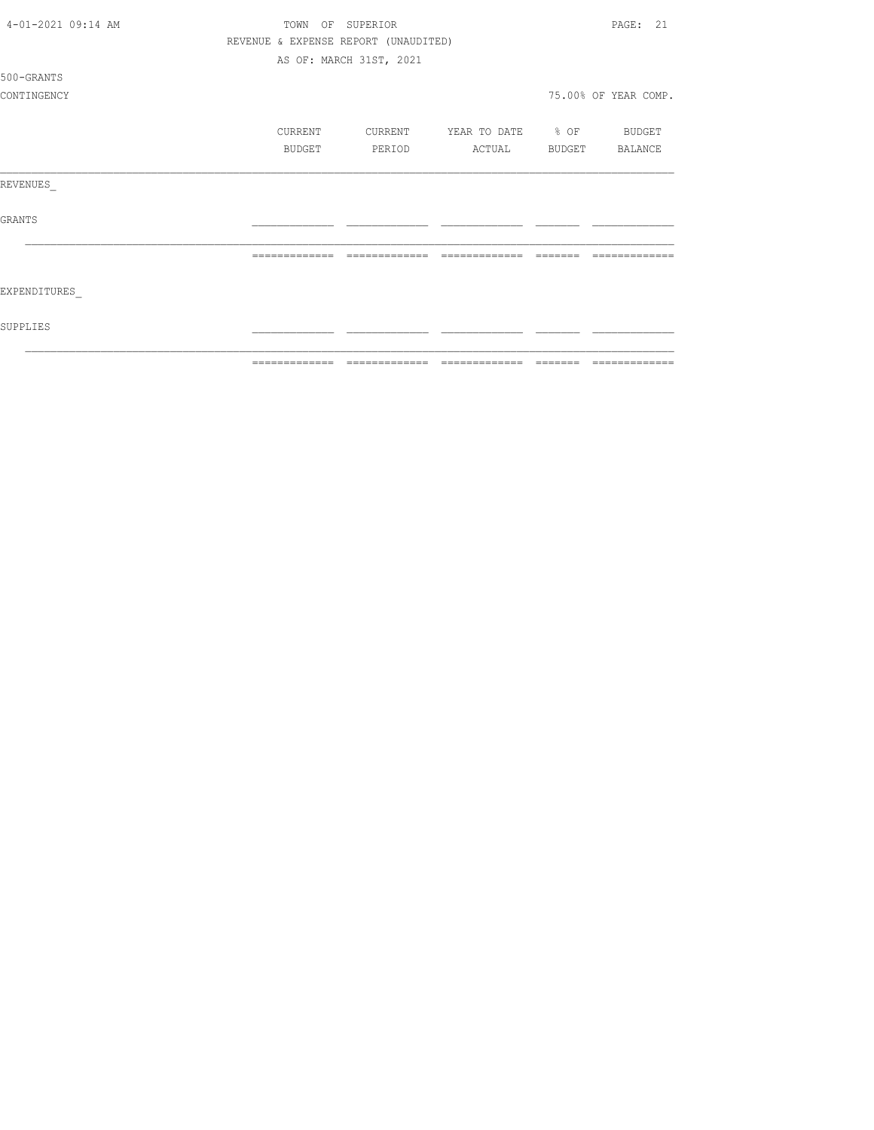| 4-01-2021 09:14 AM | PAGE: 21<br>SUPERIOR<br>TOWN<br>OF |                                      |                   |        |                      |  |  |
|--------------------|------------------------------------|--------------------------------------|-------------------|--------|----------------------|--|--|
|                    |                                    | REVENUE & EXPENSE REPORT (UNAUDITED) |                   |        |                      |  |  |
|                    |                                    | AS OF: MARCH 31ST, 2021              |                   |        |                      |  |  |
| 500-GRANTS         |                                    |                                      |                   |        |                      |  |  |
| CONTINGENCY        |                                    |                                      |                   |        | 75.00% OF YEAR COMP. |  |  |
|                    | CURRENT                            | CURRENT                              | YEAR TO DATE % OF |        | BUDGET               |  |  |
|                    | BUDGET                             | PERIOD                               | ACTUAL            | BUDGET | BALANCE              |  |  |
| REVENUES           |                                    |                                      |                   |        |                      |  |  |
| <b>GRANTS</b>      |                                    |                                      |                   |        |                      |  |  |
|                    |                                    |                                      |                   |        |                      |  |  |
| EXPENDITURES       |                                    |                                      |                   |        |                      |  |  |
| SUPPLIES           |                                    |                                      |                   |        |                      |  |  |
|                    |                                    |                                      |                   |        | =============        |  |  |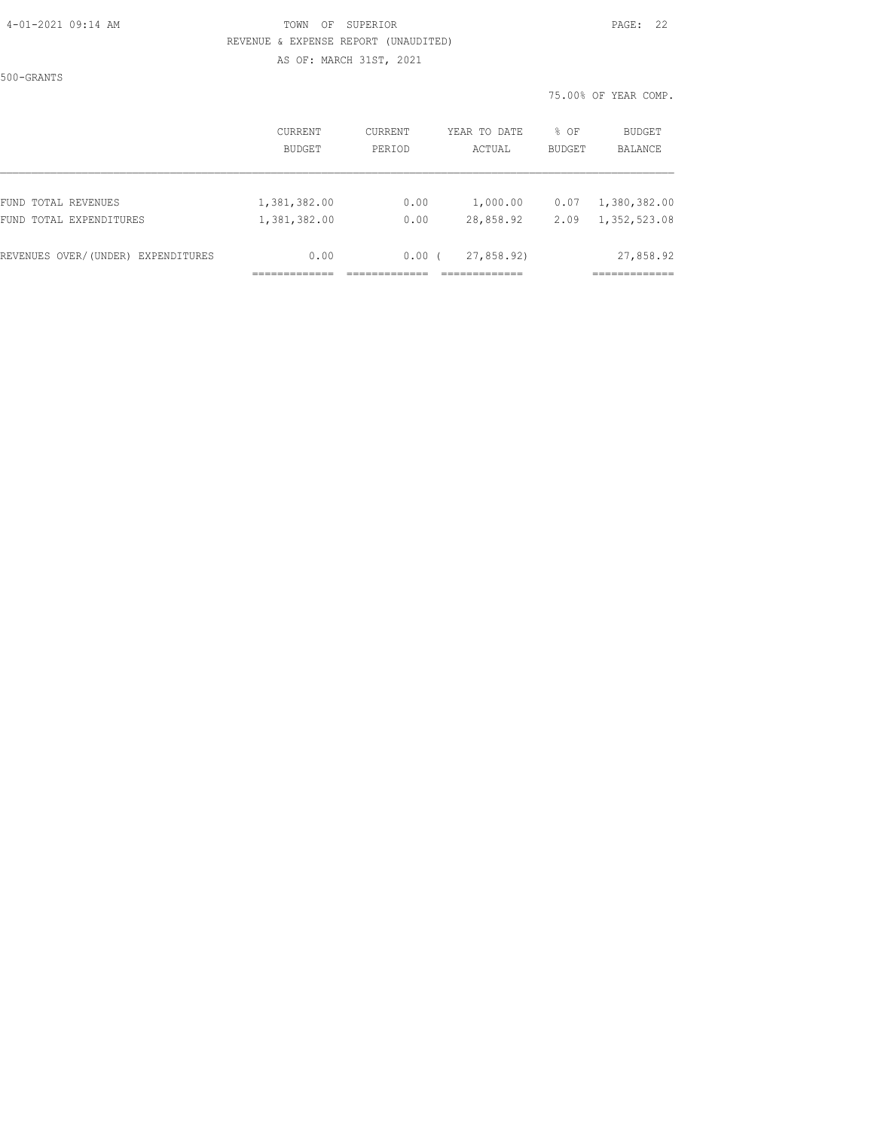#### 4-01-2021 09:14 AM TOWN OF SUPERIOR PAGE: 22 REVENUE & EXPENSE REPORT (UNAUDITED) AS OF: MARCH 31ST, 2021

500-GRANTS

|                                    | CURRENT      | CURRENT | YEAR TO DATE | % OF          | <b>BUDGET</b> |
|------------------------------------|--------------|---------|--------------|---------------|---------------|
|                                    | BUDGET       | PERIOD  | ACTUAL       | <b>BUDGET</b> | BALANCE       |
| FUND TOTAL REVENUES                | 1,381,382.00 | 0.00    | 1,000.00     | 0.07          | 1,380,382.00  |
| FUND TOTAL EXPENDITURES            | 1,381,382.00 | 0.00    | 28,858.92    | 2.09          | 1,352,523.08  |
| REVENUES OVER/(UNDER) EXPENDITURES | 0.00         | 0.00    | 27,858.92    |               | 27,858.92     |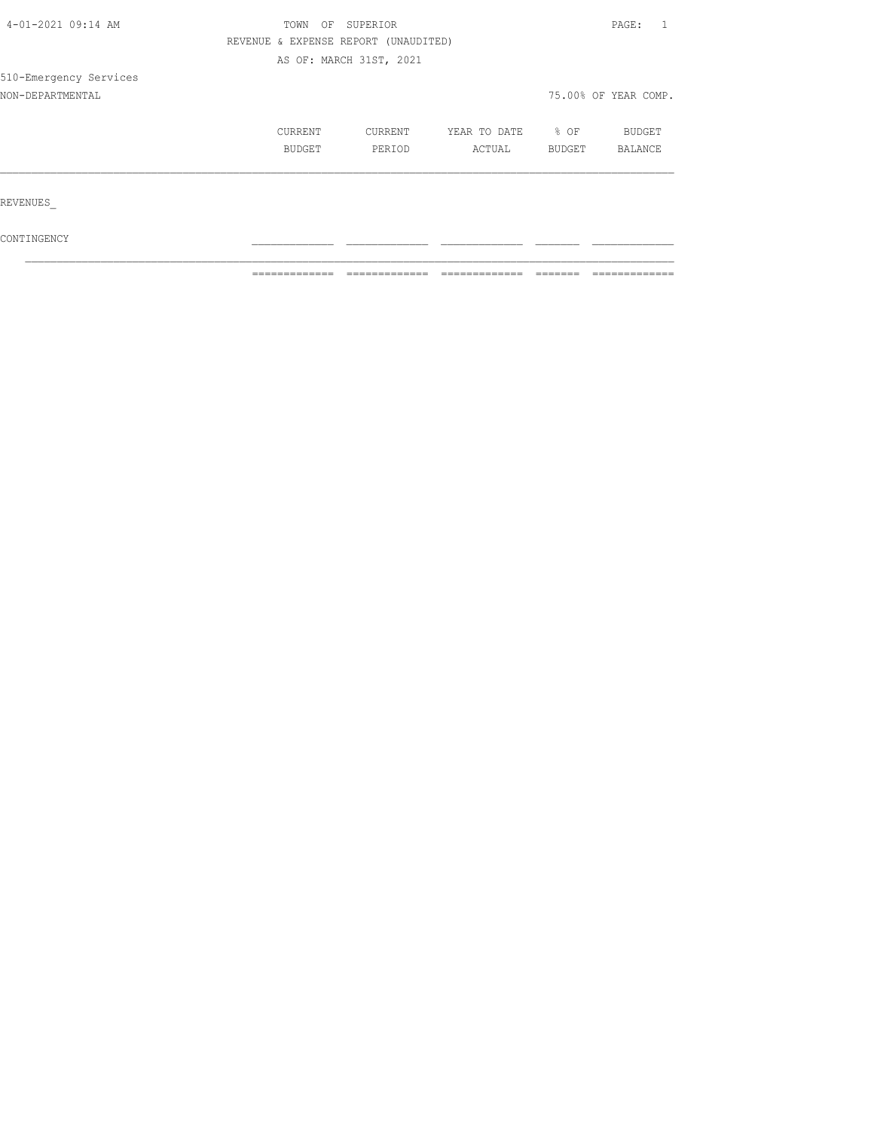| 4-01-2021 09:14 AM     | SUPERIOR<br>TOWN<br>OF               |                         |              |        |                      |  |
|------------------------|--------------------------------------|-------------------------|--------------|--------|----------------------|--|
|                        | REVENUE & EXPENSE REPORT (UNAUDITED) |                         |              |        |                      |  |
|                        |                                      | AS OF: MARCH 31ST, 2021 |              |        |                      |  |
| 510-Emergency Services |                                      |                         |              |        |                      |  |
| NON-DEPARTMENTAL       |                                      |                         |              |        | 75.00% OF YEAR COMP. |  |
|                        | CURRENT                              | CURRENT                 | YEAR TO DATE | $8$ OF | <b>BUDGET</b>        |  |
|                        | BUDGET                               | PERIOD                  | ACTUAL       | BUDGET | BALANCE              |  |
|                        |                                      |                         |              |        |                      |  |
| REVENUES               |                                      |                         |              |        |                      |  |
| CONTINGENCY            |                                      |                         |              |        |                      |  |

 $\mathcal{L}_\text{max}$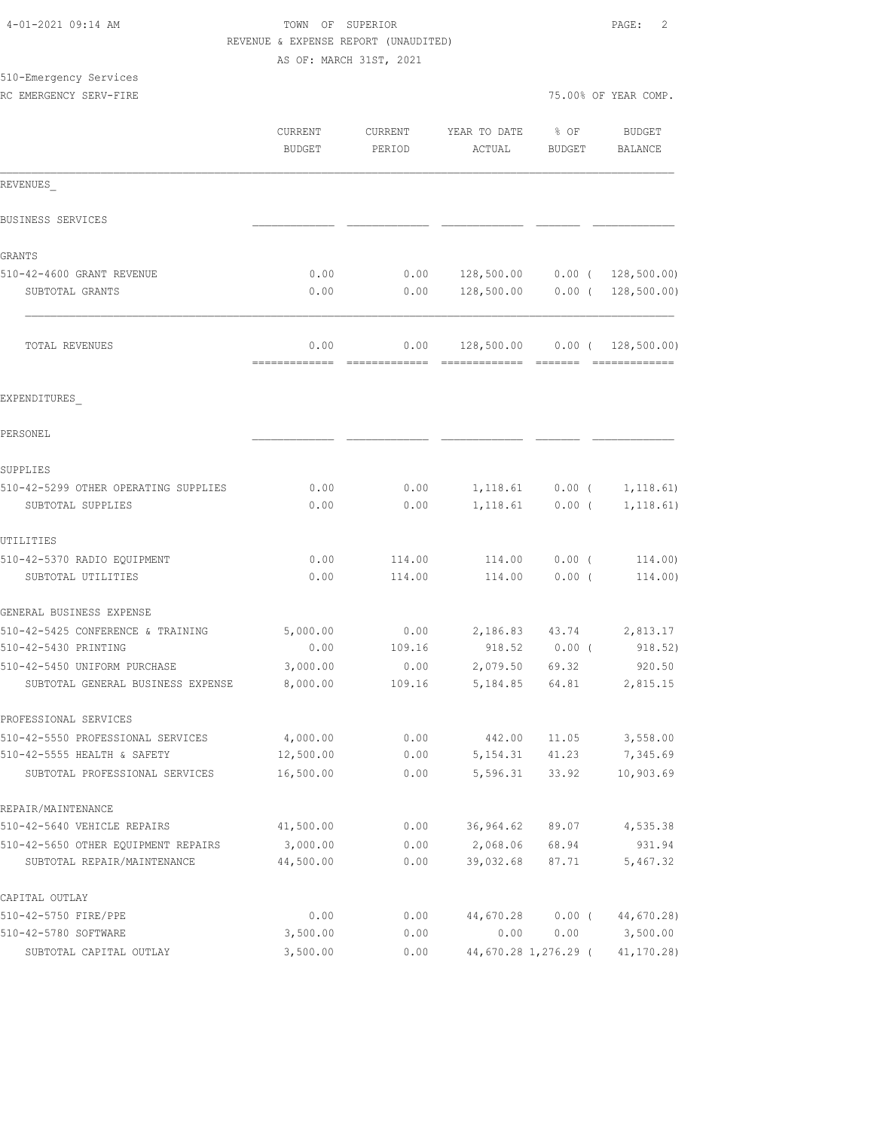|                                      | AS OF: MARCH 31ST, 2021  |                   |                        |                      |                            |
|--------------------------------------|--------------------------|-------------------|------------------------|----------------------|----------------------------|
| 510-Emergency Services               |                          |                   |                        |                      |                            |
| RC EMERGENCY SERV-FIRE               |                          |                   |                        |                      | 75.00% OF YEAR COMP.       |
|                                      | CURRENT<br><b>BUDGET</b> | CURRENT<br>PERIOD | YEAR TO DATE<br>ACTUAL | % OF<br>BUDGET       | <b>BUDGET</b><br>BALANCE   |
| REVENUES                             |                          |                   |                        |                      |                            |
| BUSINESS SERVICES                    |                          |                   |                        |                      |                            |
| GRANTS                               |                          |                   |                        |                      |                            |
| 510-42-4600 GRANT REVENUE            | 0.00                     | 0.00              | 128,500.00             |                      | $0.00$ ( $128,500.00$ )    |
| SUBTOTAL GRANTS                      | 0.00                     | 0.00              | 128,500.00             |                      | $0.00$ ( 128,500.00)       |
| TOTAL REVENUES                       | 0.00<br>=============    | 0.00              | 128,500.00             | $0.00$ (             | 128, 500.00)               |
| EXPENDITURES                         |                          |                   |                        |                      |                            |
| PERSONEL                             |                          |                   |                        |                      |                            |
| SUPPLIES                             |                          |                   |                        |                      |                            |
| 510-42-5299 OTHER OPERATING SUPPLIES | 0.00                     | 0.00              |                        | $1,118.61$ 0.00 (    | 1,118.61)                  |
| SUBTOTAL SUPPLIES                    | 0.00                     | 0.00              |                        | $1,118.61$ 0.00 (    | 1, 118.61)                 |
| UTILITIES                            |                          |                   |                        |                      |                            |
| 510-42-5370 RADIO EQUIPMENT          | 0.00                     | 114.00            | 114.00                 | $0.00$ (             | 114.00)                    |
| SUBTOTAL UTILITIES                   | 0.00                     | 114.00            | 114.00                 | $0.00$ (             | 114.00)                    |
| GENERAL BUSINESS EXPENSE             |                          |                   |                        |                      |                            |
| 510-42-5425 CONFERENCE & TRAINING    | 5,000.00                 | 0.00              |                        | 2,186.83 43.74       | 2,813.17                   |
| 510-42-5430 PRINTING                 | 0.00                     | 109.16            | 918.52                 | $0.00$ (             | 918.52)                    |
| 510-42-5450 UNIFORM PURCHASE         | 3,000.00                 | 0.00              | 2,079.50               | 69.32                | 920.50                     |
| SUBTOTAL GENERAL BUSINESS EXPENSE    | 8,000.00                 | 109.16            | 5,184.85               | 64.81                | 2,815.15                   |
| PROFESSIONAL SERVICES                |                          |                   |                        |                      |                            |
| 510-42-5550 PROFESSIONAL SERVICES    | 4,000.00                 | 0.00              | 442.00                 | 11.05                | 3,558.00                   |
| 510-42-5555 HEALTH & SAFETY          | 12,500.00                | 0.00              | 5, 154.31              | 41.23                | 7,345.69                   |
| SUBTOTAL PROFESSIONAL SERVICES       | 16,500.00                | 0.00              | 5,596.31               | 33.92                | 10,903.69                  |
| REPAIR/MAINTENANCE                   |                          |                   |                        |                      |                            |
| 510-42-5640 VEHICLE REPAIRS          | 41,500.00                | 0.00              | 36,964.62              | 89.07                | 4,535.38                   |
| 510-42-5650 OTHER EQUIPMENT REPAIRS  | 3,000.00                 | 0.00              | 2,068.06               | 68.94                | 931.94                     |
| SUBTOTAL REPAIR/MAINTENANCE          | 44,500.00                | 0.00              | 39,032.68              | 87.71                | 5,467.32                   |
| CAPITAL OUTLAY                       |                          |                   |                        |                      |                            |
| 510-42-5750 FIRE/PPE                 | 0.00                     | 0.00              |                        |                      | 44,670.28 0.00 (44,670.28) |
| 510-42-5780 SOFTWARE                 | 3,500.00                 | 0.00              | 0.00                   | 0.00                 | 3,500.00                   |
| SUBTOTAL CAPITAL OUTLAY              | 3,500.00                 | 0.00              |                        | 44,670.28 1,276.29 ( | 41,170.28)                 |

 4-01-2021 09:14 AM TOWN OF SUPERIOR PAGE: 2 REVENUE & EXPENSE REPORT (UNAUDITED)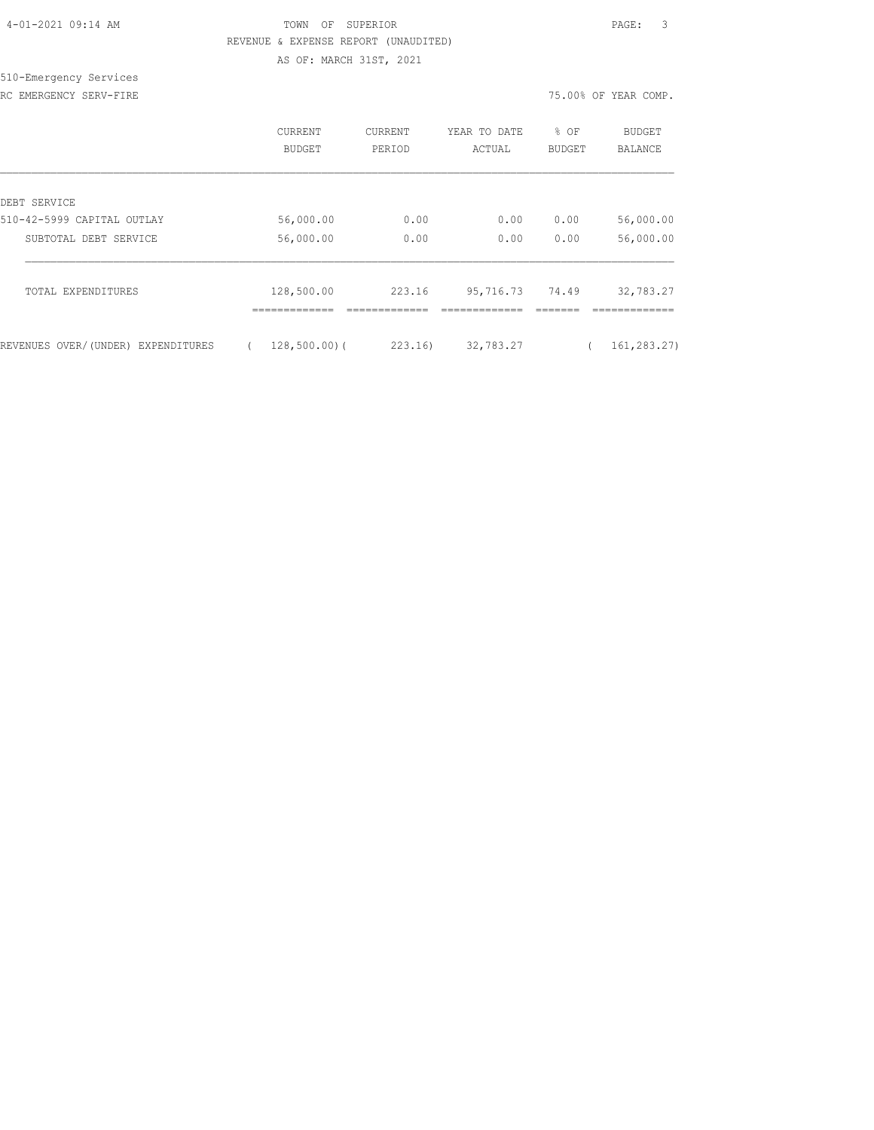## TOWN OF SUPERIOR **PAGE:** 3 REVENUE & EXPENSE REPORT (UNAUDITED) AS OF: MARCH 31ST, 2021

510-Emergency Services RC EMERGENCY SERV-FIRE THE REAL PROPERTY OF THE SERVICE OF THE SERVICE OF THE SERVICE OF THE SERVICE OF THE SERVICE OF THE SERVICE OF THE SERVICE OF THE SERVICE OF THE SERVICE OF THE SERVICE OF THE SERVICE OF THE SERVICE O

|                                    | CURRENT<br><b>BUDGET</b> | <b>CURRENT</b><br>PERIOD | YEAR TO DATE<br>ACTUAL | ⊱<br>OF<br><b>BUDGET</b> | <b>BUDGET</b><br><b>BALANCE</b> |
|------------------------------------|--------------------------|--------------------------|------------------------|--------------------------|---------------------------------|
| DEBT SERVICE                       |                          |                          |                        |                          |                                 |
| 510-42-5999 CAPITAL OUTLAY         | 56,000.00                | 0.00                     | 0.00                   | 0.00                     | 56,000.00                       |
| SUBTOTAL DEBT SERVICE              | 56,000.00                | 0.00                     | 0.00                   | 0.00                     | 56,000.00                       |
| TOTAL EXPENDITURES                 | 128,500.00               | 223.16                   | 95,716.73              | 74.49                    | 32,783.27                       |
|                                    | -------------            |                          |                        |                          |                                 |
| REVENUES OVER/(UNDER) EXPENDITURES | $128,500.00)$ (          | 223.16)                  | 32,783.27              |                          | 161,283.27)                     |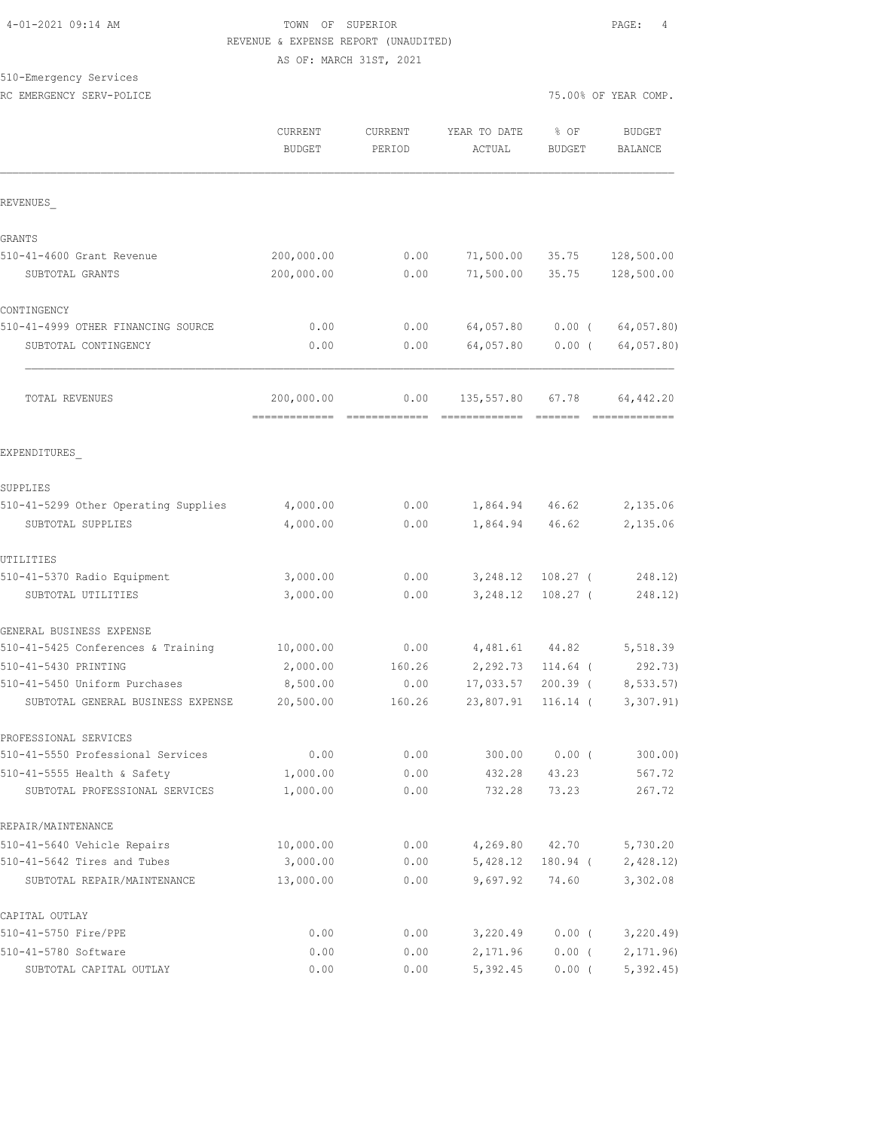#### 4-01-2021 09:14 AM TOWN OF SUPERIOR PAGE: 4 REVENUE & EXPENSE REPORT (UNAUDITED) AS OF: MARCH 31ST, 2021

# 510-Emergency Services

RC EMERGENCY SERV-POLICE **A** complete the complete  $75.00\%$  OF YEAR COMP.

|                                                               | CURRENT<br><b>BUDGET</b> | <b>CURRENT</b><br>PERIOD | YEAR TO DATE<br>ACTUAL | % OF<br><b>BUDGET</b> | <b>BUDGET</b><br><b>BALANCE</b> |
|---------------------------------------------------------------|--------------------------|--------------------------|------------------------|-----------------------|---------------------------------|
| REVENUES                                                      |                          |                          |                        |                       |                                 |
| GRANTS                                                        |                          |                          |                        |                       |                                 |
| 510-41-4600 Grant Revenue                                     | 200,000.00               | 0.00                     | 71,500.00              | 35.75                 | 128,500.00                      |
| SUBTOTAL GRANTS                                               | 200,000.00               | 0.00                     | 71,500.00              | 35.75                 | 128,500.00                      |
| CONTINGENCY                                                   |                          |                          |                        |                       |                                 |
| 510-41-4999 OTHER FINANCING SOURCE                            | 0.00                     | 0.00                     | 64,057.80              | $0.00$ (              | 64,057.80)                      |
| SUBTOTAL CONTINGENCY                                          | 0.00                     | 0.00                     | 64,057.80              | $0.00$ (              | 64,057.80)                      |
| TOTAL REVENUES                                                | 200,000.00               | 0.00                     | 135,557.80             | 67.78                 | 64,442.20                       |
| EXPENDITURES                                                  |                          |                          |                        |                       |                                 |
| SUPPLIES                                                      |                          |                          |                        |                       |                                 |
| 510-41-5299 Other Operating Supplies                          | 4,000.00                 | 0.00                     | 1,864.94               | 46.62                 | 2,135.06                        |
| SUBTOTAL SUPPLIES                                             | 4,000.00                 | 0.00                     | 1,864.94               | 46.62                 | 2,135.06                        |
| UTILITIES                                                     |                          |                          |                        |                       |                                 |
| 510-41-5370 Radio Equipment                                   | 3,000.00                 | 0.00                     | 3,248.12               | $108.27$ (            | 248.12)                         |
| SUBTOTAL UTILITIES                                            | 3,000.00                 | 0.00                     | 3,248.12               | $108.27$ (            | 248.12)                         |
| GENERAL BUSINESS EXPENSE                                      |                          |                          |                        |                       |                                 |
| 510-41-5425 Conferences & Training                            | 10,000.00                | 0.00                     | 4,481.61               | 44.82                 | 5,518.39                        |
| 510-41-5430 PRINTING                                          | 2,000.00                 | 160.26                   | 2,292.73               | $114.64$ (            | 292.73)                         |
| 510-41-5450 Uniform Purchases                                 | 8,500.00                 | 0.00                     | 17,033.57              | $200.39$ (            | 8, 533.57                       |
| SUBTOTAL GENERAL BUSINESS EXPENSE                             | 20,500.00                | 160.26                   | 23,807.91              | $116.14$ (            | 3,307.91)                       |
| PROFESSIONAL SERVICES                                         |                          |                          |                        |                       |                                 |
| 510-41-5550 Professional Services                             | 0.00                     | 0.00                     | 300.00                 | $0.00$ (              | $300.00$ )                      |
| 510-41-5555 Health & Safety<br>SUBTOTAL PROFESSIONAL SERVICES | 1,000.00<br>1,000.00     | 0.00<br>0.00             | 432.28<br>732.28       | 43.23<br>73.23        | 567.72<br>267.72                |
| REPAIR/MAINTENANCE                                            |                          |                          |                        |                       |                                 |
| 510-41-5640 Vehicle Repairs                                   | 10,000.00                | 0.00                     | 4,269.80               | 42.70                 | 5,730.20                        |
| 510-41-5642 Tires and Tubes                                   | 3,000.00                 | 0.00                     | 5,428.12               | 180.94 (              | 2,428.12)                       |
| SUBTOTAL REPAIR/MAINTENANCE                                   | 13,000.00                | 0.00                     | 9,697.92               | 74.60                 | 3,302.08                        |
| CAPITAL OUTLAY                                                |                          |                          |                        |                       |                                 |
| 510-41-5750 Fire/PPE                                          | 0.00                     | 0.00                     | 3,220.49               | 0.00(                 | 3,220.49                        |
| 510-41-5780 Software                                          | 0.00                     | 0.00                     | 2,171.96               | $0.00$ (              | 2, 171.96                       |
| SUBTOTAL CAPITAL OUTLAY                                       | 0.00                     | 0.00                     | 5,392.45               | $0.00$ (              | 5,392.45                        |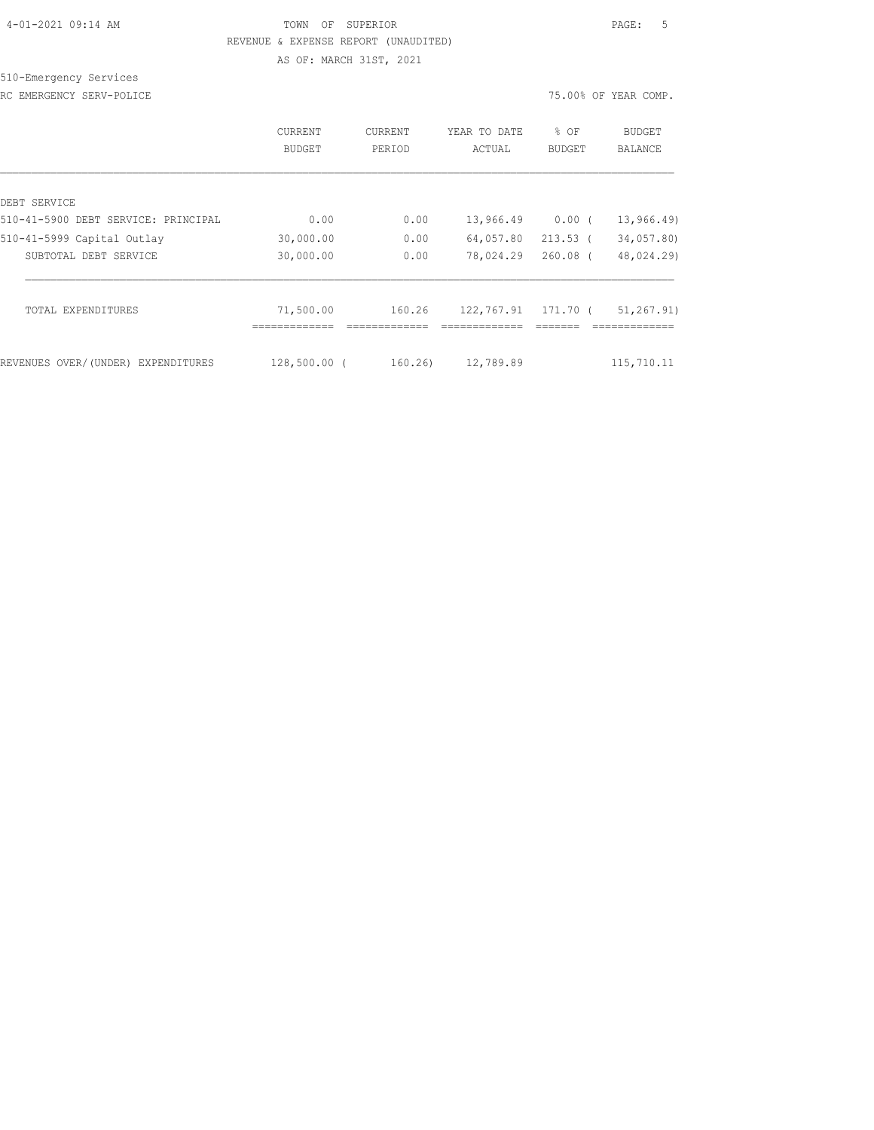# 4-01-2021 09:14 AM TOWN OF SUPERIOR PAGE: 5 REVENUE & EXPENSE REPORT (UNAUDITED)

AS OF: MARCH 31ST, 2021

# 510-Emergency Services

RC EMERGENCY SERV-POLICE **12000** CHARGENCY SERV-POLICE

|                                     | <b>CURRENT</b><br>BUDGET   | CURRENT<br>PERIOD | YEAR TO DATE<br>ACTUAL | % OF<br><b>BUDGET</b> | <b>BUDGET</b><br>BALANCE     |
|-------------------------------------|----------------------------|-------------------|------------------------|-----------------------|------------------------------|
| DEBT SERVICE                        |                            |                   |                        |                       |                              |
| 510-41-5900 DEBT SERVICE: PRINCIPAL | 0.00                       | 0.00              | 13,966.49              | $0.00$ (              | 13,966.49)                   |
| 510-41-5999 Capital Outlay          | 30,000.00                  | 0.00              | 64,057.80              | $213.53$ (            | 34,057.80)                   |
| SUBTOTAL DEBT SERVICE               | 30,000.00                  | 0.00              | 78,024.29              | $260.08$ (            | 48,024.29)                   |
| TOTAL EXPENDITURES                  | 71,500.00<br>------------- | 160.26            | 122,767.91             | 171.70 (              | 51, 267, 91)<br>============ |
| REVENUES OVER/(UNDER) EXPENDITURES  | 128,500.00 (               | 160.26            | 12,789.89              |                       | 115,710.11                   |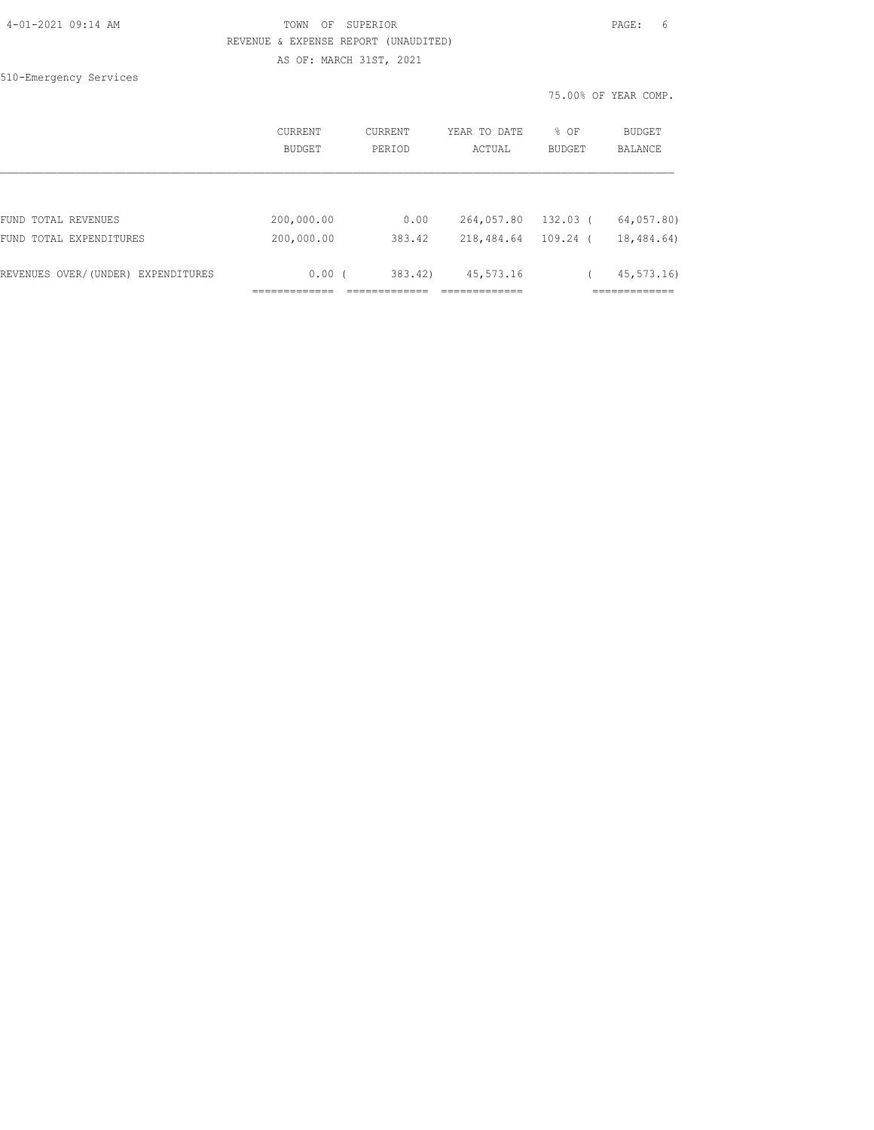## TOWN OF SUPERIOR **Example 2010** PAGE: 6 REVENUE & EXPENSE REPORT (UNAUDITED) AS OF: MARCH 31ST, 2021

510-Emergency Services

|                                    | CURRENT<br>BUDGET | <b>CURRENT</b><br>PERIOD | YEAR TO DATE<br>ACTUAL | % OF<br><b>BUDGET</b> | <b>BUDGET</b><br><b>BALANCE</b> |
|------------------------------------|-------------------|--------------------------|------------------------|-----------------------|---------------------------------|
|                                    |                   |                          |                        |                       |                                 |
| FUND TOTAL REVENUES                | 200,000.00        | 0.00                     | 264,057.80             | 132.03 (              | 64,057.80)                      |
| FUND TOTAL EXPENDITURES            | 200,000.00        | 383.42                   | 218,484.64             | $109.24$ (            | 18,484.64)                      |
| REVENUES OVER/(UNDER) EXPENDITURES | 0.00(             | 383.42)                  | 45, 573. 16            |                       | 45, 573, 16                     |
|                                    |                   |                          |                        |                       |                                 |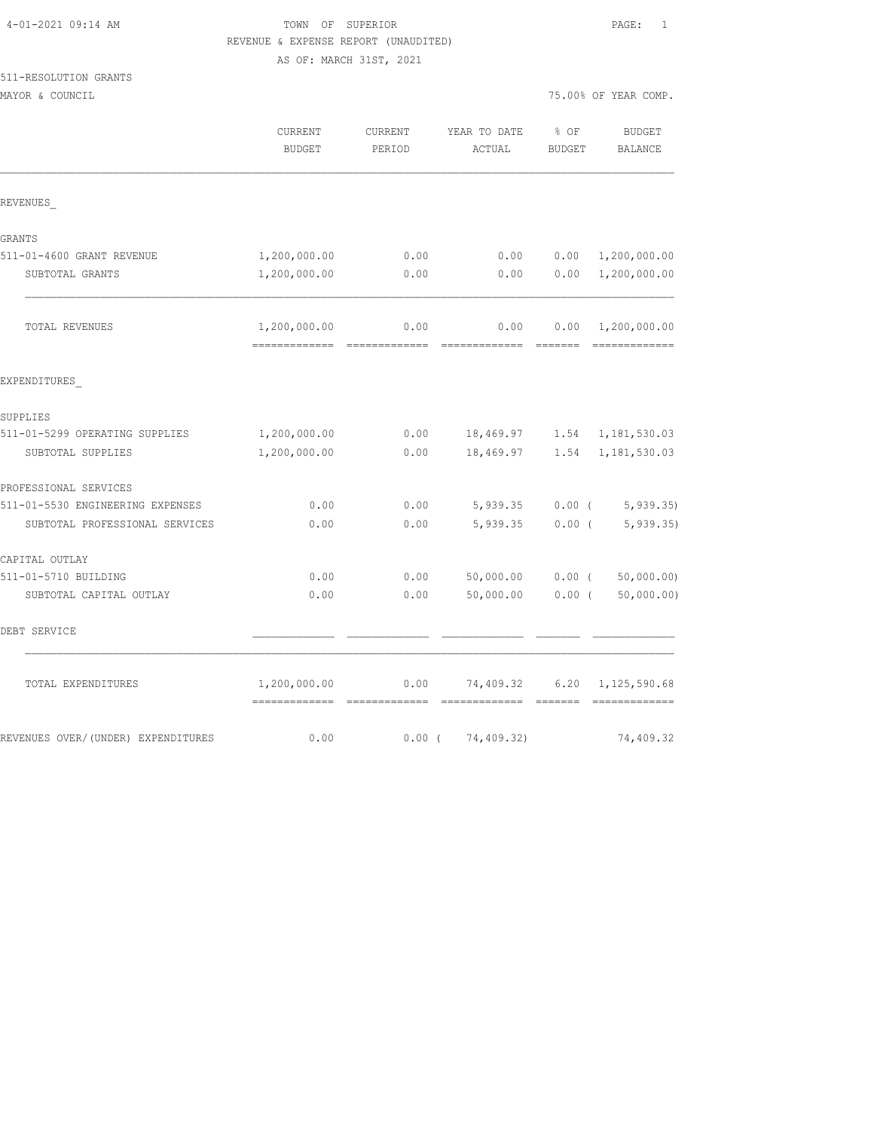## TOWN OF SUPERIOR **PAGE:** 1 REVENUE & EXPENSE REPORT (UNAUDITED) AS OF: MARCH 31ST, 2021

| 511-RESOLUTION GRANTS |  |
|-----------------------|--|
| ------                |  |

MAYOR & COUNCIL COUNCIL COMP.

|                                    | <b>CURRENT</b><br><b>BUDGET</b>              | <b>CURRENT</b><br>PERIOD | YEAR TO DATE<br>ACTUAL | % OF<br><b>BUDGET</b> | <b>BUDGET</b><br>BALANCE          |
|------------------------------------|----------------------------------------------|--------------------------|------------------------|-----------------------|-----------------------------------|
| REVENUES                           |                                              |                          |                        |                       |                                   |
| GRANTS                             |                                              |                          |                        |                       |                                   |
| 511-01-4600 GRANT REVENUE          | 1,200,000.00                                 | 0.00                     | 0.00                   | 0.00                  | 1,200,000.00                      |
| SUBTOTAL GRANTS                    | 1,200,000.00                                 | 0.00                     | 0.00                   | 0.00                  | 1,200,000.00                      |
| TOTAL REVENUES                     | 1,200,000.00<br>-------------- ------------- | 0.00                     | 0.00                   | 0.00                  | 1,200,000.00                      |
| EXPENDITURES                       |                                              |                          |                        |                       |                                   |
| SUPPLIES                           |                                              |                          |                        |                       |                                   |
| 511-01-5299 OPERATING SUPPLIES     | 1,200,000.00                                 | 0.00                     |                        |                       | 18,469.97    1.54    1,181,530.03 |
| SUBTOTAL SUPPLIES                  | 1,200,000.00                                 | 0.00                     | 18,469.97              | 1.54                  | 1,181,530.03                      |
| PROFESSIONAL SERVICES              |                                              |                          |                        |                       |                                   |
| 511-01-5530 ENGINEERING EXPENSES   | 0.00                                         | 0.00                     | 5,939.35               |                       | $0.00$ ( 5,939.35)                |
| SUBTOTAL PROFESSIONAL SERVICES     | 0.00                                         | 0.00                     | 5,939.35               | $0.00$ (              | 5, 939.35                         |
| CAPITAL OUTLAY                     |                                              |                          |                        |                       |                                   |
| 511-01-5710 BUILDING               | 0.00                                         | 0.00                     | 50,000.00              | $0.00$ (              | 50,000.00)                        |
| SUBTOTAL CAPITAL OUTLAY            | 0.00                                         | 0.00                     | 50,000.00              | $0.00$ (              | 50,000.00)                        |
| DEBT SERVICE                       |                                              |                          |                        |                       |                                   |
| TOTAL EXPENDITURES                 | 1,200,000.00<br>-------------                | 0.00                     | 74,409.32              | 6.20                  | 1,125,590.68                      |
| REVENUES OVER/(UNDER) EXPENDITURES | 0.00                                         |                          | $0.00$ ( $74,409.32$ ) |                       | 74,409.32                         |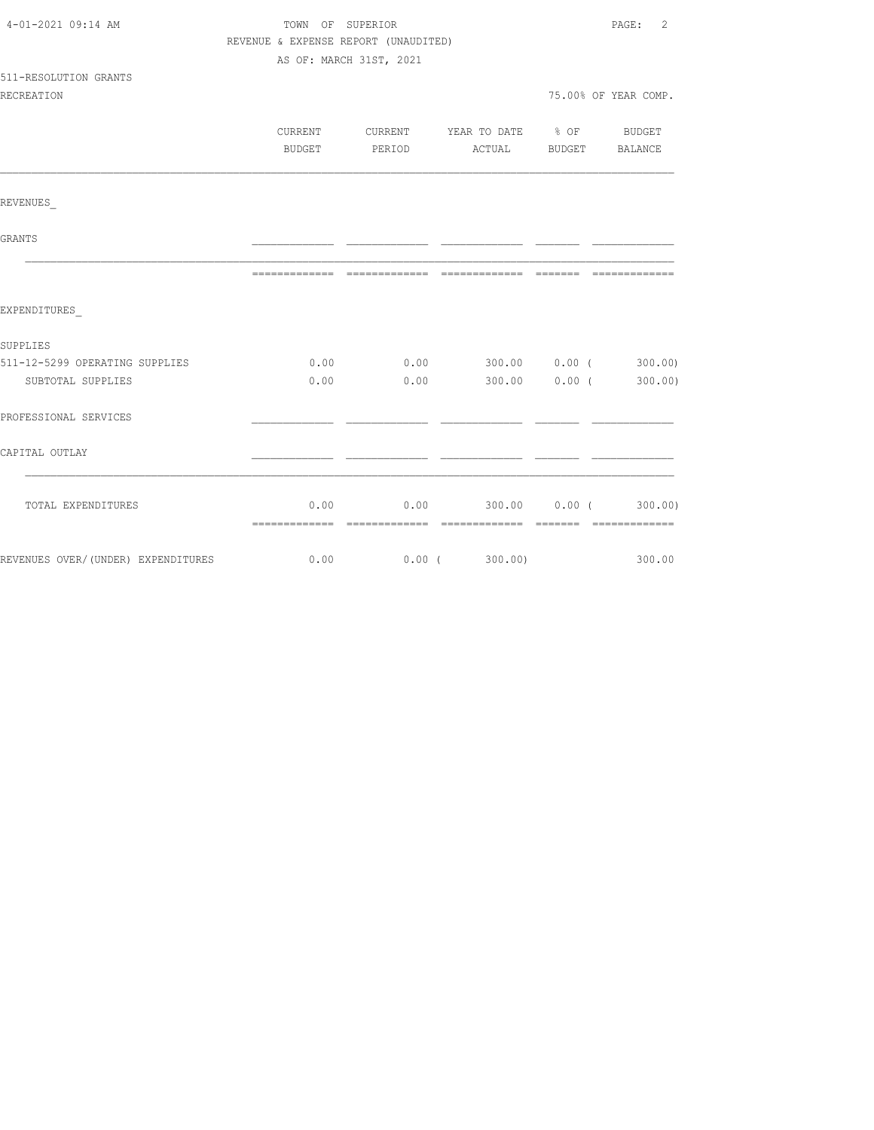| 4-01-2021 09:14 AM             | TOWN OF SUPERIOR                     |  |                                             |  |                      |  |
|--------------------------------|--------------------------------------|--|---------------------------------------------|--|----------------------|--|
|                                | REVENUE & EXPENSE REPORT (UNAUDITED) |  |                                             |  |                      |  |
|                                | AS OF: MARCH 31ST, 2021              |  |                                             |  |                      |  |
| 511-RESOLUTION GRANTS          |                                      |  |                                             |  |                      |  |
| <b>RECREATION</b>              |                                      |  |                                             |  | 75.00% OF YEAR COMP. |  |
|                                |                                      |  |                                             |  |                      |  |
|                                |                                      |  | CURRENT CURRENT YEAR TO DATE % OF BUDGET    |  |                      |  |
|                                |                                      |  | BUDGET PERIOD ACTUAL BUDGET BALANCE         |  |                      |  |
|                                |                                      |  |                                             |  |                      |  |
| REVENUES                       |                                      |  |                                             |  |                      |  |
| GRANTS                         |                                      |  |                                             |  |                      |  |
|                                |                                      |  |                                             |  |                      |  |
| EXPENDITURES                   |                                      |  |                                             |  |                      |  |
| SUPPLIES                       |                                      |  |                                             |  |                      |  |
| 511-12-5299 OPERATING SUPPLIES |                                      |  | $0.00$ $0.00$ $300.00$ $0.00$ $($ $300.00)$ |  |                      |  |
| SUBTOTAL SUPPLIES              | 0.00                                 |  | $0.00$ 300.00 0.00 (300.00)                 |  |                      |  |
| PROFESSIONAL SERVICES          |                                      |  |                                             |  |                      |  |
| CAPITAL OUTLAY                 |                                      |  |                                             |  |                      |  |
|                                |                                      |  |                                             |  |                      |  |
| TOTAL EXPENDITURES             |                                      |  | $0.00$ $0.00$ $300.00$ $0.00$ $($ $300.00)$ |  |                      |  |
|                                |                                      |  |                                             |  |                      |  |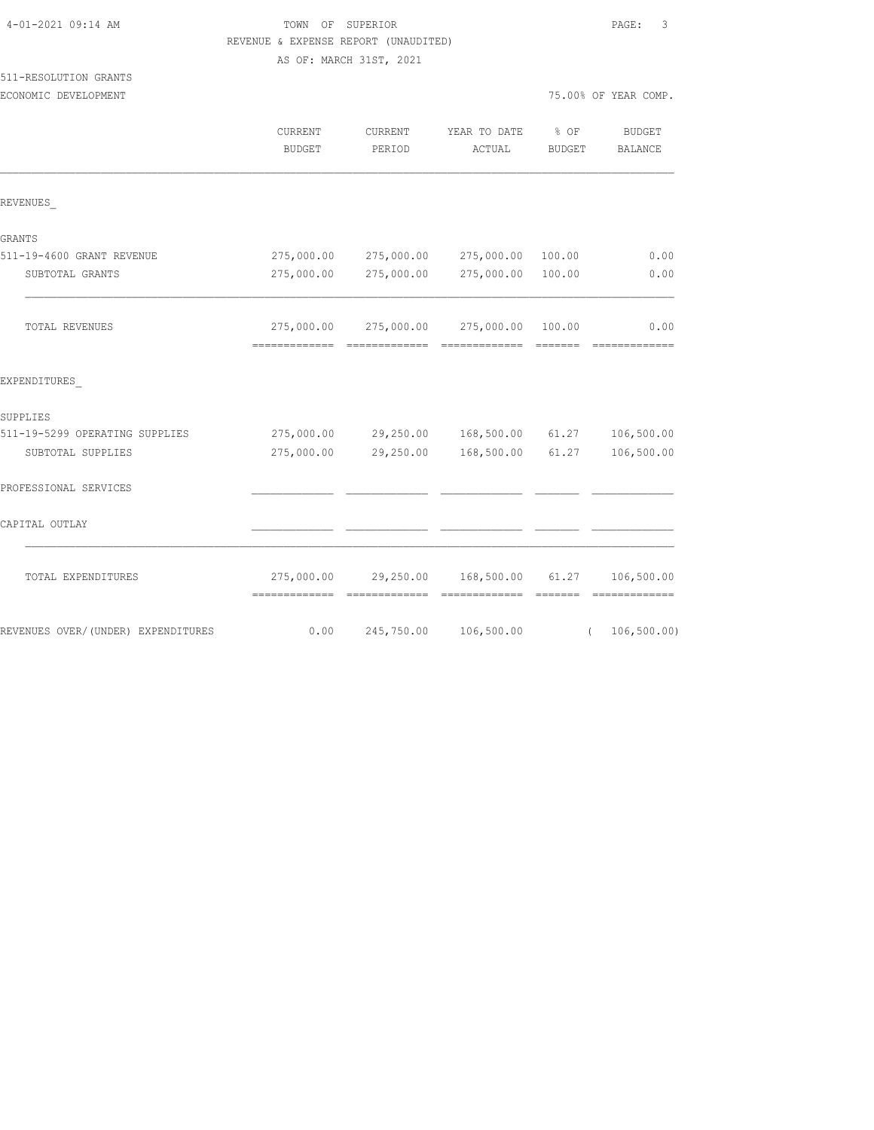|                                    | REVENUE & EXPENSE REPORT (UNAUDITED) |                         |                                         |               |                             |
|------------------------------------|--------------------------------------|-------------------------|-----------------------------------------|---------------|-----------------------------|
|                                    |                                      | AS OF: MARCH 31ST, 2021 |                                         |               |                             |
| 511-RESOLUTION GRANTS              |                                      |                         |                                         |               |                             |
| ECONOMIC DEVELOPMENT               |                                      |                         |                                         |               | 75.00% OF YEAR COMP.        |
|                                    | CURRENT                              | CURRENT                 | YEAR TO DATE                            | % OF          | BUDGET                      |
|                                    | BUDGET                               | PERIOD                  | ACTUAL                                  | <b>BUDGET</b> | BALANCE                     |
| REVENUES                           |                                      |                         |                                         |               |                             |
| GRANTS                             |                                      |                         |                                         |               |                             |
| 511-19-4600 GRANT REVENUE          | 275,000.00                           | 275,000.00              | 275,000.00                              | 100.00        | 0.00                        |
| SUBTOTAL GRANTS                    | 275,000.00                           | 275,000.00              | 275,000.00                              | 100.00        | 0.00                        |
| TOTAL REVENUES                     |                                      |                         | 275,000.00 275,000.00 275,000.00 100.00 |               | 0.00                        |
| EXPENDITURES                       |                                      |                         |                                         |               |                             |
| SUPPLIES                           |                                      |                         |                                         |               |                             |
| 511-19-5299 OPERATING SUPPLIES     | 275,000.00                           |                         | 29,250.00 168,500.00                    |               | 61.27 106,500.00            |
| SUBTOTAL SUPPLIES                  | 275,000.00                           | 29,250.00               | 168,500.00                              | 61.27         | 106,500.00                  |
| PROFESSIONAL SERVICES              |                                      |                         |                                         |               |                             |
| CAPITAL OUTLAY                     |                                      |                         |                                         |               |                             |
| TOTAL EXPENDITURES                 | 275,000.00                           |                         | 29,250.00 168,500.00                    | 61.27         | 106,500.00<br>------------- |
| REVENUES OVER/(UNDER) EXPENDITURES | 0.00                                 | 245,750.00              | 106,500.00                              | $\left($      | 106, 500.00)                |

4-01-2021 09:14 AM **TOWN OF SUPERIOR** TOWN OF SUPERIOR PAGE: 3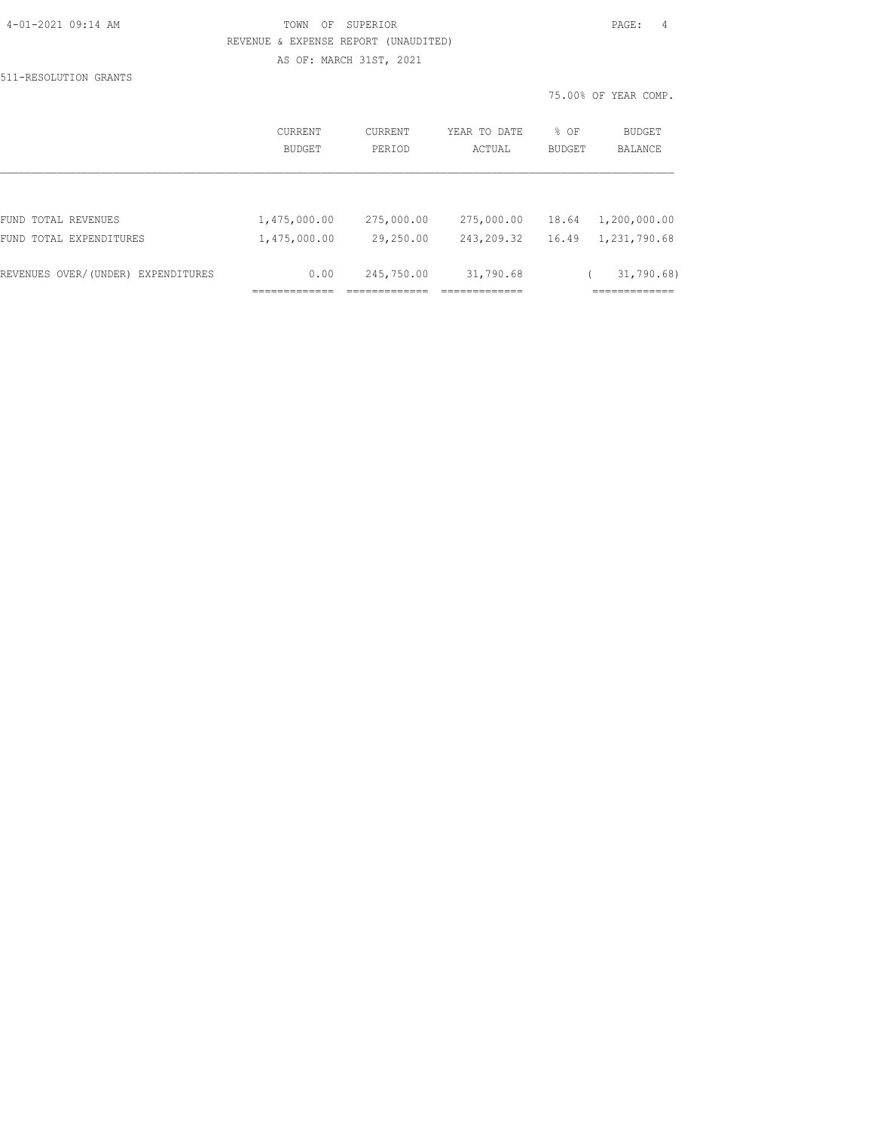| 4-01-2021 09:14 AM |  |
|--------------------|--|
|                    |  |

## TOWN OF SUPERIOR **PAGE:** 4 REVENUE & EXPENSE REPORT (UNAUDITED) AS OF: MARCH 31ST, 2021

511-RESOLUTION GRANTS

|                                    | CURRENT<br>BUDGET | CURRENT<br>PERIOD | YEAR TO DATE<br>ACTUAL | % OF<br>BUDGET | BUDGET<br><b>BALANCE</b> |
|------------------------------------|-------------------|-------------------|------------------------|----------------|--------------------------|
|                                    |                   |                   |                        |                |                          |
| FUND TOTAL REVENUES                | 1,475,000.00      | 275,000.00        | 275,000.00             | 18.64          | 1,200,000.00             |
| FUND TOTAL EXPENDITURES            | 1,475,000.00      | 29,250.00         | 243,209.32             | 16.49          | 1,231,790.68             |
| REVENUES OVER/(UNDER) EXPENDITURES | 0.00              | 245,750.00        | 31,790.68              |                | 31,790.68)               |
|                                    |                   |                   |                        |                |                          |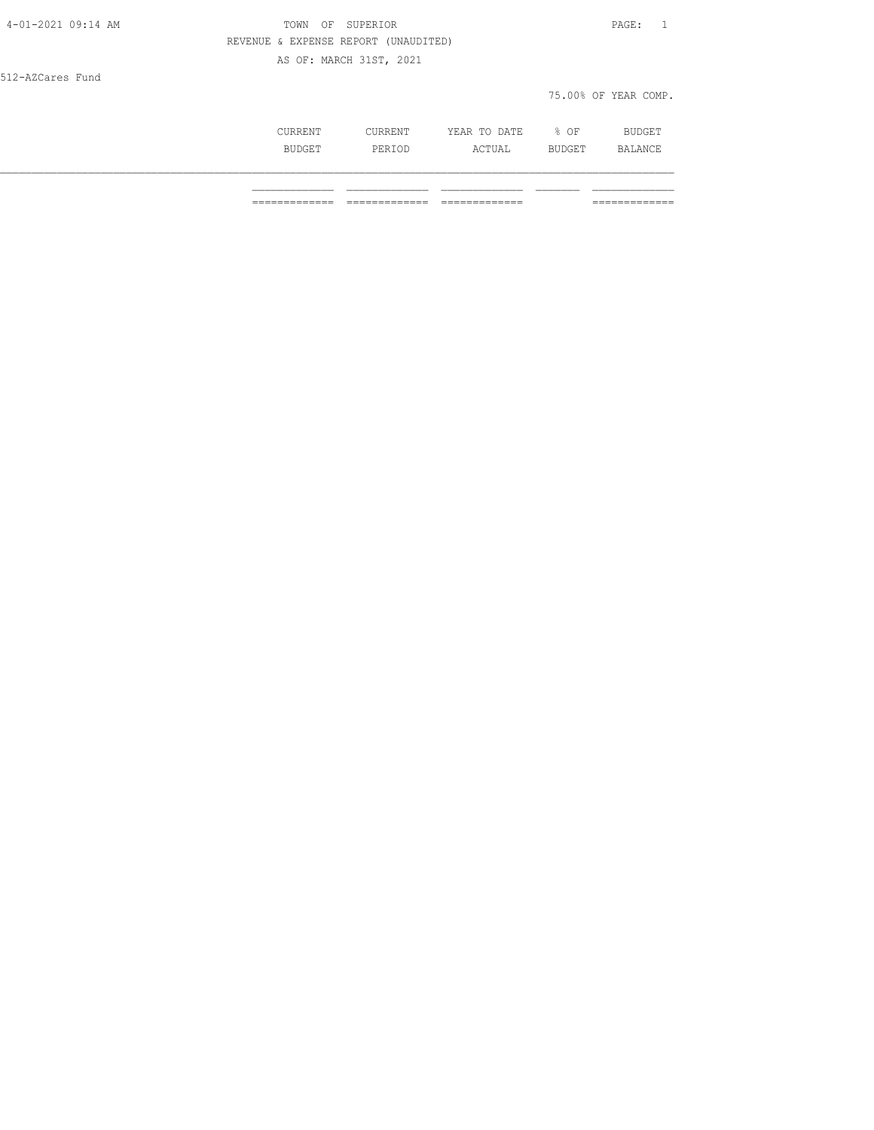| 4-01-2021 09:14 AM | TOWN<br>OF                           | SUPERIOR                |              |      | $\texttt{PAGE}$ :<br>$\sim$ 1 |
|--------------------|--------------------------------------|-------------------------|--------------|------|-------------------------------|
|                    | REVENUE & EXPENSE REPORT (UNAUDITED) |                         |              |      |                               |
|                    |                                      | AS OF: MARCH 31ST, 2021 |              |      |                               |
| 512-AZCares Fund   |                                      |                         |              |      |                               |
|                    |                                      |                         |              |      | 75.00% OF YEAR COMP.          |
|                    | CURRENT                              | CURRENT                 | YEAR TO DATE | % OF | <b>BUDGET</b>                 |

BUDGET PERIOD ACTUAL BUDGET BALANCE \_\_\_\_\_\_\_\_\_\_\_\_\_\_\_\_\_\_\_\_\_\_\_\_\_\_\_\_\_\_\_\_\_\_\_\_\_\_\_\_\_\_\_\_\_\_\_\_\_\_\_\_\_\_\_\_\_\_\_\_\_\_\_\_\_\_\_\_\_\_\_\_\_\_\_\_\_\_\_\_\_\_\_\_\_\_\_\_\_\_\_\_\_\_\_\_\_\_\_\_\_\_\_\_\_\_\_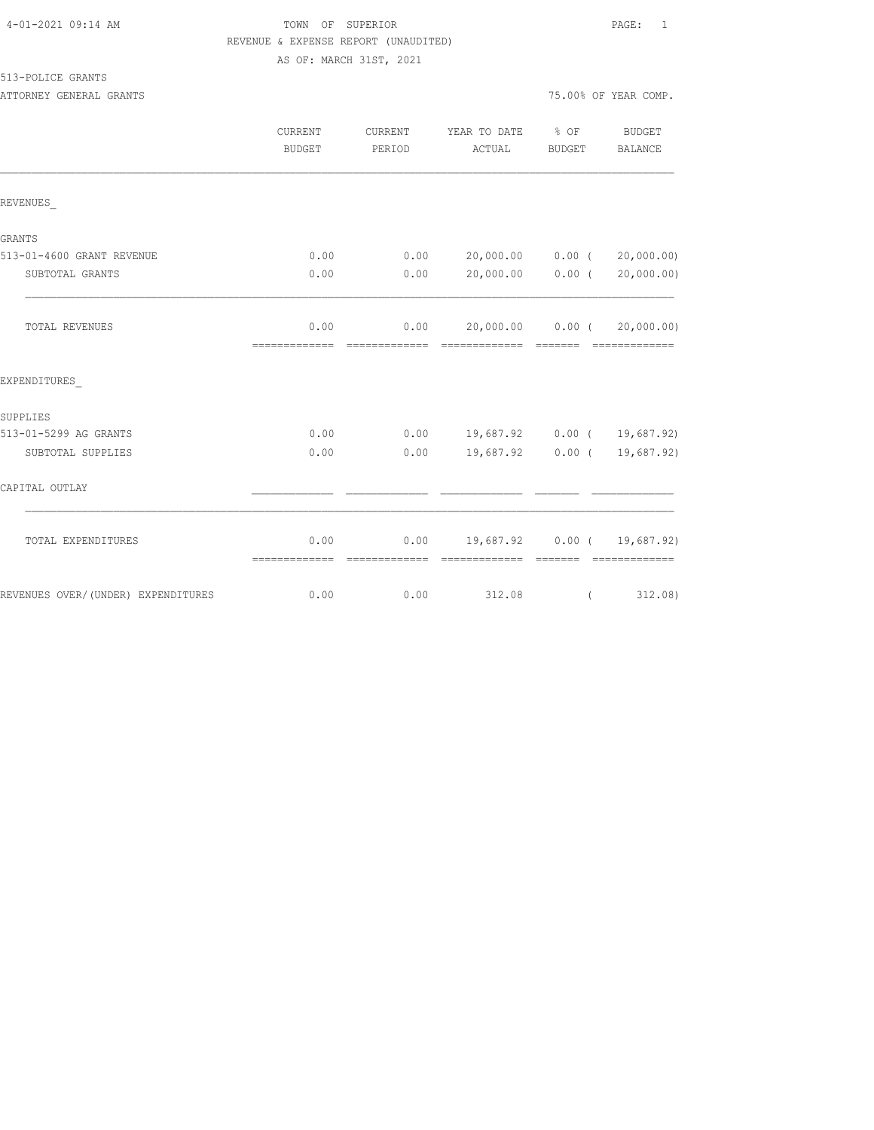| 4-01-2021 09:14 AM |  |  |
|--------------------|--|--|
|--------------------|--|--|

## TOWN OF SUPERIOR **PAGE:** 1 REVENUE & EXPENSE REPORT (UNAUDITED) AS OF: MARCH 31ST, 2021

513-POLICE GRANTS

ATTORNEY GENERAL GRANTS **ATTORY OF SEXUAL SERVICE OF SEAR COMP.** 

|                                    | <b>CURRENT</b><br>BUDGET | CURRENT<br>PERIOD                                                                                                                                                                                                                                                                                                                                                                                                                                                                      | YEAR TO DATE % OF<br>ACTUAL                        | BUDGET   | BUDGET<br>BALANCE           |
|------------------------------------|--------------------------|----------------------------------------------------------------------------------------------------------------------------------------------------------------------------------------------------------------------------------------------------------------------------------------------------------------------------------------------------------------------------------------------------------------------------------------------------------------------------------------|----------------------------------------------------|----------|-----------------------------|
| REVENUES                           |                          |                                                                                                                                                                                                                                                                                                                                                                                                                                                                                        |                                                    |          |                             |
| GRANTS                             |                          |                                                                                                                                                                                                                                                                                                                                                                                                                                                                                        |                                                    |          |                             |
| 513-01-4600 GRANT REVENUE          | 0.00                     |                                                                                                                                                                                                                                                                                                                                                                                                                                                                                        | $0.00$ 20,000.00 0.00 (                            |          | 20,000.00)                  |
| SUBTOTAL GRANTS                    | 0.00                     | 0.00                                                                                                                                                                                                                                                                                                                                                                                                                                                                                   | 20,000.00 0.00 (                                   |          | 20,000.00)                  |
| TOTAL REVENUES                     |                          | 0.00                                                                                                                                                                                                                                                                                                                                                                                                                                                                                   | $0.00$ 20,000.00 0.00 (                            |          | 20,000.00)                  |
| EXPENDITURES                       |                          |                                                                                                                                                                                                                                                                                                                                                                                                                                                                                        |                                                    |          |                             |
| SUPPLIES                           |                          |                                                                                                                                                                                                                                                                                                                                                                                                                                                                                        |                                                    |          |                             |
| 513-01-5299 AG GRANTS              | 0.00                     |                                                                                                                                                                                                                                                                                                                                                                                                                                                                                        | $0.00$ 19,687.92 0.00 ( 19,687.92)                 |          |                             |
| SUBTOTAL SUPPLIES                  | 0.00                     | 0.00                                                                                                                                                                                                                                                                                                                                                                                                                                                                                   |                                                    |          | 19,687.92 0.00 ( 19,687.92) |
| CAPITAL OUTLAY                     |                          |                                                                                                                                                                                                                                                                                                                                                                                                                                                                                        |                                                    |          |                             |
| TOTAL EXPENDITURES                 | 0.00<br>=============    | $\begin{array}{cccccccccccccc} \multicolumn{2}{c}{} & \multicolumn{2}{c}{} & \multicolumn{2}{c}{} & \multicolumn{2}{c}{} & \multicolumn{2}{c}{} & \multicolumn{2}{c}{} & \multicolumn{2}{c}{} & \multicolumn{2}{c}{} & \multicolumn{2}{c}{} & \multicolumn{2}{c}{} & \multicolumn{2}{c}{} & \multicolumn{2}{c}{} & \multicolumn{2}{c}{} & \multicolumn{2}{c}{} & \multicolumn{2}{c}{} & \multicolumn{2}{c}{} & \multicolumn{2}{c}{} & \multicolumn{2}{c}{} & \multicolumn{2}{c}{} & \$ | $0.00$ 19,687.92 0.00 ( 19,687.92)<br>------------ |          |                             |
| REVENUES OVER/(UNDER) EXPENDITURES | 0.00                     | 0.00                                                                                                                                                                                                                                                                                                                                                                                                                                                                                   | 312.08                                             | $\left($ | 312.08)                     |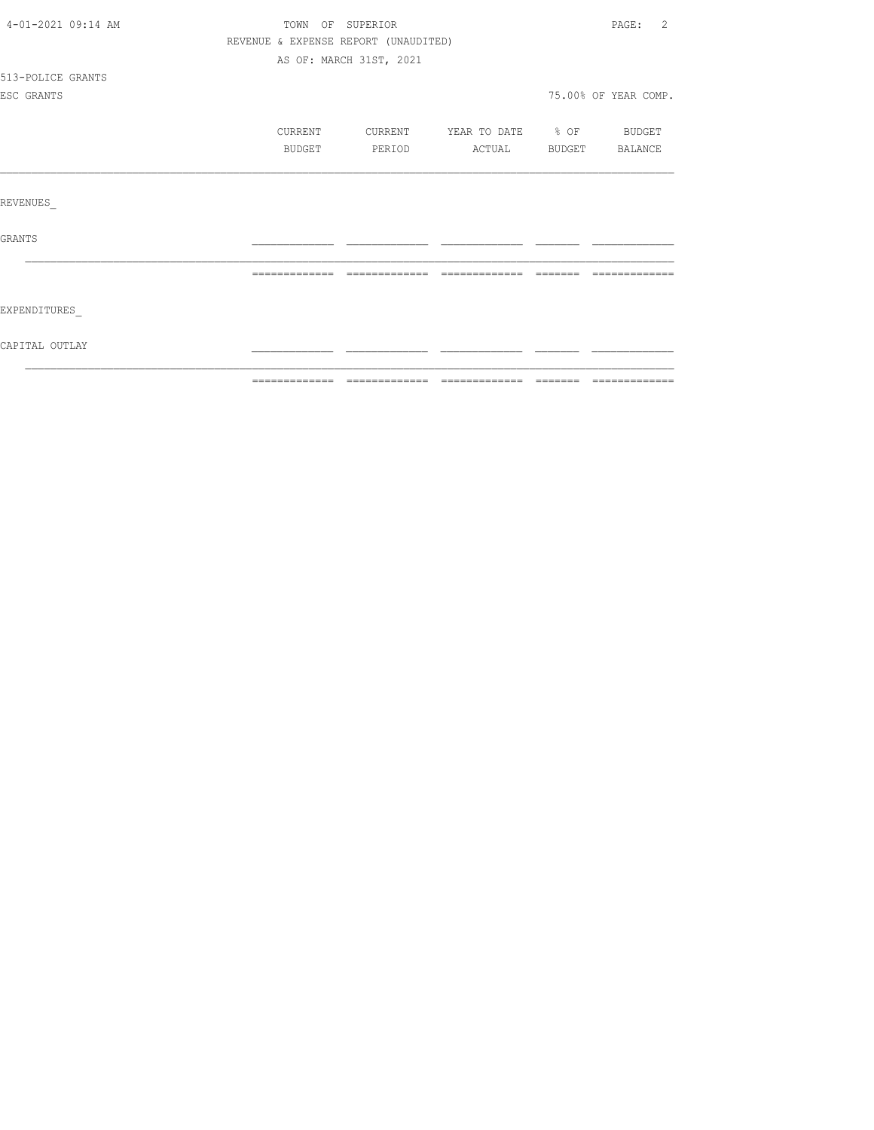| 4-01-2021 09:14 AM | TOWN OF SUPERIOR |                                      |                                  | $\mathtt{PAGE}$ :<br>2 |
|--------------------|------------------|--------------------------------------|----------------------------------|------------------------|
|                    |                  | REVENUE & EXPENSE REPORT (UNAUDITED) |                                  |                        |
|                    |                  | AS OF: MARCH 31ST, 2021              |                                  |                        |
| 513-POLICE GRANTS  |                  |                                      |                                  |                        |
| ESC GRANTS         |                  |                                      |                                  | 75.00% OF YEAR COMP.   |
|                    |                  |                                      |                                  |                        |
|                    | CURRENT          |                                      | CURRENT YEAR TO DATE % OF BUDGET |                        |
|                    | BUDGET           | PERIOD                               | ACTUAL BUDGET BALANCE            |                        |
|                    |                  |                                      |                                  |                        |
|                    |                  |                                      |                                  |                        |
| REVENUES           |                  |                                      |                                  |                        |
|                    |                  |                                      |                                  |                        |
| GRANTS             |                  |                                      |                                  |                        |
|                    |                  |                                      |                                  |                        |
|                    |                  |                                      |                                  | --------------         |
|                    |                  |                                      |                                  |                        |
| EXPENDITURES       |                  |                                      |                                  |                        |
|                    |                  |                                      |                                  |                        |
| CAPITAL OUTLAY     |                  |                                      |                                  |                        |
|                    |                  |                                      |                                  |                        |
|                    |                  |                                      |                                  |                        |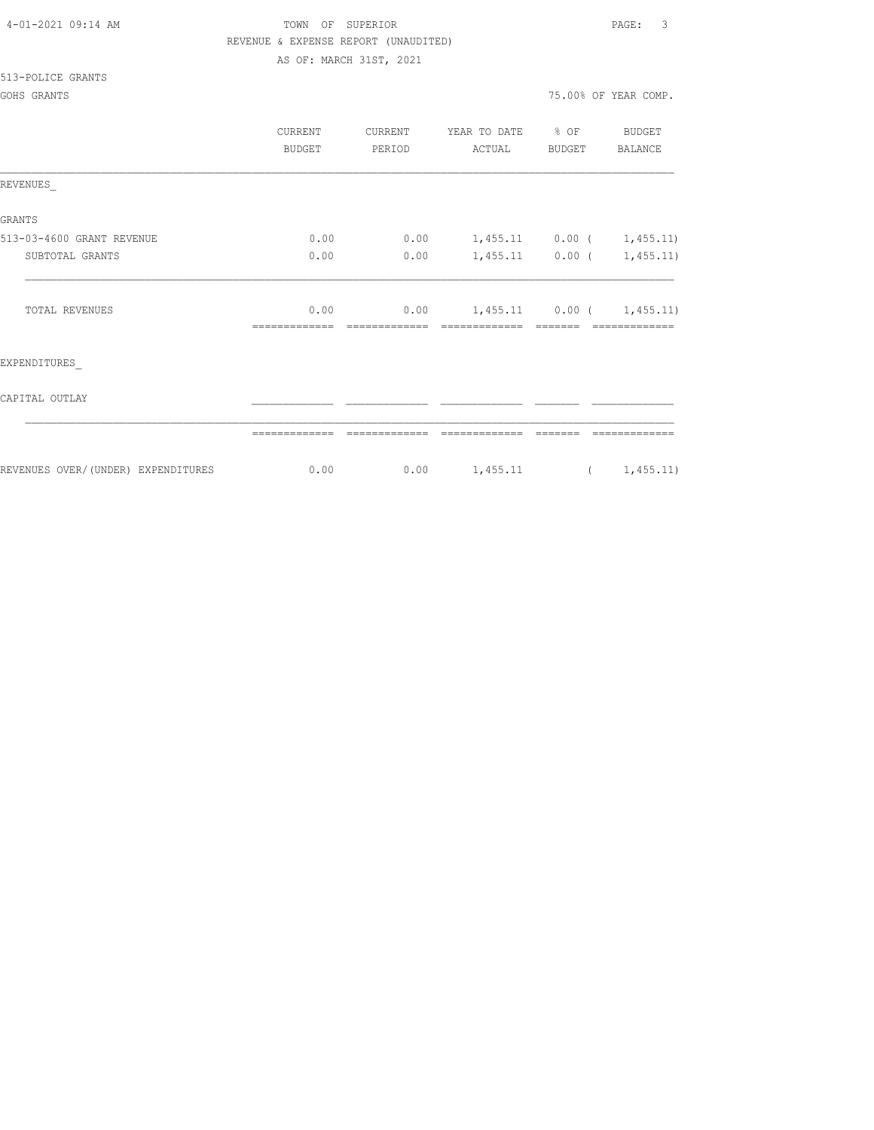| 4-01-2021 09:14 AM |  |
|--------------------|--|
|                    |  |

## TOWN OF SUPERIOR **PAGE:** 3 REVENUE & EXPENSE REPORT (UNAUDITED) AS OF: MARCH 31ST, 2021

#### 513-POLICE GRANTS

GOHS GRANTS 75.000 OF YEAR COMP. THE YEAR COMP. THE YEAR COMP. THE YEAR COMP. THE YEAR COMP. THE YEAR COMP.

|  |  | 5.00% OF YEAR COMP. |
|--|--|---------------------|
|  |  |                     |

|                                    | CURRENT<br><b>BUDGET</b> | CURRENT<br>PERIOD | YEAR TO DATE % OF<br>ACTUAL | BUDGET | BUDGET<br>BALANCE |
|------------------------------------|--------------------------|-------------------|-----------------------------|--------|-------------------|
| REVENUES                           |                          |                   |                             |        |                   |
| <b>GRANTS</b>                      |                          |                   |                             |        |                   |
| 513-03-4600 GRANT REVENUE          | 0.00                     | 0.00              | $1,455.11$ 0.00 ( 1,455.11) |        |                   |
| SUBTOTAL GRANTS                    | 0.00                     | 0.00              | $1,455.11$ 0.00 ( 1,455.11) |        |                   |
| TOTAL REVENUES                     | 0.00                     | 0.00              | $1,455.11$ 0.00 ( 1,455.11) |        |                   |
| EXPENDITURES                       |                          |                   |                             |        |                   |
| CAPITAL OUTLAY                     |                          |                   |                             |        |                   |
|                                    |                          |                   |                             |        |                   |
| REVENUES OVER/(UNDER) EXPENDITURES | 0.00                     | 0.00              | 1,455.11                    |        | (1, 455.11)       |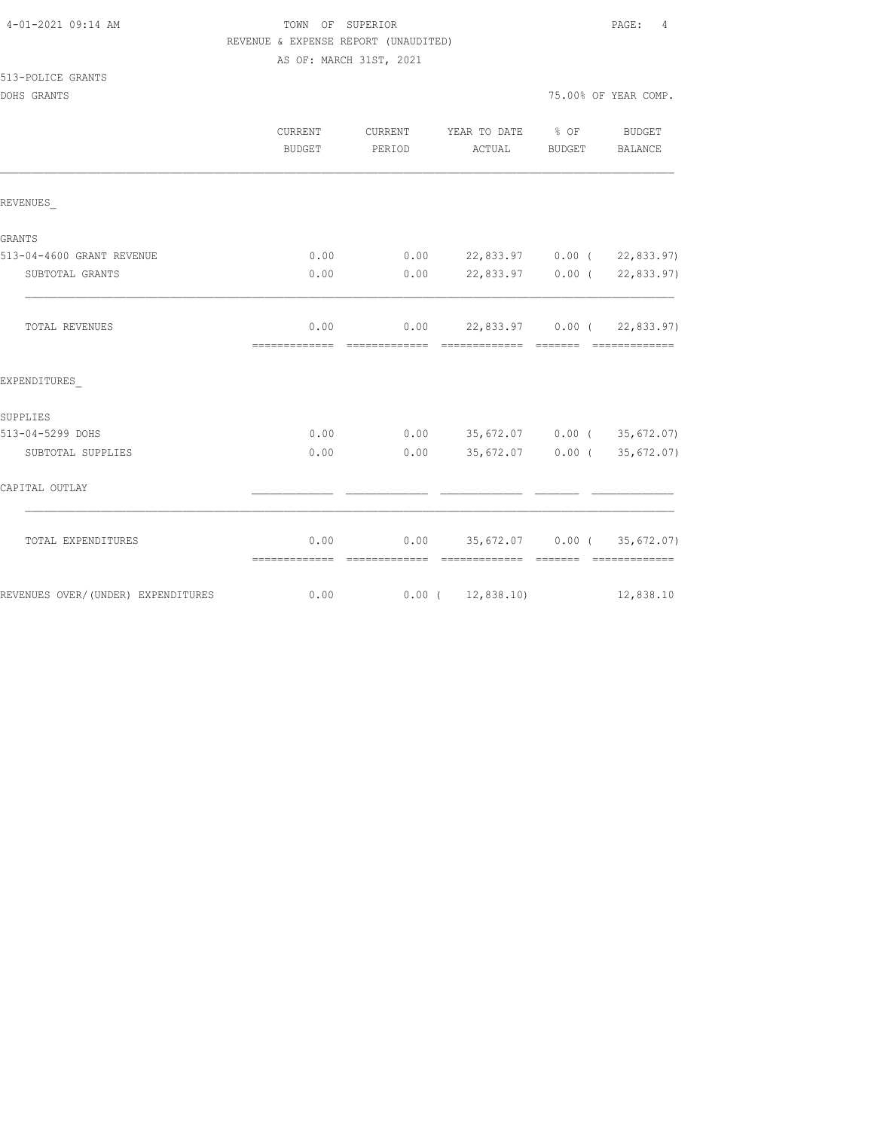## TOWN OF SUPERIOR **PAGE:** 4 REVENUE & EXPENSE REPORT (UNAUDITED) AS OF: MARCH 31ST, 2021

| 513-POLICE GRANTS |  |
|-------------------|--|
|-------------------|--|

|                                    | <b>CURRENT</b><br>BUDGET | CURRENT<br>PERIOD | YEAR TO DATE % OF<br>ACTUAL                        | BUDGET                                                                                                                                                                                                                                                                                                                                                                                                                                                                                 | BUDGET<br>BALANCE |
|------------------------------------|--------------------------|-------------------|----------------------------------------------------|----------------------------------------------------------------------------------------------------------------------------------------------------------------------------------------------------------------------------------------------------------------------------------------------------------------------------------------------------------------------------------------------------------------------------------------------------------------------------------------|-------------------|
| REVENUES                           |                          |                   |                                                    |                                                                                                                                                                                                                                                                                                                                                                                                                                                                                        |                   |
| GRANTS                             |                          |                   |                                                    |                                                                                                                                                                                                                                                                                                                                                                                                                                                                                        |                   |
| 513-04-4600 GRANT REVENUE          | 0.00                     |                   | $0.00$ 22,833.97 0.00 ( 22,833.97)                 |                                                                                                                                                                                                                                                                                                                                                                                                                                                                                        |                   |
| SUBTOTAL GRANTS                    | 0.00                     |                   | $0.00$ 22,833.97 0.00 ( 22,833.97)                 |                                                                                                                                                                                                                                                                                                                                                                                                                                                                                        |                   |
| TOTAL REVENUES                     | 0.00                     |                   | $0.00$ 22,833.97 0.00 ( 22,833.97)                 |                                                                                                                                                                                                                                                                                                                                                                                                                                                                                        |                   |
| EXPENDITURES                       |                          |                   |                                                    |                                                                                                                                                                                                                                                                                                                                                                                                                                                                                        |                   |
| SUPPLIES                           |                          |                   |                                                    |                                                                                                                                                                                                                                                                                                                                                                                                                                                                                        |                   |
| 513-04-5299 DOHS                   | 0.00                     |                   | $0.00$ 35,672.07 0.00 (35,672.07)                  |                                                                                                                                                                                                                                                                                                                                                                                                                                                                                        |                   |
| SUBTOTAL SUPPLIES                  | 0.00                     | 0.00              | 35,672.07 0.00 (35,672.07)                         |                                                                                                                                                                                                                                                                                                                                                                                                                                                                                        |                   |
| CAPITAL OUTLAY                     |                          |                   |                                                    |                                                                                                                                                                                                                                                                                                                                                                                                                                                                                        |                   |
| TOTAL EXPENDITURES                 | 0.00<br>=============    | =============     | $0.00$ 35,672.07 0.00 (35,672.07)<br>============= | $\begin{array}{cccccccccc} \multicolumn{2}{c}{} & \multicolumn{2}{c}{} & \multicolumn{2}{c}{} & \multicolumn{2}{c}{} & \multicolumn{2}{c}{} & \multicolumn{2}{c}{} & \multicolumn{2}{c}{} & \multicolumn{2}{c}{} & \multicolumn{2}{c}{} & \multicolumn{2}{c}{} & \multicolumn{2}{c}{} & \multicolumn{2}{c}{} & \multicolumn{2}{c}{} & \multicolumn{2}{c}{} & \multicolumn{2}{c}{} & \multicolumn{2}{c}{} & \multicolumn{2}{c}{} & \multicolumn{2}{c}{} & \multicolumn{2}{c}{} & \mult$ | =============     |
| REVENUES OVER/(UNDER) EXPENDITURES | 0.00                     |                   | $0.00$ ( 12,838.10)                                |                                                                                                                                                                                                                                                                                                                                                                                                                                                                                        | 12,838.10         |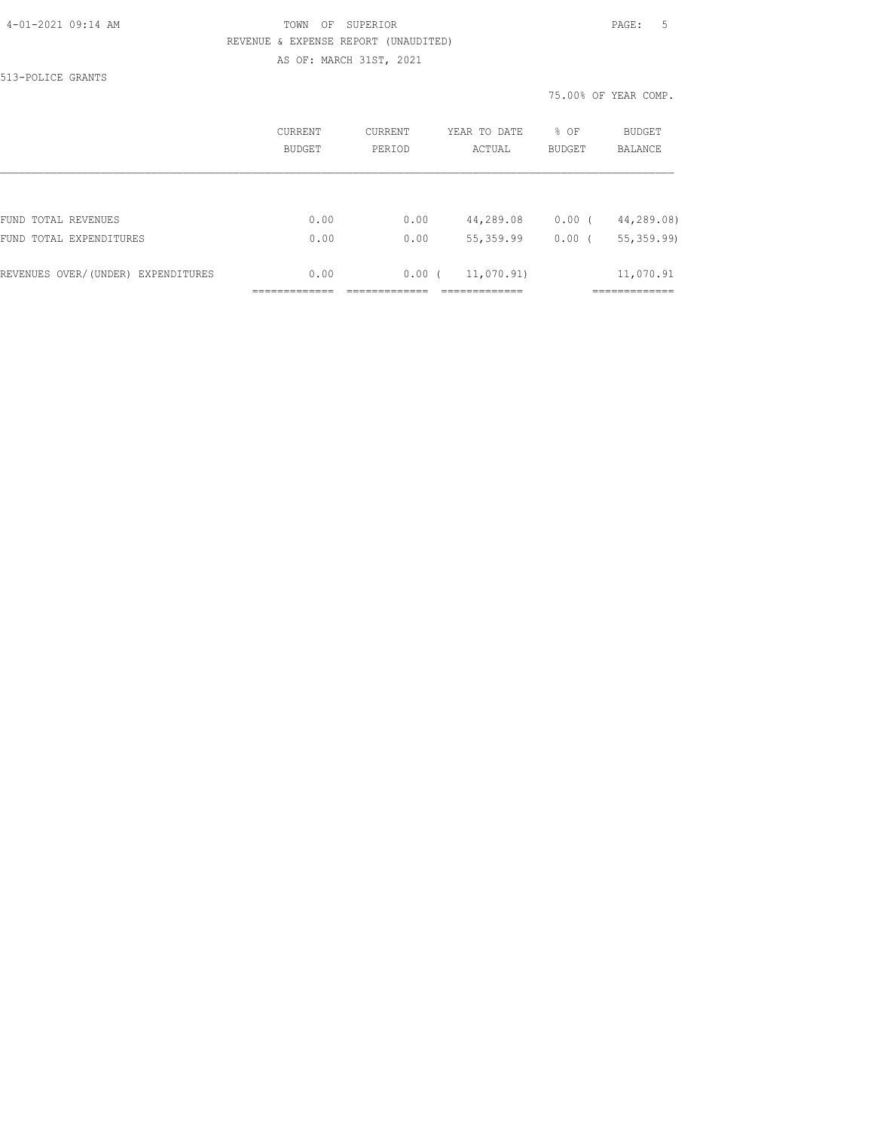#### 4-01-2021 09:14 AM TOWN OF SUPERIOR PAGE: 5 REVENUE & EXPENSE REPORT (UNAUDITED) AS OF: MARCH 31ST, 2021

513-POLICE GRANTS

|                                    | CURRENT<br>BUDGET | CURRENT<br>PERIOD | YEAR TO DATE<br>ACTUAL | % OF<br><b>BUDGET</b> | BUDGET<br>BALANCE |
|------------------------------------|-------------------|-------------------|------------------------|-----------------------|-------------------|
|                                    |                   |                   |                        |                       |                   |
| FUND TOTAL REVENUES                | 0.00              | 0.00              | 44,289.08              | 0.00(                 | 44,289.08)        |
| FUND TOTAL EXPENDITURES            | 0.00              | 0.00              | 55, 359.99             | 0.00(                 | 55, 359.99)       |
| REVENUES OVER/(UNDER) EXPENDITURES | 0.00              | 0.00(             | 11,070.91)             |                       | 11,070.91         |
|                                    |                   |                   |                        |                       |                   |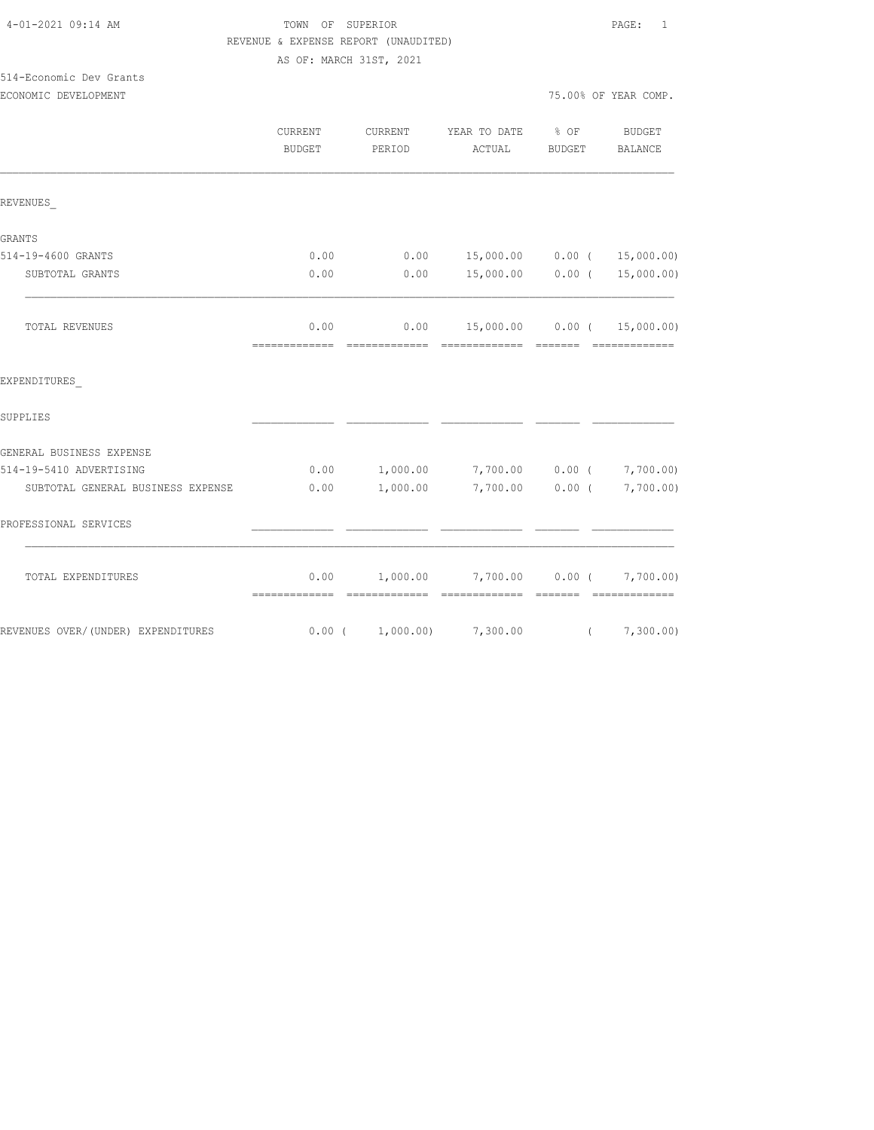#### TOWN OF SUPERIOR **Example 2010** PAGE: 1 REVENUE & EXPENSE REPORT (UNAUDITED) AS OF: MARCH 31ST, 2021

| 514-Economic Dev Grants |                      |
|-------------------------|----------------------|
| ECONOMIC DEVELOPMENT    | 75.00% OF YEAR COMP. |

|                                    | <b>CURRENT</b><br><b>BUDGET</b> | CURRENT<br>PERIOD      | YEAR TO DATE<br>ACTUAL         | $8$ OF<br>BUDGET | BUDGET<br>BALANCE                                  |
|------------------------------------|---------------------------------|------------------------|--------------------------------|------------------|----------------------------------------------------|
| REVENUES                           |                                 |                        |                                |                  |                                                    |
| GRANTS                             |                                 |                        |                                |                  |                                                    |
| 514-19-4600 GRANTS                 | 0.00                            | 0.00                   | 15,000.00                      | $0.00$ (         | 15,000.00)                                         |
| SUBTOTAL GRANTS                    | 0.00                            | 0.00                   | 15,000.00                      | $0.00$ (         | 15,000.00)                                         |
| <b>TOTAL REVENUES</b>              | 0.00<br>-------------           | 0.00<br>-------------- | --------------                 | ________         | 15,000.00   0.00   (  15,000.00)<br>-------------- |
| EXPENDITURES                       |                                 |                        |                                |                  |                                                    |
| SUPPLIES                           |                                 |                        |                                |                  |                                                    |
| GENERAL BUSINESS EXPENSE           |                                 |                        |                                |                  |                                                    |
| 514-19-5410 ADVERTISING            | 0.00                            | 1,000.00               | 7,700.00                       | $0.00$ (         | 7,700.00)                                          |
| SUBTOTAL GENERAL BUSINESS EXPENSE  | 0.00                            | 1,000.00               | 7,700.00                       | $0.00$ (         | 7,700.00)                                          |
| PROFESSIONAL SERVICES              |                                 |                        |                                |                  |                                                    |
| TOTAL EXPENDITURES                 | 0.00<br>=============           | <b>CONSECTIONS</b>     | $1,000.00$ $7,700.00$ $0.00$ ( |                  | 7,700.00)                                          |
| REVENUES OVER/(UNDER) EXPENDITURES |                                 | $0.00$ ( $1,000.00$ )  | 7,300.00                       |                  | (7, 300.00)                                        |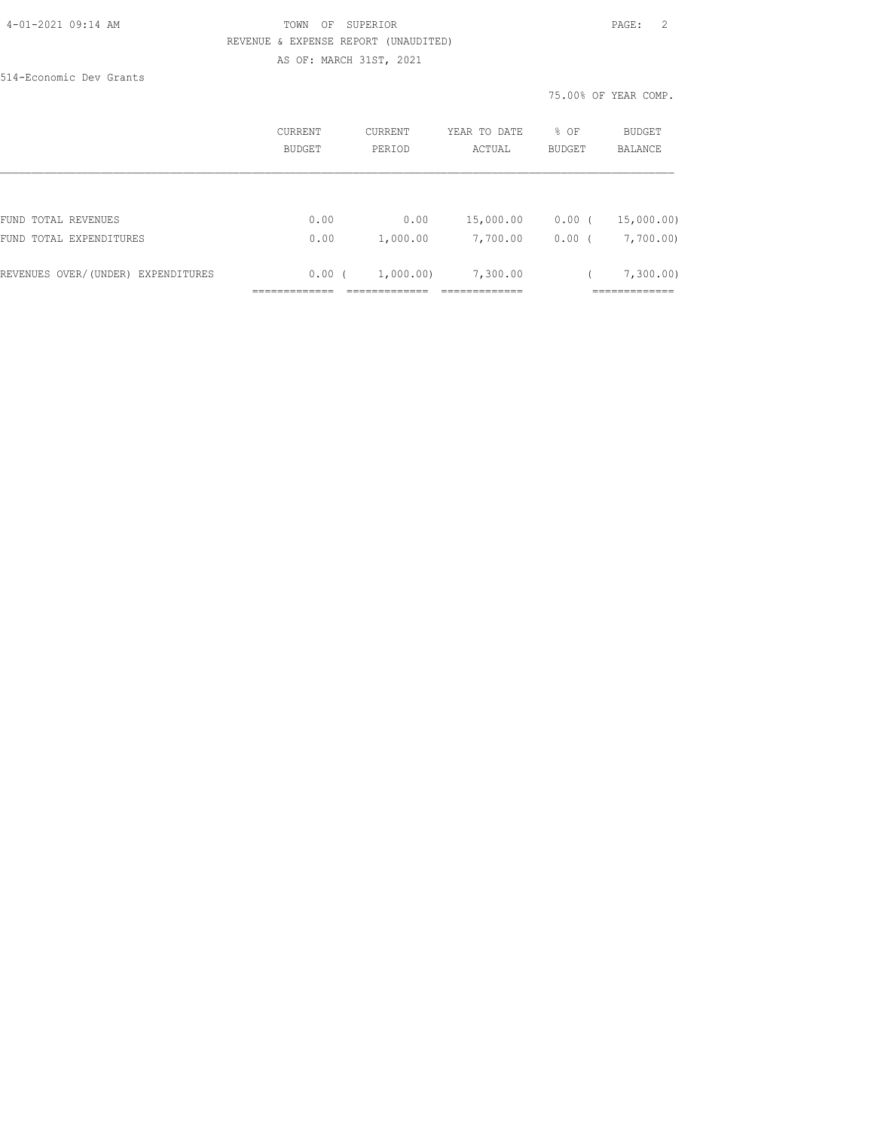#### 4-01-2021 09:14 AM TOWN OF SUPERIOR PAGE: 2 REVENUE & EXPENSE REPORT (UNAUDITED) AS OF: MARCH 31ST, 2021

514-Economic Dev Grants

|                                    | CURRENT<br>BUDGET | <b>CURRENT</b><br>PERIOD | YEAR TO DATE<br>ACTUAL | % OF<br><b>BUDGET</b> | <b>BUDGET</b><br><b>BALANCE</b> |
|------------------------------------|-------------------|--------------------------|------------------------|-----------------------|---------------------------------|
|                                    |                   |                          |                        |                       |                                 |
| FUND TOTAL REVENUES                | 0.00              | 0.00                     | 15,000.00              | $0.00$ (              | 15,000.00)                      |
| FUND TOTAL EXPENDITURES            | 0.00              | 1,000.00                 | 7,700.00               | $0.00$ (              | 7,700.00)                       |
| REVENUES OVER/(UNDER) EXPENDITURES | 0.00(             | 1,000.00)                | 7,300.00               |                       | 7,300.00)                       |
|                                    |                   |                          |                        |                       |                                 |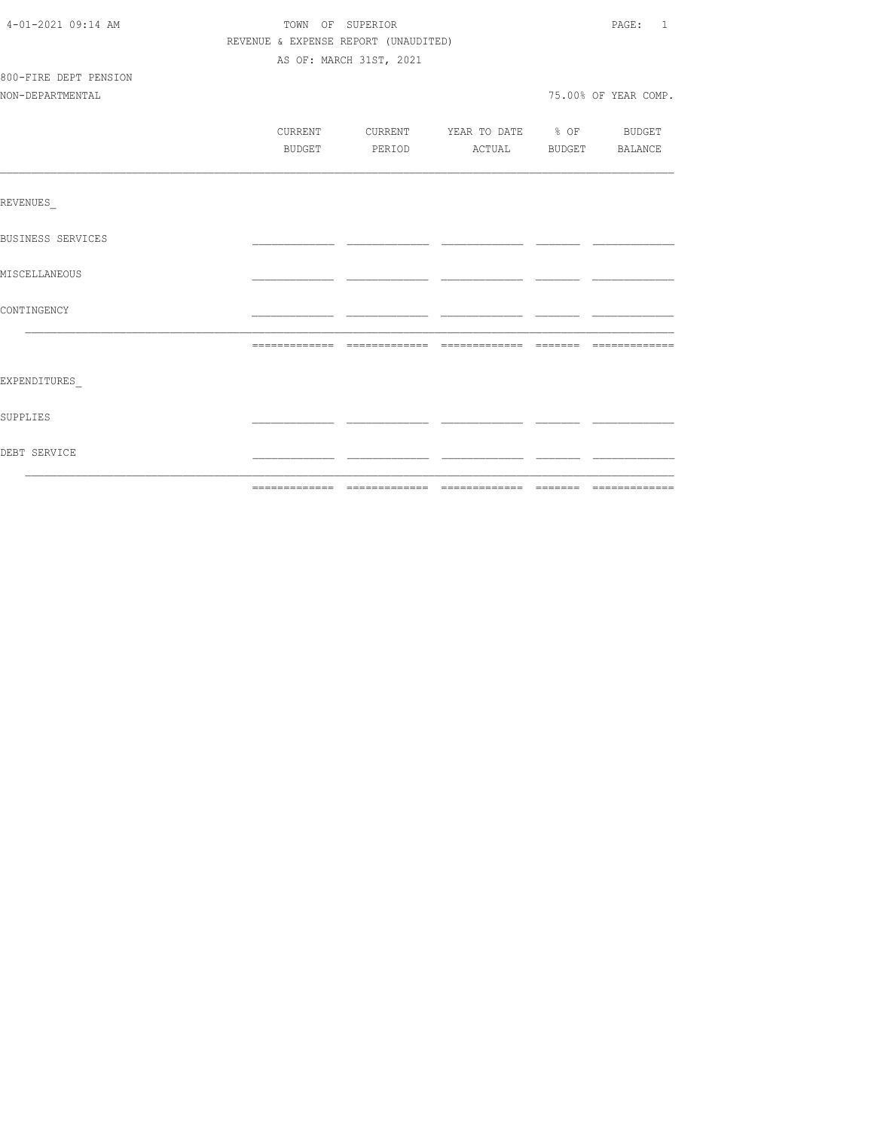| 4-01-2021 09:14 AM       | TOWN OF SUPERIOR |                                      |                                  | PAGE: 1              |
|--------------------------|------------------|--------------------------------------|----------------------------------|----------------------|
|                          |                  | REVENUE & EXPENSE REPORT (UNAUDITED) |                                  |                      |
|                          |                  | AS OF: MARCH 31ST, 2021              |                                  |                      |
| 800-FIRE DEPT PENSION    |                  |                                      |                                  |                      |
| NON-DEPARTMENTAL         |                  |                                      |                                  | 75.00% OF YEAR COMP. |
|                          |                  |                                      |                                  |                      |
|                          | CURRENT          |                                      | CURRENT YEAR TO DATE % OF BUDGET |                      |
|                          | BUDGET           |                                      | PERIOD ACTUAL BUDGET BALANCE     |                      |
|                          |                  |                                      |                                  |                      |
| REVENUES                 |                  |                                      |                                  |                      |
| <b>BUSINESS SERVICES</b> |                  |                                      |                                  |                      |
| MISCELLANEOUS            |                  |                                      |                                  |                      |
| CONTINGENCY              |                  |                                      |                                  |                      |
|                          |                  |                                      |                                  |                      |
| EXPENDITURES             |                  |                                      |                                  |                      |
| SUPPLIES                 |                  |                                      |                                  |                      |
| DEBT SERVICE             |                  |                                      |                                  |                      |
|                          |                  |                                      |                                  |                      |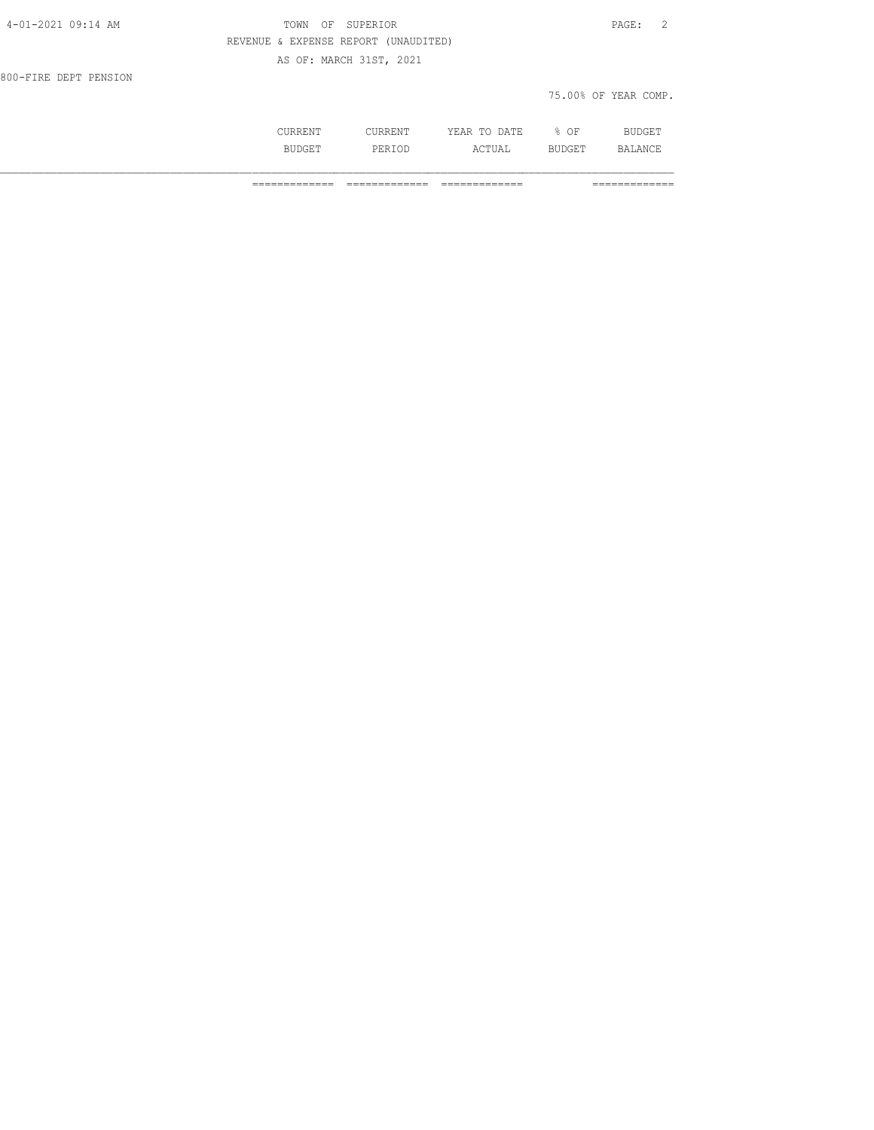| 4-01-2021 09:14 AM    | SUPERIOR<br>TOWN<br>OF               | 2<br>$\mathtt{PAGE}$ : |
|-----------------------|--------------------------------------|------------------------|
|                       | REVENUE & EXPENSE REPORT (UNAUDITED) |                        |
|                       | AS OF: MARCH 31ST, 2021              |                        |
| 800-FIRE DEPT PENSION |                                      |                        |
|                       |                                      | 75.00% OF YEAR COMP.   |
|                       |                                      |                        |

 CURRENT CURRENT YEAR TO DATE % OF BUDGET BUDGET PERIOD ACTUAL BUDGET BALANCE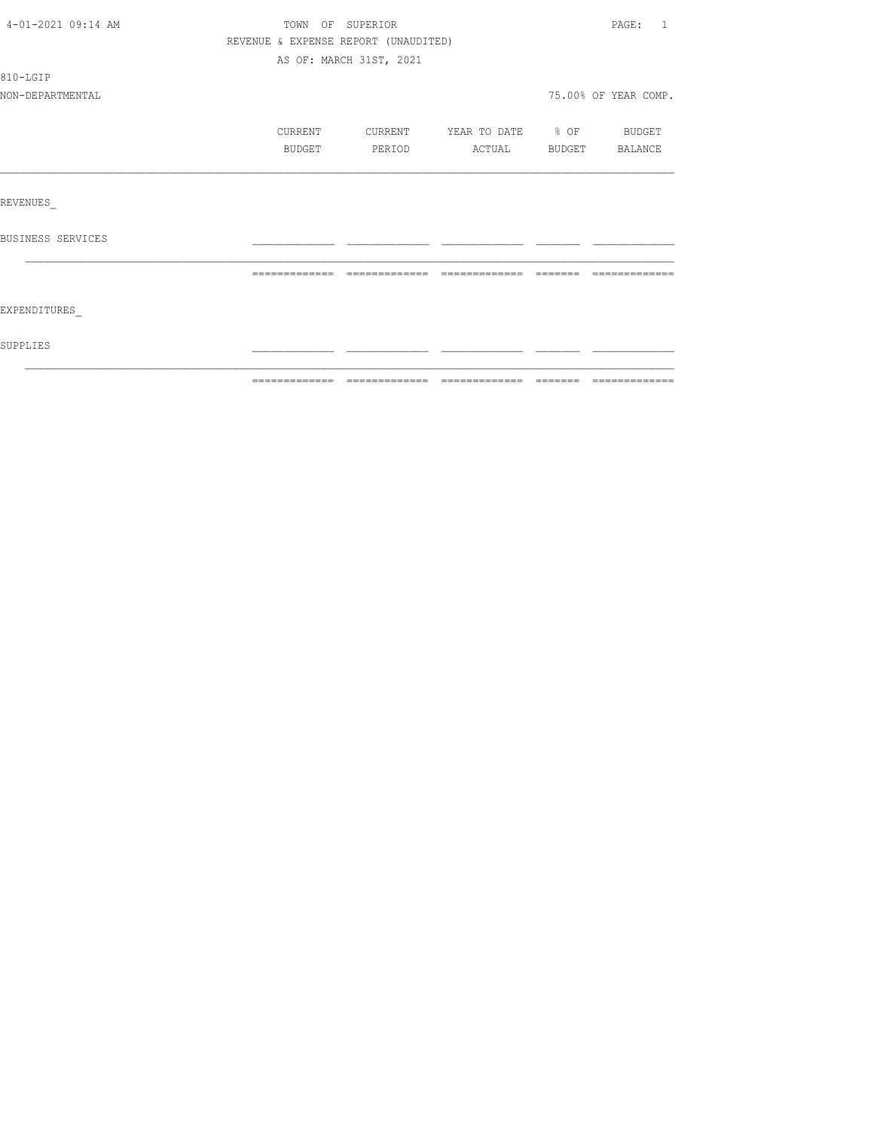| SUPPLIES           |                                      |                         |                          |          |                      |
|--------------------|--------------------------------------|-------------------------|--------------------------|----------|----------------------|
| EXPENDITURES       |                                      |                         |                          |          |                      |
|                    |                                      | =============           |                          | -------- |                      |
| BUSINESS SERVICES  |                                      |                         |                          |          |                      |
| REVENUES           |                                      |                         |                          |          |                      |
|                    |                                      |                         |                          |          |                      |
|                    | BUDGET                               | PERIOD                  | ACTUAL BUDGET BALANCE    |          |                      |
|                    | CURRENT                              | CURRENT                 | YEAR TO DATE % OF BUDGET |          |                      |
| NON-DEPARTMENTAL   |                                      |                         |                          |          | 75.00% OF YEAR COMP. |
| 810-LGIP           |                                      |                         |                          |          |                      |
|                    |                                      | AS OF: MARCH 31ST, 2021 |                          |          |                      |
|                    | REVENUE & EXPENSE REPORT (UNAUDITED) |                         |                          |          |                      |
| 4-01-2021 09:14 AM | TOWN OF SUPERIOR                     |                         |                          |          | PAGE: 1              |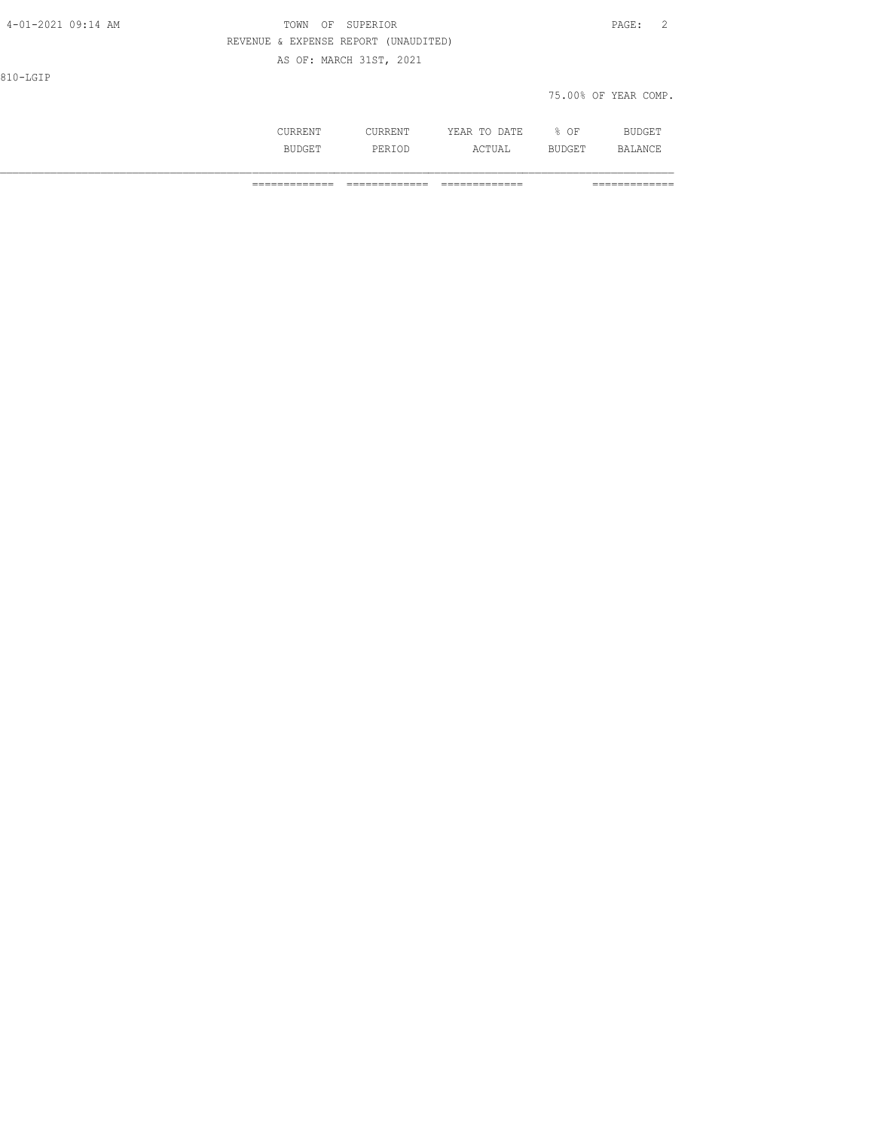| 4-01-2021 09:14 AM | TOWN<br>ΟF                           | SUPERIOR                |              |        | PAGE:<br>$\overline{\phantom{0}}^2$ |
|--------------------|--------------------------------------|-------------------------|--------------|--------|-------------------------------------|
|                    | REVENUE & EXPENSE REPORT (UNAUDITED) |                         |              |        |                                     |
|                    |                                      | AS OF: MARCH 31ST, 2021 |              |        |                                     |
| 810-LGIP           |                                      |                         |              |        |                                     |
|                    |                                      |                         |              |        | 75.00% OF YEAR COMP.                |
|                    |                                      |                         |              |        |                                     |
|                    | CURRENT                              | CURRENT                 | YEAR TO DATE | $8$ OF | <b>BUDGET</b>                       |

BUDGET PERIOD ACTUAL BUDGET BALANCE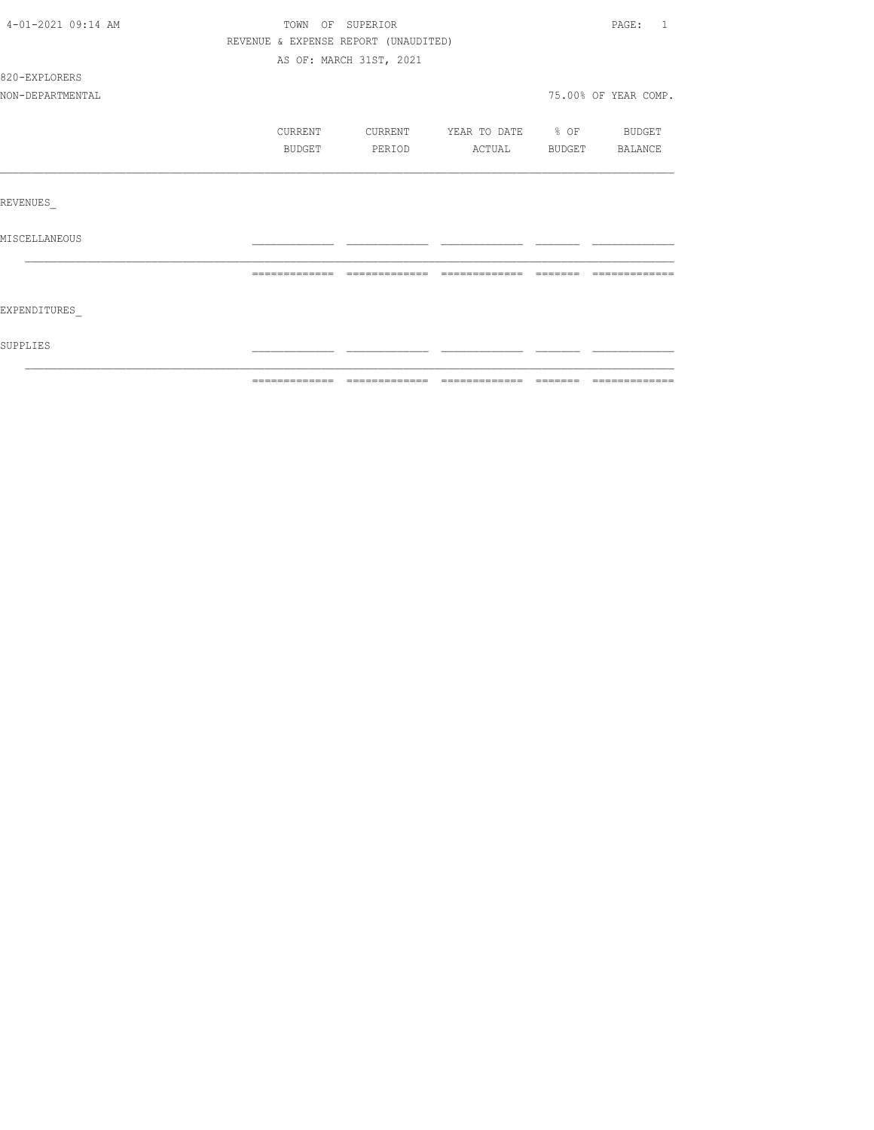| SUPPLIES           |                  |                                      |                          |          |                       |
|--------------------|------------------|--------------------------------------|--------------------------|----------|-----------------------|
| EXPENDITURES       |                  |                                      |                          |          |                       |
|                    | -------------    | -------------                        |                          | -------- |                       |
| MISCELLANEOUS      |                  |                                      |                          |          |                       |
| REVENUES           |                  |                                      |                          |          |                       |
|                    |                  |                                      |                          |          |                       |
|                    | BUDGET           | PERIOD                               | ACTUAL BUDGET BALANCE    |          |                       |
|                    | CURRENT          | CURRENT                              | YEAR TO DATE % OF BUDGET |          |                       |
| NON-DEPARTMENTAL   |                  |                                      |                          |          | 75.00% OF YEAR COMP.  |
| 820-EXPLORERS      |                  |                                      |                          |          |                       |
|                    |                  | AS OF: MARCH 31ST, 2021              |                          |          |                       |
|                    |                  | REVENUE & EXPENSE REPORT (UNAUDITED) |                          |          |                       |
| 4-01-2021 09:14 AM | TOWN OF SUPERIOR |                                      |                          |          | PAGE:<br>$\mathbf{1}$ |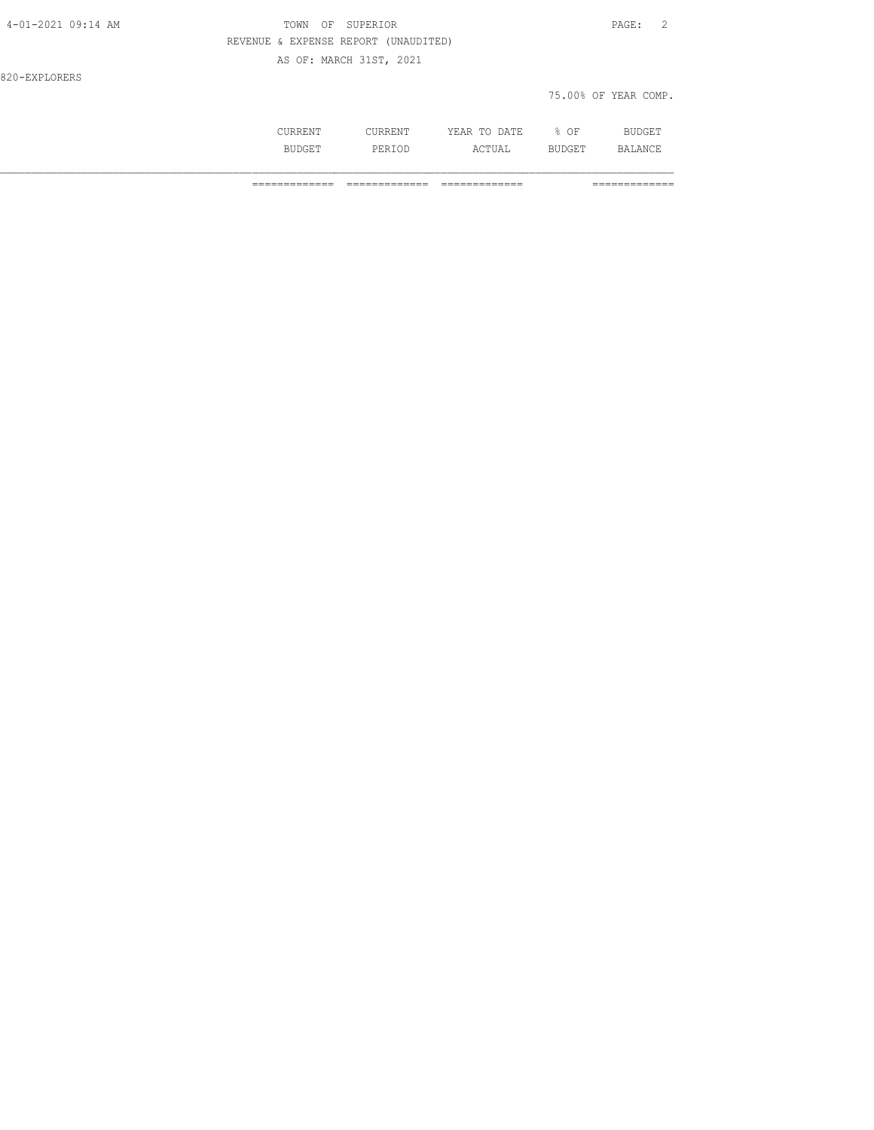| OF SUPERIOR<br>TOWN                  | PAGE: 2              |
|--------------------------------------|----------------------|
| REVENUE & EXPENSE REPORT (UNAUDITED) |                      |
| AS OF: MARCH 31ST, 2021              |                      |
|                                      |                      |
|                                      | 75.00% OF YEAR COMP. |
|                                      |                      |

| RRENT           | . .<br>◡◡▴៶ュ∖⊥⊥\⊥ | <b>DATF</b><br>. .<br>$\cdot$ $\wedge$ $\vee$<br>------<br>----- | OF<br>u.   | .<br>nar t                          |
|-----------------|-------------------|------------------------------------------------------------------|------------|-------------------------------------|
| . S T T "<br>mп | DF R<br>PERIOD    | $\sim$ $\sim$ $\sim$ $\sim$<br>un taun                           | .<br>UUGLI | $\mathbb{R}$ $\Delta$<br>$\wedge$ N |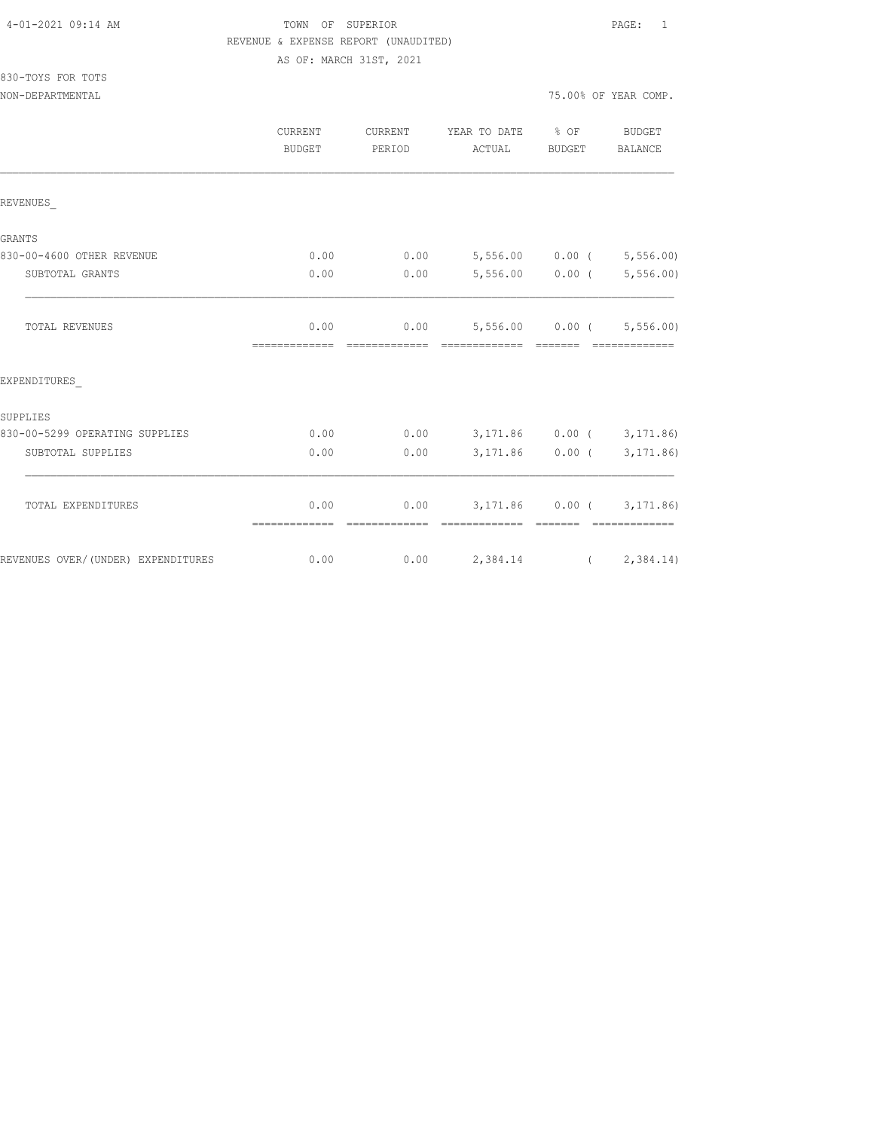## TOWN OF SUPERIOR **PAGE:** 1 REVENUE & EXPENSE REPORT (UNAUDITED) AS OF: MARCH 31ST, 2021

830-TOYS FOR TOTS

|                                    | CURRENT<br><b>BUDGET</b> | CURRENT<br>PERIOD | YEAR TO DATE % OF<br>ACTUAL                               | BUDGET            | <b>BUDGET</b><br>BALANCE |
|------------------------------------|--------------------------|-------------------|-----------------------------------------------------------|-------------------|--------------------------|
| REVENUES                           |                          |                   |                                                           |                   |                          |
| GRANTS                             |                          |                   |                                                           |                   |                          |
| 830-00-4600 OTHER REVENUE          | 0.00                     |                   | $0.00$ 5,556.00 0.00 ( 5,556.00)                          |                   |                          |
| SUBTOTAL GRANTS                    | 0.00                     | 0.00              |                                                           | $5,556.00$ 0.00 ( | 5,556.00)                |
| TOTAL REVENUES                     | 0.00<br>--------------   | =============     | $0.00$ 5,556.00 0.00 ( 5,556.00)                          |                   |                          |
| EXPENDITURES                       |                          |                   |                                                           |                   |                          |
| SUPPLIES                           |                          |                   |                                                           |                   |                          |
| 830-00-5299 OPERATING SUPPLIES     | 0.00                     |                   | $0.00$ $3,171.86$ $0.00$ ( $3,171.86$ )                   |                   |                          |
| SUBTOTAL SUPPLIES                  | 0.00                     | 0.00              |                                                           | 3,171.86 0.00 (   | 3, 171.86)               |
| TOTAL EXPENDITURES                 | 0.00<br>=============    | --------------    | $0.00$ $3,171.86$ $0.00$ ( $3,171.86$ )<br>-------------- | --------          | --------------           |
| REVENUES OVER/(UNDER) EXPENDITURES | 0.00                     |                   | $0.00$ 2,384.14 (2,384.14)                                |                   |                          |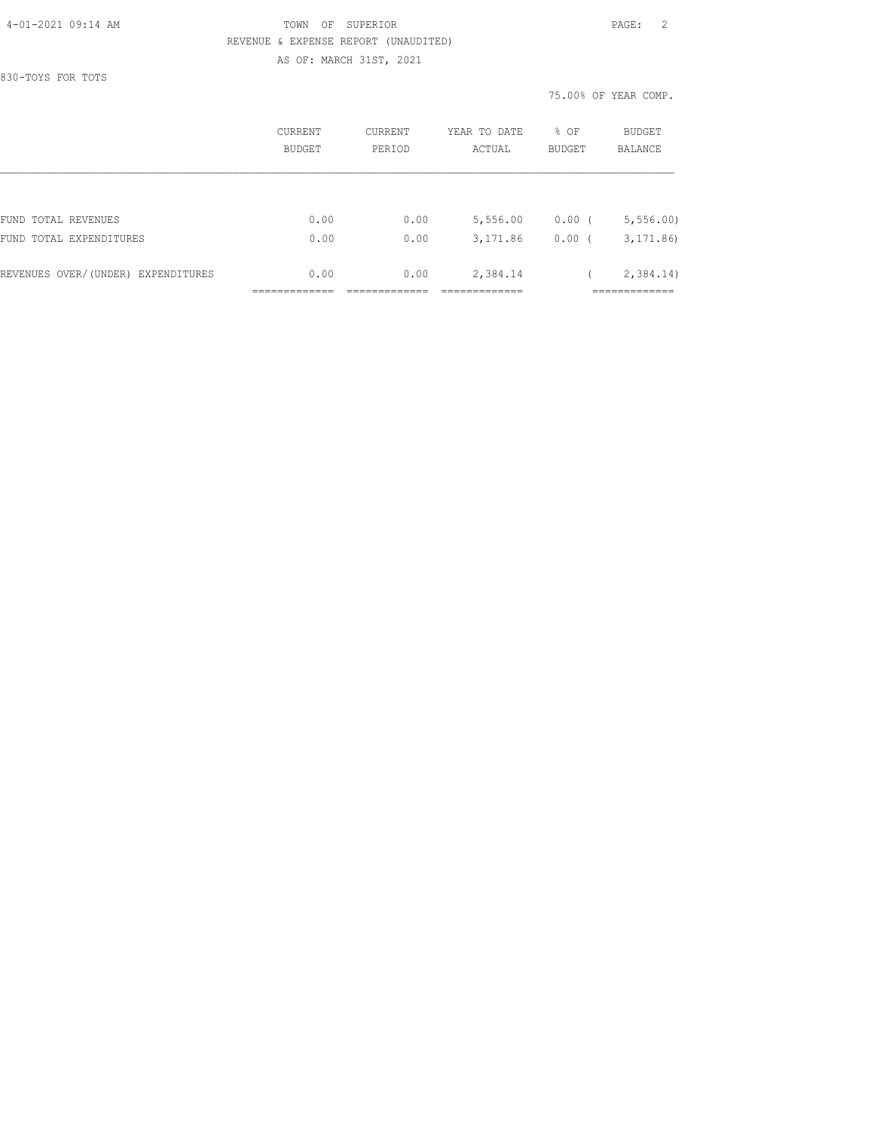#### 4-01-2021 09:14 AM TOWN OF SUPERIOR PAGE: 2 REVENUE & EXPENSE REPORT (UNAUDITED) AS OF: MARCH 31ST, 2021

830-TOYS FOR TOTS

|                                    | CURRENT<br><b>BUDGET</b> | CURRENT<br>PERTOD | YEAR TO DATE<br>ACTUAL | % OF<br><b>BUDGET</b> | BUDGET<br><b>BALANCE</b> |
|------------------------------------|--------------------------|-------------------|------------------------|-----------------------|--------------------------|
|                                    |                          |                   |                        |                       |                          |
| FUND TOTAL REVENUES                | 0.00                     | 0.00              | 5,556.00               | $0.00$ (              | 5, 556.00                |
| FUND TOTAL EXPENDITURES            | 0.00                     | 0.00              | 3,171.86               | 0.00                  | 3, 171, 86               |
| REVENUES OVER/(UNDER) EXPENDITURES | 0.00                     | 0.00              | 2,384.14               |                       | 2,384.14)                |
|                                    |                          |                   |                        |                       |                          |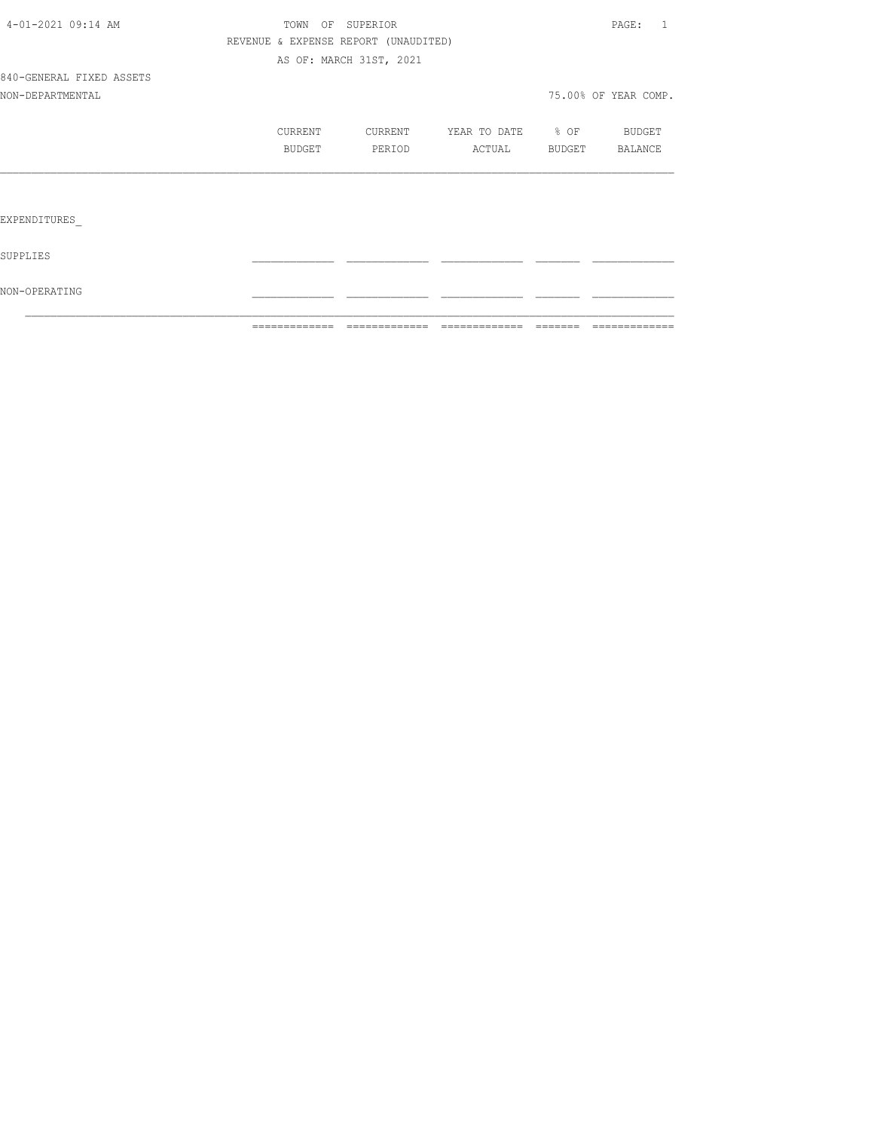|                          | =============                        | =============           | =============     | $\begin{array}{cccccccccc} \multicolumn{2}{c}{} & \multicolumn{2}{c}{} & \multicolumn{2}{c}{} & \multicolumn{2}{c}{} & \multicolumn{2}{c}{} & \multicolumn{2}{c}{} & \multicolumn{2}{c}{} & \multicolumn{2}{c}{} & \multicolumn{2}{c}{} & \multicolumn{2}{c}{} & \multicolumn{2}{c}{} & \multicolumn{2}{c}{} & \multicolumn{2}{c}{} & \multicolumn{2}{c}{} & \multicolumn{2}{c}{} & \multicolumn{2}{c}{} & \multicolumn{2}{c}{} & \multicolumn{2}{c}{} & \multicolumn{2}{c}{} & \mult$ | =============        |
|--------------------------|--------------------------------------|-------------------------|-------------------|----------------------------------------------------------------------------------------------------------------------------------------------------------------------------------------------------------------------------------------------------------------------------------------------------------------------------------------------------------------------------------------------------------------------------------------------------------------------------------------|----------------------|
| NON-OPERATING            |                                      |                         |                   |                                                                                                                                                                                                                                                                                                                                                                                                                                                                                        |                      |
| SUPPLIES                 |                                      |                         |                   |                                                                                                                                                                                                                                                                                                                                                                                                                                                                                        |                      |
| EXPENDITURES             |                                      |                         |                   |                                                                                                                                                                                                                                                                                                                                                                                                                                                                                        |                      |
|                          |                                      |                         |                   |                                                                                                                                                                                                                                                                                                                                                                                                                                                                                        |                      |
|                          | BUDGET                               | PERIOD                  | ACTUAL BUDGET     |                                                                                                                                                                                                                                                                                                                                                                                                                                                                                        | BALANCE              |
|                          | CURRENT                              | CURRENT                 | YEAR TO DATE % OF |                                                                                                                                                                                                                                                                                                                                                                                                                                                                                        | <b>BUDGET</b>        |
| NON-DEPARTMENTAL         |                                      |                         |                   |                                                                                                                                                                                                                                                                                                                                                                                                                                                                                        | 75.00% OF YEAR COMP. |
| 840-GENERAL FIXED ASSETS |                                      |                         |                   |                                                                                                                                                                                                                                                                                                                                                                                                                                                                                        |                      |
|                          |                                      | AS OF: MARCH 31ST, 2021 |                   |                                                                                                                                                                                                                                                                                                                                                                                                                                                                                        |                      |
|                          | REVENUE & EXPENSE REPORT (UNAUDITED) |                         |                   |                                                                                                                                                                                                                                                                                                                                                                                                                                                                                        |                      |
| 4-01-2021 09:14 AM       | TOWN OF SUPERIOR                     |                         |                   |                                                                                                                                                                                                                                                                                                                                                                                                                                                                                        | PAGE: 1              |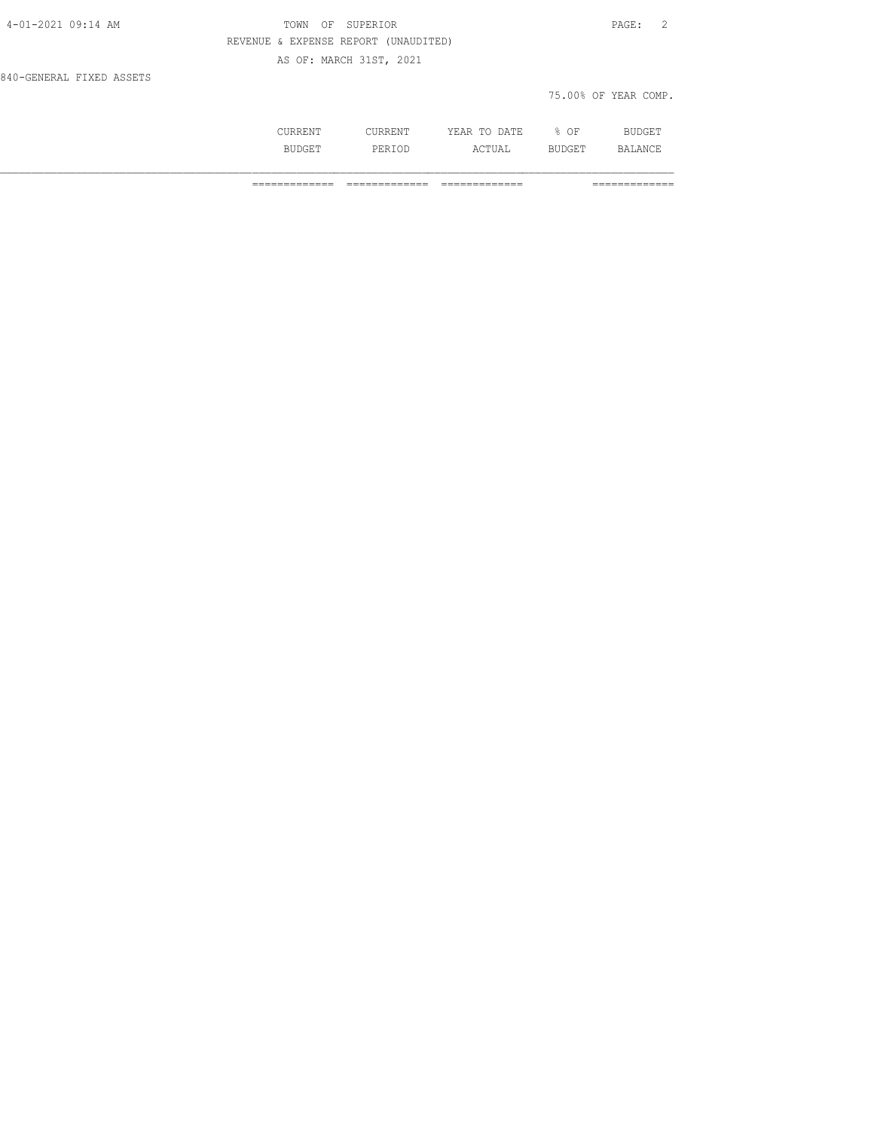| 4-01-2021 09:14 AM       | TOWN OF SUPERIOR                     | PAGE: 2              |
|--------------------------|--------------------------------------|----------------------|
|                          | REVENUE & EXPENSE REPORT (UNAUDITED) |                      |
|                          | AS OF: MARCH 31ST, 2021              |                      |
| 840-GENERAL FIXED ASSETS |                                      |                      |
|                          |                                      | 75.00% OF YEAR COMP. |
|                          |                                      |                      |

| .   | $\sqrt{2}$ mm $\sqrt{2}$<br>m.<br>$\cdots$<br>----<br>----- | . .<br>Οŀ | RТ<br>. |
|-----|-------------------------------------------------------------|-----------|---------|
| ⊤ت⊏ | ---                                                         |           | .<br>.  |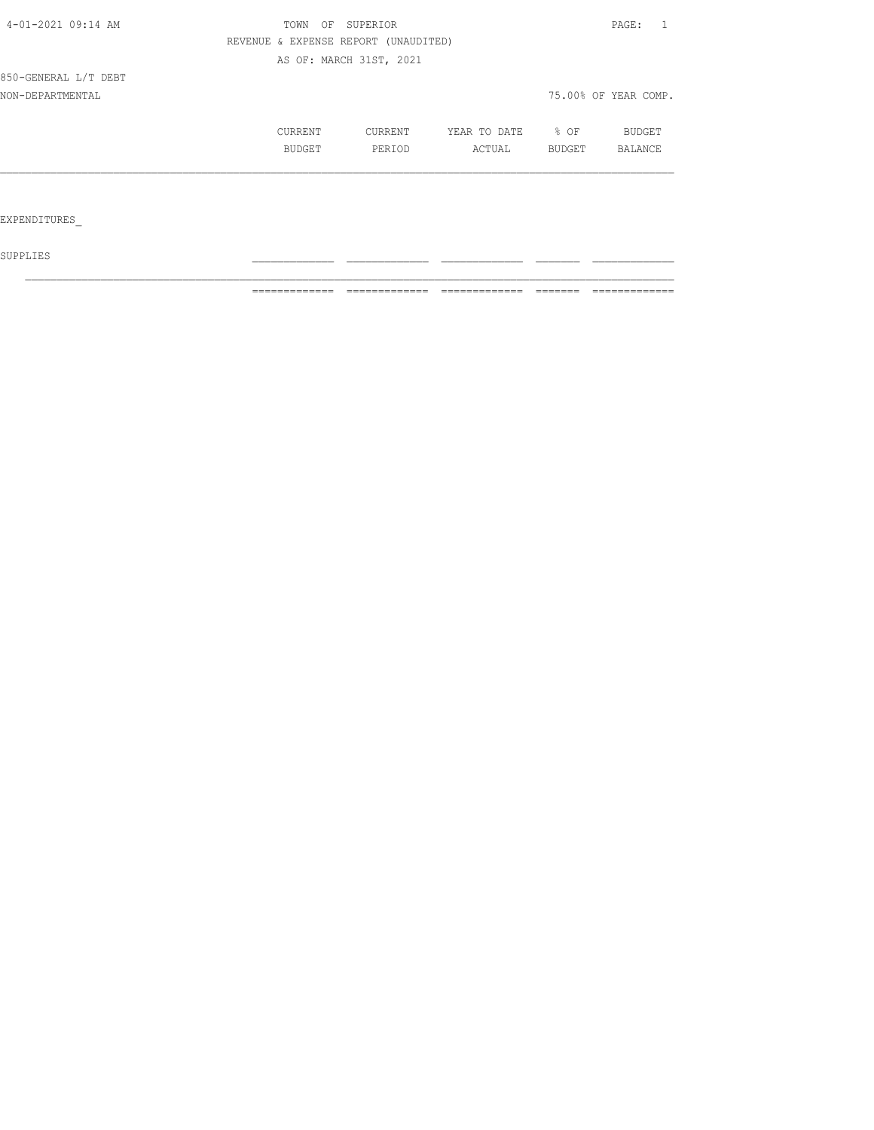| 4-01-2021 09:14 AM   | SUPERIOR<br>TOWN<br>OF |                                      |              |        | PAGE:                |  |
|----------------------|------------------------|--------------------------------------|--------------|--------|----------------------|--|
|                      |                        | REVENUE & EXPENSE REPORT (UNAUDITED) |              |        |                      |  |
|                      |                        | AS OF: MARCH 31ST, 2021              |              |        |                      |  |
| 850-GENERAL L/T DEBT |                        |                                      |              |        |                      |  |
| NON-DEPARTMENTAL     |                        |                                      |              |        | 75.00% OF YEAR COMP. |  |
|                      | CURRENT                | CURRENT                              | YEAR TO DATE | $8$ OF | BUDGET               |  |
|                      | BUDGET                 | PERIOD                               | ACTUAL       | BUDGET | BALANCE              |  |
|                      |                        |                                      |              |        |                      |  |
|                      |                        |                                      |              |        |                      |  |
| EXPENDITURES         |                        |                                      |              |        |                      |  |

 ${\tt SUPPLIES}$